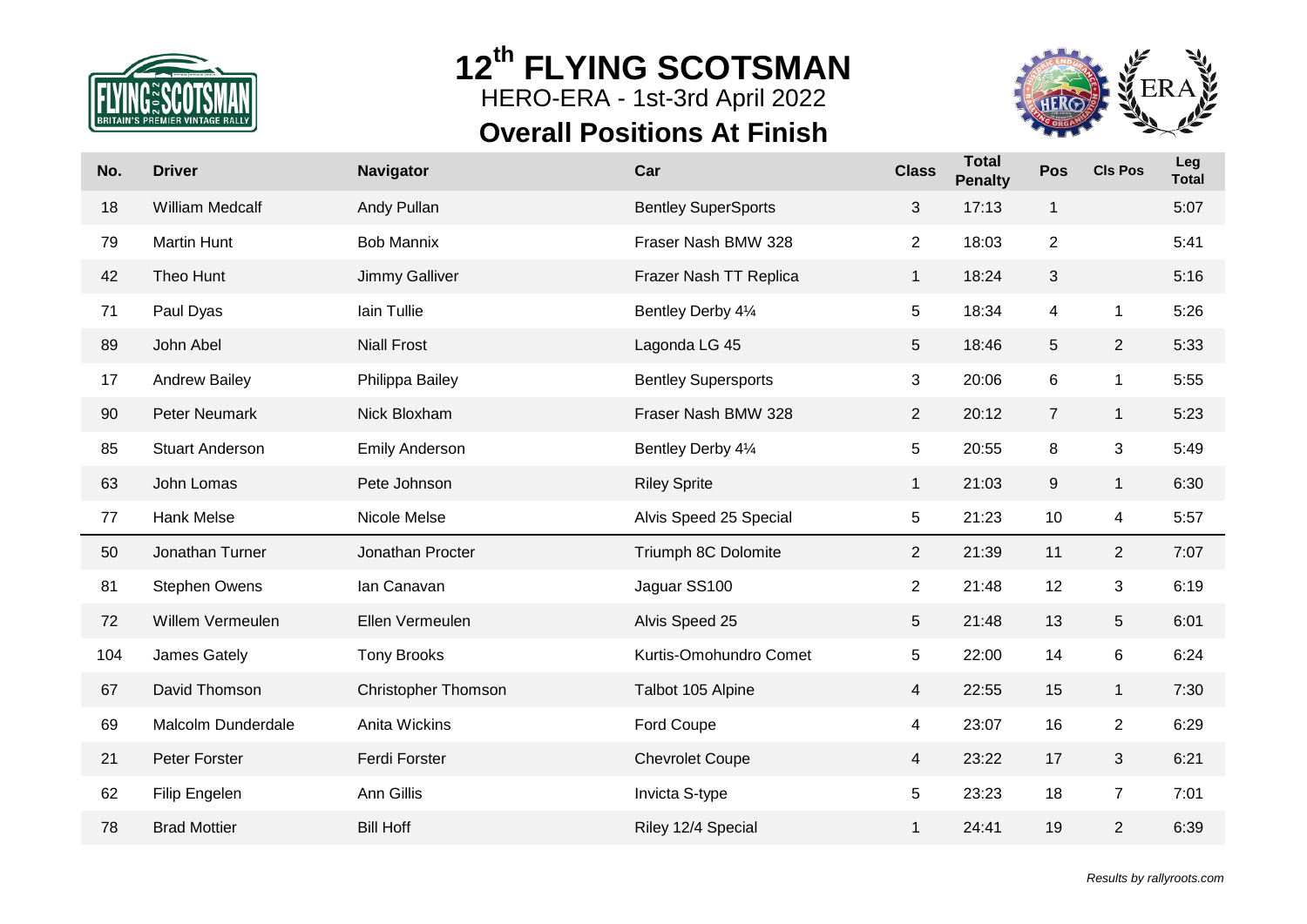

HERO-ERA - 1st-3rd April 2022

# **Overall Positions At Finish**



| No. | <b>Driver</b>          | <b>Navigator</b>           | Car                        | <b>Class</b>   | <b>Total</b><br><b>Penalty</b> | Pos            | <b>CIs Pos</b> | Leg<br><b>Total</b> |
|-----|------------------------|----------------------------|----------------------------|----------------|--------------------------------|----------------|----------------|---------------------|
| 18  | <b>William Medcalf</b> | Andy Pullan                | <b>Bentley SuperSports</b> | 3              | 17:13                          | $\mathbf{1}$   |                | 5:07                |
| 79  | <b>Martin Hunt</b>     | <b>Bob Mannix</b>          | Fraser Nash BMW 328        | $\overline{2}$ | 18:03                          | $\overline{2}$ |                | 5:41                |
| 42  | Theo Hunt              | Jimmy Galliver             | Frazer Nash TT Replica     | $\mathbf{1}$   | 18:24                          | 3              |                | 5:16                |
| 71  | Paul Dyas              | lain Tullie                | Bentley Derby 41/4         | 5              | 18:34                          | $\overline{4}$ | $\mathbf{1}$   | 5:26                |
| 89  | John Abel              | <b>Niall Frost</b>         | Lagonda LG 45              | 5              | 18:46                          | 5              | $\overline{2}$ | 5:33                |
| 17  | <b>Andrew Bailey</b>   | Philippa Bailey            | <b>Bentley Supersports</b> | 3              | 20:06                          | 6              | $\mathbf{1}$   | 5:55                |
| 90  | <b>Peter Neumark</b>   | Nick Bloxham               | Fraser Nash BMW 328        | $\overline{2}$ | 20:12                          | $\overline{7}$ | $\mathbf{1}$   | 5:23                |
| 85  | <b>Stuart Anderson</b> | <b>Emily Anderson</b>      | Bentley Derby 41/4         | 5              | 20:55                          | 8              | 3              | 5:49                |
| 63  | John Lomas             | Pete Johnson               | <b>Riley Sprite</b>        | $\mathbf{1}$   | 21:03                          | $9\,$          | $\mathbf{1}$   | 6:30                |
| 77  | Hank Melse             | Nicole Melse               | Alvis Speed 25 Special     | 5              | 21:23                          | 10             | 4              | 5:57                |
| 50  | Jonathan Turner        | Jonathan Procter           | Triumph 8C Dolomite        | $\overline{2}$ | 21:39                          | 11             | $\overline{2}$ | 7:07                |
| 81  | <b>Stephen Owens</b>   | Ian Canavan                | Jaguar SS100               | $\overline{c}$ | 21:48                          | 12             | 3              | 6:19                |
| 72  | Willem Vermeulen       | Ellen Vermeulen            | Alvis Speed 25             | 5              | 21:48                          | 13             | 5              | 6:01                |
| 104 | James Gately           | <b>Tony Brooks</b>         | Kurtis-Omohundro Comet     | 5              | 22:00                          | 14             | 6              | 6:24                |
| 67  | David Thomson          | <b>Christopher Thomson</b> | Talbot 105 Alpine          | 4              | 22:55                          | 15             | $\mathbf{1}$   | 7:30                |
| 69  | Malcolm Dunderdale     | Anita Wickins              | Ford Coupe                 | 4              | 23:07                          | 16             | $\overline{c}$ | 6:29                |
| 21  | Peter Forster          | Ferdi Forster              | <b>Chevrolet Coupe</b>     | $\overline{4}$ | 23:22                          | 17             | 3              | 6:21                |
| 62  | Filip Engelen          | Ann Gillis                 | Invicta S-type             | 5              | 23:23                          | 18             | $\overline{7}$ | 7:01                |
| 78  | <b>Brad Mottier</b>    | <b>Bill Hoff</b>           | Riley 12/4 Special         | $\mathbf{1}$   | 24:41                          | 19             | $\overline{c}$ | 6:39                |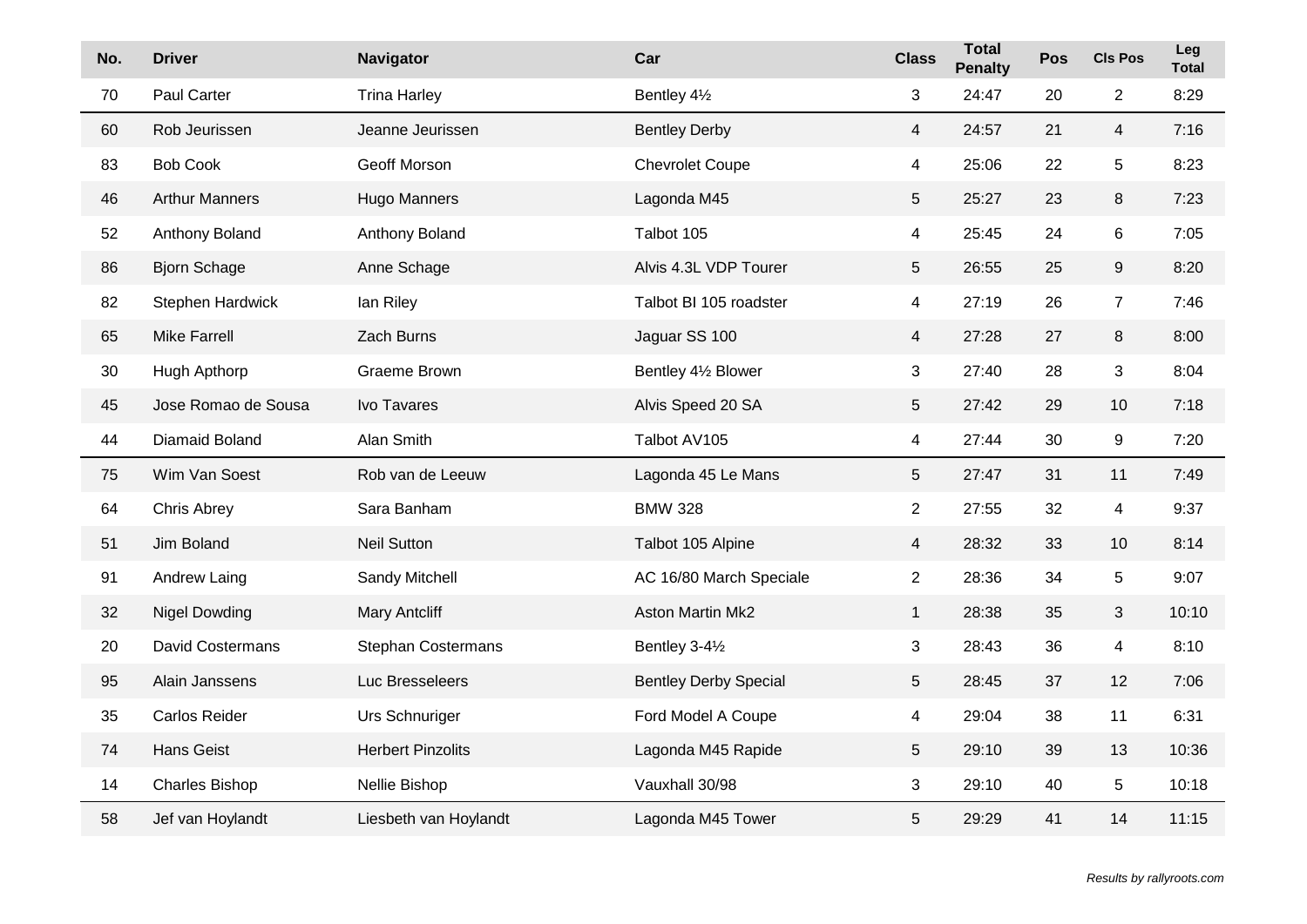| No. | <b>Driver</b>           | <b>Navigator</b>          | Car                          | <b>Class</b>   | <b>Total</b><br><b>Penalty</b> | Pos | <b>CIs Pos</b>          | Leg<br><b>Total</b> |
|-----|-------------------------|---------------------------|------------------------------|----------------|--------------------------------|-----|-------------------------|---------------------|
| 70  | Paul Carter             | <b>Trina Harley</b>       | Bentley 41/2                 | 3              | 24:47                          | 20  | $\overline{2}$          | 8:29                |
| 60  | Rob Jeurissen           | Jeanne Jeurissen          | <b>Bentley Derby</b>         | $\overline{4}$ | 24:57                          | 21  | $\overline{4}$          | 7:16                |
| 83  | <b>Bob Cook</b>         | Geoff Morson              | <b>Chevrolet Coupe</b>       | 4              | 25:06                          | 22  | $\mathbf 5$             | 8:23                |
| 46  | <b>Arthur Manners</b>   | Hugo Manners              | Lagonda M45                  | 5              | 25:27                          | 23  | $\,8\,$                 | 7:23                |
| 52  | Anthony Boland          | Anthony Boland            | Talbot 105                   | 4              | 25:45                          | 24  | $\,6$                   | 7:05                |
| 86  | <b>Bjorn Schage</b>     | Anne Schage               | Alvis 4.3L VDP Tourer        | 5              | 26:55                          | 25  | 9                       | 8:20                |
| 82  | Stephen Hardwick        | lan Riley                 | Talbot BI 105 roadster       | 4              | 27:19                          | 26  | $\overline{7}$          | 7:46                |
| 65  | <b>Mike Farrell</b>     | Zach Burns                | Jaguar SS 100                | 4              | 27:28                          | 27  | $\,8\,$                 | 8:00                |
| 30  | Hugh Apthorp            | <b>Graeme Brown</b>       | Bentley 41/2 Blower          | 3              | 27:40                          | 28  | $\sqrt{3}$              | 8:04                |
| 45  | Jose Romao de Sousa     | Ivo Tavares               | Alvis Speed 20 SA            | 5              | 27:42                          | 29  | 10                      | 7:18                |
| 44  | Diamaid Boland          | Alan Smith                | Talbot AV105                 | 4              | 27:44                          | 30  | $\boldsymbol{9}$        | 7:20                |
| 75  | Wim Van Soest           | Rob van de Leeuw          | Lagonda 45 Le Mans           | 5              | 27:47                          | 31  | 11                      | 7:49                |
| 64  | Chris Abrey             | Sara Banham               | <b>BMW 328</b>               | $\overline{2}$ | 27:55                          | 32  | $\overline{\mathbf{4}}$ | 9:37                |
| 51  | Jim Boland              | <b>Neil Sutton</b>        | Talbot 105 Alpine            | $\overline{4}$ | 28:32                          | 33  | 10                      | 8:14                |
| 91  | Andrew Laing            | Sandy Mitchell            | AC 16/80 March Speciale      | $\overline{2}$ | 28:36                          | 34  | 5                       | 9:07                |
| 32  | <b>Nigel Dowding</b>    | <b>Mary Antcliff</b>      | Aston Martin Mk2             | $\mathbf{1}$   | 28:38                          | 35  | 3                       | 10:10               |
| 20  | <b>David Costermans</b> | <b>Stephan Costermans</b> | Bentley 3-41/2               | 3              | 28:43                          | 36  | 4                       | 8:10                |
| 95  | Alain Janssens          | Luc Bresseleers           | <b>Bentley Derby Special</b> | 5              | 28:45                          | 37  | 12                      | 7:06                |
| 35  | Carlos Reider           | Urs Schnuriger            | Ford Model A Coupe           | 4              | 29:04                          | 38  | 11                      | 6:31                |
| 74  | <b>Hans Geist</b>       | <b>Herbert Pinzolits</b>  | Lagonda M45 Rapide           | 5              | 29:10                          | 39  | 13                      | 10:36               |
| 14  | <b>Charles Bishop</b>   | Nellie Bishop             | Vauxhall 30/98               | 3              | 29:10                          | 40  | $\overline{5}$          | 10:18               |
| 58  | Jef van Hoylandt        | Liesbeth van Hoylandt     | Lagonda M45 Tower            | 5              | 29:29                          | 41  | 14                      | 11:15               |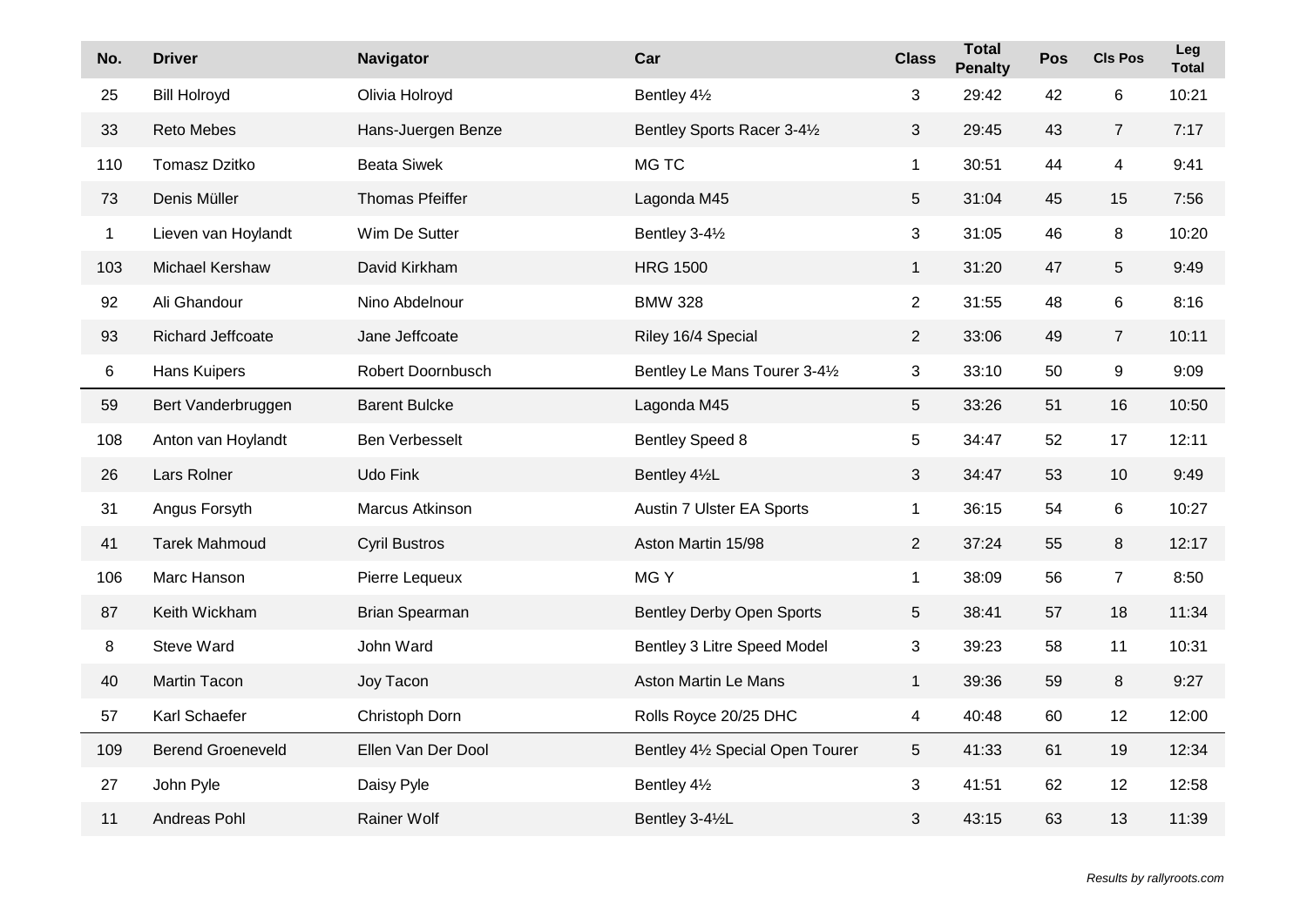| No.         | <b>Driver</b>            | <b>Navigator</b>       | Car                              | <b>Class</b>    | <b>Total</b><br><b>Penalty</b> | Pos | <b>CIs Pos</b>          | Leg<br><b>Total</b> |
|-------------|--------------------------|------------------------|----------------------------------|-----------------|--------------------------------|-----|-------------------------|---------------------|
| 25          | <b>Bill Holroyd</b>      | Olivia Holroyd         | Bentley 41/2                     | 3               | 29:42                          | 42  | $\,6$                   | 10:21               |
| 33          | <b>Reto Mebes</b>        | Hans-Juergen Benze     | Bentley Sports Racer 3-41/2      | $\mathbf{3}$    | 29:45                          | 43  | $\overline{7}$          | 7:17                |
| 110         | <b>Tomasz Dzitko</b>     | <b>Beata Siwek</b>     | MG TC                            | $\mathbf{1}$    | 30:51                          | 44  | $\overline{\mathbf{4}}$ | 9:41                |
| 73          | Denis Müller             | <b>Thomas Pfeiffer</b> | Lagonda M45                      | 5               | 31:04                          | 45  | 15                      | 7:56                |
| $\mathbf 1$ | Lieven van Hoylandt      | Wim De Sutter          | Bentley 3-41/2                   | 3               | 31:05                          | 46  | 8                       | 10:20               |
| 103         | Michael Kershaw          | David Kirkham          | <b>HRG 1500</b>                  | $\mathbf{1}$    | 31:20                          | 47  | $\sqrt{5}$              | 9:49                |
| 92          | Ali Ghandour             | Nino Abdelnour         | <b>BMW 328</b>                   | $\overline{2}$  | 31:55                          | 48  | $\,6\,$                 | 8:16                |
| 93          | Richard Jeffcoate        | Jane Jeffcoate         | Riley 16/4 Special               | $\overline{2}$  | 33:06                          | 49  | $\overline{7}$          | 10:11               |
| 6           | Hans Kuipers             | Robert Doornbusch      | Bentley Le Mans Tourer 3-41/2    | 3               | 33:10                          | 50  | 9                       | 9:09                |
| 59          | Bert Vanderbruggen       | <b>Barent Bulcke</b>   | Lagonda M45                      | 5               | 33:26                          | 51  | 16                      | 10:50               |
| 108         | Anton van Hoylandt       | Ben Verbesselt         | <b>Bentley Speed 8</b>           | 5               | 34:47                          | 52  | 17                      | 12:11               |
| 26          | Lars Rolner              | Udo Fink               | Bentley 41/2L                    | 3               | 34:47                          | 53  | 10                      | 9:49                |
| 31          | Angus Forsyth            | Marcus Atkinson        | Austin 7 Ulster EA Sports        | $\mathbf{1}$    | 36:15                          | 54  | 6                       | 10:27               |
| 41          | <b>Tarek Mahmoud</b>     | <b>Cyril Bustros</b>   | Aston Martin 15/98               | $\overline{2}$  | 37:24                          | 55  | 8                       | 12:17               |
| 106         | Marc Hanson              | Pierre Lequeux         | MG Y                             | $\mathbf{1}$    | 38:09                          | 56  | $\overline{7}$          | 8:50                |
| 87          | Keith Wickham            | Brian Spearman         | <b>Bentley Derby Open Sports</b> | 5               | 38:41                          | 57  | 18                      | 11:34               |
| 8           | <b>Steve Ward</b>        | John Ward              | Bentley 3 Litre Speed Model      | 3               | 39:23                          | 58  | 11                      | 10:31               |
| 40          | <b>Martin Tacon</b>      | Joy Tacon              | Aston Martin Le Mans             | $\mathbf{1}$    | 39:36                          | 59  | 8                       | 9:27                |
| 57          | Karl Schaefer            | Christoph Dorn         | Rolls Royce 20/25 DHC            | 4               | 40:48                          | 60  | 12                      | 12:00               |
| 109         | <b>Berend Groeneveld</b> | Ellen Van Der Dool     | Bentley 41/2 Special Open Tourer | $5\phantom{.0}$ | 41:33                          | 61  | 19                      | 12:34               |
| 27          | John Pyle                | Daisy Pyle             | Bentley 41/2                     | 3               | 41:51                          | 62  | 12                      | 12:58               |
| 11          | Andreas Pohl             | Rainer Wolf            | Bentley 3-41/2L                  | 3               | 43:15                          | 63  | 13                      | 11:39               |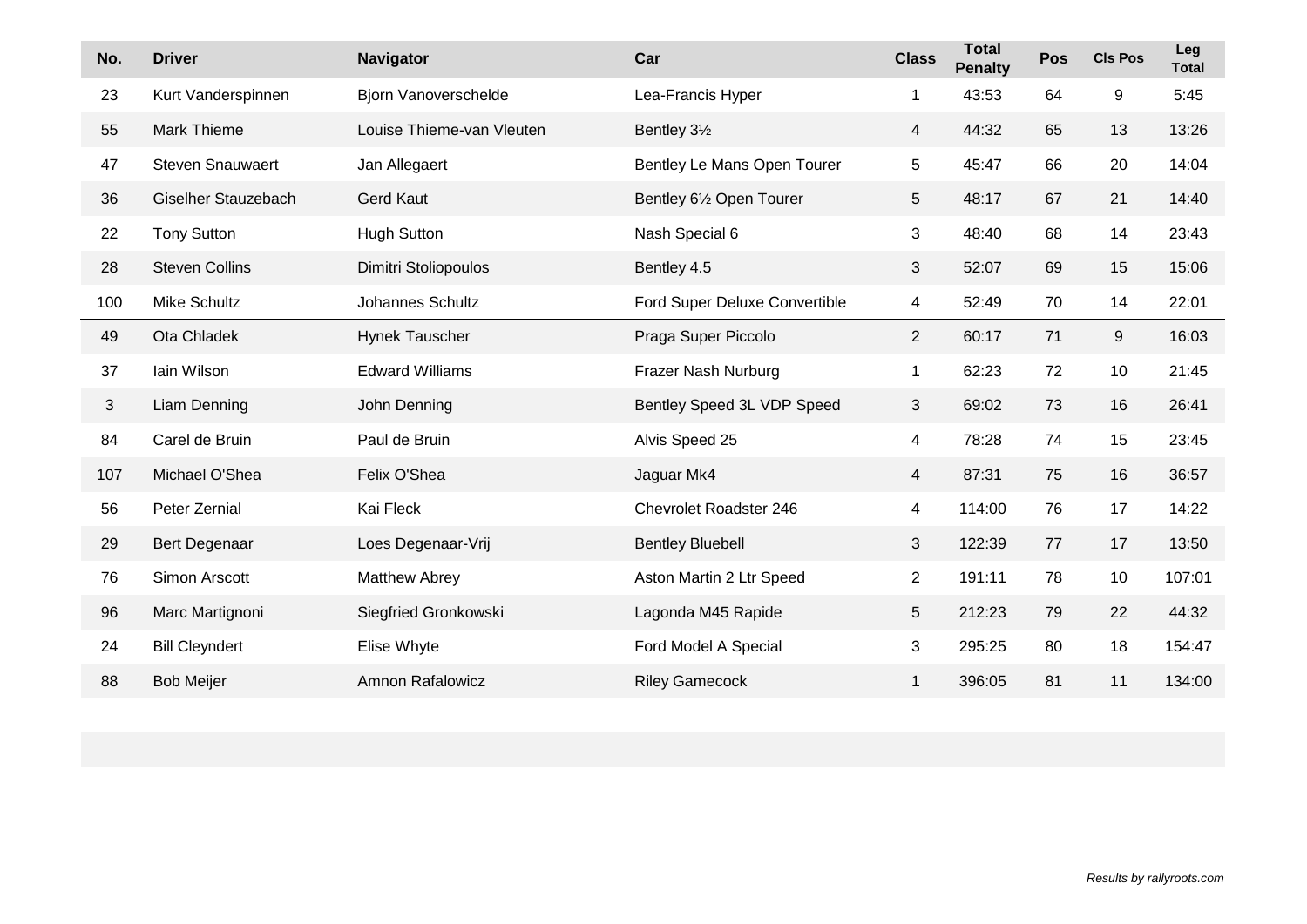| No. | <b>Driver</b>           | Navigator                 | Car                           | <b>Class</b>    | <b>Total</b><br><b>Penalty</b> | Pos | <b>CIs Pos</b> | Leg<br><b>Total</b> |
|-----|-------------------------|---------------------------|-------------------------------|-----------------|--------------------------------|-----|----------------|---------------------|
| 23  | Kurt Vanderspinnen      | Bjorn Vanoverschelde      | Lea-Francis Hyper             | $\mathbf 1$     | 43:53                          | 64  | 9              | 5:45                |
| 55  | <b>Mark Thieme</b>      | Louise Thieme-van Vleuten | Bentley 31/2                  | $\overline{4}$  | 44:32                          | 65  | 13             | 13:26               |
| 47  | <b>Steven Snauwaert</b> | Jan Allegaert             | Bentley Le Mans Open Tourer   | 5               | 45:47                          | 66  | 20             | 14:04               |
| 36  | Giselher Stauzebach     | <b>Gerd Kaut</b>          | Bentley 61/2 Open Tourer      | $5\phantom{.0}$ | 48:17                          | 67  | 21             | 14:40               |
| 22  | <b>Tony Sutton</b>      | <b>Hugh Sutton</b>        | Nash Special 6                | 3               | 48:40                          | 68  | 14             | 23:43               |
| 28  | <b>Steven Collins</b>   | Dimitri Stoliopoulos      | Bentley 4.5                   | 3               | 52:07                          | 69  | 15             | 15:06               |
| 100 | <b>Mike Schultz</b>     | Johannes Schultz          | Ford Super Deluxe Convertible | $\overline{4}$  | 52:49                          | 70  | 14             | 22:01               |
| 49  | Ota Chladek             | Hynek Tauscher            | Praga Super Piccolo           | $\overline{2}$  | 60:17                          | 71  | 9              | 16:03               |
| 37  | lain Wilson             | <b>Edward Williams</b>    | Frazer Nash Nurburg           | $\mathbf{1}$    | 62:23                          | 72  | 10             | 21:45               |
| 3   | Liam Denning            | John Denning              | Bentley Speed 3L VDP Speed    | 3               | 69:02                          | 73  | 16             | 26:41               |
| 84  | Carel de Bruin          | Paul de Bruin             | Alvis Speed 25                | 4               | 78:28                          | 74  | 15             | 23:45               |
| 107 | Michael O'Shea          | Felix O'Shea              | Jaguar Mk4                    | $\overline{4}$  | 87:31                          | 75  | 16             | 36:57               |
| 56  | Peter Zernial           | Kai Fleck                 | Chevrolet Roadster 246        | $\overline{4}$  | 114:00                         | 76  | 17             | 14:22               |
| 29  | Bert Degenaar           | Loes Degenaar-Vrij        | <b>Bentley Bluebell</b>       | $\mathbf{3}$    | 122:39                         | 77  | 17             | 13:50               |
| 76  | Simon Arscott           | <b>Matthew Abrey</b>      | Aston Martin 2 Ltr Speed      | $\overline{2}$  | 191:11                         | 78  | 10             | 107:01              |
| 96  | Marc Martignoni         | Siegfried Gronkowski      | Lagonda M45 Rapide            | 5               | 212:23                         | 79  | 22             | 44:32               |
| 24  | <b>Bill Cleyndert</b>   | Elise Whyte               | Ford Model A Special          | 3               | 295:25                         | 80  | 18             | 154:47              |
| 88  | <b>Bob Meijer</b>       | <b>Amnon Rafalowicz</b>   | <b>Riley Gamecock</b>         | 1               | 396:05                         | 81  | 11             | 134:00              |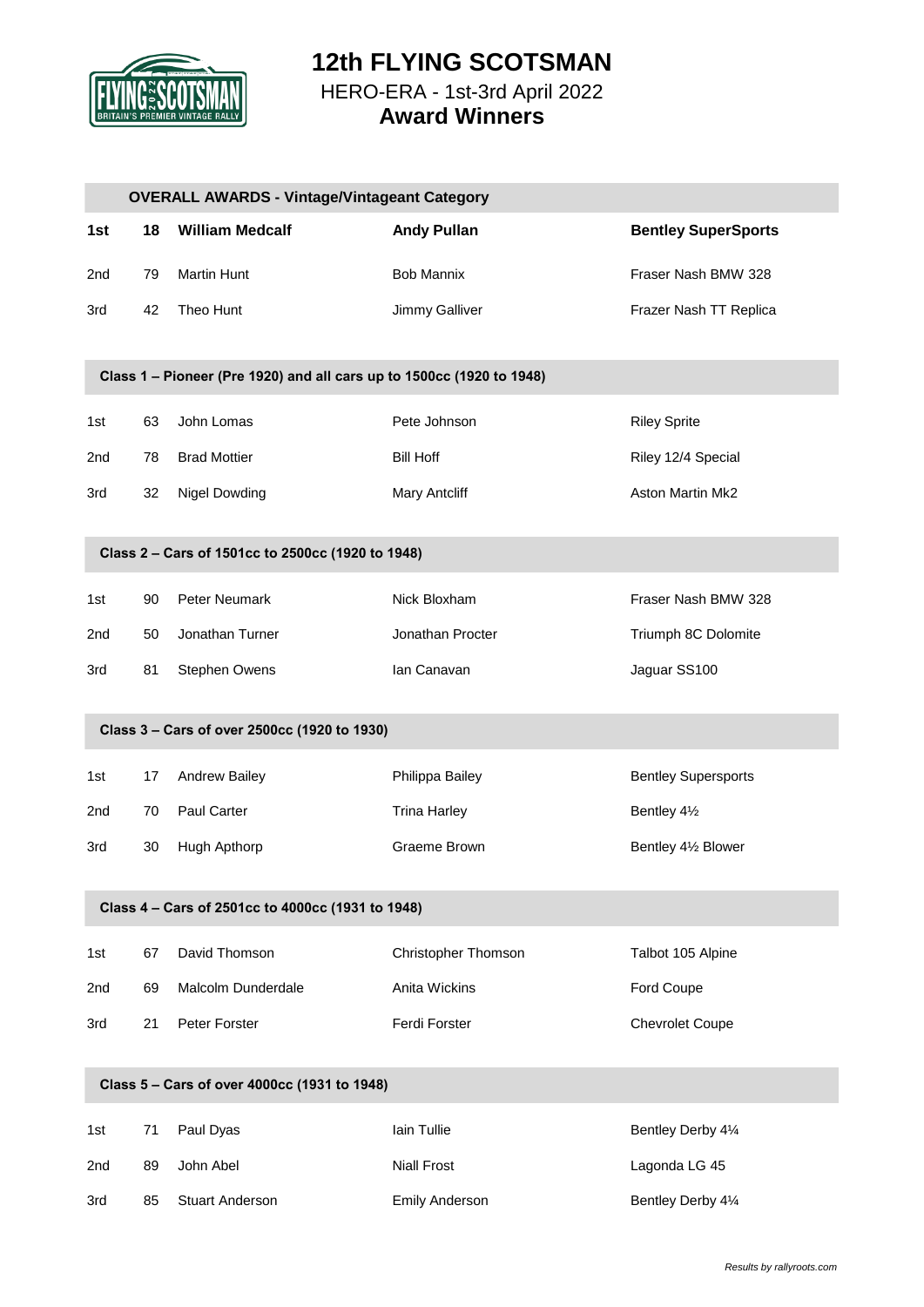

### **12th FLYING SCOTSMAN** HERO-ERA - 1st-3rd April 2022 **Award Winners**

|     |    | <b>OVERALL AWARDS - Vintage/Vintageant Category</b>                   |                       |                            |
|-----|----|-----------------------------------------------------------------------|-----------------------|----------------------------|
| 1st | 18 | <b>William Medcalf</b>                                                | <b>Andy Pullan</b>    | <b>Bentley SuperSports</b> |
| 2nd | 79 | <b>Martin Hunt</b>                                                    | <b>Bob Mannix</b>     | Fraser Nash BMW 328        |
| 3rd | 42 | Theo Hunt                                                             | Jimmy Galliver        | Frazer Nash TT Replica     |
|     |    |                                                                       |                       |                            |
|     |    | Class 1 - Pioneer (Pre 1920) and all cars up to 1500cc (1920 to 1948) |                       |                            |
| 1st | 63 | John Lomas                                                            | Pete Johnson          | <b>Riley Sprite</b>        |
| 2nd | 78 | <b>Brad Mottier</b>                                                   | <b>Bill Hoff</b>      | Riley 12/4 Special         |
| 3rd | 32 | <b>Nigel Dowding</b>                                                  | <b>Mary Antcliff</b>  | Aston Martin Mk2           |
|     |    |                                                                       |                       |                            |
|     |    | Class 2 - Cars of 1501cc to 2500cc (1920 to 1948)                     |                       |                            |
| 1st | 90 | Peter Neumark                                                         | Nick Bloxham          | Fraser Nash BMW 328        |
| 2nd | 50 | Jonathan Turner                                                       | Jonathan Procter      | Triumph 8C Dolomite        |
| 3rd | 81 | Stephen Owens                                                         | Ian Canavan           | Jaguar SS100               |
|     |    |                                                                       |                       |                            |
|     |    | Class 3 - Cars of over 2500cc (1920 to 1930)                          |                       |                            |
| 1st | 17 | Andrew Bailey                                                         | Philippa Bailey       | <b>Bentley Supersports</b> |
| 2nd | 70 | Paul Carter                                                           | <b>Trina Harley</b>   | Bentley 41/2               |
| 3rd | 30 | Hugh Apthorp                                                          | Graeme Brown          | Bentley 41/2 Blower        |
|     |    |                                                                       |                       |                            |
|     |    | Class 4 - Cars of 2501cc to 4000cc (1931 to 1948)                     |                       |                            |
| 1st | 67 | David Thomson                                                         | Christopher Thomson   | Talbot 105 Alpine          |
| 2nd | 69 | Malcolm Dunderdale                                                    | Anita Wickins         | Ford Coupe                 |
| 3rd | 21 | Peter Forster                                                         | Ferdi Forster         | <b>Chevrolet Coupe</b>     |
|     |    |                                                                       |                       |                            |
|     |    | Class 5 - Cars of over 4000cc (1931 to 1948)                          |                       |                            |
| 1st | 71 | Paul Dyas                                                             | Iain Tullie           | Bentley Derby 41⁄4         |
| 2nd | 89 | John Abel                                                             | <b>Niall Frost</b>    | Lagonda LG 45              |
| 3rd | 85 | <b>Stuart Anderson</b>                                                | <b>Emily Anderson</b> | Bentley Derby 41/4         |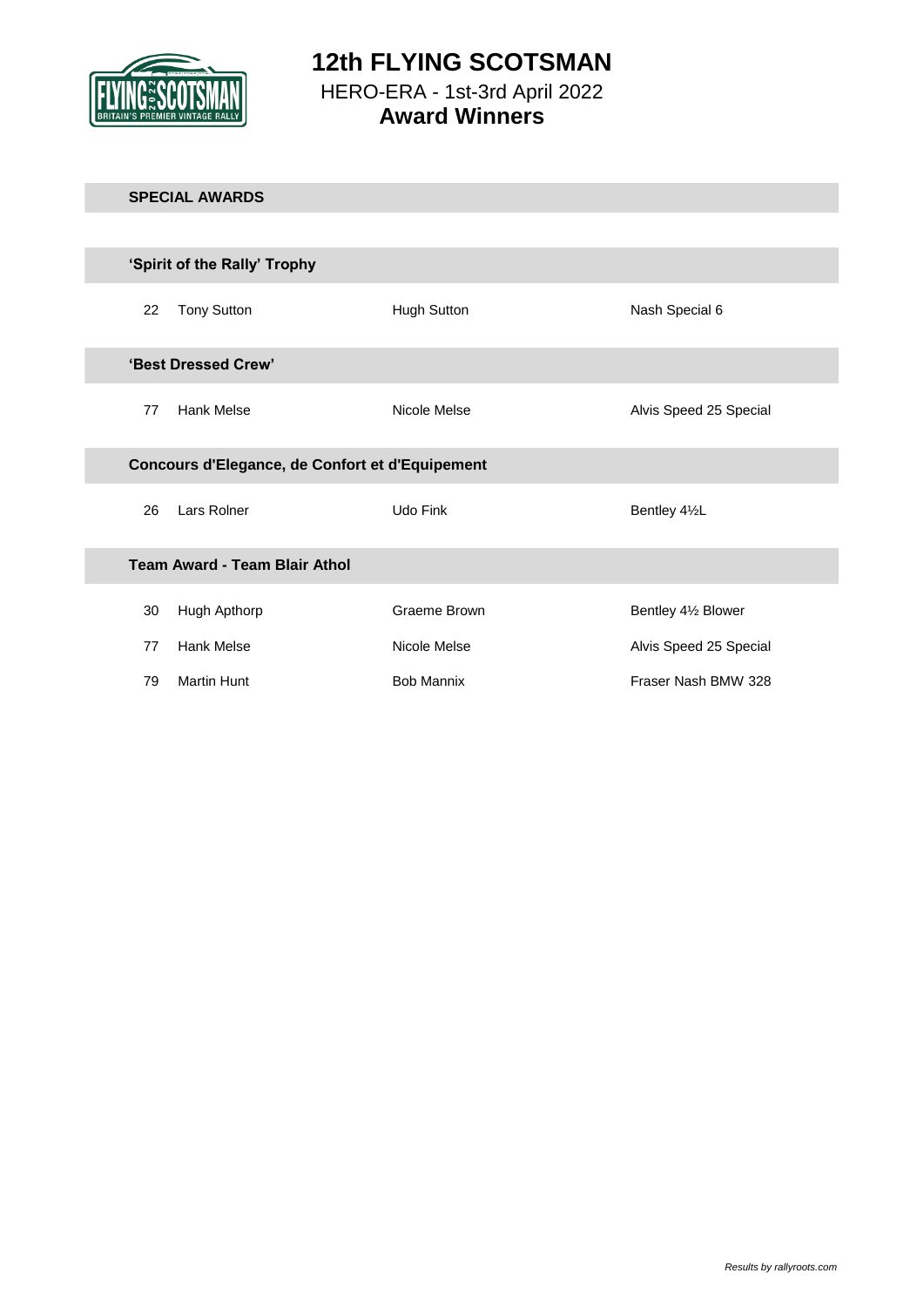

# 22 Tony Sutton **Hugh Sutton** Hugh Cutton Nash Special 6 77 Hank Melse **All Alvis Speed 25 Special** Alvis Speed 25 Special 26 Lars Rolner Udo Fink Udo Fink Bentley 41/2L 30 Hugh Apthorp **Graeme Brown** Graeme Brown Bentley 4<sup>1/2</sup> Blower 77 Hank Melse **All Alvis Speed 25 Special** Alvis Speed 25 Special 79 Martin Hunt **Bob Mannix** Bob Mannix Fraser Nash BMW 328 **SPECIAL AWARDS 'Best Dressed Crew' Team Award - Team Blair Athol Concours d'Elegance, de Confort et d'Equipement 'Spirit of the Rally' Trophy**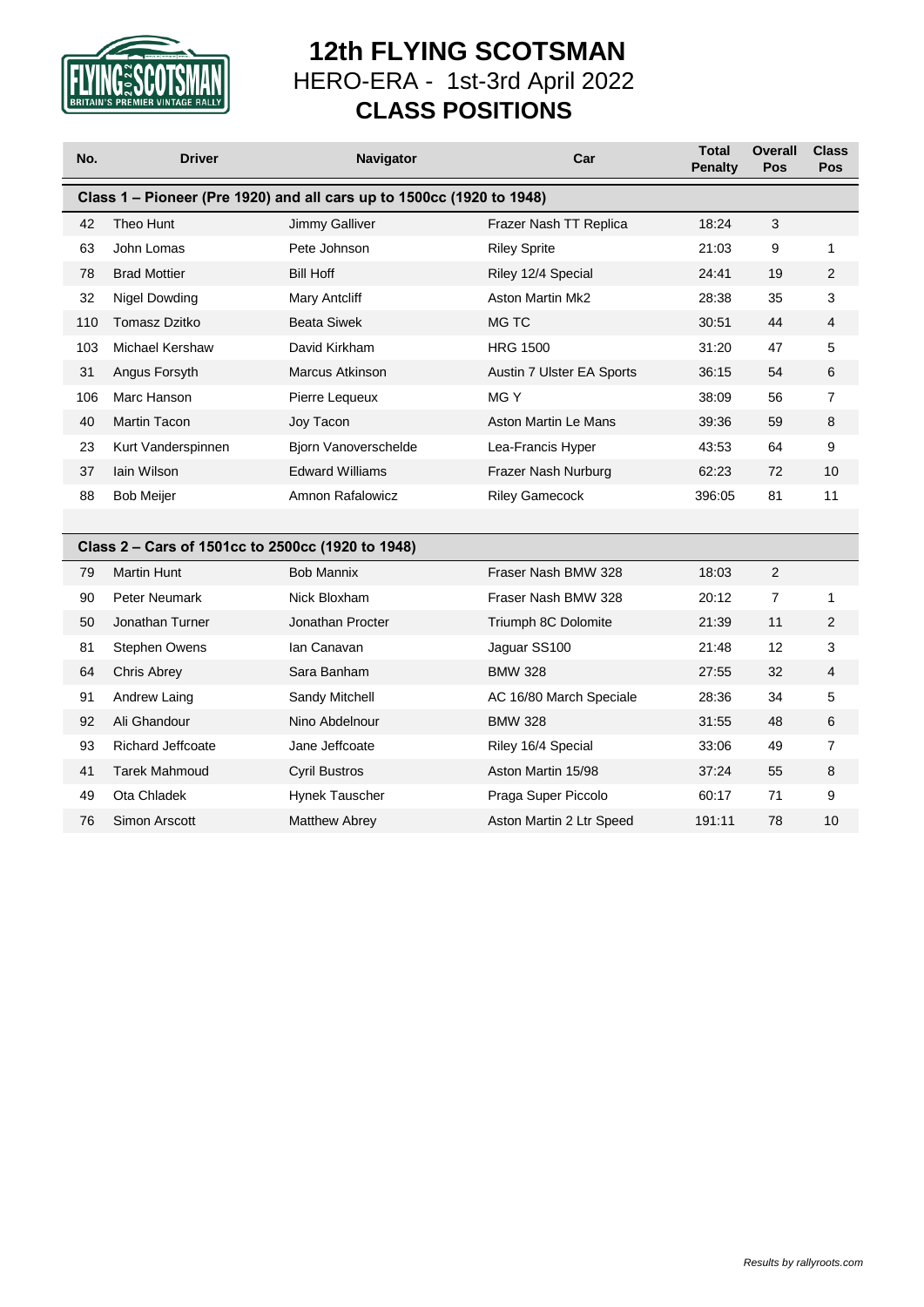

# **12th FLYING SCOTSMAN** HERO-ERA - 1st-3rd April 2022 **CLASS POSITIONS**

| No. | <b>Driver</b>                                     | Navigator                                                             | Car                       | <b>Total</b><br>Penalty | <b>Overall</b><br>Pos | <b>Class</b><br>Pos |
|-----|---------------------------------------------------|-----------------------------------------------------------------------|---------------------------|-------------------------|-----------------------|---------------------|
|     |                                                   | Class 1 - Pioneer (Pre 1920) and all cars up to 1500cc (1920 to 1948) |                           |                         |                       |                     |
| 42  | Theo Hunt                                         | Jimmy Galliver                                                        | Frazer Nash TT Replica    | 18:24                   | $\mathfrak{S}$        |                     |
| 63  | John Lomas                                        | Pete Johnson                                                          | <b>Riley Sprite</b>       | 21:03                   | 9                     | 1                   |
| 78  | <b>Brad Mottier</b>                               | <b>Bill Hoff</b>                                                      | Riley 12/4 Special        | 24:41                   | 19                    | 2                   |
| 32  | Nigel Dowding                                     | <b>Mary Antcliff</b>                                                  | <b>Aston Martin Mk2</b>   | 28:38                   | 35                    | 3                   |
| 110 | <b>Tomasz Dzitko</b>                              | <b>Beata Siwek</b>                                                    | MG TC                     | 30:51                   | 44                    | 4                   |
| 103 | Michael Kershaw                                   | David Kirkham                                                         | <b>HRG 1500</b>           | 31:20                   | 47                    | 5                   |
| 31  | Angus Forsyth                                     | <b>Marcus Atkinson</b>                                                | Austin 7 Ulster EA Sports | 36:15                   | 54                    | 6                   |
| 106 | Marc Hanson                                       | Pierre Lequeux                                                        | MG Y                      | 38:09                   | 56                    | $\overline{7}$      |
| 40  | <b>Martin Tacon</b>                               | Joy Tacon                                                             | Aston Martin Le Mans      | 39:36                   | 59                    | 8                   |
| 23  | Kurt Vanderspinnen                                | Bjorn Vanoverschelde                                                  | Lea-Francis Hyper         | 43:53                   | 64                    | 9                   |
| 37  | lain Wilson                                       | <b>Edward Williams</b>                                                | Frazer Nash Nurburg       | 62:23                   | 72                    | 10                  |
| 88  | <b>Bob Meijer</b>                                 | Amnon Rafalowicz                                                      | <b>Riley Gamecock</b>     | 396:05                  | 81                    | 11                  |
|     |                                                   |                                                                       |                           |                         |                       |                     |
|     | Class 2 - Cars of 1501cc to 2500cc (1920 to 1948) |                                                                       |                           |                         |                       |                     |
| 79  | <b>Martin Hunt</b>                                | <b>Bob Mannix</b>                                                     | Fraser Nash BMW 328       | 18:03                   | $\overline{2}$        |                     |
| 90  | <b>Peter Neumark</b>                              | Nick Bloxham                                                          | Fraser Nash BMW 328       | 20:12                   | $\overline{7}$        | 1                   |
| 50  | Jonathan Turner                                   | Jonathan Procter                                                      | Triumph 8C Dolomite       | 21:39                   | 11                    | $\overline{2}$      |
| 81  | <b>Stephen Owens</b>                              | lan Canavan                                                           | Jaguar SS100              | 21:48                   | 12                    | 3                   |
| 64  | <b>Chris Abrey</b>                                | Sara Banham                                                           | <b>BMW 328</b>            | 27:55                   | 32                    | 4                   |
| 91  | Andrew Laing                                      | Sandy Mitchell                                                        | AC 16/80 March Speciale   | 28:36                   | 34                    | 5                   |
| 92  | Ali Ghandour                                      | Nino Abdelnour                                                        | <b>BMW 328</b>            | 31:55                   | 48                    | 6                   |
| 93  | Richard Jeffcoate                                 | Jane Jeffcoate                                                        | Riley 16/4 Special        | 33:06                   | 49                    | $\overline{7}$      |
| 41  | <b>Tarek Mahmoud</b>                              | <b>Cyril Bustros</b>                                                  | Aston Martin 15/98        | 37:24                   | 55                    | 8                   |
| 49  | Ota Chladek                                       | Hynek Tauscher                                                        | Praga Super Piccolo       | 60:17                   | 71                    | 9                   |
| 76  | Simon Arscott                                     | <b>Matthew Abrey</b>                                                  | Aston Martin 2 Ltr Speed  | 191:11                  | 78                    | 10                  |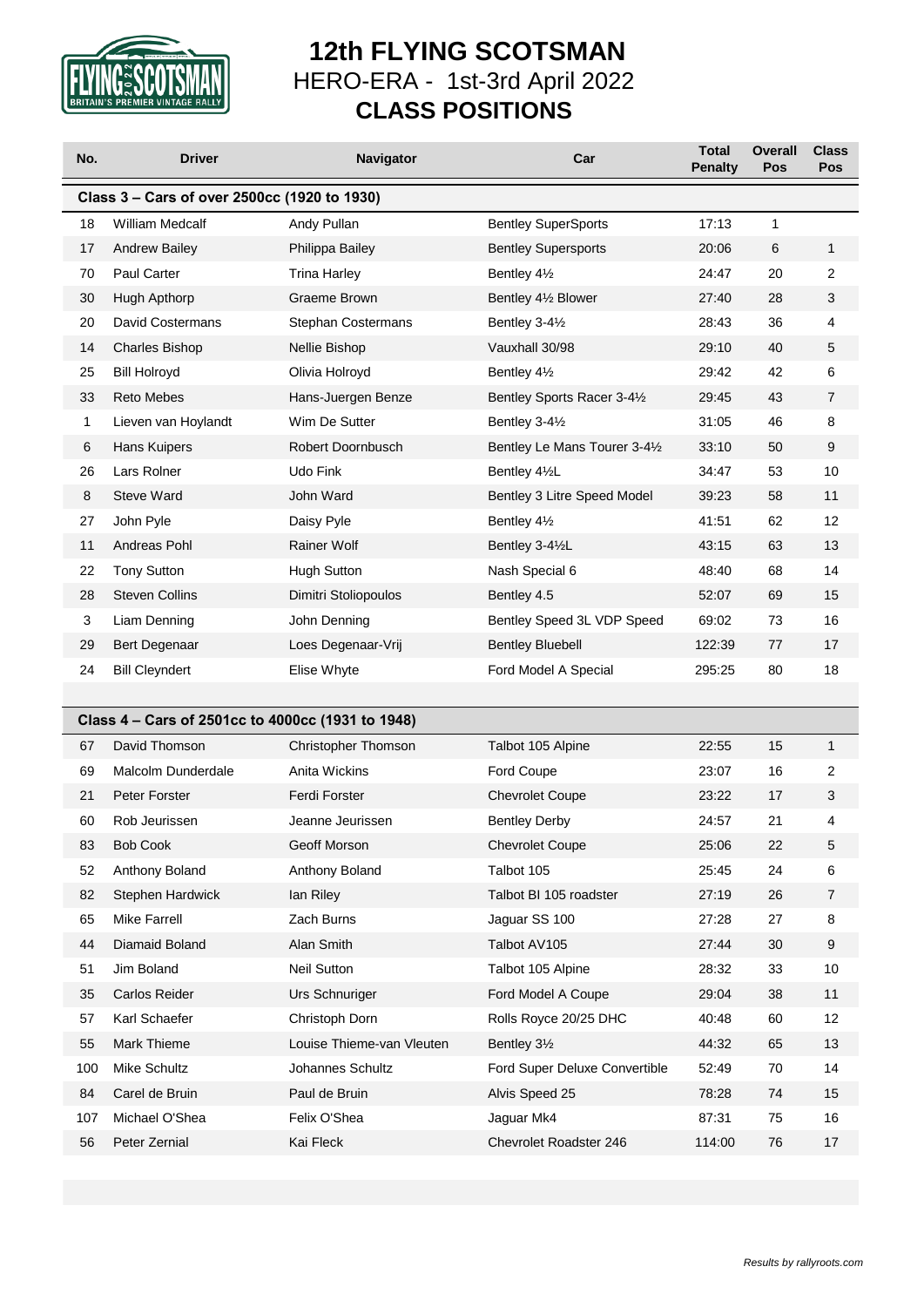

# **12th FLYING SCOTSMAN** HERO-ERA - 1st-3rd April 2022 **CLASS POSITIONS**

| No. | <b>Driver</b>                                     | <b>Navigator</b>           | Car                           | <b>Total</b><br><b>Penalty</b> | <b>Overall</b><br>Pos | <b>Class</b><br>Pos |
|-----|---------------------------------------------------|----------------------------|-------------------------------|--------------------------------|-----------------------|---------------------|
|     | Class 3 - Cars of over 2500cc (1920 to 1930)      |                            |                               |                                |                       |                     |
| 18  | <b>William Medcalf</b>                            | Andy Pullan                | <b>Bentley SuperSports</b>    | 17:13                          | $\mathbf{1}$          |                     |
| 17  | <b>Andrew Bailey</b>                              | Philippa Bailey            | <b>Bentley Supersports</b>    | 20:06                          | 6                     | $\mathbf{1}$        |
| 70  | <b>Paul Carter</b>                                | <b>Trina Harley</b>        | Bentley 41/2                  | 24:47                          | 20                    | 2                   |
| 30  | Hugh Apthorp                                      | Graeme Brown               | Bentley 41/2 Blower           | 27:40                          | 28                    | 3                   |
| 20  | David Costermans                                  | Stephan Costermans         | Bentley 3-41/2                | 28:43                          | 36                    | 4                   |
| 14  | <b>Charles Bishop</b>                             | Nellie Bishop              | Vauxhall 30/98                | 29:10                          | 40                    | 5                   |
| 25  | <b>Bill Holroyd</b>                               | Olivia Holroyd             | Bentley 41/2                  | 29:42                          | 42                    | 6                   |
| 33  | <b>Reto Mebes</b>                                 | Hans-Juergen Benze         | Bentley Sports Racer 3-41/2   | 29:45                          | 43                    | $\overline{7}$      |
| 1   | Lieven van Hoylandt                               | Wim De Sutter              | Bentley 3-41/2                | 31:05                          | 46                    | 8                   |
| 6   | Hans Kuipers                                      | Robert Doornbusch          | Bentley Le Mans Tourer 3-41/2 | 33:10                          | 50                    | 9                   |
| 26  | Lars Rolner                                       | Udo Fink                   | Bentley 41/2L                 | 34:47                          | 53                    | 10                  |
| 8   | <b>Steve Ward</b>                                 | John Ward                  | Bentley 3 Litre Speed Model   | 39:23                          | 58                    | 11                  |
| 27  | John Pyle                                         | Daisy Pyle                 | Bentley 41/2                  | 41:51                          | 62                    | 12                  |
| 11  | Andreas Pohl                                      | <b>Rainer Wolf</b>         | Bentley 3-41/2L               | 43:15                          | 63                    | 13                  |
| 22  | <b>Tony Sutton</b>                                | <b>Hugh Sutton</b>         | Nash Special 6                | 48:40                          | 68                    | 14                  |
| 28  | <b>Steven Collins</b>                             | Dimitri Stoliopoulos       | Bentley 4.5                   | 52:07                          | 69                    | 15                  |
| 3   | Liam Denning                                      | John Denning               | Bentley Speed 3L VDP Speed    | 69:02                          | 73                    | 16                  |
| 29  | Bert Degenaar                                     | Loes Degenaar-Vrij         | <b>Bentley Bluebell</b>       | 122:39                         | 77                    | 17                  |
| 24  | <b>Bill Cleyndert</b>                             | Elise Whyte                | Ford Model A Special          | 295:25                         | 80                    | 18                  |
|     |                                                   |                            |                               |                                |                       |                     |
|     | Class 4 - Cars of 2501cc to 4000cc (1931 to 1948) |                            |                               |                                |                       |                     |
| 67  | David Thomson                                     | <b>Christopher Thomson</b> | Talbot 105 Alpine             | 22:55                          | 15                    | $\mathbf{1}$        |
| 69  | Malcolm Dunderdale                                | Anita Wickins              | Ford Coupe                    | 23:07                          | 16                    | $\overline{2}$      |
| 21  | Peter Forster                                     | Ferdi Forster              | <b>Chevrolet Coupe</b>        | 23:22                          | 17                    | 3                   |
| 60  | Rob Jeurissen                                     | Jeanne Jeurissen           | <b>Bentley Derby</b>          | 24:57                          | 21                    | 4                   |
| 83  | <b>Bob Cook</b>                                   | Geoff Morson               | <b>Chevrolet Coupe</b>        | 25:06                          | 22                    | 5                   |
| 52  | Anthony Boland                                    | Anthony Boland             | Talbot 105                    | 25:45                          | 24                    | 6                   |
| 82  | Stephen Hardwick                                  | lan Riley                  | Talbot BI 105 roadster        | 27:19                          | 26                    | 7                   |
| 65  | <b>Mike Farrell</b>                               | Zach Burns                 | Jaguar SS 100                 | 27:28                          | 27                    | 8                   |
| 44  | Diamaid Boland                                    | Alan Smith                 | Talbot AV105                  | 27:44                          | 30                    | 9                   |
| 51  | Jim Boland                                        | Neil Sutton                | Talbot 105 Alpine             | 28:32                          | 33                    | 10                  |
| 35  | Carlos Reider                                     | Urs Schnuriger             | Ford Model A Coupe            | 29:04                          | 38                    | 11                  |
| 57  | Karl Schaefer                                     | Christoph Dorn             | Rolls Royce 20/25 DHC         | 40:48                          | 60                    | 12                  |
| 55  | Mark Thieme                                       | Louise Thieme-van Vleuten  | Bentley 31/2                  | 44:32                          | 65                    | 13                  |
| 100 | Mike Schultz                                      | Johannes Schultz           | Ford Super Deluxe Convertible | 52:49                          | 70                    | 14                  |
| 84  | Carel de Bruin                                    | Paul de Bruin              | Alvis Speed 25                | 78:28                          | 74                    | 15                  |
| 107 | Michael O'Shea                                    | Felix O'Shea               | Jaguar Mk4                    | 87:31                          | 75                    | 16                  |
| 56  | Peter Zernial                                     | Kai Fleck                  | Chevrolet Roadster 246        | 114:00                         | 76                    | 17                  |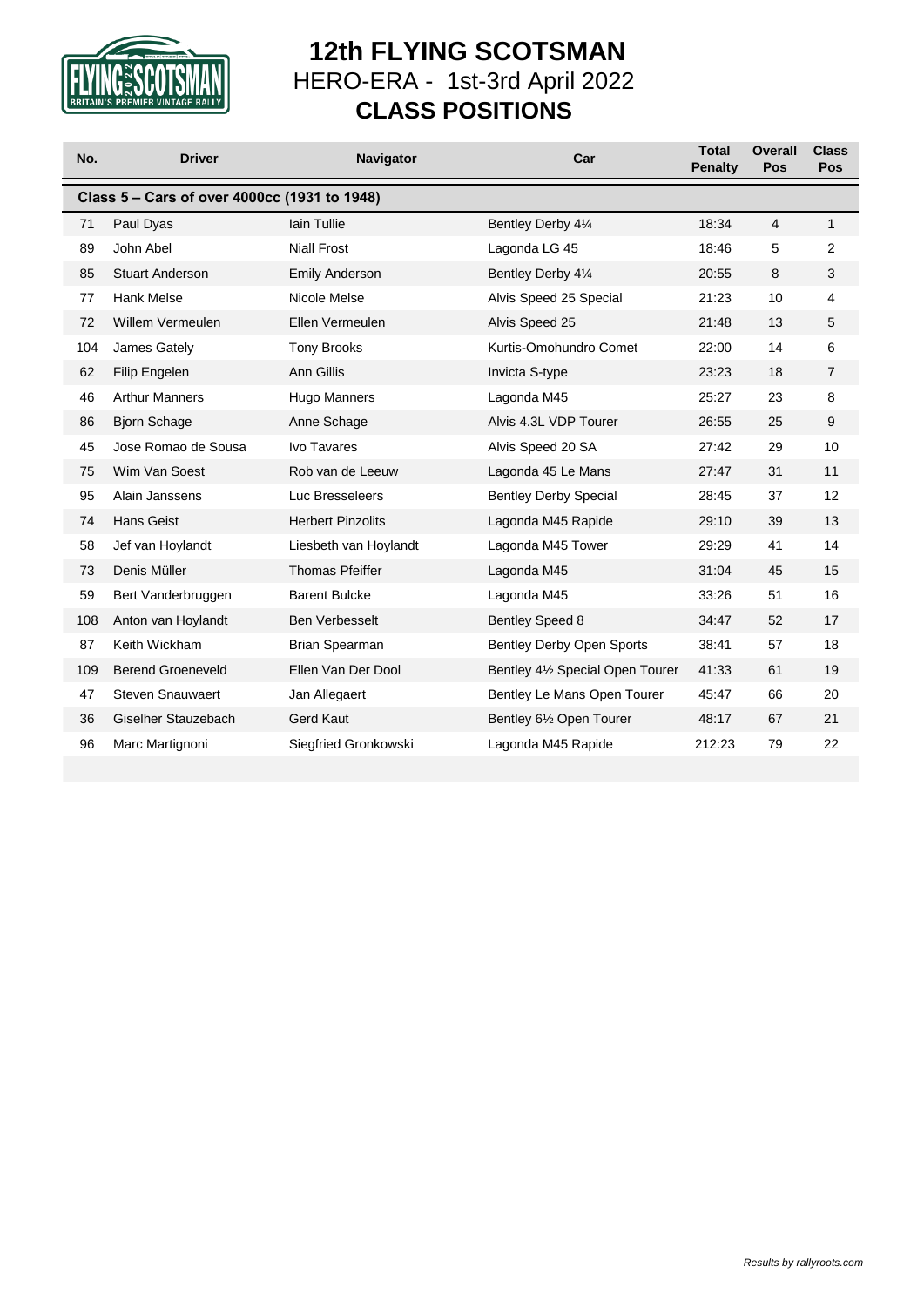

# **12th FLYING SCOTSMAN** HERO-ERA - 1st-3rd April 2022 **CLASS POSITIONS**

| No. | <b>Driver</b>                                | Navigator                | Car                              | <b>Total</b><br>Penalty | <b>Overall</b><br>Pos | <b>Class</b><br>Pos |
|-----|----------------------------------------------|--------------------------|----------------------------------|-------------------------|-----------------------|---------------------|
|     | Class 5 - Cars of over 4000cc (1931 to 1948) |                          |                                  |                         |                       |                     |
| 71  | Paul Dyas                                    | <b>lain Tullie</b>       | Bentley Derby 41/4               | 18:34                   | 4                     | $\mathbf{1}$        |
| 89  | John Abel                                    | <b>Niall Frost</b>       | Lagonda LG 45                    | 18:46                   | 5                     | $\overline{2}$      |
| 85  | <b>Stuart Anderson</b>                       | <b>Emily Anderson</b>    | Bentley Derby 41⁄4               | 20:55                   | 8                     | 3                   |
| 77  | <b>Hank Melse</b>                            | Nicole Melse             | Alvis Speed 25 Special           | 21:23                   | 10                    | 4                   |
| 72  | Willem Vermeulen                             | Ellen Vermeulen          | Alvis Speed 25                   | 21:48                   | 13                    | 5                   |
| 104 | James Gately                                 | <b>Tony Brooks</b>       | Kurtis-Omohundro Comet           | 22:00                   | 14                    | 6                   |
| 62  | Filip Engelen                                | Ann Gillis               | Invicta S-type                   | 23:23                   | 18                    | 7                   |
| 46  | <b>Arthur Manners</b>                        | Hugo Manners             | Lagonda M45                      | 25:27                   | 23                    | 8                   |
| 86  | <b>Bjorn Schage</b>                          | Anne Schage              | Alvis 4.3L VDP Tourer            | 26:55                   | 25                    | 9                   |
| 45  | Jose Romao de Sousa                          | <b>Ivo Tavares</b>       | Alvis Speed 20 SA                | 27:42                   | 29                    | 10                  |
| 75  | Wim Van Soest                                | Rob van de Leeuw         | Lagonda 45 Le Mans               | 27:47                   | 31                    | 11                  |
| 95  | Alain Janssens                               | Luc Bresseleers          | <b>Bentley Derby Special</b>     | 28:45                   | 37                    | 12                  |
| 74  | <b>Hans Geist</b>                            | <b>Herbert Pinzolits</b> | Lagonda M45 Rapide               | 29:10                   | 39                    | 13                  |
| 58  | Jef van Hoylandt                             | Liesbeth van Hoylandt    | Lagonda M45 Tower                | 29:29                   | 41                    | 14                  |
| 73  | Denis Müller                                 | <b>Thomas Pfeiffer</b>   | Lagonda M45                      | 31:04                   | 45                    | 15                  |
| 59  | Bert Vanderbruggen                           | <b>Barent Bulcke</b>     | Lagonda M45                      | 33:26                   | 51                    | 16                  |
| 108 | Anton van Hoylandt                           | <b>Ben Verbesselt</b>    | <b>Bentley Speed 8</b>           | 34:47                   | 52                    | 17                  |
| 87  | Keith Wickham                                | Brian Spearman           | Bentley Derby Open Sports        | 38:41                   | 57                    | 18                  |
| 109 | <b>Berend Groeneveld</b>                     | Ellen Van Der Dool       | Bentley 41/2 Special Open Tourer | 41:33                   | 61                    | 19                  |
| 47  | <b>Steven Snauwaert</b>                      | Jan Allegaert            | Bentley Le Mans Open Tourer      | 45:47                   | 66                    | 20                  |
| 36  | Giselher Stauzebach                          | <b>Gerd Kaut</b>         | Bentley 61/2 Open Tourer         | 48:17                   | 67                    | 21                  |
| 96  | Marc Martignoni                              | Siegfried Gronkowski     | Lagonda M45 Rapide               | 212:23                  | 79                    | 22                  |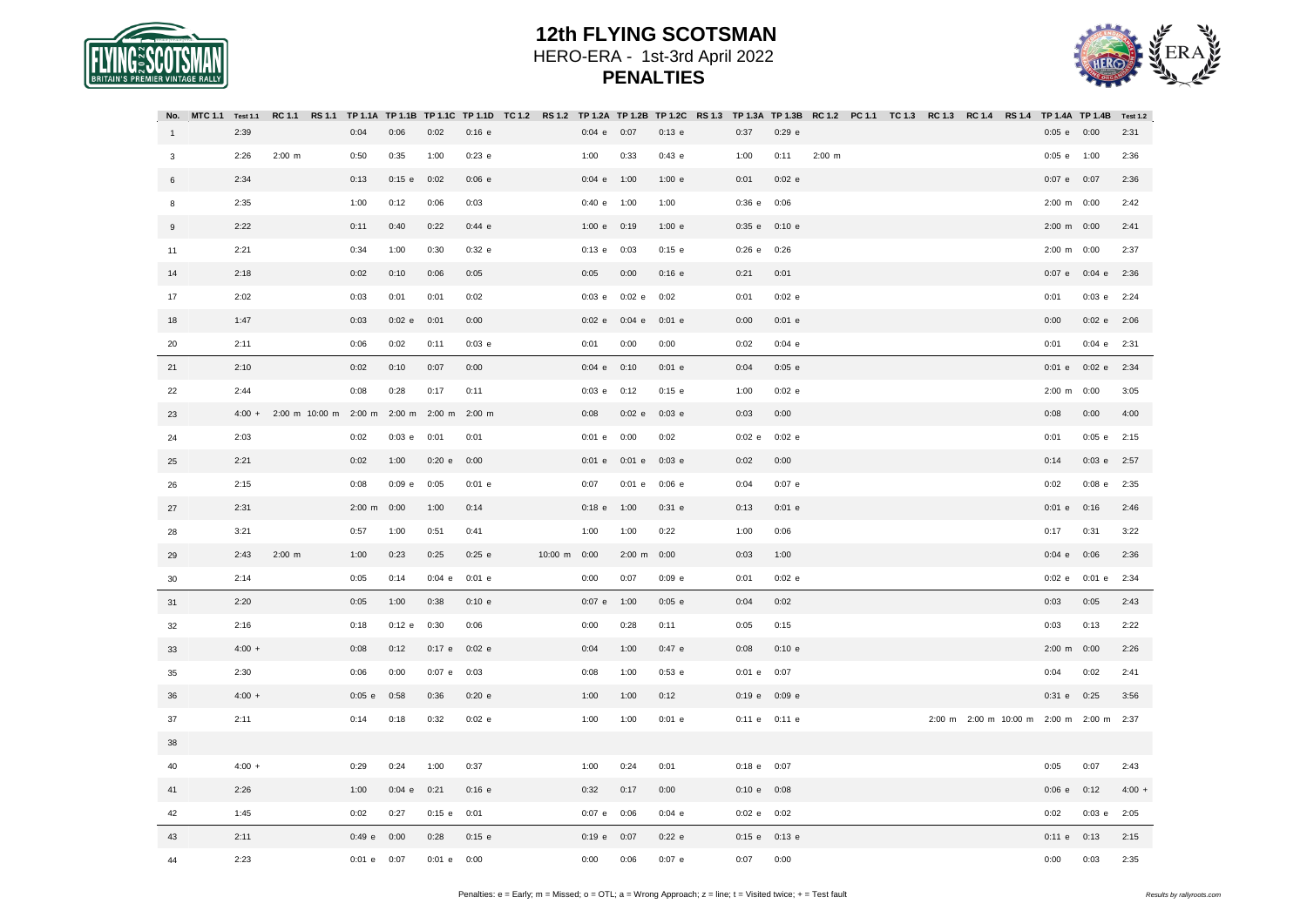



|              | No. MTC 1.1 Test 1.1 RC 1.1 RS 1.1 TP 1.1A TP 1.1B TP 1.1C TP 1.1D TC 1.2 RS 1.2 TP 1.2A TP 1.2C RS 1.3 TP 1.3A TP 1.3B RC 1.2 PC 1.1 TC 1.3 RC 1.3 RC 1.4 RS 1.4 TP 1.4A TP 1.4B Test 1.2 |                       |             |          |               |                    |              |                 |               |          |      |                 |               |          |  |                                          |          |                       |               |          |
|--------------|--------------------------------------------------------------------------------------------------------------------------------------------------------------------------------------------|-----------------------|-------------|----------|---------------|--------------------|--------------|-----------------|---------------|----------|------|-----------------|---------------|----------|--|------------------------------------------|----------|-----------------------|---------------|----------|
| $\mathbf{1}$ | 2:39                                                                                                                                                                                       |                       | 0:04        | 0:06     | 0:02          | $0:16$ e           |              | $0:04$ e $0:07$ |               | $0:13$ e | 0:37 |                 | $0:29$ e      |          |  |                                          |          | $0:05$ e $0:00$       |               | 2:31     |
| $\mathbf{3}$ | 2:26                                                                                                                                                                                       | $2:00 \, m$           | 0:50        | 0:35     | 1:00          | $0:23$ e           |              | 1:00            | 0:33          | 0:43 e   | 1:00 |                 | 0:11          | $2:00$ m |  |                                          |          | 0:05 e 1:00           |               | 2:36     |
| 6            | 2:34                                                                                                                                                                                       |                       | 0:13        | $0:15$ e | 0:02          | $0:06$ e           |              | 0:04 e 1:00     |               | 1:00 e   | 0:01 |                 | $0:02$ e      |          |  |                                          |          | 0:07 e 0:07           |               | 2:36     |
| 8            | 2:35                                                                                                                                                                                       |                       | 1:00        | 0:12     | 0:06          | 0:03               |              | 0:40 e 1:00     |               | 1:00     |      | 0:36 e 0:06     |               |          |  |                                          |          | 2:00 m 0:00           |               | 2:42     |
| 9            | 2:22                                                                                                                                                                                       |                       | 0:11        | 0:40     | 0:22          | 0:44 e             |              | 1:00 e          | 0:19          | 1:00 e   |      | 0:35 e          | 0:10 e        |          |  |                                          |          | 2:00 m 0:00           |               | 2:41     |
| 11           | 2:21                                                                                                                                                                                       |                       | 0:34        | 1:00     | 0:30          | $0:32$ e           |              | $0:13$ e        | 0:03          | $0:15$ e |      | 0:26 e 0:26     |               |          |  |                                          |          | 2:00 m 0:00           |               | 2:37     |
| 14           | 2:18                                                                                                                                                                                       |                       | 0:02        | 0:10     | 0:06          | 0:05               |              | 0:05            | 0:00          | $0:16$ e | 0:21 |                 | 0:01          |          |  |                                          |          |                       | 0:07 e 0:04 e | 2:36     |
| 17           | 2:02                                                                                                                                                                                       |                       | 0:03        | 0:01     | 0:01          | 0:02               |              | $0:03$ e        | $0:02$ e      | 0:02     | 0:01 |                 | $0:02$ e      |          |  |                                          | 0:01     |                       | $0:03$ e      | 2:24     |
| 18           | 1:47                                                                                                                                                                                       |                       | 0:03        | $0:02$ e | 0:01          | 0:00               |              | $0:02$ e        | $0:04$ e      | $0:01$ e | 0:00 |                 | $0:01$ e      |          |  |                                          | 0:00     |                       | $0:02 e$ 2:06 |          |
| 20           | 2:11                                                                                                                                                                                       |                       | 0:06        | 0:02     | 0:11          | $0:03$ e           |              | 0:01            | 0:00          | 0:00     | 0:02 |                 | $0:04$ e      |          |  |                                          | 0:01     |                       | 0:04 e 2:31   |          |
| 21           | 2:10                                                                                                                                                                                       |                       | 0:02        | 0:10     | 0:07          | 0:00               |              | $0:04$ e        | 0:10          | $0:01$ e | 0:04 |                 | $0:05$ e      |          |  |                                          | $0:01$ e |                       | $0:02$ e      | 2:34     |
| 22           | 2:44                                                                                                                                                                                       |                       | 0:08        | 0:28     | 0:17          | 0:11               |              | $0:03$ e        | 0:12          | $0:15$ e | 1:00 |                 | 0:02 e        |          |  |                                          |          | $2:00 \text{ m}$ 0:00 |               | 3:05     |
| 23           | $4:00 +$                                                                                                                                                                                   | 2:00 m 10:00 m 2:00 m |             |          | 2:00 m 2:00 m | $2:00 \, \text{m}$ |              | 0:08            | $0:02$ e      | $0:03$ e | 0:03 |                 | 0:00          |          |  |                                          | 0:08     |                       | 0:00          | 4:00     |
| 24           | 2:03                                                                                                                                                                                       |                       | 0:02        | $0:03$ e | 0:01          | 0:01               |              | $0:01$ e        | 0:00          | 0:02     |      | $0:02$ e        | 0:02 e        |          |  |                                          | 0:01     |                       | $0:05$ e      | 2:15     |
| 25           | 2:21                                                                                                                                                                                       |                       | 0:02        | 1:00     | 0:20 e        | 0:00               |              | $0:01$ e        | $0:01$ e      | $0:03$ e | 0:02 |                 | 0:00          |          |  |                                          | 0:14     |                       | $0:03$ e      | 2:57     |
| 26           | 2:15                                                                                                                                                                                       |                       | 0:08        | $0:09$ e | 0:05          | $0:01$ e           |              | 0:07            | 0:01 e 0:06 e |          | 0:04 |                 | $0:07$ e      |          |  |                                          | 0:02     |                       | $0:08$ e      | 2:35     |
| 27           | 2:31                                                                                                                                                                                       |                       | $2:00 \, m$ | 0:00     | 1:00          | 0:14               |              | $0:18$ e        | 1:00          | $0:31$ e | 0:13 |                 | $0:01$ e      |          |  |                                          | $0:01$ e |                       | 0:16          | 2:46     |
| 28           | 3:21                                                                                                                                                                                       |                       | 0:57        | 1:00     | 0:51          | 0:41               |              | 1:00            | 1:00          | 0:22     | 1:00 |                 | 0:06          |          |  |                                          | 0:17     |                       | 0:31          | 3:22     |
| 29           | 2:43                                                                                                                                                                                       | $2:00$ m              | 1:00        | 0:23     | 0:25          | $0:25$ e           | 10:00 m 0:00 |                 | 2:00 m 0:00   |          | 0:03 |                 | 1:00          |          |  |                                          | $0:04$ e |                       | 0:06          | 2:36     |
| 30           | 2:14                                                                                                                                                                                       |                       | 0:05        | 0:14     | $0:04$ e      | $0:01$ e           |              | 0:00            | 0:07          | $0:09$ e | 0:01 |                 | $0:02$ e      |          |  |                                          | $0:02$ e |                       | $0:01$ e      | 2:34     |
| 31           | 2:20                                                                                                                                                                                       |                       | 0:05        | 1:00     | 0:38          | 0:10 e             |              | $0:07$ e        | 1:00          | $0:05$ e | 0:04 |                 | 0:02          |          |  |                                          | 0:03     |                       | 0:05          | 2:43     |
| 32           | 2:16                                                                                                                                                                                       |                       | 0:18        | $0:12$ e | 0:30          | 0:06               |              | 0:00            | 0:28          | 0:11     | 0:05 |                 | 0:15          |          |  |                                          | 0:03     |                       | 0:13          | 2:22     |
| 33           | $4:00 +$                                                                                                                                                                                   |                       | 0:08        | 0:12     | $0:17$ e      | $0:02$ e           |              | 0:04            | 1:00          | $0:47$ e | 0:08 |                 | 0:10 e        |          |  |                                          |          | 2:00 m 0:00           |               | 2:26     |
| 35           | 2:30                                                                                                                                                                                       |                       | 0:06        | 0:00     | $0:07$ e      | 0:03               |              | 0:08            | 1:00          | 0:53 e   |      | 0:01 e 0:07     |               |          |  |                                          | 0:04     |                       | 0:02          | 2:41     |
| 36           | $4:00 +$                                                                                                                                                                                   |                       | $0:05$ e    | 0:58     | 0:36          | $0:20$ e           |              | 1:00            | 1:00          | 0:12     |      |                 | 0:19 e 0:09 e |          |  |                                          |          | 0:31 e 0:25           |               | 3:56     |
| 37           | 2:11                                                                                                                                                                                       |                       | 0:14        | 0:18     | 0:32          | $0:02$ e           |              | 1:00            | 1:00          | $0:01$ e |      |                 | 0:11 e 0:11 e |          |  | 2:00 m 2:00 m 10:00 m 2:00 m 2:00 m 2:37 |          |                       |               |          |
| 38           |                                                                                                                                                                                            |                       |             |          |               |                    |              |                 |               |          |      |                 |               |          |  |                                          |          |                       |               |          |
| 40           | $4:00 +$                                                                                                                                                                                   |                       | 0:29        | 0:24     | 1:00          | 0:37               |              | 1:00            | 0:24          | 0:01     |      | 0:18 e 0:07     |               |          |  |                                          | 0:05     |                       | 0:07          | 2:43     |
| 41           | 2:26                                                                                                                                                                                       |                       | 1:00        | $0:04$ e | 0:21          | $0:16$ e           |              | 0:32            | 0:17          | 0:00     |      | 0:10 e 0:08     |               |          |  |                                          | 0:06 e   |                       | 0:12          | $4:00 +$ |
| 42           | 1:45                                                                                                                                                                                       |                       | 0:02        | 0:27     | $0:15$ e      | 0:01               |              | $0:07$ e        | 0:06          | $0:04$ e |      | $0:02$ e $0:02$ |               |          |  |                                          | 0:02     |                       | $0:03$ e      | 2:05     |
| 43           | 2:11                                                                                                                                                                                       |                       | 0:49 e      | 0:00     | 0:28          | $0:15$ e           |              | 0:19 e 0:07     |               | $0:22$ e |      |                 | 0:15 e 0:13 e |          |  |                                          |          | $0:11$ e $0:13$       |               | 2:15     |
| 44           | 2:23                                                                                                                                                                                       |                       | 0:01 e      | 0:07     | $0:01$ e      | 0:00               |              | 0:00            | 0:06          | 0:07 e   | 0:07 |                 | 0:00          |          |  |                                          | 0:00     |                       | 0:03          | 2:35     |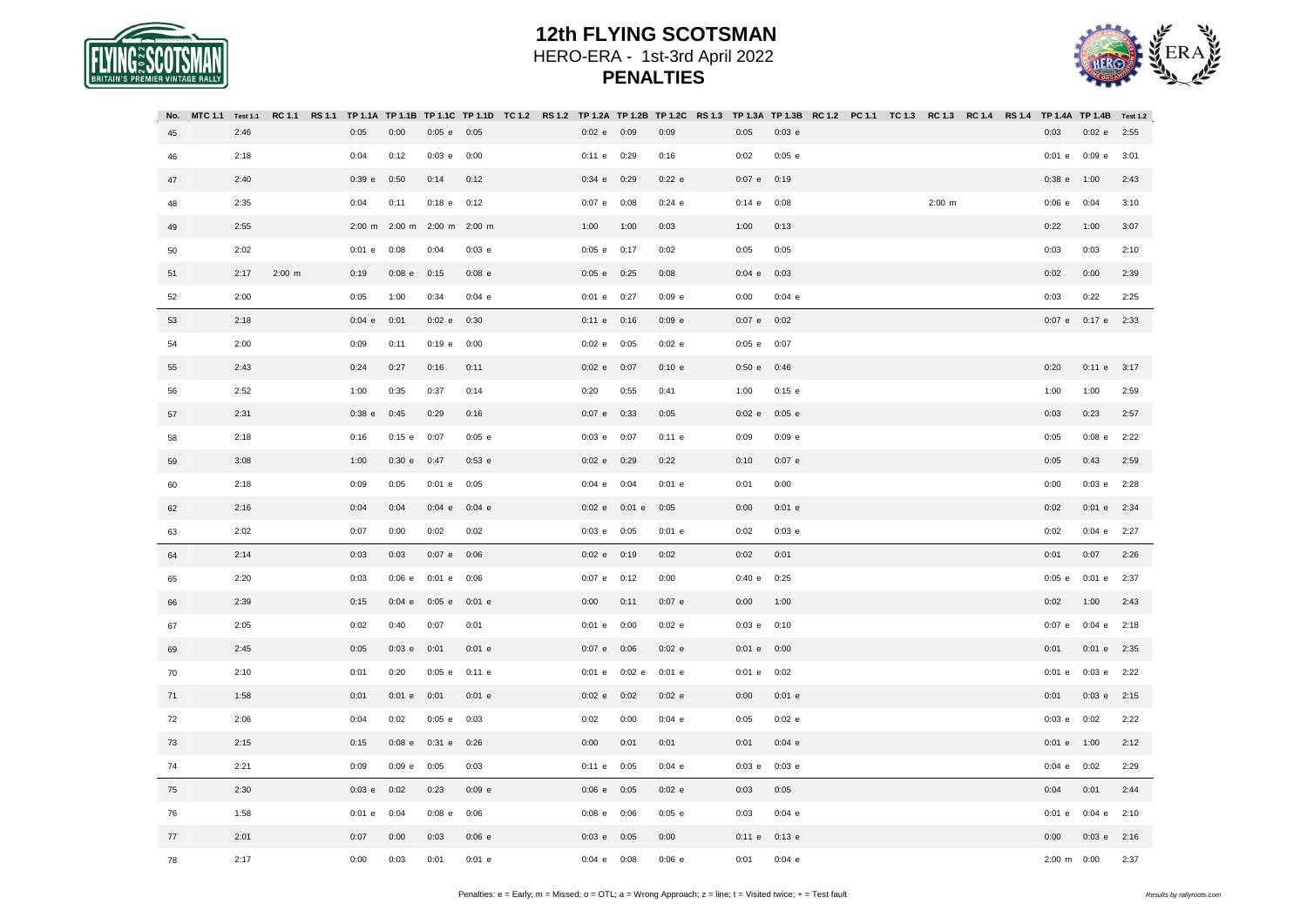

| AIN'S PREMIER VINTAGE |  |
|-----------------------|--|

| No. | MTC 1.1 Test 1.1 |          | RC 1.1 RS 1.1 TP 1.1A TP 1.1B TP 1.1C TP 1.1D TC 1.2 RS 1.2 TP 1.2A TP 1.2B TP 1.2C RS 1.3 TP 1.3A TP 1.3B RC 1.2 PC 1.1 TC 1.3 RC 1.3 RC 1.4 RS 1.4 TP 1.4A TP 1.4B Test 1.2 |                      |          |                    |          |                 |          |                 |          |  |          |  |                    |                    |      |
|-----|------------------|----------|-------------------------------------------------------------------------------------------------------------------------------------------------------------------------------|----------------------|----------|--------------------|----------|-----------------|----------|-----------------|----------|--|----------|--|--------------------|--------------------|------|
| 45  | 2:46             |          | 0:05                                                                                                                                                                          | 0:00                 | $0:05$ e | 0:05               |          | $0:02$ e $0:09$ | 0:09     | 0:05            | 0:03 e   |  |          |  | 0:03               | $0:02$ e           | 2:55 |
| 46  | 2:18             |          | 0:04                                                                                                                                                                          | 0:12                 | $0:03$ e | 0:00               |          | 0:11 e 0:29     | 0:16     | 0:02            | $0:05$ e |  |          |  | $0:01$ e           | $0:09$ e           | 3:01 |
| 47  | 2:40             |          | 0:39 e                                                                                                                                                                        | 0:50                 | 0:14     | 0:12               |          | 0:34 e 0:29     | $0:22$ e | 0:07 e 0:19     |          |  |          |  | $0:38$ e           | 1:00               | 2:43 |
| 48  | 2:35             |          | 0:04                                                                                                                                                                          | 0:11                 | $0:18$ e | 0:12               | $0:07$ e | 0:08            | $0:24$ e | $0:14$ e        | 0:08     |  | $2:00$ m |  | 0:06 e             | 0:04               | 3:10 |
| 49  | 2:55             |          |                                                                                                                                                                               | 2:00 m 2:00 m 2:00 m |          | $2:00 \, \text{m}$ | 1:00     | 1:00            | 0:03     | 1:00            | 0:13     |  |          |  | 0:22               | 1:00               | 3:07 |
| 50  | 2:02             |          | $0:01$ e                                                                                                                                                                      | 0:08                 | 0:04     | $0:03$ e           |          | 0:05 e 0:17     | 0:02     | 0:05            | 0:05     |  |          |  | 0:03               | 0:03               | 2:10 |
| 51  | 2:17             | $2:00$ m | 0:19                                                                                                                                                                          | $0:08$ e             | 0:15     | $0:08$ e           |          | 0:05 e 0:25     | 0:08     | $0:04$ e        | 0:03     |  |          |  | 0:02               | 0:00               | 2:39 |
| 52  | 2:00             |          | 0:05                                                                                                                                                                          | 1:00                 | 0:34     | 0:04 e             |          | 0:01 e 0:27     | 0:09 e   | 0:00            | 0:04 e   |  |          |  | 0:03               | 0:22               | 2:25 |
| 53  | 2:18             |          | 0:04 e                                                                                                                                                                        | 0:01                 | $0:02$ e | 0:30               |          | 0:11 e 0:16     | $0:09$ e | 0:07 e 0:02     |          |  |          |  |                    | 0:07 e 0:17 e 2:33 |      |
| 54  | 2:00             |          | 0:09                                                                                                                                                                          | 0:11                 | $0:19$ e | 0:00               |          | $0:02$ e $0:05$ | $0:02$ e | 0:05 e 0:07     |          |  |          |  |                    |                    |      |
| 55  | 2:43             |          | 0:24                                                                                                                                                                          | 0:27                 | 0:16     | 0:11               |          | 0:02 e 0:07     | 0:10 e   | 0:50 e          | 0:46     |  |          |  | 0:20               | 0:11 e 3:17        |      |
| 56  | 2:52             |          | 1:00                                                                                                                                                                          | 0:35                 | 0:37     | 0:14               | 0:20     | 0:55            | 0:41     | 1:00            | $0:15$ e |  |          |  | 1:00               | 1:00               | 2:59 |
| 57  | 2:31             |          | $0:38$ e                                                                                                                                                                      | 0:45                 | 0:29     | 0:16               |          | 0:07 e 0:33     | 0:05     | $0:02$ e        | $0:05$ e |  |          |  | 0:03               | 0:23               | 2:57 |
| 58  | 2:18             |          | 0:16                                                                                                                                                                          | $0:15$ e             | 0:07     | $0:05$ e           | $0:03$ e | 0:07            | 0:11 e   | 0:09            | $0:09$ e |  |          |  | 0:05               | $0:08$ e           | 2:22 |
| 59  | 3:08             |          | 1:00                                                                                                                                                                          | $0:30$ e             | 0:47     | $0:53$ e           |          | 0:02 e 0:29     | 0:22     | 0:10            | $0:07$ e |  |          |  | 0:05               | 0:43               | 2:59 |
| 60  | 2:18             |          | 0:09                                                                                                                                                                          | 0:05                 | $0:01$ e | 0:05               |          | 0:04 e 0:04     | $0:01$ e | 0:01            | 0:00     |  |          |  | 0:00               | $0:03$ e $2:28$    |      |
| 62  | 2:16             |          | 0:04                                                                                                                                                                          | 0:04                 | $0:04$ e | $0:04$ e           | $0:02$ e | $0:01$ e        | 0:05     | 0:00            | $0:01$ e |  |          |  | 0:02               | 0:01 e 2:34        |      |
| 63  | 2:02             |          | 0:07                                                                                                                                                                          | 0:00                 | 0:02     | 0:02               |          | $0:03$ e $0:05$ | $0:01$ e | 0:02            | 0:03 e   |  |          |  | 0:02               | 0:04 e 2:27        |      |
| 64  | 2:14             |          | 0:03                                                                                                                                                                          | 0:03                 | $0:07$ e | 0:06               |          | $0:02$ e $0:19$ | 0:02     | 0:02            | 0:01     |  |          |  | 0:01               | 0:07               | 2:26 |
| 65  | 2:20             |          | 0:03                                                                                                                                                                          | 0:06 e               | $0:01$ e | 0:06               |          | 0:07 e 0:12     | 0:00     | 0:40 e          | 0:25     |  |          |  | $0:05$ e           | $0:01$ e           | 2:37 |
| 66  | 2:39             |          | 0:15                                                                                                                                                                          | $0:04$ e             | $0:05$ e | $0:01$ e           | 0:00     | 0:11            | $0:07$ e | 0:00            | 1:00     |  |          |  | 0:02               | 1:00               | 2:43 |
| 67  | 2:05             |          | 0:02                                                                                                                                                                          | 0:40                 | 0:07     | 0:01               | $0:01$ e | 0:00            | $0:02$ e | $0:03$ e $0:10$ |          |  |          |  | $0:07$ e           | $0:04$ e $2:18$    |      |
| 69  | 2:45             |          | 0:05                                                                                                                                                                          | $0:03$ e             | 0:01     | $0:01$ e           | $0:07$ e | 0:06            | $0:02$ e | $0:01$ e        | 0:00     |  |          |  | 0:01               | $0:01$ e           | 2:35 |
| 70  | 2:10             |          | 0:01                                                                                                                                                                          | 0:20                 | $0:05$ e | $0:11$ e           |          | 0:01 e 0:02 e   | $0:01$ e | $0:01$ e        | 0:02     |  |          |  | $0:01$ e           | $0:03$ e $2:22$    |      |
| 71  | 1:58             |          | 0:01                                                                                                                                                                          | $0:01$ e             | 0:01     | $0:01$ e           |          | $0:02$ e $0:02$ | $0:02$ e | 0:00            | $0:01$ e |  |          |  | 0:01               | 0:03 e 2:15        |      |
| 72  | 2:06             |          | 0:04                                                                                                                                                                          | 0:02                 | $0:05$ e | 0:03               | 0:02     | 0:00            | $0:04$ e | 0:05            | $0:02$ e |  |          |  | $0:03$ e           | 0:02               | 2:22 |
| 73  | 2:15             |          | 0:15                                                                                                                                                                          | $0:08$ e             | $0:31$ e | 0:26               | 0:00     | 0:01            | 0:01     | 0:01            | $0:04$ e |  |          |  | $0:01$ e           | 1:00               | 2:12 |
| 74  | 2:21             |          | 0:09                                                                                                                                                                          | $0:09$ e             | 0:05     | 0:03               |          | 0:11 e 0:05     | $0:04$ e | $0:03$ e        | 0:03 e   |  |          |  | $0:04$ e           | 0:02               | 2:29 |
| 75  | 2:30             |          | $0:03$ e                                                                                                                                                                      | 0:02                 | 0:23     | $0:09$ e           |          | $0:06$ e $0:05$ | $0:02$ e | 0:03            | 0:05     |  |          |  | 0:04               | 0:01               | 2:44 |
| 76  | 1:58             |          | $0:01$ e                                                                                                                                                                      | 0:04                 | $0:08$ e | 0:06               | $0:08$ e | 0:06            | $0:05$ e | 0:03            | $0:04$ e |  |          |  | $0:01$ e           | $0:04$ e           | 2:10 |
| 77  | 2:01             |          | 0:07                                                                                                                                                                          | 0:00                 | 0:03     | $0:06$ e           |          | $0:03$ e $0:05$ | 0:00     | 0:11 e          | $0:13$ e |  |          |  | 0:00               | 0:03 e 2:16        |      |
| 78  | 2:17             |          | 0:00                                                                                                                                                                          | 0:03                 | 0:01     | $0:01$ e           | 0:04 e   | 0:08            | 0:06 e   | 0:01            | 0:04 e   |  |          |  | $2:00 \, \text{m}$ | 0:00               | 2:37 |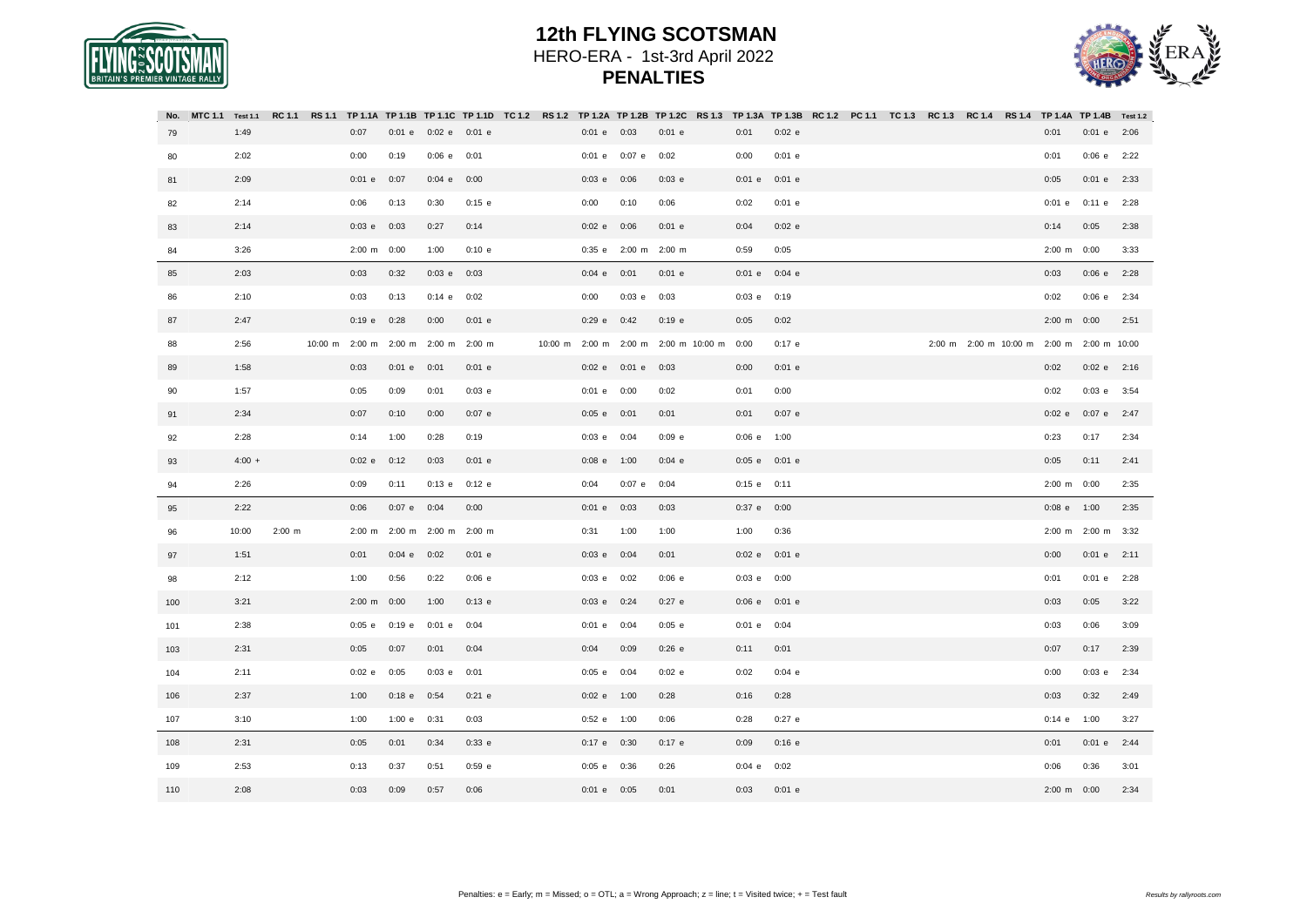



| No. | MTC 1.1 Test 1.1 |          |                       |                      |                                     | RC 1.1 RS 1.1 TP 1.1A TP 1.1B TP 1.1C TP 1.1D TC 1.2 RS 1.2 TP 1.2A TP 1.2B TP 1.2C RS 1.3 TP 1.3A TP 1.3B RC 1.2 PC 1.1 TC 1.3 RC 1.3 RC 1.4 RS 1.4 TP 1.4A TP 1.4B Test 1.2 |                |                 |                      |                            |                 |          |  |  |  |                       |                                           |      |
|-----|------------------|----------|-----------------------|----------------------|-------------------------------------|-------------------------------------------------------------------------------------------------------------------------------------------------------------------------------|----------------|-----------------|----------------------|----------------------------|-----------------|----------|--|--|--|-----------------------|-------------------------------------------|------|
| 79  | 1:49             |          | 0:07                  | $0:01$ e             | $0:02$ e $0:01$ e                   |                                                                                                                                                                               |                | $0:01$ e $0:03$ |                      | $0:01$ e                   | 0:01            | 0:02 e   |  |  |  | 0:01                  | 0:01 e 2:06                               |      |
| 80  | 2:02             |          | 0:00                  | 0:19                 | $0:06$ e                            | 0:01                                                                                                                                                                          |                | $0:01$ e        | $0:07$ e             | 0:02                       | 0:00            | $0:01$ e |  |  |  | 0:01                  | 0:06 e                                    | 2:22 |
| 81  | 2:09             |          | $0:01$ e              | 0:07                 | $0:04$ e                            | 0:00                                                                                                                                                                          |                | 0:03 e          | 0:06                 | 0:03 e                     | $0:01$ e        | $0:01$ e |  |  |  | 0:05                  | $0:01$ e                                  | 2:33 |
| 82  | 2:14             |          | 0:06                  | 0:13                 | 0:30                                | $0:15$ e                                                                                                                                                                      |                | 0:00            | 0:10                 | 0:06                       | 0:02            | $0:01$ e |  |  |  | $0:01$ e              | $0:11$ e                                  | 2:28 |
| 83  | 2:14             |          | $0:03$ e              | 0:03                 | 0:27                                | 0:14                                                                                                                                                                          |                | $0:02$ e        | 0:06                 | $0:01$ e                   | 0:04            | $0:02$ e |  |  |  | 0:14                  | 0:05                                      | 2:38 |
| 84  | 3:26             |          | $2:00 \text{ m}$ 0:00 |                      | 1:00                                | 0:10 e                                                                                                                                                                        |                |                 | 0:35 e 2:00 m 2:00 m |                            | 0:59            | 0:05     |  |  |  | $2:00 \text{ m}$ 0:00 |                                           | 3:33 |
| 85  | 2:03             |          | 0:03                  | 0:32                 | $0:03$ e                            | 0:03                                                                                                                                                                          |                | $0:04$ e        | 0:01                 | $0:01$ e                   | $0:01$ e        | $0:04$ e |  |  |  | 0:03                  | 0:06 e 2:28                               |      |
| 86  | 2:10             |          | 0:03                  | 0:13                 | $0:14$ e                            | 0:02                                                                                                                                                                          |                | 0:00            | $0:03$ e $0:03$      |                            | $0:03$ e $0:19$ |          |  |  |  | 0:02                  | 0:06 e 2:34                               |      |
| 87  | 2:47             |          | 0:19 e                | 0:28                 | 0:00                                | $0:01$ e                                                                                                                                                                      |                | $0:29$ e        | 0:42                 | $0:19$ e                   | 0:05            | 0:02     |  |  |  | $2:00 \text{ m}$ 0:00 |                                           | 2:51 |
| 88  | 2:56             |          |                       |                      | 10:00 m 2:00 m 2:00 m 2:00 m 2:00 m |                                                                                                                                                                               | 10:00 m 2:00 m |                 |                      | 2:00 m 2:00 m 10:00 m 0:00 |                 | $0:17$ e |  |  |  |                       | 2:00 m 2:00 m 10:00 m 2:00 m 2:00 m 10:00 |      |
| 89  | 1:58             |          | 0:03                  | $0:01$ e             | 0:01                                | $0:01$ e                                                                                                                                                                      |                | $0:02$ e        | 0:01 e 0:03          |                            | 0:00            | $0:01$ e |  |  |  | 0:02                  | $0:02 e$ 2:16                             |      |
| 90  | 1:57             |          | 0:05                  | 0:09                 | 0:01                                | $0:03$ e                                                                                                                                                                      |                | $0:01$ e        | 0:00                 | 0:02                       | 0:01            | 0:00     |  |  |  | 0:02                  | $0:03$ e                                  | 3:54 |
| 91  | 2:34             |          | 0:07                  | 0:10                 | 0:00                                | $0:07$ e                                                                                                                                                                      |                | $0:05$ e        | 0:01                 | 0:01                       | 0:01            | $0:07$ e |  |  |  | $0:02$ e              | $0:07$ e $2:47$                           |      |
| 92  | 2:28             |          | 0:14                  | 1:00                 | 0:28                                | 0:19                                                                                                                                                                          |                | $0:03$ e        | 0:04                 | 0:09 e                     | $0:06$ e $1:00$ |          |  |  |  | 0:23                  | 0:17                                      | 2:34 |
| 93  | $4:00 +$         |          | $0:02$ e              | 0:12                 | 0:03                                | $0:01$ e                                                                                                                                                                      |                | 0:08 e 1:00     |                      | $0:04$ e                   | 0:05 e 0:01 e   |          |  |  |  | 0:05                  | 0:11                                      | 2:41 |
| 94  | 2:26             |          | 0:09                  | 0:11                 | $0:13$ e                            | $0:12$ e                                                                                                                                                                      |                | 0:04            | 0:07 e 0:04          |                            | $0:15$ e $0:11$ |          |  |  |  | 2:00 m 0:00           |                                           | 2:35 |
| 95  | 2:22             |          | 0:06                  | $0:07$ e $0:04$      |                                     | 0:00                                                                                                                                                                          |                | $0:01$ e        | 0:03                 | 0:03                       | $0:37$ e $0:00$ |          |  |  |  | $0:08$ e $1:00$       |                                           | 2:35 |
| 96  | 10:00            | $2:00$ m |                       | 2:00 m 2:00 m 2:00 m |                                     | $2:00 \, \text{m}$                                                                                                                                                            |                | 0:31            | 1:00                 | 1:00                       | 1:00            | 0:36     |  |  |  |                       | 2:00 m 2:00 m                             | 3:32 |
| 97  | 1:51             |          | 0:01                  | $0:04$ e             | 0:02                                | $0:01$ e                                                                                                                                                                      |                | $0:03$ e        | 0:04                 | 0:01                       | 0:02 e 0:01 e   |          |  |  |  | 0:00                  | $0:01$ e                                  | 2:11 |
| 98  | 2:12             |          | 1:00                  | 0:56                 | 0:22                                | 0:06 e                                                                                                                                                                        |                | $0:03$ e        | 0:02                 | 0:06 e                     | $0:03$ e $0:00$ |          |  |  |  | 0:01                  | $0:01$ e                                  | 2:28 |
| 100 | 3:21             |          | 2:00 m 0:00           |                      | 1:00                                | $0:13$ e                                                                                                                                                                      |                | $0:03$ e        | 0:24                 | $0:27$ e                   | $0:06$ e        | $0:01$ e |  |  |  | 0:03                  | 0:05                                      | 3:22 |
| 101 | 2:38             |          | $0:05$ e              | $0:19$ e             | $0:01$ e                            | 0:04                                                                                                                                                                          |                | 0:01 e 0:04     |                      | $0:05$ e                   | $0:01$ e $0:04$ |          |  |  |  | 0:03                  | 0:06                                      | 3:09 |
| 103 | 2:31             |          | 0:05                  | 0:07                 | 0:01                                | 0:04                                                                                                                                                                          |                | 0:04            | 0:09                 | 0:26 e                     | 0:11            | 0:01     |  |  |  | 0:07                  | 0:17                                      | 2:39 |
| 104 | 2:11             |          | $0:02$ e              | 0:05                 | $0:03$ e                            | 0:01                                                                                                                                                                          |                | $0:05$ e        | 0:04                 | $0:02$ e                   | 0:02            | $0:04$ e |  |  |  | 0:00                  | $0:03$ e                                  | 2:34 |
| 106 | 2:37             |          | 1:00                  | $0:18$ e             | 0:54                                | $0:21$ e                                                                                                                                                                      |                | 0:02 e 1:00     |                      | 0:28                       | 0:16            | 0:28     |  |  |  | 0:03                  | 0:32                                      | 2:49 |
| 107 | 3:10             |          | 1:00                  | 1:00 e               | 0:31                                | 0:03                                                                                                                                                                          |                | 0:52 e 1:00     |                      | 0:06                       | 0:28            | $0:27$ e |  |  |  | $0:14$ e              | 1:00                                      | 3:27 |
| 108 | 2:31             |          | 0:05                  | 0:01                 | 0:34                                | 0:33 e                                                                                                                                                                        |                | $0:17$ e $0:30$ |                      | $0:17$ e                   | 0:09            | $0:16$ e |  |  |  | 0:01                  | $0:01$ e                                  | 2:44 |
| 109 | 2:53             |          | 0:13                  | 0:37                 | 0:51                                | $0:59$ e                                                                                                                                                                      |                | $0:05$ e        | 0:36                 | 0:26                       | $0:04$ e        | 0:02     |  |  |  | 0:06                  | 0:36                                      | 3:01 |
| 110 | 2:08             |          | 0:03                  | 0:09                 | 0:57                                | 0:06                                                                                                                                                                          |                | $0:01$ e        | 0:05                 | 0:01                       | 0:03            | $0:01$ e |  |  |  | 2:00 m 0:00           |                                           | 2:34 |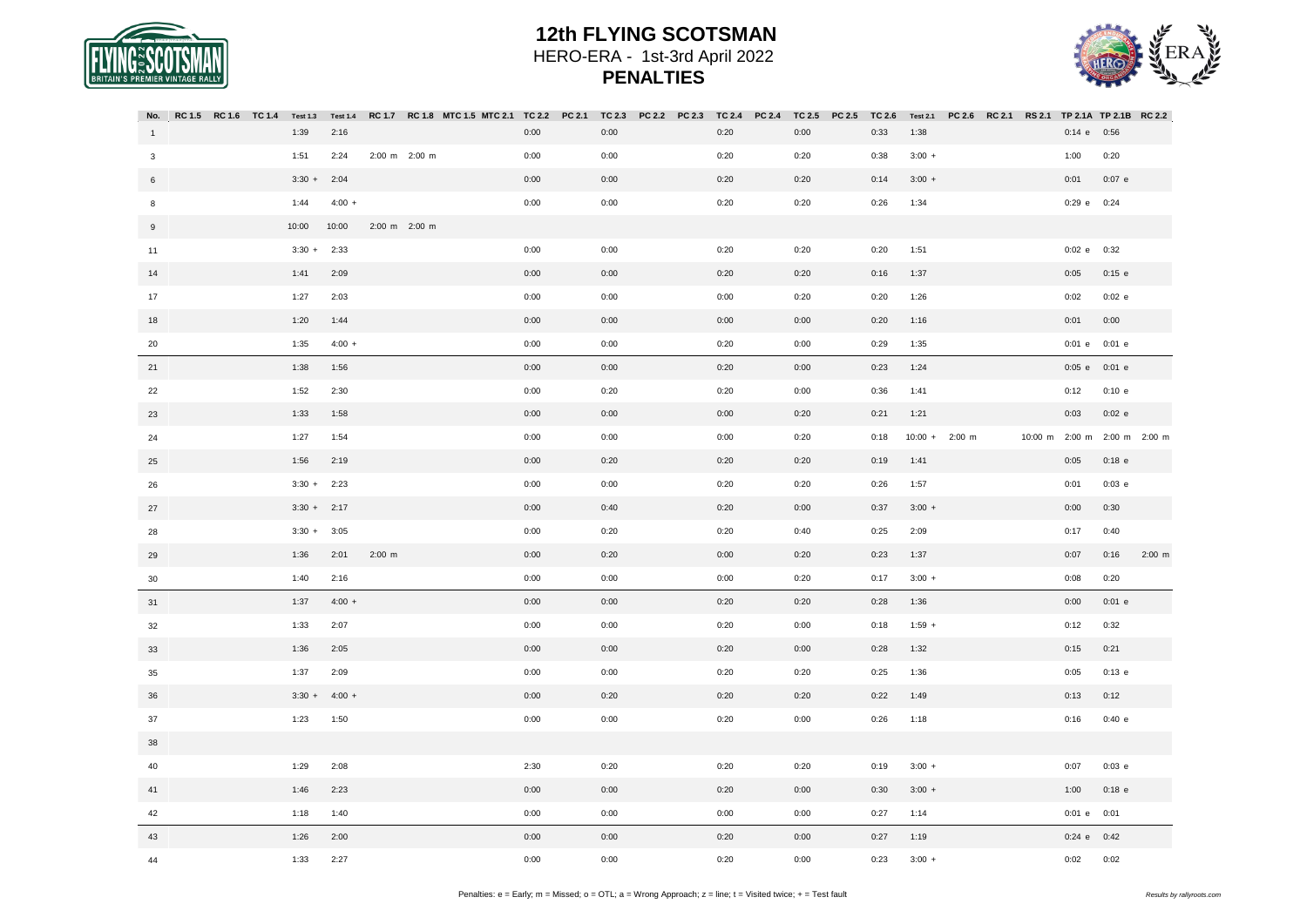

44

#### **12th FLYING SCOTSMAN** HERO-ERA - 1st-3rd April 2022 **PENALTIES**



#### No. RC1.5 RC1.6 TC1.4 Test1.3 Test1.4 RC1.7 RC1.8 MTC1.5 MTC2.1 TC2.2 PC2.1 TC2.3 PC2.2 PC2.3 TC2.4 PC2.4 TC2.5 PC2.5 TC2.6 Test2.1 PC2.6 RC2.1 RS2.1 TP2.1A TP2.1B RC2.2 1 3 6 8 9 11 14 17 18 20 21 22 23 24 25 26 27 28 29 30 31 32 33 35 36 37 38 40 41 42 43 1:39 2:16 0:00 0:00 0:20 0:00 0:33 1:38 0:14 e 0:56 1:51 2:24 2:00 m 2:00 m 0:00 0:00 0:20 0:20 0:38 3:00 + 1:00 0:20 3:30 + 2:04 0:00 0:00 0:20 0:20 0:14 3:00 + 0:01 0:07 e 1:44 4:00 + 0:00 0:00 0:20 0:20 0:26 1:34 0:29 e 0:24 10:00 10:00 2:00 m 2:00 m 3:30 + 2:33 0:00 0:00 0:20 0:20 0:20 1:51 0:02 e 0:32 1:41 2:09 0:00 0:00 0:20 0:20 0:16 1:37 0:05 0:15 e 1:27 2:03 0:00 0:00 0:00 0:20 0:20 1:26 0:02 0:02 e 1:20 1:44 0:00 0:00 0:00 0:00 0:20 1:16 0:01 0:00 1:35 4:00 + 0:00 0:00 0:20 0:00 0:29 1:35 0:01 e 0:01 e 1:38 1:56 0:00 0:00 0:20 0:00 0:23 1:24 0:05 e 0:01 e 1:52 2:30 0:00 0:20 0:20 0:00 0:36 1:41 0:12 0:10 e 1:33 1:58 0:00 0:00 0:00 0:20 0:21 1:21 0:03 0:02 e 1:27 1:54 0:00 0:00 0:00 0:20 0:18 10:00 + 2:00 m 10:00 m 2:00 m 2:00 m 2:00 m 1:56 2:19 0:00 0:20 0:20 0:20 0:19 1:41 0:05 0:18 e 3:30 + 2:23 0:00 0:00 0:20 0:20 0:26 1:57 0:01 0:03 e 3:30 + 2:17 0:00 0:40 0:20 0:00 0:37 3:00 + 0:00 0:30 3:30 + 3:05 0:00 0:20 0:20 0:40 0:25 2:09 0:17 0:40 1:36 2:01 2:00 m 0:00 0:20 0:00 0:20 0:23 1:37 0:07 0:16 2:00 m 1:40 2:16 0:00 0:00 0:00 0:20 0:17 3:00 + 0:08 0:20 1:37 4:00 + 0:00 0:00 0:20 0:20 0:28 1:36 0:00 0:01 e 1:33 2:07 0:00 0:00 0:20 0:00 0:18 1:59 + 0:12 0:32 1:36 2:05 0:00 0:00 0:20 0:00 0:28 1:32 0:15 0:21 1:37 2:09 0:00 0:00 0:20 0:20 0:25 1:36 0:05 0:13 e 3:30 + 4:00 + 0:00 0:20 0:20 0:20 0:22 1:49 0:13 0:12 1:23 1:50 0:00 0:00 0:20 0:00 0:26 1:18 0:16 0:40 e 1:29 2:08 2:30 0:20 0:20 0:20 0:19 3:00 + 0:07 0:03 e 1:46 2:23 0:00 0:00 0:20 0:00 0:30 3:00 + 1:00 0:18 e 1:18 1:40 0:00 0:00 0:00 0:00 0:27 1:14 0:01 e 0:01 1:26 2:00 0:00 0:00 0:20 0:00 0:27 1:19 0:24 e 0:42

1:33 2:27 0:00 0:00 0:20 0:00 0:23 3:00 + 0:02 0:02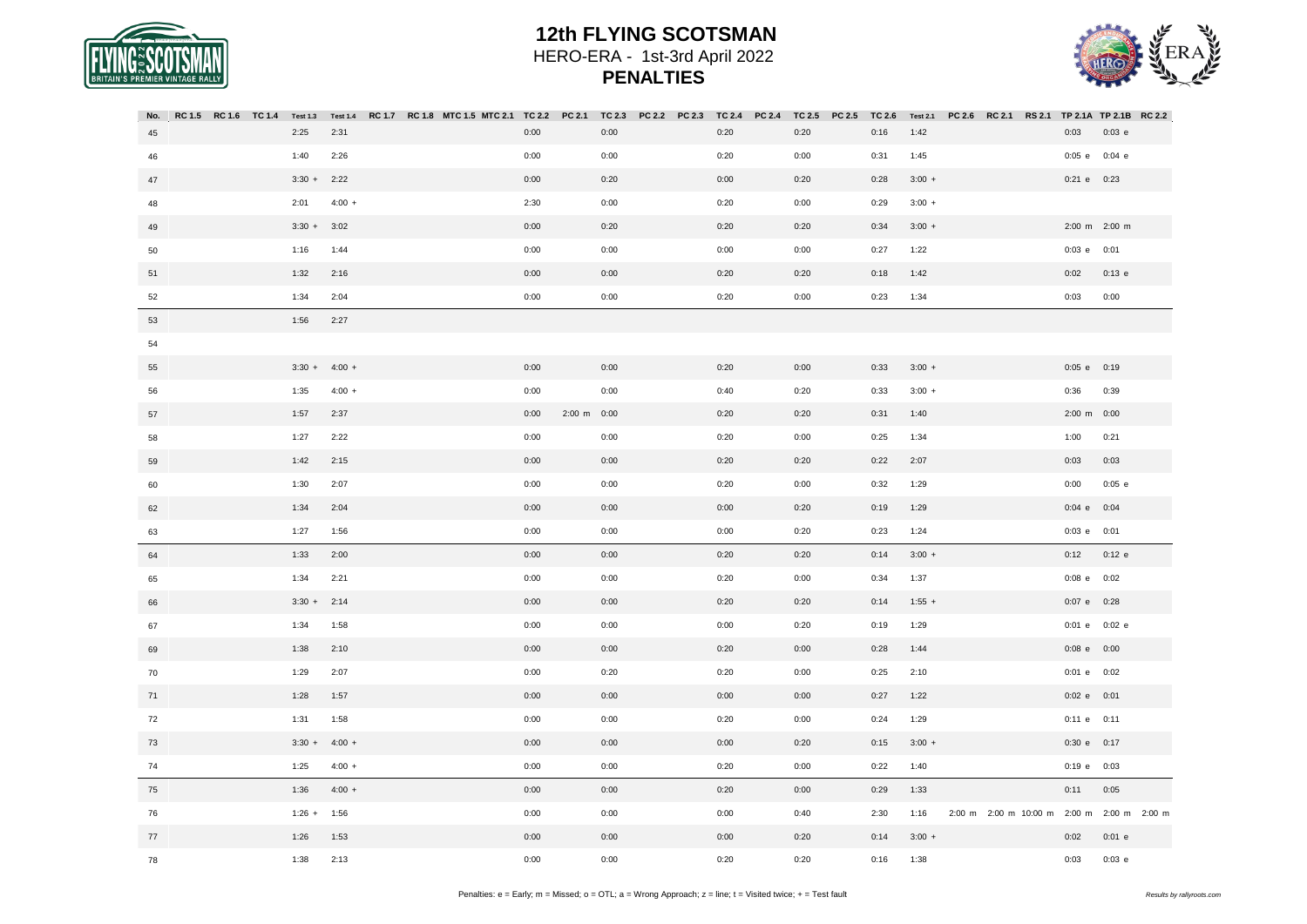



| No. | RC 1.5 RC 1.6 TC 1.4 | <b>Test 1.3</b> |          |  | Test 1.4 RC 1.7 RC 1.8 MTC 1.5 MTC 2.1 TC 2.2 PC 2.1 |      |                         | TC 2.3 | <b>PC 2.2</b> | PC 2.3 | <b>TC 2.4</b> | <b>PC 2.4</b> | TC 2.5 | PC 2.5 | <b>TC 2.6</b> |          | Test 2.1 PC 2.6 RC 2.1 RS 2.1 | TP 2.1A TP 2.1B RC 2.2 |          |  |
|-----|----------------------|-----------------|----------|--|------------------------------------------------------|------|-------------------------|--------|---------------|--------|---------------|---------------|--------|--------|---------------|----------|-------------------------------|------------------------|----------|--|
| 45  |                      | 2:25            | 2:31     |  |                                                      | 0:00 |                         | 0:00   |               |        | 0:20          |               | 0:20   |        | 0:16          | 1:42     |                               | 0:03                   | $0:03$ e |  |
| 46  |                      | 1:40            | 2:26     |  |                                                      | 0:00 |                         | 0:00   |               |        | 0:20          |               | 0:00   |        | 0:31          | 1:45     |                               | $0:05$ e               | $0:04$ e |  |
| 47  |                      | $3:30 +$        | 2:22     |  |                                                      | 0:00 |                         | 0:20   |               |        | 0:00          |               | 0:20   |        | 0:28          | $3:00 +$ |                               | $0:21$ e $0:23$        |          |  |
| 48  |                      | 2:01            | $4:00 +$ |  |                                                      | 2:30 |                         | 0:00   |               |        | 0:20          |               | 0:00   |        | 0:29          | $3:00 +$ |                               |                        |          |  |
| 49  |                      | $3:30 +$        | 3:02     |  |                                                      | 0:00 |                         | 0:20   |               |        | 0:20          |               | 0:20   |        | 0:34          | $3:00 +$ |                               | 2:00 m 2:00 m          |          |  |
| 50  |                      | 1:16            | 1:44     |  |                                                      | 0:00 |                         | 0:00   |               |        | 0:00          |               | 0:00   |        | 0:27          | 1:22     |                               | $0:03$ e $0:01$        |          |  |
| 51  |                      | 1:32            | 2:16     |  |                                                      | 0:00 |                         | 0:00   |               |        | 0:20          |               | 0:20   |        | 0:18          | 1:42     |                               | 0:02                   | $0:13$ e |  |
| 52  |                      | 1:34            | 2:04     |  |                                                      | 0:00 |                         | 0:00   |               |        | 0:20          |               | 0:00   |        | 0:23          | 1:34     |                               | 0:03                   | 0:00     |  |
| 53  |                      | 1:56            | 2:27     |  |                                                      |      |                         |        |               |        |               |               |        |        |               |          |                               |                        |          |  |
| 54  |                      |                 |          |  |                                                      |      |                         |        |               |        |               |               |        |        |               |          |                               |                        |          |  |
| 55  |                      | $3:30 +$        | $4:00 +$ |  |                                                      | 0:00 |                         | 0:00   |               |        | 0:20          |               | 0:00   |        | 0:33          | $3:00 +$ |                               | $0:05$ e $0:19$        |          |  |
| 56  |                      | 1:35            | $4:00 +$ |  |                                                      | 0:00 |                         | 0:00   |               |        | 0:40          |               | 0:20   |        | 0:33          | $3:00 +$ |                               | 0:36                   | 0:39     |  |
| 57  |                      | 1:57            | 2:37     |  |                                                      | 0:00 | $2:00 \text{ m}$ $0:00$ |        |               |        | 0:20          |               | 0:20   |        | 0:31          | 1:40     |                               | 2:00 m 0:00            |          |  |
| 58  |                      | 1:27            | 2:22     |  |                                                      | 0:00 |                         | 0:00   |               |        | 0:20          |               | 0:00   |        | 0:25          | 1:34     |                               | 1:00                   | 0:21     |  |
| 59  |                      | 1:42            | 2:15     |  |                                                      | 0:00 |                         | 0:00   |               |        | 0:20          |               | 0:20   |        | 0:22          | 2:07     |                               | 0:03                   | 0:03     |  |
| 60  |                      | 1:30            | 2:07     |  |                                                      | 0:00 |                         | 0:00   |               |        | 0:20          |               | 0:00   |        | 0:32          | 1:29     |                               | 0:00                   | $0:05$ e |  |
| 62  |                      | 1:34            | 2:04     |  |                                                      | 0:00 |                         | 0:00   |               |        | 0:00          |               | 0:20   |        | 0:19          | 1:29     |                               | $0:04$ e $0:04$        |          |  |
| 63  |                      | 1:27            | 1:56     |  |                                                      | 0:00 |                         | 0:00   |               |        | 0:00          |               | 0:20   |        | 0:23          | 1:24     |                               | $0:03$ e $0:01$        |          |  |
| 64  |                      | 1:33            | 2:00     |  |                                                      | 0:00 |                         | 0:00   |               |        | 0:20          |               | 0:20   |        | 0:14          | $3:00 +$ |                               | 0:12                   | $0:12$ e |  |
| 65  |                      | 1:34            | 2:21     |  |                                                      | 0:00 |                         | 0:00   |               |        | 0:20          |               | 0:00   |        | 0:34          | 1:37     |                               | $0:08$ e $0:02$        |          |  |
| 66  |                      | $3:30 +$        | 2:14     |  |                                                      | 0:00 |                         | 0:00   |               |        | 0:20          |               | 0:20   |        | 0:14          | $1:55 +$ |                               | 0:07 e 0:28            |          |  |
| 67  |                      | 1:34            | 1:58     |  |                                                      | 0:00 |                         | 0:00   |               |        | 0:00          |               | 0:20   |        | 0:19          | 1:29     |                               | 0:01 e 0:02 e          |          |  |
| 69  |                      | 1:38            | 2:10     |  |                                                      | 0:00 |                         | 0:00   |               |        | 0:20          |               | 0:00   |        | 0:28          | 1:44     |                               | $0:08$ e $0:00$        |          |  |
| 70  |                      | 1:29            | 2:07     |  |                                                      | 0:00 |                         | 0:20   |               |        | 0:20          |               | 0:00   |        | 0:25          | 2:10     |                               | $0:01$ e $0:02$        |          |  |
| 71  |                      | 1:28            | 1:57     |  |                                                      | 0:00 |                         | 0:00   |               |        | 0:00          |               | 0:00   |        | 0:27          | 1:22     |                               | $0:02$ e $0:01$        |          |  |
| 72  |                      | 1:31            | 1:58     |  |                                                      | 0:00 |                         | 0:00   |               |        | 0:20          |               | 0:00   |        | 0:24          | 1:29     |                               | $0:11$ e $0:11$        |          |  |
| 73  |                      | $3:30 +$        | $4:00 +$ |  |                                                      | 0:00 |                         | 0:00   |               |        | 0:00          |               | 0:20   |        | 0:15          | $3:00 +$ |                               | 0:30 e 0:17            |          |  |
| 74  |                      | 1:25            | $4:00 +$ |  |                                                      | 0:00 |                         | 0:00   |               |        | 0:20          |               | 0:00   |        | 0:22          | 1:40     |                               | 0:19 e 0:03            |          |  |
| 75  |                      | 1:36            | $4:00 +$ |  |                                                      | 0:00 |                         | 0:00   |               |        | 0:20          |               | 0:00   |        | 0:29          | 1:33     |                               | 0:11                   | 0:05     |  |
| 76  |                      | $1:26 +$        | 1:56     |  |                                                      | 0:00 |                         | 0:00   |               |        | 0:00          |               | 0:40   |        | 2:30          | 1:16     | 2:00 m 2:00 m 10:00 m         | 2:00 m 2:00 m 2:00 m   |          |  |
| 77  |                      | 1:26            | 1:53     |  |                                                      | 0:00 |                         | 0:00   |               |        | 0:00          |               | 0:20   |        | 0:14          | $3:00 +$ |                               | 0:02                   | $0:01$ e |  |
| 78  |                      | 1:38            | 2:13     |  |                                                      | 0:00 |                         | 0:00   |               |        | 0:20          |               | 0:20   |        | 0:16          | 1:38     |                               | 0:03                   | $0:03$ e |  |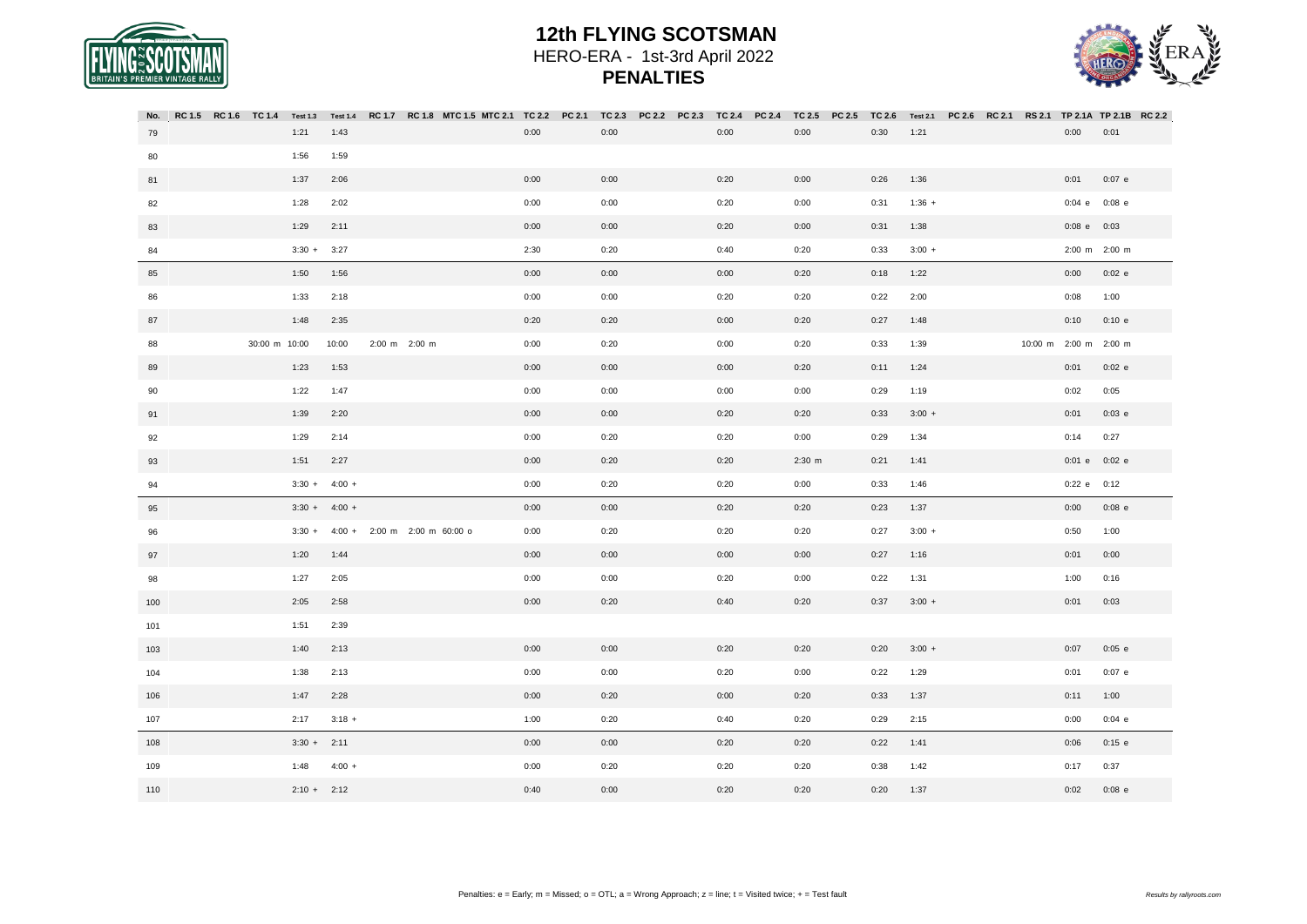



| RC 1.5<br>No. | <b>RC 1.6</b> | TC 1.4        | <b>Test 1.3</b> | <b>Test 1.4</b> | RC 1.7 |               | RC 1.8 MTC 1.5 MTC 2.1 | TC 2.2 | PC 2.1 | TC 2.3 | <b>PC 2.2</b> | <b>PC 2.3</b> | TC 2.4 | PC 2.4 | TC 2.5   | PC 2.5 | TC 2.6 | <b>Test 2.1</b> | <b>PC 2.6</b> | RC 2.1 | <b>RS 2.1</b> | <b>TP 2.1A</b>        | TP 2.1B RC 2.2 |  |
|---------------|---------------|---------------|-----------------|-----------------|--------|---------------|------------------------|--------|--------|--------|---------------|---------------|--------|--------|----------|--------|--------|-----------------|---------------|--------|---------------|-----------------------|----------------|--|
| 79            |               |               | 1:21            | 1:43            |        |               |                        | 0:00   |        | 0:00   |               |               | 0:00   |        | 0:00     |        | 0:30   | 1:21            |               |        |               | 0:00                  | 0:01           |  |
| 80            |               |               | 1:56            | 1:59            |        |               |                        |        |        |        |               |               |        |        |          |        |        |                 |               |        |               |                       |                |  |
| 81            |               |               | 1:37            | 2:06            |        |               |                        | 0:00   |        | 0:00   |               |               | 0:20   |        | 0:00     |        | 0:26   | 1:36            |               |        |               | 0:01                  | $0:07$ e       |  |
| 82            |               |               | 1:28            | 2:02            |        |               |                        | 0:00   |        | 0:00   |               |               | 0:20   |        | 0:00     |        | 0:31   | $1:36 +$        |               |        |               | $0:04$ e              | $0:08$ e       |  |
| 83            |               |               | 1:29            | 2:11            |        |               |                        | 0:00   |        | 0:00   |               |               | 0:20   |        | 0:00     |        | 0:31   | 1:38            |               |        |               | $0:08$ e $0:03$       |                |  |
| 84            |               |               | $3:30 +$        | 3:27            |        |               |                        | 2:30   |        | 0:20   |               |               | 0:40   |        | 0:20     |        | 0:33   | $3:00 +$        |               |        |               | 2:00 m 2:00 m         |                |  |
| 85            |               |               | 1:50            | 1:56            |        |               |                        | 0:00   |        | 0:00   |               |               | 0:00   |        | 0:20     |        | 0:18   | 1:22            |               |        |               | 0:00                  | $0:02$ e       |  |
| 86            |               |               | 1:33            | 2:18            |        |               |                        | 0:00   |        | 0:00   |               |               | 0:20   |        | 0:20     |        | 0:22   | 2:00            |               |        |               | 0:08                  | 1:00           |  |
| 87            |               |               | 1:48            | 2:35            |        |               |                        | 0:20   |        | 0:20   |               |               | 0:00   |        | 0:20     |        | 0:27   | 1:48            |               |        |               | 0:10                  | 0:10 e         |  |
| 88            |               | 30:00 m 10:00 |                 | 10:00           |        | 2:00 m 2:00 m |                        | 0:00   |        | 0:20   |               |               | 0:00   |        | 0:20     |        | 0:33   | 1:39            |               |        |               | 10:00 m 2:00 m 2:00 m |                |  |
| 89            |               |               | 1:23            | 1:53            |        |               |                        | 0:00   |        | 0:00   |               |               | 0:00   |        | 0:20     |        | 0:11   | 1:24            |               |        |               | 0:01                  | $0:02$ e       |  |
| 90            |               |               | 1:22            | 1:47            |        |               |                        | 0:00   |        | 0:00   |               |               | 0:00   |        | 0:00     |        | 0:29   | 1:19            |               |        |               | 0:02                  | 0:05           |  |
| 91            |               |               | 1:39            | 2:20            |        |               |                        | 0:00   |        | 0:00   |               |               | 0:20   |        | 0:20     |        | 0:33   | $3:00 +$        |               |        |               | 0:01                  | $0:03$ e       |  |
| 92            |               |               | 1:29            | 2:14            |        |               |                        | 0:00   |        | 0:20   |               |               | 0:20   |        | 0:00     |        | 0:29   | 1:34            |               |        |               | 0:14                  | 0:27           |  |
| 93            |               |               | 1:51            | 2:27            |        |               |                        | 0:00   |        | 0:20   |               |               | 0:20   |        | $2:30$ m |        | 0:21   | 1:41            |               |        |               | 0:01 e 0:02 e         |                |  |
| 94            |               |               | $3:30 +$        | $4:00 +$        |        |               |                        | 0:00   |        | 0:20   |               |               | 0:20   |        | 0:00     |        | 0:33   | 1:46            |               |        |               | 0:22 e 0:12           |                |  |
| 95            |               |               |                 | $3:30 + 4:00 +$ |        |               |                        | 0:00   |        | 0:00   |               |               | 0:20   |        | 0:20     |        | 0:23   | 1:37            |               |        |               | 0:00                  | $0:08$ e       |  |
| 96            |               |               | $3:30 +$        | $4:00 +$        |        |               | 2:00 m 2:00 m 60:00 o  | 0:00   |        | 0:20   |               |               | 0:20   |        | 0:20     |        | 0:27   | $3:00 +$        |               |        |               | 0:50                  | 1:00           |  |
| 97            |               |               | 1:20            | 1:44            |        |               |                        | 0:00   |        | 0:00   |               |               | 0:00   |        | 0:00     |        | 0:27   | 1:16            |               |        |               | 0:01                  | 0:00           |  |
| 98            |               |               | 1:27            | 2:05            |        |               |                        | 0:00   |        | 0:00   |               |               | 0:20   |        | 0:00     |        | 0:22   | 1:31            |               |        |               | 1:00                  | 0:16           |  |
| 100           |               |               | 2:05            | 2:58            |        |               |                        | 0:00   |        | 0:20   |               |               | 0:40   |        | 0:20     |        | 0:37   | $3:00 +$        |               |        |               | 0:01                  | 0:03           |  |
| 101           |               |               | 1:51            | 2:39            |        |               |                        |        |        |        |               |               |        |        |          |        |        |                 |               |        |               |                       |                |  |
| 103           |               |               | 1:40            | 2:13            |        |               |                        | 0:00   |        | 0:00   |               |               | 0:20   |        | 0:20     |        | 0:20   | $3:00 +$        |               |        |               | 0:07                  | $0:05$ e       |  |
| 104           |               |               | 1:38            | 2:13            |        |               |                        | 0:00   |        | 0:00   |               |               | 0:20   |        | 0:00     |        | 0:22   | 1:29            |               |        |               | 0:01                  | $0:07$ e       |  |
| 106           |               |               | 1:47            | 2:28            |        |               |                        | 0:00   |        | 0:20   |               |               | 0:00   |        | 0:20     |        | 0:33   | 1:37            |               |        |               | 0:11                  | 1:00           |  |
| 107           |               |               | 2:17            | $3:18 +$        |        |               |                        | 1:00   |        | 0:20   |               |               | 0:40   |        | 0:20     |        | 0:29   | 2:15            |               |        |               | 0:00                  | $0:04$ e       |  |
| 108           |               |               | $3:30 +$        | 2:11            |        |               |                        | 0:00   |        | 0:00   |               |               | 0:20   |        | 0:20     |        | 0:22   | 1:41            |               |        |               | 0:06                  | $0:15$ e       |  |
| 109           |               |               | 1:48            | $4:00 +$        |        |               |                        | 0:00   |        | 0:20   |               |               | 0:20   |        | 0:20     |        | 0:38   | 1:42            |               |        |               | 0:17                  | 0:37           |  |
| 110           |               |               | $2:10 + 2:12$   |                 |        |               |                        | 0:40   |        | 0:00   |               |               | 0:20   |        | 0:20     |        | 0:20   | 1:37            |               |        |               | 0:02                  | $0:08$ e       |  |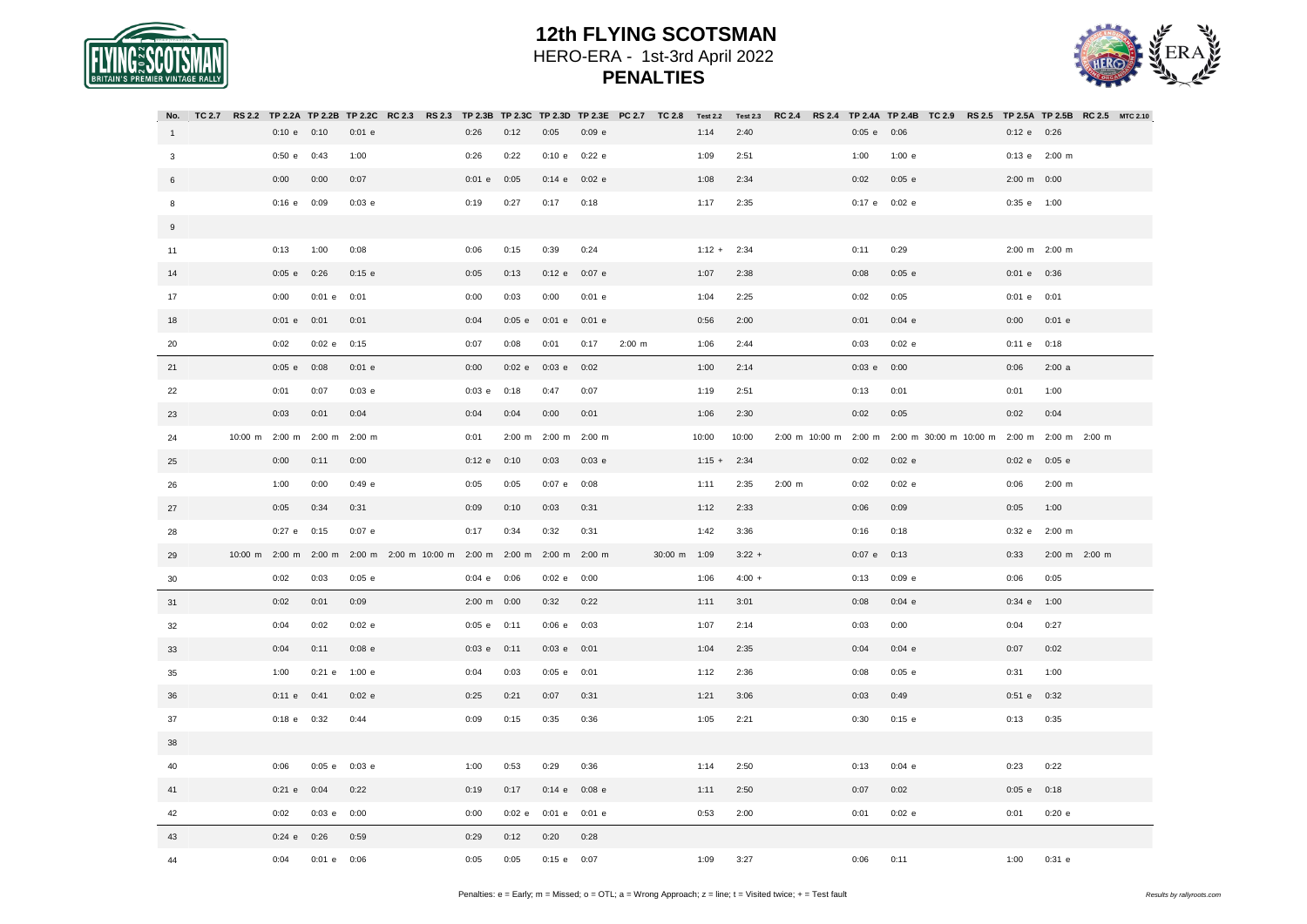



| No.          |  |                 |                       |                    | TC 2.7 RS 2.2 TP 2.2A TP 2.2B TP 2.2C RC 2.3 RS 2.3 TP 2.3B TP 2.3C TP 2.3D TP 2.3E PC 2.7 TC 2.8 Test 2.2 Test 2.3 |                 |                    |                 |          |             |              |          |          | RC 2.4 RS 2.4 TP 2.4A TP 2.4B TC 2.9 RS 2.5 TP 2.5A TP 2.5B RC 2.5 MTC 2.10 |                       |          |  |                                             |               |  |
|--------------|--|-----------------|-----------------------|--------------------|---------------------------------------------------------------------------------------------------------------------|-----------------|--------------------|-----------------|----------|-------------|--------------|----------|----------|-----------------------------------------------------------------------------|-----------------------|----------|--|---------------------------------------------|---------------|--|
| $\mathbf{1}$ |  | 0:10 e 0:10     |                       | $0:01$ e           |                                                                                                                     | 0:26            | 0:12               | 0:05            | 0:09 e   |             |              | 1:14     | 2:40     |                                                                             | 0:05 e 0:06           |          |  | 0:12 e 0:26                                 |               |  |
| $\mathbf{3}$ |  | 0:50 e          | 0:43                  | 1:00               |                                                                                                                     | 0:26            | 0:22               | 0:10 e 0:22 e   |          |             |              | 1:09     | 2:51     |                                                                             | 1:00                  | 1:00 e   |  | 0:13 e 2:00 m                               |               |  |
| 6            |  | 0:00            | 0:00                  | 0:07               |                                                                                                                     | 0:01 e 0:05     |                    | 0:14 e          | $0:02$ e |             |              | 1:08     | 2:34     |                                                                             | 0:02                  | $0:05$ e |  | 2:00 m 0:00                                 |               |  |
| 8            |  | $0:16$ e $0:09$ |                       | $0:03$ e           |                                                                                                                     | 0:19            | 0:27               | 0:17            | 0:18     |             |              | 1:17     | 2:35     |                                                                             | 0:17 e 0:02 e         |          |  | 0:35 e 1:00                                 |               |  |
| 9            |  |                 |                       |                    |                                                                                                                     |                 |                    |                 |          |             |              |          |          |                                                                             |                       |          |  |                                             |               |  |
| 11           |  | 0:13            | 1:00                  | 0:08               |                                                                                                                     | 0:06            | 0:15               | 0:39            | 0:24     |             |              | $1:12 +$ | 2:34     |                                                                             | 0:11                  | 0:29     |  | 2:00 m 2:00 m                               |               |  |
| 14           |  | $0:05$ e        | 0:26                  | $0:15$ e           |                                                                                                                     | 0:05            | 0:13               | 0:12 e          | $0:07$ e |             |              | 1:07     | 2:38     |                                                                             | 0:08                  | $0:05$ e |  | 0:01 e 0:36                                 |               |  |
| 17           |  | 0:00            | $0:01$ e              | 0:01               |                                                                                                                     | 0:00            | 0:03               | 0:00            | $0:01$ e |             |              | 1:04     | 2:25     |                                                                             | 0:02                  | 0:05     |  | $0:01$ e $0:01$                             |               |  |
| 18           |  | $0:01$ e        | 0:01                  | 0:01               |                                                                                                                     | 0:04            | $0:05$ e           | $0:01$ e        | $0:01$ e |             |              | 0:56     | 2:00     |                                                                             | 0:01                  | 0:04 e   |  | 0:00                                        | $0:01$ e      |  |
| 20           |  | 0:02            | 0:02 e                | 0:15               |                                                                                                                     | 0:07            | 0:08               | 0:01            | 0:17     | $2:00 \, m$ |              | 1:06     | 2:44     |                                                                             | 0:03                  | $0:02$ e |  | $0:11$ e $0:18$                             |               |  |
| 21           |  | $0:05$ e        | 0:08                  | $0:01$ e           |                                                                                                                     | 0:00            | $0:02$ e           | $0:03$ e        | 0:02     |             |              | 1:00     | 2:14     |                                                                             | $0:03$ e              | 0:00     |  | 0:06                                        | 2:00a         |  |
| 22           |  | 0:01            | 0:07                  | $0:03$ e           |                                                                                                                     | $0:03$ e        | 0:18               | 0:47            | 0:07     |             |              | 1:19     | 2:51     |                                                                             | 0:13                  | 0:01     |  | 0:01                                        | 1:00          |  |
| 23           |  | 0:03            | 0:01                  | 0:04               |                                                                                                                     | 0:04            | 0:04               | 0:00            | 0:01     |             |              | 1:06     | 2:30     |                                                                             | 0:02                  | 0:05     |  | 0:02                                        | 0:04          |  |
| 24           |  |                 | 10:00 m 2:00 m 2:00 m | $2:00 \, \text{m}$ |                                                                                                                     | 0:01            | $2:00 \, \text{m}$ | 2:00 m 2:00 m   |          |             |              | 10:00    | 10:00    |                                                                             | 2:00 m 10:00 m 2:00 m |          |  | 2:00 m 30:00 m 10:00 m 2:00 m 2:00 m 2:00 m |               |  |
| 25           |  | 0:00            | 0:11                  | 0:00               |                                                                                                                     | $0:12$ e $0:10$ |                    | 0:03            | 0:03 e   |             |              | $1:15 +$ | 2:34     |                                                                             | 0:02                  | $0:02$ e |  | 0:02e                                       | $0:05$ e      |  |
| 26           |  | 1:00            | 0:00                  | 0:49 e             |                                                                                                                     | 0:05            | 0:05               | $0:07$ e        | 0:08     |             |              | 1:11     | 2:35     | $2:00$ m                                                                    | 0:02                  | $0:02$ e |  | 0:06                                        | $2:00$ m      |  |
| 27           |  | 0:05            | 0:34                  | 0:31               |                                                                                                                     | 0:09            | 0:10               | 0:03            | 0:31     |             |              | 1:12     | 2:33     |                                                                             | 0:06                  | 0:09     |  | 0:05                                        | 1:00          |  |
| 28           |  | $0:27$ e        | 0:15                  | $0:07$ e           |                                                                                                                     | 0:17            | 0:34               | 0:32            | 0:31     |             |              | 1:42     | 3:36     |                                                                             | 0:16                  | 0:18     |  | 0:32 e                                      | $2:00 \, m$   |  |
| 29           |  |                 |                       |                    | 10:00 m 2:00 m 2:00 m 2:00 m 2:00 m 10:00 m 2:00 m 2:00 m                                                           |                 |                    | 2:00 m 2:00 m   |          |             | 30:00 m 1:09 |          | $3:22 +$ |                                                                             | $0:07$ e              | 0:13     |  | 0:33                                        | 2:00 m 2:00 m |  |
| 30           |  | 0:02            | 0:03                  | $0:05$ e           |                                                                                                                     | $0:04$ e $0:06$ |                    | 0:02 e 0:00     |          |             |              | 1:06     | $4:00 +$ |                                                                             | 0:13                  | $0:09$ e |  | 0:06                                        | 0:05          |  |
| 31           |  | 0:02            | 0:01                  | 0:09               |                                                                                                                     | 2:00 m 0:00     |                    | 0:32            | 0:22     |             |              | 1:11     | 3:01     |                                                                             | 0:08                  | $0:04$ e |  | 0:34 e 1:00                                 |               |  |
| 32           |  | 0:04            | 0:02                  | 0:02 e             |                                                                                                                     | $0:05$ e $0:11$ |                    | 0:06 e          | 0:03     |             |              | 1:07     | 2:14     |                                                                             | 0:03                  | 0:00     |  | 0:04                                        | 0:27          |  |
| 33           |  | 0:04            | 0:11                  | $0:08$ e           |                                                                                                                     | $0:03$ e $0:11$ |                    | $0:03$ e $0:01$ |          |             |              | 1:04     | 2:35     |                                                                             | 0:04                  | $0:04$ e |  | 0:07                                        | 0:02          |  |
| 35           |  | 1:00            | $0:21$ e              | 1:00 e             |                                                                                                                     | 0:04            | 0:03               | $0:05$ e $0:01$ |          |             |              | 1:12     | 2:36     |                                                                             | 0:08                  | $0:05$ e |  | 0:31                                        | 1:00          |  |
| 36           |  | 0:11 e          | 0:41                  | 0:02 e             |                                                                                                                     | 0:25            | 0:21               | 0:07            | 0:31     |             |              | 1:21     | 3:06     |                                                                             | 0:03                  | 0:49     |  | $0:51$ e                                    | 0:32          |  |
| 37           |  | $0:18$ e $0:32$ |                       | 0:44               |                                                                                                                     | 0:09            | 0:15               | 0:35            | 0:36     |             |              | 1:05     | 2:21     |                                                                             | 0:30                  | $0:15$ e |  | 0:13                                        | 0:35          |  |
| 38           |  |                 |                       |                    |                                                                                                                     |                 |                    |                 |          |             |              |          |          |                                                                             |                       |          |  |                                             |               |  |
| 40           |  | 0:06            | $0:05$ e              | $0:03$ e           |                                                                                                                     | 1:00            | 0:53               | 0:29            | 0:36     |             |              | 1:14     | 2:50     |                                                                             | 0:13                  | $0:04$ e |  | 0:23                                        | 0:22          |  |
| 41           |  | $0:21$ e        | 0:04                  | 0:22               |                                                                                                                     | 0:19            | 0:17               | 0:14 e 0:08 e   |          |             |              | 1:11     | 2:50     |                                                                             | 0:07                  | 0:02     |  | $0:05$ e $0:18$                             |               |  |
| 42           |  | 0:02            | $0:03$ e              | 0:00               |                                                                                                                     | 0:00            | $0:02$ e           | $0:01$ e        | $0:01$ e |             |              | 0:53     | 2:00     |                                                                             | 0:01                  | $0:02$ e |  | 0:01                                        | 0:20 e        |  |
| 43           |  | $0:24$ e        | 0:26                  | 0:59               |                                                                                                                     | 0:29            | 0:12               | 0:20            | 0:28     |             |              |          |          |                                                                             |                       |          |  |                                             |               |  |
| 44           |  | 0:04            | $0:01$ e              | 0:06               |                                                                                                                     | 0:05            | 0:05               | 0:15 e          | 0:07     |             |              | 1:09     | 3:27     |                                                                             | 0:06                  | 0:11     |  | 1:00                                        | 0:31 e        |  |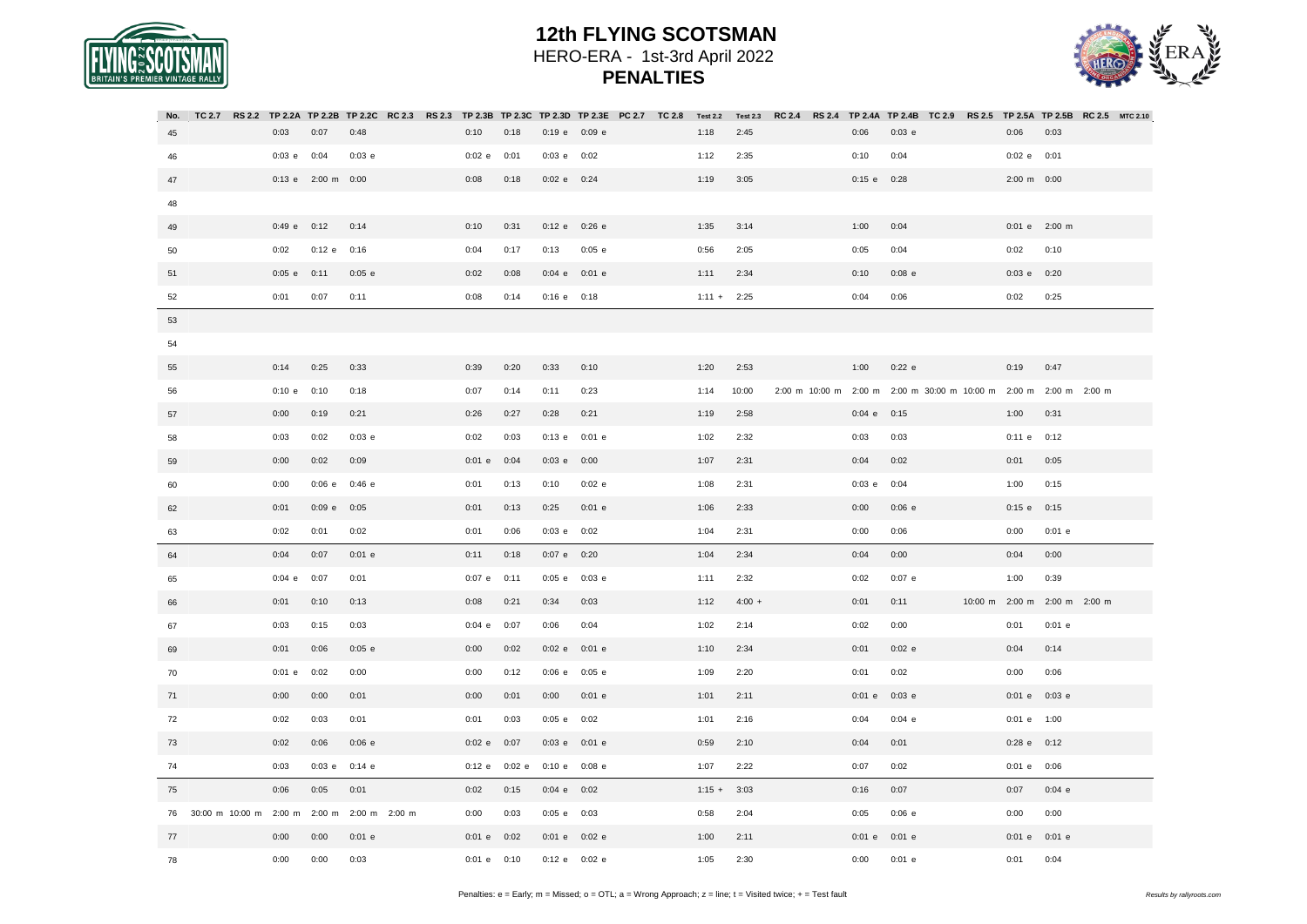



| No. |                 |                    | TC 2.7 RS 2.2 TP 2.2A TP 2.2B TP 2.2C RC 2.3 RS 2.3 TP 2.3B TP 2.3C TP 2.3D TP 2.3E PC 2.7 TC 2.8 Test 2.2 |             |               |                   |          |               | <b>Test 2.3</b> |  |                       | RC 2.4 RS 2.4 TP 2.4A TP 2.4B TC 2.9 RS 2.5 TP 2.5A TP 2.5B RC 2.5 MTC 2.10 |  |                 |                              |  |
|-----|-----------------|--------------------|------------------------------------------------------------------------------------------------------------|-------------|---------------|-------------------|----------|---------------|-----------------|--|-----------------------|-----------------------------------------------------------------------------|--|-----------------|------------------------------|--|
| 45  | 0:03            | 0:07               | 0:48                                                                                                       | 0:10        | 0:18          | 0:19 e 0:09 e     |          | 1:18          | 2:45            |  | 0:06                  | $0:03$ e                                                                    |  | 0:06            | 0:03                         |  |
| 46  | $0:03$ e $0:04$ |                    | 0:03 e                                                                                                     | $0:02$ e    | 0:01          | $0:03$ e $0:02$   |          | 1:12          | 2:35            |  | 0:10                  | 0:04                                                                        |  | $0:02$ e $0:01$ |                              |  |
| 47  |                 | 0:13 e 2:00 m 0:00 |                                                                                                            | 0:08        | 0:18          | $0:02$ e $0:24$   |          | 1:19          | 3:05            |  | $0:15$ e              | 0:28                                                                        |  | 2:00 m 0:00     |                              |  |
| 48  |                 |                    |                                                                                                            |             |               |                   |          |               |                 |  |                       |                                                                             |  |                 |                              |  |
| 49  |                 | $0:49$ e $0:12$    | 0:14                                                                                                       | 0:10        | 0:31          | 0:12 e 0:26 e     |          | 1:35          | 3:14            |  | 1:00                  | 0:04                                                                        |  |                 | 0:01 e 2:00 m                |  |
| 50  | 0:02            | $0:12$ e           | 0:16                                                                                                       | 0:04        | 0:17          | 0:13              | $0:05$ e | 0:56          | 2:05            |  | 0:05                  | 0:04                                                                        |  | 0:02            | 0:10                         |  |
| 51  | $0:05$ e $0:11$ |                    | $0:05$ e                                                                                                   | 0:02        | 0:08          | $0:04$ e $0:01$ e |          | 1:11          | 2:34            |  | 0:10                  | $0:08$ e                                                                    |  | $0:03$ e $0:20$ |                              |  |
| 52  | 0:01            | 0:07               | 0:11                                                                                                       | 0:08        | 0:14          | $0:16$ e $0:18$   |          | $1:11 + 2:25$ |                 |  | 0:04                  | 0:06                                                                        |  | 0:02            | 0:25                         |  |
| 53  |                 |                    |                                                                                                            |             |               |                   |          |               |                 |  |                       |                                                                             |  |                 |                              |  |
| 54  |                 |                    |                                                                                                            |             |               |                   |          |               |                 |  |                       |                                                                             |  |                 |                              |  |
| 55  | 0:14            | 0:25               | 0:33                                                                                                       | 0:39        | 0:20          | 0:33              | 0:10     | 1:20          | 2:53            |  | 1:00                  | $0:22$ e                                                                    |  | 0:19            | 0:47                         |  |
| 56  | 0:10 e 0:10     |                    | 0:18                                                                                                       | 0:07        | 0:14          | 0:11              | 0:23     | 1:14          | 10:00           |  | 2:00 m 10:00 m 2:00 m | 2:00 m 30:00 m 10:00 m 2:00 m 2:00 m 2:00 m                                 |  |                 |                              |  |
| 57  | 0:00            | 0:19               | 0:21                                                                                                       | 0:26        | 0:27          | 0:28              | 0:21     | 1:19          | 2:58            |  | $0:04$ e              | 0:15                                                                        |  | 1:00            | 0:31                         |  |
| 58  | 0:03            | 0:02               | 0:03 e                                                                                                     | 0:02        | 0:03          | 0:13 e 0:01 e     |          | 1:02          | 2:32            |  | 0:03                  | 0:03                                                                        |  | 0:11 e          | 0:12                         |  |
| 59  | 0:00            | 0:02               | 0:09                                                                                                       | $0:01$ e    | 0:04          | $0:03$ e $0:00$   |          | 1:07          | 2:31            |  | 0:04                  | 0:02                                                                        |  | 0:01            | 0:05                         |  |
| 60  | 0:00            | 0:06 e             | 0:46 e                                                                                                     | 0:01        | 0:13          | 0:10              | $0:02$ e | 1:08          | 2:31            |  | 0:03 e                | 0:04                                                                        |  | 1:00            | 0:15                         |  |
| 62  | 0:01            | $0:09$ e $0:05$    |                                                                                                            | 0:01        | 0:13          | 0:25              | $0:01$ e | 1:06          | 2:33            |  | 0:00                  | 0:06 e                                                                      |  | $0:15$ e $0:15$ |                              |  |
| 63  | 0:02            | 0:01               | 0:02                                                                                                       | 0:01        | 0:06          | $0:03$ e $0:02$   |          | 1:04          | 2:31            |  | 0:00                  | 0:06                                                                        |  | 0:00            | $0:01$ e                     |  |
| 64  | 0:04            | 0:07               | $0:01$ e                                                                                                   | 0:11        | 0:18          | $0:07$ e $0:20$   |          | 1:04          | 2:34            |  | 0:04                  | 0:00                                                                        |  | 0:04            | 0:00                         |  |
| 65  | $0:04$ e $0:07$ |                    | 0:01                                                                                                       | $0:07$ e    | 0:11          | $0:05$ e $0:03$ e |          | 1:11          | 2:32            |  | 0:02                  | $0:07$ e                                                                    |  | 1:00            | 0:39                         |  |
| 66  | 0:01            | 0:10               | 0:13                                                                                                       | 0:08        | 0:21          | 0:34              | 0:03     | 1:12          | $4:00 +$        |  | 0:01                  | 0:11                                                                        |  |                 | 10:00 m 2:00 m 2:00 m 2:00 m |  |
| 67  | 0:03            | 0:15               | 0:03                                                                                                       | $0:04$ e    | 0:07          | 0:06              | 0:04     | 1:02          | 2:14            |  | 0:02                  | 0:00                                                                        |  | 0:01            | $0:01$ e                     |  |
| 69  | 0:01            | 0:06               | $0:05$ e                                                                                                   | 0:00        | 0:02          | 0:02 e 0:01 e     |          | 1:10          | 2:34            |  | 0:01                  | $0:02$ e                                                                    |  | 0:04            | 0:14                         |  |
| 70  | $0:01$ e        | 0:02               | 0:00                                                                                                       | 0:00        | 0:12          | $0:06$ e $0:05$ e |          | 1:09          | 2:20            |  | 0:01                  | 0:02                                                                        |  | 0:00            | 0:06                         |  |
| 71  | 0:00            | 0:00               | 0:01                                                                                                       | 0:00        | 0:01          | 0:00              | $0:01$ e | 1:01          | 2:11            |  | $0:01$ e              | $0:03$ e                                                                    |  | 0:01 e 0:03 e   |                              |  |
| 72  | 0:02            | 0:03               | 0:01                                                                                                       | 0:01        | 0:03          | $0:05$ e $0:02$   |          | 1:01          | 2:16            |  | 0:04                  | $0:04$ e                                                                    |  | 0:01 e 1:00     |                              |  |
| 73  | 0:02            | 0:06               | $0:06$ e                                                                                                   | $0:02$ e    | 0:07          | $0:03$ e $0:01$ e |          | 0:59          | 2:10            |  | 0:04                  | 0:01                                                                        |  | 0:28 e 0:12     |                              |  |
| 74  | 0:03            | $0:03$ e           | $0:14$ e                                                                                                   |             | 0:12 e 0:02 e | $0:10 e$ 0:08 e   |          | 1:07          | 2:22            |  | 0:07                  | 0:02                                                                        |  | 0:01 e 0:06     |                              |  |
| 75  | 0:06            | 0:05               | 0:01                                                                                                       | 0:02        | 0:15          | $0:04$ e $0:02$   |          | $1:15 +$      | 3:03            |  | 0:16                  | 0:07                                                                        |  | 0:07            | $0:04$ e                     |  |
| 76  |                 |                    | 30:00 m 10:00 m 2:00 m 2:00 m 2:00 m 2:00 m                                                                | 0:00        | 0:03          | 0:05 e 0:03       |          | 0:58          | 2:04            |  | 0:05                  | $0:06$ e                                                                    |  | 0:00            | 0:00                         |  |
| 77  | 0:00            | 0:00               | $0:01$ e                                                                                                   | $0:01$ e    | 0:02          | 0:01 e 0:02 e     |          | 1:00          | 2:11            |  | $0:01$ e              | $0:01$ e                                                                    |  | 0:01 e 0:01 e   |                              |  |
| 78  | 0:00            | 0:00               | 0:03                                                                                                       | 0:01 e 0:10 |               | 0:12 e 0:02 e     |          | 1:05          | 2:30            |  | 0:00                  | $0:01$ e                                                                    |  | 0:01            | 0:04                         |  |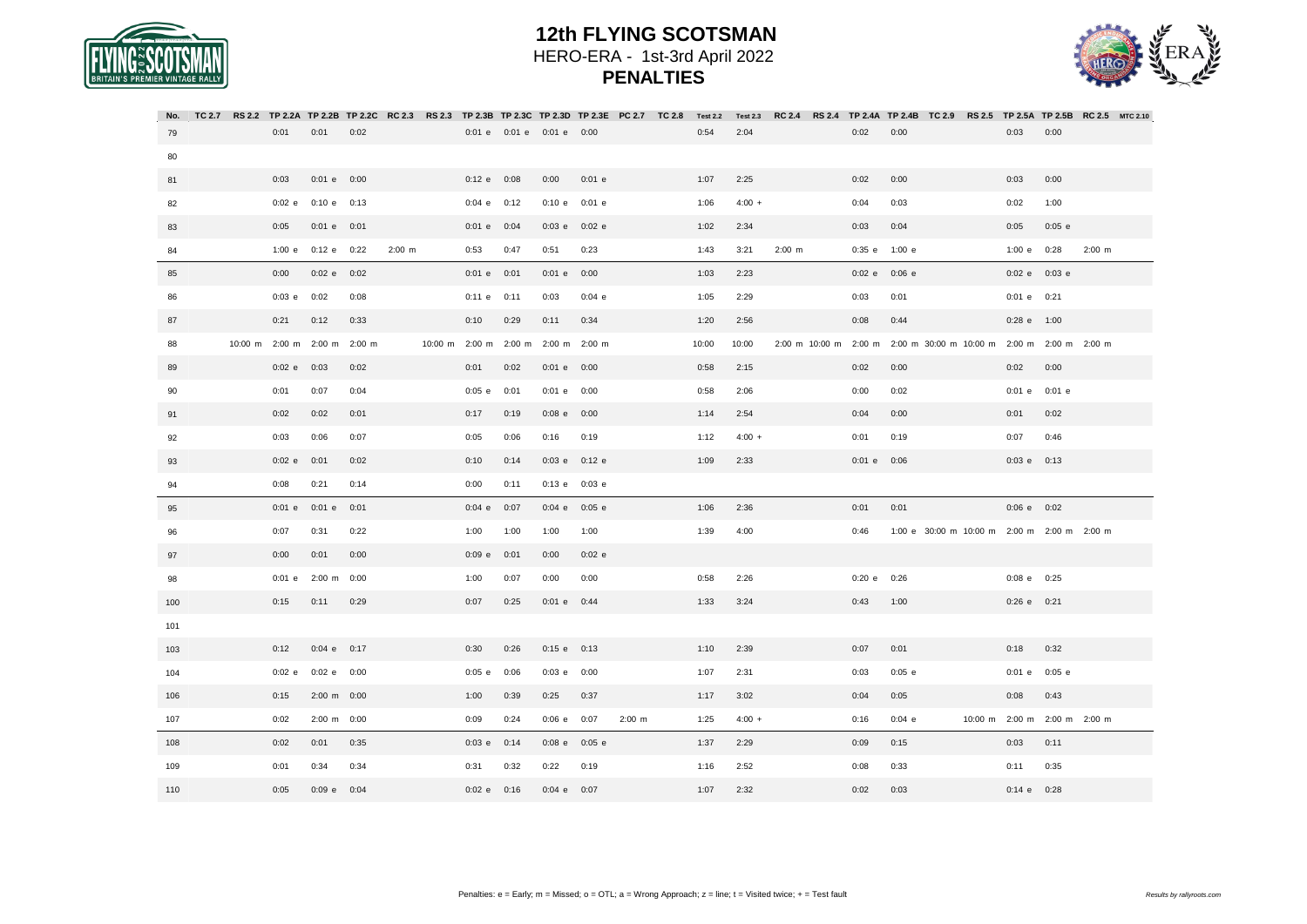



| No. | TC 2.7 | <b>RS 2.2</b> |                              |                          |      |             | TP 2.2A TP 2.2B TP 2.2C RC 2.3 RS 2.3 TP 2.3B TP 2.3C TP 2.3D TP 2.3E PC 2.7 TC 2.8 |                                     |                           |                 |                   |             | <b>Test 2.2</b> | <b>Test 2.3</b> | <b>RC 2.4</b>         |                 |          |                                             |                              |          | RS 2.4 TP 2.4A TP 2.4B TC 2.9 RS 2.5 TP 2.5A TP 2.5B RC 2.5 MTC 2.10 |
|-----|--------|---------------|------------------------------|--------------------------|------|-------------|-------------------------------------------------------------------------------------|-------------------------------------|---------------------------|-----------------|-------------------|-------------|-----------------|-----------------|-----------------------|-----------------|----------|---------------------------------------------|------------------------------|----------|----------------------------------------------------------------------|
| 79  |        |               | 0:01                         | 0:01                     | 0:02 |             |                                                                                     |                                     | 0:01 e 0:01 e 0:01 e 0:00 |                 |                   |             | 0:54            | 2:04            |                       | 0:02            | 0:00     |                                             | 0:03                         | 0:00     |                                                                      |
| 80  |        |               |                              |                          |      |             |                                                                                     |                                     |                           |                 |                   |             |                 |                 |                       |                 |          |                                             |                              |          |                                                                      |
| 81  |        |               | 0:03                         | $0:01$ e $0:00$          |      |             |                                                                                     | $0:12$ e $0:08$                     |                           | 0:00            | $0:01$ e          |             | 1:07            | 2:25            |                       | 0:02            | 0:00     |                                             | 0:03                         | 0:00     |                                                                      |
| 82  |        |               | 0:02 e                       | 0:10 e 0:13              |      |             |                                                                                     | $0:04$ e $0:12$                     |                           | 0:10 e          | $0:01$ e          |             | 1:06            | $4:00 +$        |                       | 0:04            | 0:03     |                                             | 0:02                         | 1:00     |                                                                      |
| 83  |        |               | 0:05                         | $0:01$ e $0:01$          |      |             |                                                                                     | $0:01$ e $0:04$                     |                           |                 | $0:03$ e $0:02$ e |             | 1:02            | 2:34            |                       | 0:03            | 0:04     |                                             | 0:05                         | $0:05$ e |                                                                      |
| 84  |        |               |                              | 1:00 e 0:12 e 0:22       |      | $2:00 \, m$ |                                                                                     | 0:53                                | 0:47                      | 0:51            | 0:23              |             | 1:43            | 3:21            | $2:00 \, m$           | 0:35 e          | 1:00 e   |                                             | 1:00 e 0:28                  |          | $2:00 \, m$                                                          |
| 85  |        |               | 0:00                         | 0:02e                    | 0:02 |             |                                                                                     | 0:01 e 0:01                         |                           | $0:01$ e $0:00$ |                   |             | 1:03            | 2:23            |                       | 0:02 e          | $0:06$ e |                                             | 0:02 e 0:03 e                |          |                                                                      |
| 86  |        |               | $0:03$ e $0:02$              |                          | 0:08 |             |                                                                                     | $0:11$ e $0:11$                     |                           | 0:03            | $0:04$ e          |             | 1:05            | 2:29            |                       | 0:03            | 0:01     |                                             | $0:01$ e $0:21$              |          |                                                                      |
| 87  |        |               | 0:21                         | 0:12                     | 0:33 |             |                                                                                     | 0:10                                | 0:29                      | 0:11            | 0:34              |             | 1:20            | 2:56            |                       | 0:08            | 0:44     |                                             | 0:28 e 1:00                  |          |                                                                      |
| 88  |        |               | 10:00 m 2:00 m 2:00 m 2:00 m |                          |      |             |                                                                                     | 10:00 m 2:00 m 2:00 m 2:00 m 2:00 m |                           |                 |                   |             | 10:00           | 10:00           | 2:00 m 10:00 m 2:00 m |                 |          | 2:00 m 30:00 m 10:00 m 2:00 m 2:00 m 2:00 m |                              |          |                                                                      |
| 89  |        |               | 0:02 e 0:03                  |                          | 0:02 |             |                                                                                     | 0:01                                | 0:02                      | $0:01$ e $0:00$ |                   |             | 0:58            | 2:15            |                       | 0:02            | 0:00     |                                             | 0:02                         | 0:00     |                                                                      |
| 90  |        |               | 0:01                         | 0:07                     | 0:04 |             |                                                                                     | $0:05$ e                            | 0:01                      | $0:01$ e $0:00$ |                   |             | 0:58            | 2:06            |                       | 0:00            | 0:02     |                                             | 0:01 e 0:01 e                |          |                                                                      |
| 91  |        |               | 0:02                         | 0:02                     | 0:01 |             |                                                                                     | 0:17                                | 0:19                      | $0:08$ e $0:00$ |                   |             | 1:14            | 2:54            |                       | 0:04            | 0:00     |                                             | 0:01                         | 0:02     |                                                                      |
| 92  |        |               | 0:03                         | 0:06                     | 0:07 |             |                                                                                     | 0:05                                | 0:06                      | 0:16            | 0:19              |             | 1:12            | $4:00 +$        |                       | 0:01            | 0:19     |                                             | 0:07                         | 0:46     |                                                                      |
| 93  |        |               | $0:02$ e $0:01$              |                          | 0:02 |             |                                                                                     | 0:10                                | 0:14                      |                 | 0:03 e 0:12 e     |             | 1:09            | 2:33            |                       | $0:01$ e $0:06$ |          |                                             | $0:03$ e $0:13$              |          |                                                                      |
| 94  |        |               | 0:08                         | 0:21                     | 0:14 |             |                                                                                     | 0:00                                | 0:11                      |                 | 0:13 e 0:03 e     |             |                 |                 |                       |                 |          |                                             |                              |          |                                                                      |
| 95  |        |               |                              | 0:01 e 0:01 e 0:01       |      |             |                                                                                     | $0:04$ e $0:07$                     |                           |                 | $0:04$ e $0:05$ e |             | 1:06            | 2:36            |                       | 0:01            | 0:01     |                                             | $0:06$ e $0:02$              |          |                                                                      |
| 96  |        |               | 0:07                         | 0:31                     | 0:22 |             |                                                                                     | 1:00                                | 1:00                      | 1:00            | 1:00              |             | 1:39            | 4:00            |                       | 0:46            |          | 1:00 e 30:00 m 10:00 m 2:00 m 2:00 m 2:00 m |                              |          |                                                                      |
| 97  |        |               | 0:00                         | 0:01                     | 0:00 |             |                                                                                     | 0:09 e 0:01                         |                           | 0:00            | $0:02$ e          |             |                 |                 |                       |                 |          |                                             |                              |          |                                                                      |
| 98  |        |               | $0:01$ e                     | 2:00 m 0:00              |      |             |                                                                                     | 1:00                                | 0:07                      | 0:00            | 0:00              |             | 0:58            | 2:26            |                       | 0:20 e          | 0:26     |                                             | 0:08 e 0:25                  |          |                                                                      |
| 100 |        |               | 0:15                         | 0:11                     | 0:29 |             |                                                                                     | 0:07                                | 0:25                      | $0:01$ e $0:44$ |                   |             | 1:33            | 3:24            |                       | 0:43            | 1:00     |                                             | $0:26$ e $0:21$              |          |                                                                      |
| 101 |        |               |                              |                          |      |             |                                                                                     |                                     |                           |                 |                   |             |                 |                 |                       |                 |          |                                             |                              |          |                                                                      |
| 103 |        |               | 0:12                         | $0:04$ e $0:17$          |      |             |                                                                                     | 0:30                                | 0:26                      | $0:15$ e $0:13$ |                   |             | 1:10            | 2:39            |                       | 0:07            | 0:01     |                                             | 0:18                         | 0:32     |                                                                      |
| 104 |        |               |                              | $0:02$ e $0:02$ e $0:00$ |      |             |                                                                                     | $0:05$ e $0:06$                     |                           | $0:03$ e $0:00$ |                   |             | 1:07            | 2:31            |                       | 0:03            | $0:05$ e |                                             | $0:01$ e $0:05$ e            |          |                                                                      |
| 106 |        |               | 0:15                         | 2:00 m 0:00              |      |             |                                                                                     | 1:00                                | 0:39                      | 0:25            | 0:37              |             | 1:17            | 3:02            |                       | 0:04            | 0:05     |                                             | 0:08                         | 0:43     |                                                                      |
| 107 |        |               | 0:02                         | 2:00 m 0:00              |      |             |                                                                                     | 0:09                                | 0:24                      | $0:06$ e $0:07$ |                   | $2:00 \, m$ | 1:25            | $4:00 +$        |                       | 0:16            | $0:04$ e |                                             | 10:00 m 2:00 m 2:00 m 2:00 m |          |                                                                      |
| 108 |        |               | 0:02                         | 0:01                     | 0:35 |             |                                                                                     | $0:03$ e $0:14$                     |                           | $0:08$ e        | $0:05$ e          |             | 1:37            | 2:29            |                       | 0:09            | 0:15     |                                             | 0:03                         | 0:11     |                                                                      |
| 109 |        |               | 0:01                         | 0:34                     | 0:34 |             |                                                                                     | 0:31                                | 0:32                      | 0:22            | 0:19              |             | 1:16            | 2:52            |                       | 0:08            | 0:33     |                                             | 0:11                         | 0:35     |                                                                      |
| 110 |        |               | 0:05                         | $0:09$ e $0:04$          |      |             |                                                                                     | $0:02$ e $0:16$                     |                           | $0:04$ e $0:07$ |                   |             | 1:07            | 2:32            |                       | 0:02            | 0:03     |                                             | $0:14$ e $0:28$              |          |                                                                      |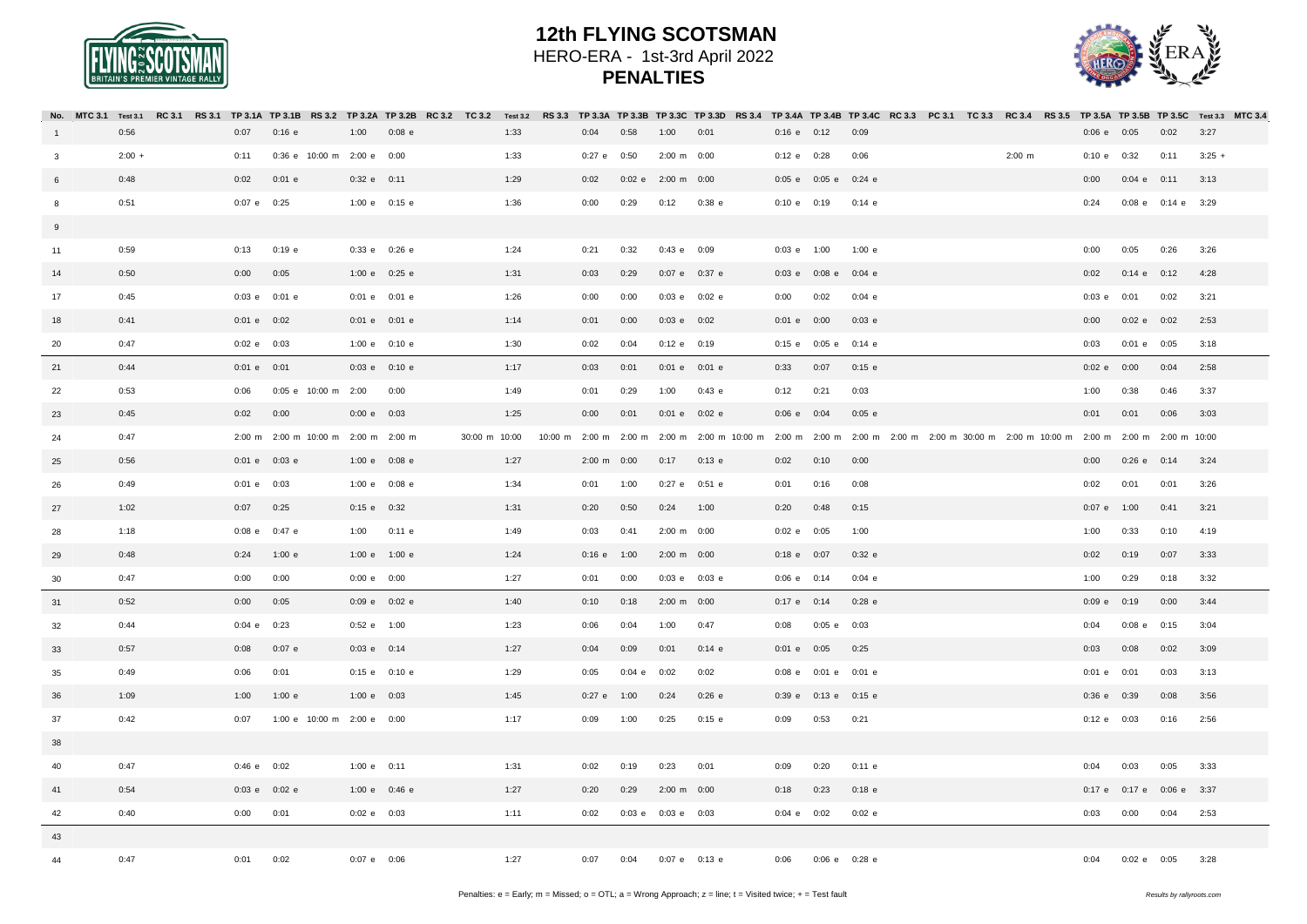



|                         |          |  |                   |                                     |                   |          |               |      |                       |                 |                       |          |                 |                            | No. MTC 3.1 Test 3.1 RC 3.1 RS 3.1 TP 3.1A TP 3.1B RS 3.2 TP 3.2A TP 3.2B RC 3.2 TC 3.2 Test 3.2 RS 3.3 TP 3.3B TP 3.3B TP 3.3D RS 3.4 TP 3.4B TP 3.4B TP 3.4B TP 3.4B TP 3.4B TC 3.3 PC 3.1 TC 3.3 RC 3.4 RS 3.5 TP 3.5B TP 3 |  |                    |                 |                 |                    |          |  |
|-------------------------|----------|--|-------------------|-------------------------------------|-------------------|----------|---------------|------|-----------------------|-----------------|-----------------------|----------|-----------------|----------------------------|--------------------------------------------------------------------------------------------------------------------------------------------------------------------------------------------------------------------------------|--|--------------------|-----------------|-----------------|--------------------|----------|--|
| $\overline{1}$          | 0:56     |  | 0:07              | 0:16 e                              | 1:00              | $0:08$ e |               | 1:33 | 0:04                  | 0:58            | 1:00                  | 0:01     | $0:16$ e $0:12$ |                            | 0:09                                                                                                                                                                                                                           |  |                    | $0:06$ e $0:05$ |                 | 0:02               | 3:27     |  |
| $\overline{\mathbf{3}}$ | $2:00 +$ |  | 0:11              | 0:36 e 10:00 m 2:00 e 0:00          |                   |          |               | 1:33 | $0:27$ e $0:50$       |                 | 2:00 m 0:00           |          | 0:12 e 0:28     |                            | 0:06                                                                                                                                                                                                                           |  | $2:00 \, \text{m}$ | 0:10 e 0:32     |                 | 0:11               | $3:25 +$ |  |
| 6                       | 0:48     |  | 0:02              | $0:01$ e                            | $0:32$ e $0:11$   |          |               | 1:29 | 0:02                  |                 | 0:02 e 2:00 m 0:00    |          |                 | 0:05 e 0:05 e 0:24 e       |                                                                                                                                                                                                                                |  |                    | 0:00            | $0:04$ e $0:11$ |                    | 3:13     |  |
| 8                       | 0:51     |  | $0:07$ e $0:25$   |                                     | 1:00 e 0:15 e     |          |               | 1:36 | 0:00                  | 0:29            | 0:12 0:38 e           |          | 0:10 e 0:19     |                            | $0:14$ e                                                                                                                                                                                                                       |  |                    | 0:24            |                 | 0:08 e 0:14 e 3:29 |          |  |
| 9                       |          |  |                   |                                     |                   |          |               |      |                       |                 |                       |          |                 |                            |                                                                                                                                                                                                                                |  |                    |                 |                 |                    |          |  |
| 11                      | 0:59     |  | 0:13              | $0:19$ e                            | 0:33 e 0:26 e     |          |               | 1:24 | 0:21                  | 0:32            | 0:43 e 0:09           |          | 0:03 e 1:00     |                            | 1:00 e                                                                                                                                                                                                                         |  |                    | 0:00            | 0:05            | 0:26               | 3:26     |  |
| 14                      | 0:50     |  | 0:00              | 0:05                                | 1:00 e 0:25 e     |          |               | 1:31 | 0:03                  | 0:29            | 0:07 e 0:37 e         |          |                 | 0:03 e 0:08 e 0:04 e       |                                                                                                                                                                                                                                |  |                    | 0:02            | $0:14$ e $0:12$ |                    | 4:28     |  |
| 17                      | 0:45     |  | $0:03$ e $0:01$ e |                                     | $0:01$ e $0:01$ e |          |               | 1:26 | 0:00                  | 0:00            | $0:03$ e $0:02$ e     |          | 0:00            | 0:02                       | $0:04$ e                                                                                                                                                                                                                       |  |                    | $0:03$ e        | 0:01            | 0:02               | 3:21     |  |
| 18                      | 0:41     |  | $0:01$ e $0:02$   |                                     | 0:01 e 0:01 e     |          |               | 1:14 | 0:01                  | 0:00            | $0:03$ e $0:02$       |          | $0:01$ e $0:00$ |                            | $0:03$ e                                                                                                                                                                                                                       |  |                    | 0:00            | 0:02 e 0:02     |                    | 2:53     |  |
| 20                      | 0:47     |  | $0:02$ e $0:03$   |                                     | 1:00 e 0:10 e     |          |               | 1:30 | 0:02                  | 0:04            | 0:12 e 0:19           |          |                 | 0:15 e 0:05 e 0:14 e       |                                                                                                                                                                                                                                |  |                    | 0:03            | $0:01$ e $0:05$ |                    | 3:18     |  |
| 21                      | 0:44     |  | $0:01$ e $0:01$   |                                     | 0:03 e 0:10 e     |          |               | 1:17 | 0:03                  | 0:01            | 0:01 e 0:01 e         |          | 0:33            | 0:07                       | $0:15$ e                                                                                                                                                                                                                       |  |                    | $0:02$ e        | 0:00            | 0:04               | 2:58     |  |
| 22                      | 0:53     |  | 0:06              | 0:05 e 10:00 m 2:00                 |                   | 0:00     |               | 1:49 | 0:01                  | 0:29            | 1:00                  | $0:43$ e | 0:12            | 0:21                       | 0:03                                                                                                                                                                                                                           |  |                    | 1:00            | 0:38            | 0:46               | 3:37     |  |
| 23                      | 0:45     |  | $0:02$ $0:00$     |                                     | 0:00 e 0:03       |          |               | 1:25 | 0:00                  | 0:01            | $0:01$ e $0:02$ e     |          | $0:06$ e $0:04$ |                            | $0:05$ e                                                                                                                                                                                                                       |  |                    | 0:01            | 0:01            | 0:06               | 3:03     |  |
| 24                      | 0:47     |  |                   | 2:00 m 2:00 m 10:00 m 2:00 m 2:00 m |                   |          | 30:00 m 10:00 |      |                       |                 |                       |          |                 |                            | 10:00 m 2:00 m 2:00 m 2:00 m 2:00 m 10:00 m 2:00 m 2:00 m 2:00 m 2:00 m 2:00 m 30:00 m 2:00 m 10:00 m 2:00 m 2:00 m 2:00 m 10:00                                                                                               |  |                    |                 |                 |                    |          |  |
| 25                      | 0:56     |  | 0:01 e 0:03 e     |                                     | 1:00 e 0:08 e     |          |               | 1:27 | $2:00 \text{ m}$ 0:00 |                 | $0:17$ $0:13$ e       |          | 0:02            | 0:10                       | 0:00                                                                                                                                                                                                                           |  |                    | 0:00            | $0:26$ e $0:14$ |                    | 3:24     |  |
| 26                      | 0:49     |  | $0:01$ e $0:03$   |                                     | 1:00 e 0:08 e     |          |               | 1:34 | 0:01                  | 1:00            | $0:27$ e $0:51$ e     |          | 0:01            | 0:16                       | 0:08                                                                                                                                                                                                                           |  |                    | 0:02            | 0:01            | 0:01               | 3:26     |  |
| 27                      | 1:02     |  | $0:07$ $0:25$     |                                     | $0:15$ e $0:32$   |          |               | 1:31 | 0:20                  | 0:50            | 0:24                  | 1:00     | 0:20            | 0:48                       | 0:15                                                                                                                                                                                                                           |  |                    | 0:07 e 1:00     |                 | 0:41               | 3:21     |  |
| 28                      | 1:18     |  | $0:08$ e $0:47$ e |                                     | 1:00 0:11 e       |          |               | 1:49 | 0:03                  | 0:41            | 2:00 m 0:00           |          | 0:02 e 0:05     |                            | 1:00                                                                                                                                                                                                                           |  |                    | 1:00            | 0:33            | 0:10               | 4:19     |  |
| 29                      | 0:48     |  | 0:24              | 1:00 e                              | 1:00 e 1:00 e     |          |               | 1:24 | $0:16$ e $1:00$       |                 | 2:00 m 0:00           |          | $0:18$ e $0:07$ |                            | 0:32 e                                                                                                                                                                                                                         |  |                    | 0:02            | 0:19            | 0:07               | 3:33     |  |
| 30                      | 0:47     |  | 0:00              | 0:00                                | $0:00$ e $0:00$   |          |               | 1:27 | 0:01                  | 0:00            | $0:03$ e $0:03$ e     |          | $0:06$ e $0:14$ |                            | $0:04$ e                                                                                                                                                                                                                       |  |                    | 1:00            | 0:29            | 0:18               | 3:32     |  |
| 31                      | 0:52     |  | 0:00              | 0:05                                | $0:09$ e $0:02$ e |          |               | 1:40 | 0:10                  | 0:18            | $2:00 \text{ m}$ 0:00 |          | $0:17$ e $0:14$ |                            | $0:28$ e                                                                                                                                                                                                                       |  |                    | $0:09$ e        | 0:19            | 0:00               | 3:44     |  |
| 32                      | 0:44     |  | $0:04$ e $0:23$   |                                     | $0:52 e$ 1:00     |          |               | 1:23 | 0:06                  | 0:04            | 1:00                  | 0:47     | 0:08            | $0:05$ e $0:03$            |                                                                                                                                                                                                                                |  |                    | 0:04            | $0:08$ e $0:15$ |                    | 3:04     |  |
| 33                      | 0:57     |  | 0:08              | $0:07$ e                            | $0:03$ e $0:14$   |          |               | 1:27 | 0:04                  | 0:09            | 0:01                  | $0:14$ e | $0:01$ e $0:05$ |                            | 0:25                                                                                                                                                                                                                           |  |                    | 0:03            | 0:08            | 0:02               | 3:09     |  |
| 35                      | 0:49     |  | 0:06              | 0:01                                | $0:15$ e $0:10$ e |          |               | 1:29 | 0:05                  | $0:04$ e $0:02$ |                       | 0:02     |                 | $0:08$ e $0:01$ e $0:01$ e |                                                                                                                                                                                                                                |  |                    | $0:01$ e $0:01$ |                 | 0:03               | 3:13     |  |
| 36                      | 1:09     |  | 1:00              | 1:00 e                              | 1:00 e 0:03       |          |               | 1:45 | $0:27$ e $1:00$       |                 | 0:24                  | $0:26$ e |                 | 0:39 e 0:13 e 0:15 e       |                                                                                                                                                                                                                                |  |                    | $0:36$ e $0:39$ |                 | 0:08               | 3:56     |  |
| 37                      | 0:42     |  | 0:07              | 1:00 e 10:00 m 2:00 e 0:00          |                   |          |               | 1:17 | 0:09                  | 1:00            | 0:25                  | $0:15$ e | 0:09            | 0:53                       | 0:21                                                                                                                                                                                                                           |  |                    | 0:12 e 0:03     |                 | 0:16               | 2:56     |  |
| 38                      |          |  |                   |                                     |                   |          |               |      |                       |                 |                       |          |                 |                            |                                                                                                                                                                                                                                |  |                    |                 |                 |                    |          |  |
| 40                      | 0:47     |  | $0:46$ e $0:02$   |                                     | 1:00 e 0:11       |          |               | 1:31 | 0:02                  | 0:19            | 0:23                  | 0:01     | 0:09            | 0:20                       | $0:11$ e                                                                                                                                                                                                                       |  |                    | 0:04            | 0:03            | 0:05               | 3:33     |  |
| 41                      | 0:54     |  | $0:03$ e $0:02$ e |                                     | 1:00 e 0:46 e     |          |               | 1:27 | 0:20                  | 0:29            | 2:00 m 0:00           |          | 0:18            | 0:23                       | $0:18$ e                                                                                                                                                                                                                       |  |                    | $0:17$ e        |                 | 0:17 e 0:06 e 3:37 |          |  |
| 42                      | 0:40     |  | $0:00$ $0:01$     |                                     | $0:02$ e $0:03$   |          |               | 1:11 | 0:02                  |                 | 0:03 e 0:03 e 0:03    |          | $0:04$ e $0:02$ |                            | $0:02$ e                                                                                                                                                                                                                       |  |                    | 0:03            | 0:00            | 0:04               | 2:53     |  |
| 43                      |          |  |                   |                                     |                   |          |               |      |                       |                 |                       |          |                 |                            |                                                                                                                                                                                                                                |  |                    |                 |                 |                    |          |  |
| 44                      | 0:47     |  | 0:01              | 0:02                                | $0:07$ e $0:06$   |          |               | 1:27 | 0:07                  | 0:04            | 0:07 e 0:13 e         |          | 0:06            | 0:06 e 0:28 e              |                                                                                                                                                                                                                                |  |                    | 0:04            | 0:02 e 0:05     |                    | 3:28     |  |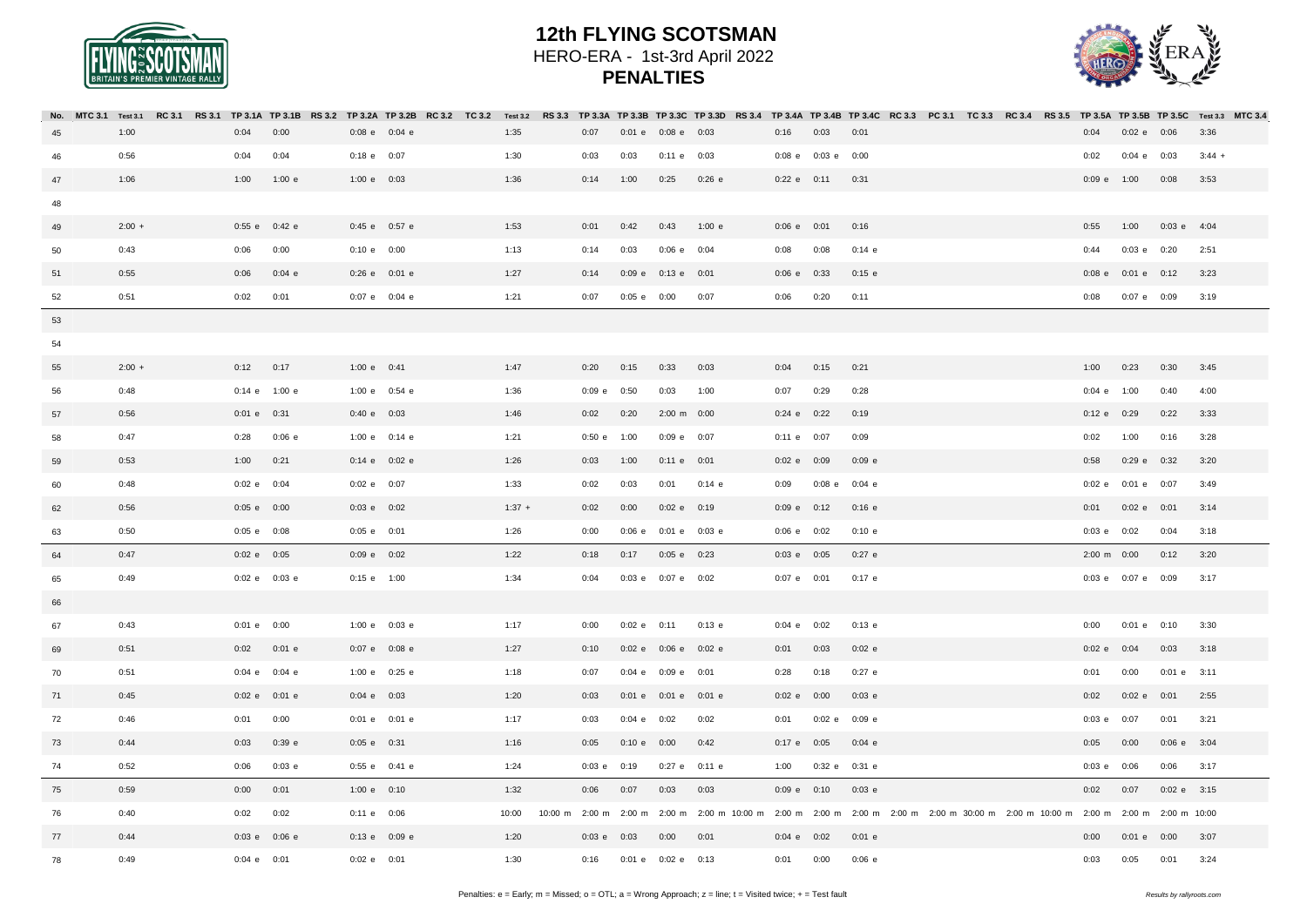

|    |          |  |                 |                   |                   |  |          |                 |                 |                         |          |                 |                    | No. MTC 3.1 Test 3.1 RC 3.1 RS 3.1 TP 3.1A TP 3.1B RS 3.2 TP 3.2A TP 3.2B RC 3.2 TC 3.2 Test 3.2 RS 3.3 TP 3.3A TP 3.3D TP 3.3D RS 3.4 TP 3.4A TP 3.4A TP 3.4B TP 3.4B TP 3.4C RC 3.3 PC 3.1 RC 3.4 RS 3.5 TP 3.5A TP 3.5B TP |  |                       |                          |                         |          |  |
|----|----------|--|-----------------|-------------------|-------------------|--|----------|-----------------|-----------------|-------------------------|----------|-----------------|--------------------|-------------------------------------------------------------------------------------------------------------------------------------------------------------------------------------------------------------------------------|--|-----------------------|--------------------------|-------------------------|----------|--|
| 45 | 1:00     |  | 0:04            | 0:00              | $0:08$ e $0:04$ e |  | 1:35     | 0:07            |                 | 0:01 e 0:08 e 0:03      |          | 0:16            | $0:03$ $0:01$      |                                                                                                                                                                                                                               |  | 0:04                  | 0:02 e 0:06              |                         | 3:36     |  |
| 46 | 0:56     |  | 0:04            | 0:04              | $0:18$ e $0:07$   |  | 1:30     | 0:03            | 0:03            | 0:11 e 0:03             |          |                 | 0:08 e 0:03 e 0:00 |                                                                                                                                                                                                                               |  | 0:02                  | $0:04$ e $0:03$          |                         | $3:44 +$ |  |
| 47 | 1:06     |  | 1:00            | 1:00 e            | 1:00 e 0:03       |  | 1:36     | 0:14            | 1:00            | 0:25                    | $0:26$ e | $0:22$ e $0:11$ |                    | 0:31                                                                                                                                                                                                                          |  | $0:09$ e $1:00$       |                          | 0:08                    | 3:53     |  |
| 48 |          |  |                 |                   |                   |  |          |                 |                 |                         |          |                 |                    |                                                                                                                                                                                                                               |  |                       |                          |                         |          |  |
| 49 | $2:00 +$ |  |                 | 0:55 e 0:42 e     | 0:45 e 0:57 e     |  | 1:53     | 0:01            | 0:42            | 0:43                    | 1:00 e   | $0:06$ e $0:01$ |                    | 0:16                                                                                                                                                                                                                          |  | 0:55                  | 1:00                     | $0:03$ e 4:04           |          |  |
| 50 | 0:43     |  | 0:06            | 0:00              | 0:10 e 0:00       |  | 1:13     | 0:14            | 0:03            | $0:06$ e $0:04$         |          | 0:08            | 0:08               | $0:14$ e                                                                                                                                                                                                                      |  | 0:44                  | $0:03$ e $0:20$          |                         | 2:51     |  |
| 51 | 0:55     |  | 0:06            | $0:04$ e          | $0:26$ e $0:01$ e |  | 1:27     | 0:14            |                 | 0:09 e 0:13 e 0:01      |          | $0:06$ e $0:33$ |                    | $0:15$ e                                                                                                                                                                                                                      |  |                       | $0:08$ e $0:01$ e $0:12$ |                         | 3:23     |  |
| 52 | 0:51     |  | 0:02            | 0:01              | 0:07 e 0:04 e     |  | 1:21     | 0:07            | $0:05$ e $0:00$ |                         | 0:07     | 0:06            | 0:20               | 0:11                                                                                                                                                                                                                          |  | 0:08                  | 0:07 e 0:09              |                         | 3:19     |  |
| 53 |          |  |                 |                   |                   |  |          |                 |                 |                         |          |                 |                    |                                                                                                                                                                                                                               |  |                       |                          |                         |          |  |
| 54 |          |  |                 |                   |                   |  |          |                 |                 |                         |          |                 |                    |                                                                                                                                                                                                                               |  |                       |                          |                         |          |  |
| 55 | $2:00 +$ |  | $0:12$ $0:17$   |                   | 1:00 $e$ 0:41     |  | 1:47     | 0:20            | 0:15            | 0:33                    | 0:03     | 0:04            | 0:15               | 0:21                                                                                                                                                                                                                          |  | 1:00                  | 0:23                     | 0:30                    | 3:45     |  |
| 56 | 0:48     |  |                 | $0:14$ e 1:00 e   | 1:00 e 0:54 e     |  | 1:36     | $0:09$ e $0:50$ |                 | 0:03                    | 1:00     | 0:07            | 0:29               | 0:28                                                                                                                                                                                                                          |  | $0:04$ e $1:00$       |                          | 0:40                    | 4:00     |  |
| 57 | 0:56     |  | 0:01 e 0:31     |                   | 0:40 e 0:03       |  | 1:46     | 0:02            | 0:20            | 2:00 m 0:00             |          | $0:24$ e $0:22$ |                    | 0:19                                                                                                                                                                                                                          |  | 0:12 e 0:29           |                          | 0:22                    | 3:33     |  |
| 58 | 0:47     |  | 0:28            | $0:06$ e          | 1:00 e 0:14 e     |  | 1:21     | $0:50 e$ 1:00   |                 | $0:09$ e $0:07$         |          | $0:11$ e $0:07$ |                    | 0:09                                                                                                                                                                                                                          |  | 0:02                  | 1:00                     | 0:16                    | 3:28     |  |
| 59 | 0:53     |  | $1:00$ $0:21$   |                   | $0:14$ e $0:02$ e |  | 1:26     | 0:03            | 1:00            | $0:11$ e $0:01$         |          | 0:02 e 0:09     |                    | 0:09 e                                                                                                                                                                                                                        |  | 0:58                  | $0:29$ e $0:32$          |                         | 3:20     |  |
| 60 | 0:48     |  | 0:02 e 0:04     |                   | 0:02 e 0:07       |  | 1:33     | 0:02            | 0:03            | 0:01                    | $0:14$ e | 0:09            |                    | $0:08$ e $0:04$ e                                                                                                                                                                                                             |  |                       | $0:02$ e $0:01$ e $0:07$ |                         | 3:49     |  |
| 62 | 0:56     |  | 0:05 e 0:00     |                   | $0:03$ e $0:02$   |  | $1:37 +$ | 0:02            | 0:00            | $0:02$ e $0:19$         |          | $0:09$ e $0:12$ |                    | 0:16 e                                                                                                                                                                                                                        |  | 0:01                  | 0:02 e 0:01              |                         | 3:14     |  |
| 63 | 0:50     |  | $0:05$ e $0:08$ |                   | $0:05$ e $0:01$   |  | 1:26     | 0:00            |                 | 0:06 e 0:01 e 0:03 e    |          | $0:06$ e $0:02$ |                    | 0:10 e                                                                                                                                                                                                                        |  | $0:03$ e $0:02$       |                          | 0:04                    | 3:18     |  |
| 64 | 0:47     |  | 0:02 e 0:05     |                   | $0:09$ e $0:02$   |  | 1:22     | 0:18            | 0:17            | $0:05$ e $0:23$         |          | $0:03$ e $0:05$ |                    | $0:27$ e                                                                                                                                                                                                                      |  | $2:00 \text{ m}$ 0:00 |                          | 0:12                    | 3:20     |  |
| 65 | 0:49     |  |                 | $0:02$ e $0:03$ e | $0:15$ e $1:00$   |  | 1:34     | 0:04            |                 | 0:03 e 0:07 e 0:02      |          | $0:07$ e $0:01$ |                    | $0:17$ e                                                                                                                                                                                                                      |  |                       |                          | 0:03 e 0:07 e 0:09 3:17 |          |  |
| 66 |          |  |                 |                   |                   |  |          |                 |                 |                         |          |                 |                    |                                                                                                                                                                                                                               |  |                       |                          |                         |          |  |
| 67 | 0:43     |  | $0:01$ e $0:00$ |                   | $1:00 e$ 0:03 e   |  | 1:17     | 0:00            | $0:02$ e $0:11$ |                         | $0:13$ e | $0:04$ e $0:02$ |                    | $0:13$ e                                                                                                                                                                                                                      |  | 0:00                  | $0:01$ e $0:10$          |                         | 3:30     |  |
| 69 | 0:51     |  |                 | $0:02$ $0:01$ e   | $0:07$ e $0:08$ e |  | 1:27     | 0:10            |                 | 0:02 e 0:06 e 0:02 e    |          | 0:01            | 0:03               | $0:02$ e                                                                                                                                                                                                                      |  | 0:02 e 0:04           |                          | 0:03                    | 3:18     |  |
| 70 | 0:51     |  |                 | 0:04 e 0:04 e     | 1:00 e 0:25 e     |  | 1:18     | 0:07            |                 | 0:04 e 0:09 e 0:01      |          | 0:28            | 0:18               | $0:27$ e                                                                                                                                                                                                                      |  | 0:01                  | 0:00                     | $0:01$ e $3:11$         |          |  |
| 71 | 0:45     |  |                 | 0:02 e 0:01 e     | $0:04$ e $0:03$   |  | 1:20     | 0:03            |                 | 0:01 e 0:01 e 0:01 e    |          | 0:02 e 0:00     |                    | $0:03$ e                                                                                                                                                                                                                      |  | 0:02                  | $0:02$ e $0:01$          |                         | 2:55     |  |
| 72 | 0:46     |  | 0:01            | 0:00              | 0:01 e 0:01 e     |  | 1:17     | 0:03            | $0:04$ e $0:02$ |                         | 0:02     | 0:01            | 0:02 e 0:09 e      |                                                                                                                                                                                                                               |  | $0:03$ e $0:07$       |                          | 0:01                    | 3:21     |  |
| 73 | 0:44     |  | 0:03            | 0:39 e            | $0:05 e$ 0:31     |  | 1:16     | 0:05            | 0:10 e 0:00     |                         | 0:42     | $0:17$ e $0:05$ |                    | $0:04$ e                                                                                                                                                                                                                      |  | 0:05                  | 0:00                     | $0:06$ e $3:04$         |          |  |
| 74 | 0:52     |  | 0:06            | $0:03$ e          | $0:55$ e $0:41$ e |  | 1:24     | $0:03$ e $0:19$ |                 | 0:27 e 0:11 e           |          | 1:00            | 0:32 e 0:31 e      |                                                                                                                                                                                                                               |  | $0:03$ e $0:06$       |                          | $0:06$ $3:17$           |          |  |
| 75 | 0:59     |  | 0:00            | 0:01              | 1:00 e 0:10       |  | 1:32     | 0:06            | 0:07            | 0:03                    | 0:03     | $0:09$ e $0:10$ |                    | $0:03$ e                                                                                                                                                                                                                      |  | 0:02                  | 0:07                     | $0:02 e$ 3:15           |          |  |
| 76 | 0:40     |  | 0:02            | 0:02              | $0:11$ e $0:06$   |  | 10:00    |                 |                 |                         |          |                 |                    | 10:00 m 2:00 m 2:00 m 2:00 m 2:00 m 10:00 m 2:00 m 2:00 m 2:00 m 2:00 m 2:00 m 2:00 m 30:00 m 2:00 m 10:00 m 2:00 m 2:00 m 10:00                                                                                              |  |                       |                          |                         |          |  |
| 77 | 0:44     |  |                 | $0:03$ e $0:06$ e | $0:13$ e $0:09$ e |  | 1:20     | $0:03$ e $0:03$ |                 | 0:00                    | 0:01     | $0:04$ e $0:02$ |                    | $0:01$ e                                                                                                                                                                                                                      |  | 0:00                  |                          | 0:01 e 0:00 3:07        |          |  |
| 78 | 0:49     |  | $0:04$ e $0:01$ |                   | 0:02 e 0:01       |  | 1:30     |                 |                 | 0:16 0:01 e 0:02 e 0:13 |          | 0:01            | 0:00               | 0:06 e                                                                                                                                                                                                                        |  | 0:03                  | 0:05                     | 0:01                    | 3:24     |  |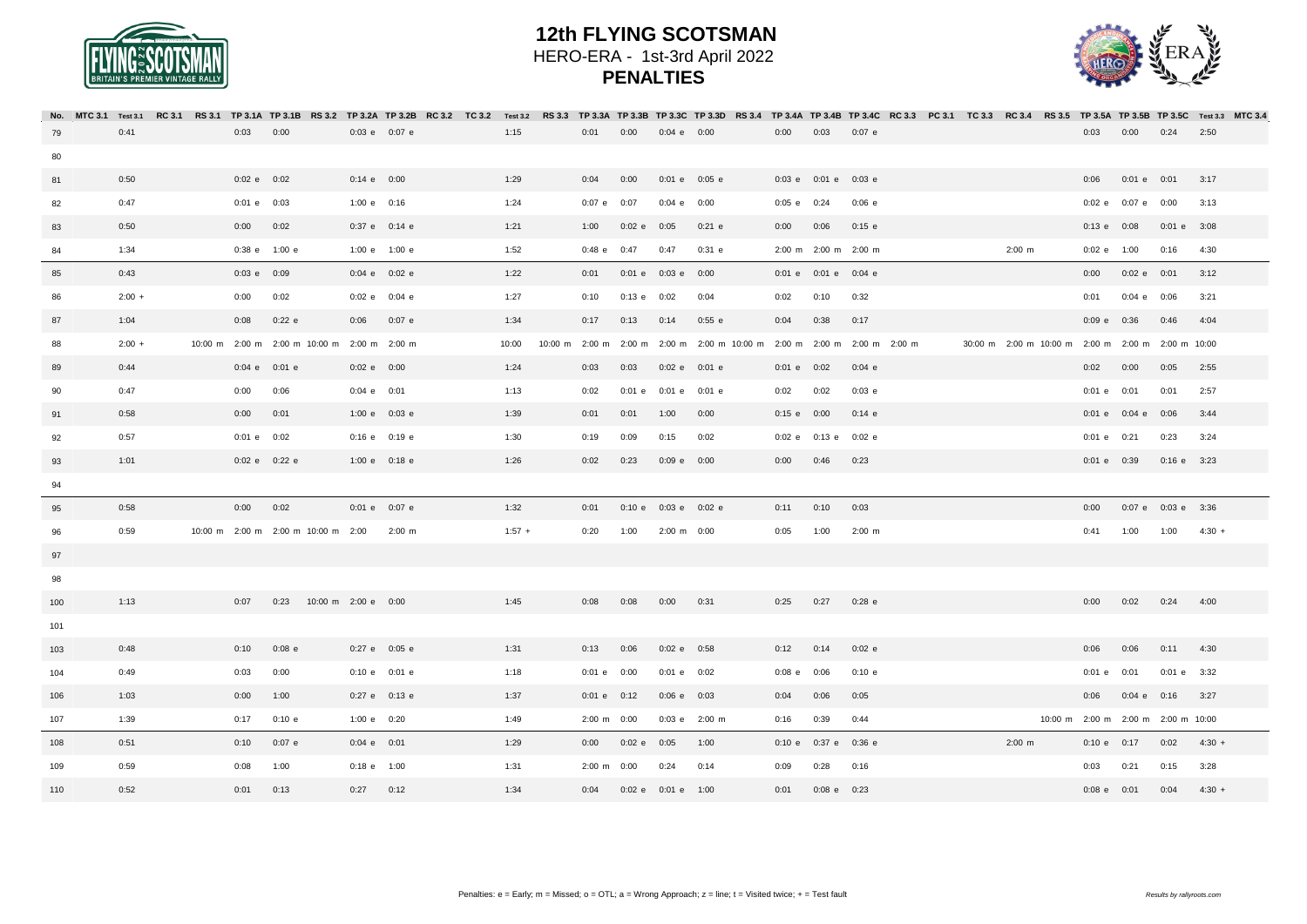



|     |          | No. MTC3.1 Test3.1 RC3.1 RS3.1 TP3.1A TP3.1A RS3.2 TP3.2A TP3.2A TP3.2B RC3.2 TC3.2 Test3.2 RS3.3 TP3.3B TP3.3B TP3.3D RS3.4 TP3.4B TP3.4B TP3.4C RC3.3 PC3.1 TC3.3 RC3.4 RS3.5 TP3.5B TP3.5B TP3.5B TP3.5C Test3.3 MTC3.4 |                 |                   |                                             |                   |             |          |                       |                    |                      |                                                                         |          |                        |                    |  |                                                   |                    |                          |                                    |          |  |
|-----|----------|----------------------------------------------------------------------------------------------------------------------------------------------------------------------------------------------------------------------------|-----------------|-------------------|---------------------------------------------|-------------------|-------------|----------|-----------------------|--------------------|----------------------|-------------------------------------------------------------------------|----------|------------------------|--------------------|--|---------------------------------------------------|--------------------|--------------------------|------------------------------------|----------|--|
| 79  | 0:41     |                                                                                                                                                                                                                            | $0:03$ $0:00$   |                   |                                             | $0:03$ e $0:07$ e |             | 1:15     | 0:01                  | 0:00               | $0:04$ e $0:00$      |                                                                         | 0:00     | 0:03                   | $0:07$ e           |  |                                                   | 0.03               | 0:00                     | 0:24                               | 2:50     |  |
| 80  |          |                                                                                                                                                                                                                            |                 |                   |                                             |                   |             |          |                       |                    |                      |                                                                         |          |                        |                    |  |                                                   |                    |                          |                                    |          |  |
| 81  | 0:50     |                                                                                                                                                                                                                            | $0:02$ e $0:02$ |                   |                                             | $0:14$ e $0:00$   |             | 1:29     | 0:04                  | 0:00               | $0:01$ e $0:05$ e    |                                                                         |          | 0:03 e 0:01 e 0:03 e   |                    |  |                                                   | 0:06               | $0:01$ e $0:01$          |                                    | 3:17     |  |
| 82  | 0:47     |                                                                                                                                                                                                                            | $0:01$ e $0:03$ |                   |                                             | 1:00 e 0:16       |             | 1:24     | $0:07$ e $0:07$       |                    | $0:04$ e $0:00$      |                                                                         |          | $0:05$ e $0:24$        | 0:06 e             |  |                                                   | 0:02 e 0:07 e 0:00 |                          |                                    | 3:13     |  |
| 83  | 0:50     |                                                                                                                                                                                                                            | $0:00$ $0:02$   |                   |                                             | $0:37$ e $0:14$ e |             | 1:21     | 1:00                  | $0:02$ e $0:05$    |                      | $0:21$ e                                                                | 0:00     | 0:06                   | $0:15$ e           |  |                                                   | $0:13$ e $0:08$    |                          | $0:01$ e $3:08$                    |          |  |
| 84  | 1:34     |                                                                                                                                                                                                                            |                 | 0:38 e 1:00 e     |                                             | 1:00 e 1:00 e     |             | 1:52     | $0:48$ e $0:47$       |                    | 0:47 0:31 e          |                                                                         |          | 2:00 m 2:00 m 2:00 m   |                    |  | $2:00 \, m$                                       | $0:02$ e $1:00$    |                          | $0:16$ 4:30                        |          |  |
| 85  | 0:43     |                                                                                                                                                                                                                            | $0:03$ e $0:09$ |                   |                                             | $0:04$ e $0:02$ e |             | 1:22     | 0:01                  | 0:01 e 0:03 e 0:00 |                      |                                                                         |          | 0:01 e 0:01 e 0:04 e   |                    |  |                                                   | 0:00               | 0:02 e 0:01              |                                    | 3:12     |  |
| 86  | $2:00 +$ |                                                                                                                                                                                                                            | $0:00$ $0:02$   |                   |                                             | $0:02$ e $0:04$ e |             | 1:27     | 0:10                  | $0:13$ e $0:02$    |                      | 0:04                                                                    | 0:02     | 0:10                   | 0:32               |  |                                                   | 0:01               | $0:04$ e $0:06$          |                                    | 3:21     |  |
| 87  | 1:04     |                                                                                                                                                                                                                            | 0:08            | $0:22$ e          |                                             | $0:06$ $0:07$ e   |             | 1:34     | 0:17                  | 0:13               | 0:14                 | 0:55 e                                                                  | 0:04     | 0:38                   | 0:17               |  |                                                   | $0:09$ e $0:36$    |                          | 0:46                               | 4:04     |  |
| 88  | $2:00 +$ |                                                                                                                                                                                                                            |                 |                   | 10:00 m 2:00 m 2:00 m 10:00 m 2:00 m 2:00 m |                   |             | 10:00    |                       |                    |                      | 10:00 m 2:00 m 2:00 m 2:00 m 2:00 m 10:00 m 2:00 m 2:00 m 2:00 m 2:00 m |          |                        |                    |  | 30:00 m 2:00 m 10:00 m 2:00 m 2:00 m 2:00 m 10:00 |                    |                          |                                    |          |  |
| 89  | 0:44     |                                                                                                                                                                                                                            |                 | $0:04$ e $0:01$ e |                                             | $0:02$ e $0:00$   |             | 1:24     | 0:03                  | 0:03               | $0:02$ e $0:01$ e    |                                                                         |          | $0:01$ e $0:02$        | $0:04$ e           |  |                                                   | 0:02               | 0:00                     | 0:05                               | 2:55     |  |
| 90  | 0:47     |                                                                                                                                                                                                                            | 0:00            | 0:06              |                                             | $0:04$ e $0:01$   |             | 1:13     | 0:02                  |                    | 0:01 e 0:01 e 0:01 e |                                                                         | 0:02     | 0:02                   | $0:03$ e           |  |                                                   | $0:01$ e $0:01$    |                          | 0:01                               | 2:57     |  |
| 91  | 0:58     |                                                                                                                                                                                                                            | $0:00$ $0:01$   |                   |                                             | $1:00 e$ 0:03 e   |             | 1:39     | 0:01                  | 0:01               | 1:00                 | 0:00                                                                    |          | $0:15$ e $0:00$        | $0:14$ e           |  |                                                   |                    | $0:01$ e $0:04$ e $0:06$ |                                    | 3:44     |  |
| 92  | 0:57     |                                                                                                                                                                                                                            | $0:01$ e $0:02$ |                   |                                             | $0:16$ e $0:19$ e |             | 1:30     | 0:19                  | 0:09               | 0:15                 | 0:02                                                                    |          | 0:02 e 0:13 e 0:02 e   |                    |  |                                                   | $0:01$ e $0:21$    |                          | 0:23                               | 3:24     |  |
| 93  | 1:01     |                                                                                                                                                                                                                            |                 | 0:02 e 0:22 e     |                                             | 1:00 e 0:18 e     |             | 1:26     | 0:02                  | 0:23               | $0:09$ e $0:00$      |                                                                         |          | $0:00$ $0:46$          | 0:23               |  |                                                   | $0:01$ e $0:39$    |                          | $0:16$ e $3:23$                    |          |  |
| 94  |          |                                                                                                                                                                                                                            |                 |                   |                                             |                   |             |          |                       |                    |                      |                                                                         |          |                        |                    |  |                                                   |                    |                          |                                    |          |  |
| 95  | 0:58     |                                                                                                                                                                                                                            | $0:00$ $0:02$   |                   |                                             | $0:01$ e $0:07$ e |             | 1:32     | 0:01                  |                    | 0:10 e 0:03 e 0:02 e |                                                                         | 0:11     | 0:10                   | 0:03               |  |                                                   | 0:00               |                          | 0:07 e 0:03 e 3:36                 |          |  |
| 96  | 0:59     |                                                                                                                                                                                                                            |                 |                   | 10:00 m 2:00 m 2:00 m 10:00 m 2:00          |                   | $2:00 \, m$ | $1:57 +$ | 0:20                  | 1:00               | 2:00 m 0:00          |                                                                         | 0:05     | 1:00                   | $2:00 \, \text{m}$ |  |                                                   | 0:41               | 1:00                     | 1:00                               | $4:30 +$ |  |
| 97  |          |                                                                                                                                                                                                                            |                 |                   |                                             |                   |             |          |                       |                    |                      |                                                                         |          |                        |                    |  |                                                   |                    |                          |                                    |          |  |
| 98  |          |                                                                                                                                                                                                                            |                 |                   |                                             |                   |             |          |                       |                    |                      |                                                                         |          |                        |                    |  |                                                   |                    |                          |                                    |          |  |
| 100 | 1:13     |                                                                                                                                                                                                                            |                 |                   | 0:07 0:23 10:00 m 2:00 e 0:00               |                   |             | 1:45     | $0:08$ $0:08$         |                    | $0:00$ $0:31$        |                                                                         |          | $0:25$ $0:27$          | $0:28$ e           |  |                                                   | 0:00               |                          | $0:02$ $0:24$ $4:00$               |          |  |
| 101 |          |                                                                                                                                                                                                                            |                 |                   |                                             |                   |             |          |                       |                    |                      |                                                                         |          |                        |                    |  |                                                   |                    |                          |                                    |          |  |
| 103 | 0:48     |                                                                                                                                                                                                                            | 0:10            | $0:08$ e          |                                             | 0:27 e 0:05 e     |             | 1:31     | 0:13                  | 0:06               | $0:02$ e $0:58$      |                                                                         | 0:12     | 0:14                   | $0:02$ e           |  |                                                   | 0:06               | 0:06                     | $0:11$ 4:30                        |          |  |
| 104 | 0:49     |                                                                                                                                                                                                                            | 0:03            | 0:00              |                                             | 0:10 e 0:01 e     |             | 1:18     | $0:01$ e $0:00$       |                    | $0:01$ e $0:02$      |                                                                         | $0:08$ e | 0:06                   | 0:10 e             |  |                                                   | $0:01$ e $0:01$    |                          | $0:01$ e $3:32$                    |          |  |
| 106 | 1:03     |                                                                                                                                                                                                                            | $0:00$ 1:00     |                   |                                             | 0:27 e 0:13 e     |             | 1:37     | $0:01$ e $0:12$       |                    | $0:06$ e $0:03$      |                                                                         | 0:04     | 0:06                   | 0:05               |  |                                                   | 0:06               |                          | $0:04$ e $0:16$ $3:27$             |          |  |
| 107 | 1:39     |                                                                                                                                                                                                                            |                 | 0:17 0:10 e       |                                             | 1:00 $e$ 0:20     |             | 1:49     | $2:00 \text{ m}$ 0:00 |                    | 0:03 e 2:00 m        |                                                                         | 0:16     | 0:39                   | 0:44               |  |                                                   |                    |                          | 10:00 m 2:00 m 2:00 m 2:00 m 10:00 |          |  |
| 108 | 0:51     |                                                                                                                                                                                                                            |                 | 0:10 0:07 e       |                                             | $0:04$ e $0:01$   |             | 1:29     | 0:00                  | 0:02 e 0:05        |                      | 1:00                                                                    |          | 0:10 e 0:37 e 0:36 e   |                    |  | $2:00 \, \text{m}$                                | 0:10 e 0:17        |                          | 0:02                               | $4:30 +$ |  |
| 109 | 0:59     |                                                                                                                                                                                                                            | 0:08            | 1:00              |                                             | $0:18$ e $1:00$   |             | 1:31     | $2:00 \text{ m}$ 0:00 |                    | 0:24                 | 0:14                                                                    | 0:09     | 0:28                   | 0:16               |  |                                                   | 0:03               | 0:21                     | 0:15                               | 3:28     |  |
| 110 | 0:52     |                                                                                                                                                                                                                            | $0:01$ $0:13$   |                   |                                             | $0:27$ $0:12$     |             | 1:34     | 0:04                  | 0:02 e 0:01 e 1:00 |                      |                                                                         |          | $0:01$ $0:08$ e $0:23$ |                    |  |                                                   |                    | $0:08$ e $0:01$ 0:04     |                                    | $4:30 +$ |  |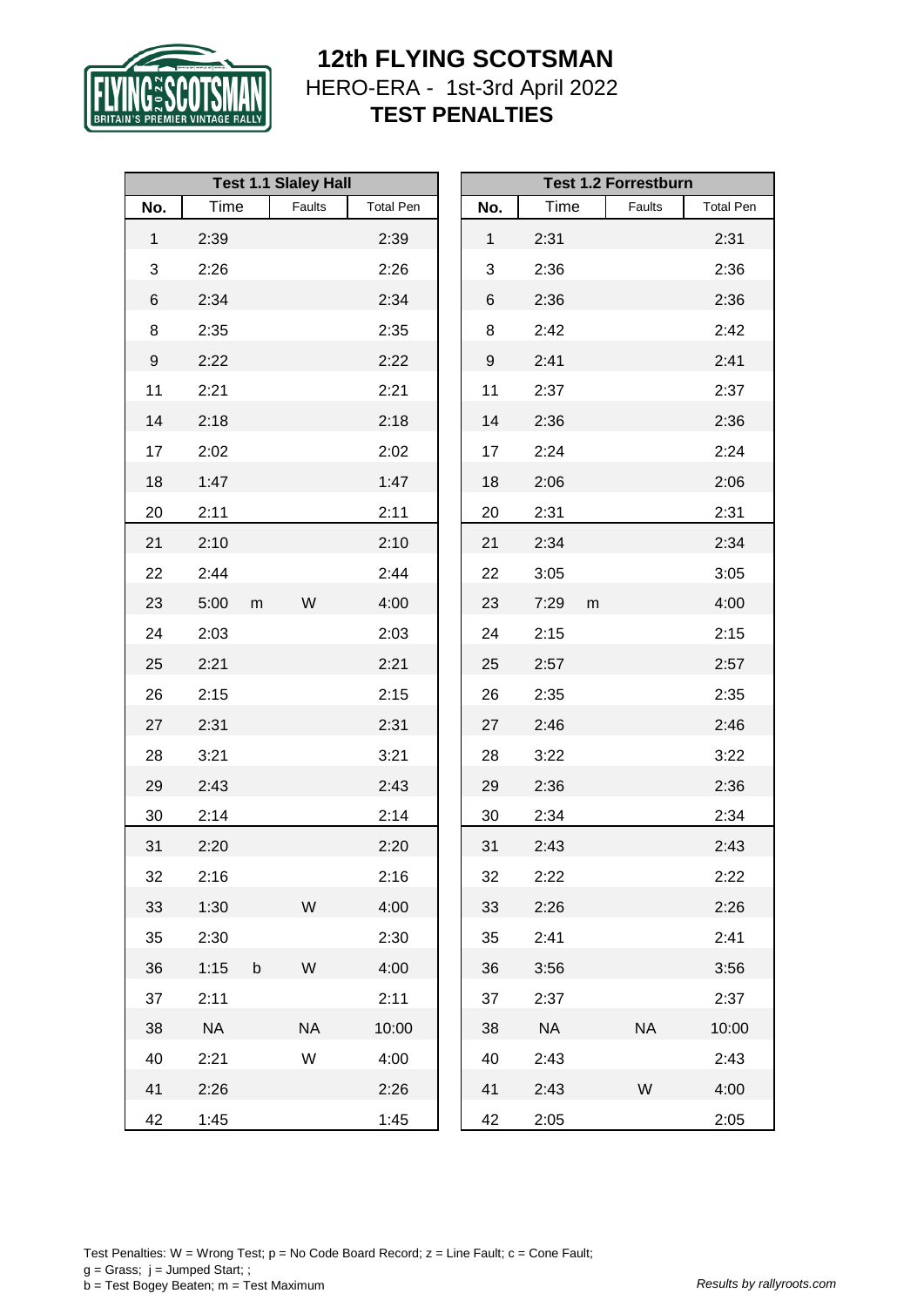

|              |           |             | <b>Test 1.1 Slaley Hall</b> |                  |              |           |           | <b>Test 1.2 Forrestburn</b> |                  |
|--------------|-----------|-------------|-----------------------------|------------------|--------------|-----------|-----------|-----------------------------|------------------|
| No.          | Time      |             | Faults                      | <b>Total Pen</b> | No.          | Time      |           | Faults                      | <b>Total Pen</b> |
| $\mathbf{1}$ | 2:39      |             |                             | 2:39             | $\mathbf{1}$ | 2:31      |           |                             | 2:31             |
| 3            | 2:26      |             |                             | 2:26             | 3            | 2:36      |           |                             | 2:36             |
| 6            | 2:34      |             |                             | 2:34             | 6            | 2:36      |           |                             | 2:36             |
| 8            | 2:35      |             |                             | 2:35             | 8            | 2:42      |           |                             | 2:42             |
| 9            | 2:22      |             |                             | 2:22             | 9            | 2:41      |           |                             | 2:41             |
| 11           | 2:21      |             |                             | 2:21             | 11           | 2:37      |           |                             | 2:37             |
| 14           | 2:18      |             |                             | 2:18             | 14           | 2:36      |           |                             | 2:36             |
| 17           | 2:02      |             |                             | 2:02             | 17           | 2:24      |           |                             | 2:24             |
| 18           | 1:47      |             |                             | 1:47             | 18           | 2:06      |           |                             | 2:06             |
| 20           | 2:11      |             |                             | 2:11             | 20           | 2:31      |           |                             | 2:31             |
| 21           | 2:10      |             |                             | 2:10             | 21           | 2:34      |           |                             | 2:34             |
| 22           | 2:44      |             |                             | 2:44             | 22           | 3:05      |           |                             | 3:05             |
| 23           | 5:00      | m           | W                           | 4:00             | 23           | 7:29      | ${\sf m}$ |                             | 4:00             |
| 24           | 2:03      |             |                             | 2:03             | 24           | 2:15      |           |                             | 2:15             |
| 25           | 2:21      |             |                             | 2:21             | 25           | 2:57      |           |                             | 2:57             |
| 26           | 2:15      |             |                             | 2:15             | 26           | 2:35      |           |                             | 2:35             |
| 27           | 2:31      |             |                             | 2:31             | 27           | 2:46      |           |                             | 2:46             |
| 28           | 3:21      |             |                             | 3:21             | 28           | 3:22      |           |                             | 3:22             |
| 29           | 2:43      |             |                             | 2:43             | 29           | 2:36      |           |                             | 2:36             |
| 30           | 2:14      |             |                             | 2:14             | 30           | 2:34      |           |                             | 2:34             |
| 31           | 2:20      |             |                             | 2:20             | 31           | 2:43      |           |                             | 2:43             |
| 32           | 2:16      |             |                             | 2:16             | 32           | 2:22      |           |                             | 2:22             |
| 33           | 1:30      |             | W                           | 4:00             | 33           | 2:26      |           |                             | 2:26             |
| 35           | 2:30      |             |                             | 2:30             | 35           | 2:41      |           |                             | 2:41             |
| 36           | 1:15      | $\mathsf b$ | W                           | 4:00             | 36           | 3:56      |           |                             | 3:56             |
| 37           | 2:11      |             |                             | 2:11             | 37           | 2:37      |           |                             | 2:37             |
| 38           | <b>NA</b> |             | <b>NA</b>                   | 10:00            | 38           | <b>NA</b> |           | <b>NA</b>                   | 10:00            |
| 40           | 2:21      |             | W                           | 4:00             | 40           | 2:43      |           |                             | 2:43             |
| 41           | 2:26      |             |                             | 2:26             | 41           | 2:43      |           | W                           | 4:00             |
| 42           | 1:45      |             |                             | 1:45             | 42           | 2:05      |           |                             | 2:05             |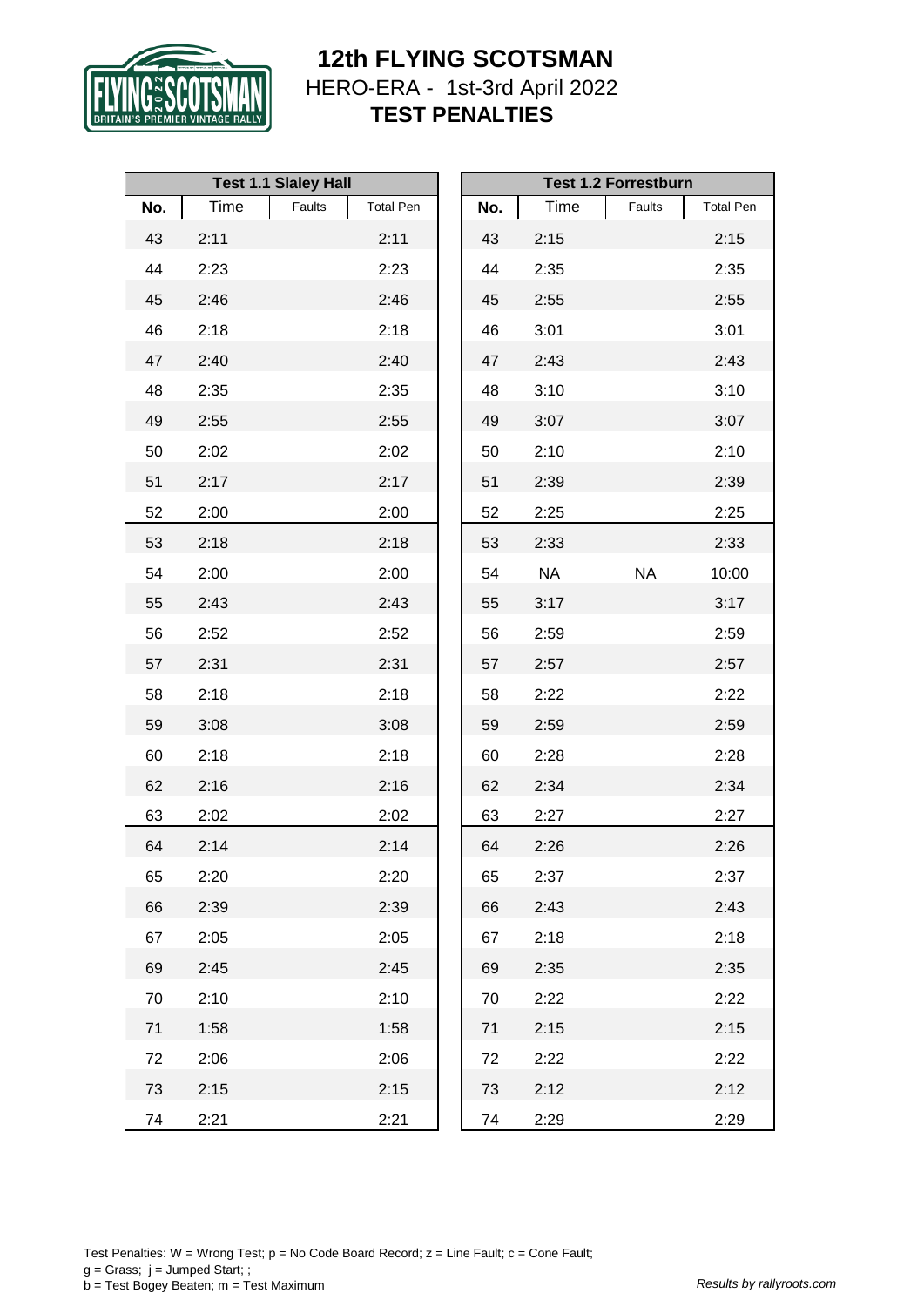

|     |      | <b>Test 1.1 Slaley Hall</b> |                  |     |           | <b>Test 1.2 Forrestburn</b> |                  |
|-----|------|-----------------------------|------------------|-----|-----------|-----------------------------|------------------|
| No. | Time | Faults                      | <b>Total Pen</b> | No. | Time      | Faults                      | <b>Total Pen</b> |
| 43  | 2:11 |                             | 2:11             | 43  | 2:15      |                             | 2:15             |
| 44  | 2:23 |                             | 2:23             | 44  | 2:35      |                             | 2:35             |
| 45  | 2:46 |                             | 2:46             | 45  | 2:55      |                             | 2:55             |
| 46  | 2:18 |                             | 2:18             | 46  | 3:01      |                             | 3:01             |
| 47  | 2:40 |                             | 2:40             | 47  | 2:43      |                             | 2:43             |
| 48  | 2:35 |                             | 2:35             | 48  | 3:10      |                             | 3:10             |
| 49  | 2:55 |                             | 2:55             | 49  | 3:07      |                             | 3:07             |
| 50  | 2:02 |                             | 2:02             | 50  | 2:10      |                             | 2:10             |
| 51  | 2:17 |                             | 2:17             | 51  | 2:39      |                             | 2:39             |
| 52  | 2:00 |                             | 2:00             | 52  | 2:25      |                             | 2:25             |
| 53  | 2:18 |                             | 2:18             | 53  | 2:33      |                             | 2:33             |
| 54  | 2:00 |                             | 2:00             | 54  | <b>NA</b> | <b>NA</b>                   | 10:00            |
| 55  | 2:43 |                             | 2:43             | 55  | 3:17      |                             | 3:17             |
| 56  | 2:52 |                             | 2:52             | 56  | 2:59      |                             | 2:59             |
| 57  | 2:31 |                             | 2:31             | 57  | 2:57      |                             | 2:57             |
| 58  | 2:18 |                             | 2:18             | 58  | 2:22      |                             | 2:22             |
| 59  | 3:08 |                             | 3:08             | 59  | 2:59      |                             | 2:59             |
| 60  | 2:18 |                             | 2:18             | 60  | 2:28      |                             | 2:28             |
| 62  | 2:16 |                             | 2:16             | 62  | 2:34      |                             | 2:34             |
| 63  | 2:02 |                             | 2:02             | 63  | 2:27      |                             | 2:27             |
| 64  | 2:14 |                             | 2:14             | 64  | 2:26      |                             | 2:26             |
| 65  | 2:20 |                             | 2:20             | 65  | 2:37      |                             | 2:37             |
| 66  | 2:39 |                             | 2:39             | 66  | 2:43      |                             | 2:43             |
| 67  | 2:05 |                             | 2:05             | 67  | 2:18      |                             | 2:18             |
| 69  | 2:45 |                             | 2:45             | 69  | 2:35      |                             | 2:35             |
| 70  | 2:10 |                             | 2:10             | 70  | 2:22      |                             | 2:22             |
| 71  | 1:58 |                             | 1:58             | 71  | 2:15      |                             | 2:15             |
| 72  | 2:06 |                             | 2:06             | 72  | 2:22      |                             | 2:22             |
| 73  | 2:15 |                             | 2:15             | 73  | 2:12      |                             | 2:12             |
| 74  | 2:21 |                             | 2:21             | 74  | 2:29      |                             | 2:29             |

Test Penalties: W = Wrong Test;  $p = No Code Board Record; z = Line Faul; c = Cone Faul;$  $g =$  Grass;  $j =$  Jumped Start; ; b = Test Bogey Beaten; m = Test Maximum *Results by rallyroots.com*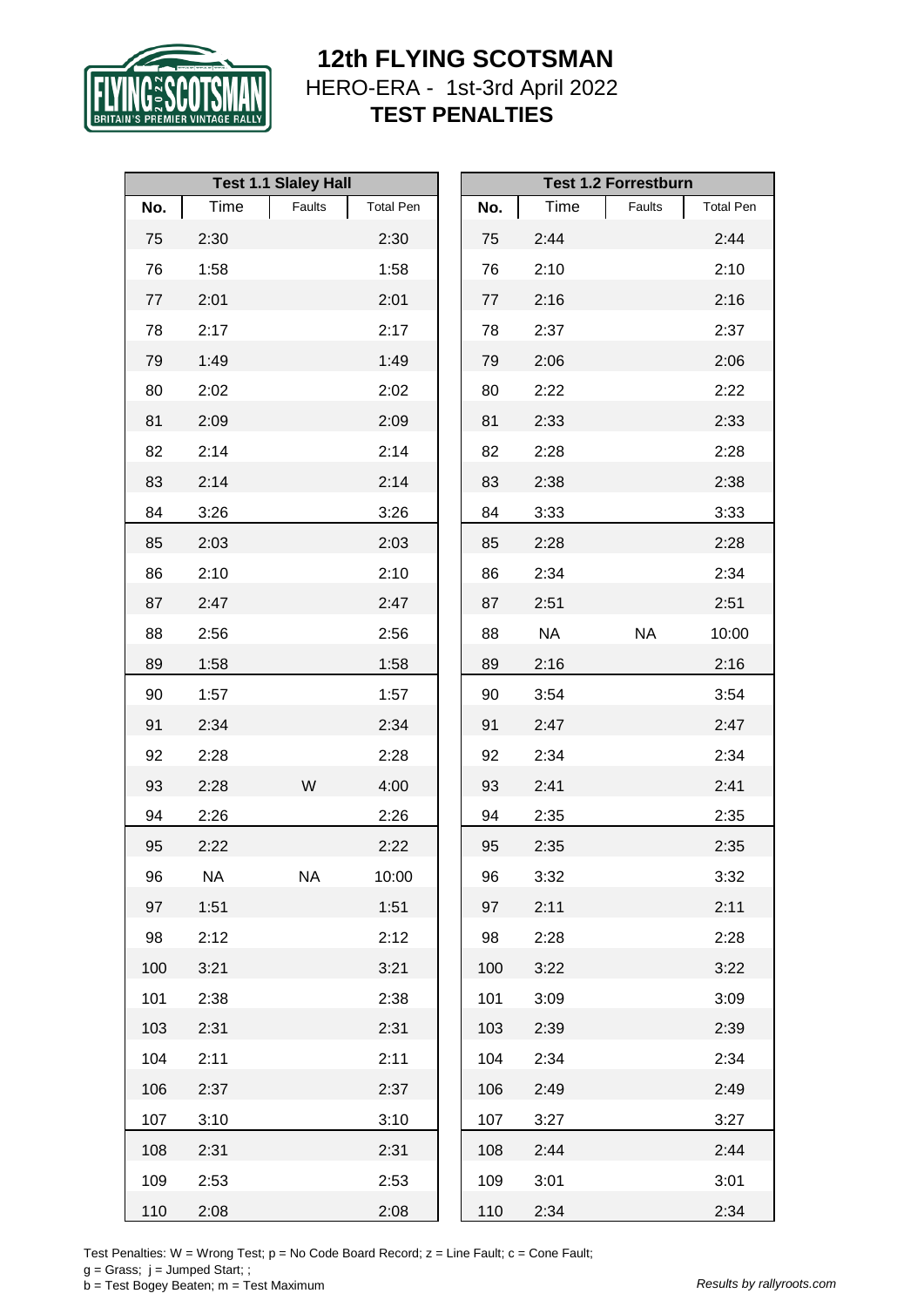

|     |           | <b>Test 1.1 Slaley Hall</b> |                  |     |           | <b>Test 1.2 Forrestburn</b> |                  |
|-----|-----------|-----------------------------|------------------|-----|-----------|-----------------------------|------------------|
| No. | Time      | Faults                      | <b>Total Pen</b> | No. | Time      | Faults                      | <b>Total Pen</b> |
| 75  | 2:30      |                             | 2:30             | 75  | 2:44      |                             | 2:44             |
| 76  | 1:58      |                             | 1:58             | 76  | 2:10      |                             | 2:10             |
| 77  | 2:01      |                             | 2:01             | 77  | 2:16      |                             | 2:16             |
| 78  | 2:17      |                             | 2:17             | 78  | 2:37      |                             | 2:37             |
| 79  | 1:49      |                             | 1:49             | 79  | 2:06      |                             | 2:06             |
| 80  | 2:02      |                             | 2:02             | 80  | 2:22      |                             | 2:22             |
| 81  | 2:09      |                             | 2:09             | 81  | 2:33      |                             | 2:33             |
| 82  | 2:14      |                             | 2:14             | 82  | 2:28      |                             | 2:28             |
| 83  | 2:14      |                             | 2:14             | 83  | 2:38      |                             | 2:38             |
| 84  | 3:26      |                             | 3:26             | 84  | 3:33      |                             | 3:33             |
| 85  | 2:03      |                             | 2:03             | 85  | 2:28      |                             | 2:28             |
| 86  | 2:10      |                             | 2:10             | 86  | 2:34      |                             | 2:34             |
| 87  | 2:47      |                             | 2:47             | 87  | 2:51      |                             | 2:51             |
| 88  | 2:56      |                             | 2:56             | 88  | <b>NA</b> | <b>NA</b>                   | 10:00            |
| 89  | 1:58      |                             | 1:58             | 89  | 2:16      |                             | 2:16             |
| 90  | 1:57      |                             | 1:57             | 90  | 3:54      |                             | 3:54             |
| 91  | 2:34      |                             | 2:34             | 91  | 2:47      |                             | 2:47             |
| 92  | 2:28      |                             | 2:28             | 92  | 2:34      |                             | 2:34             |
| 93  | 2:28      | W                           | 4:00             | 93  | 2:41      |                             | 2:41             |
| 94  | 2:26      |                             | 2:26             | 94  | 2:35      |                             | 2:35             |
| 95  | 2:22      |                             | 2:22             | 95  | 2:35      |                             | 2:35             |
| 96  | <b>NA</b> | <b>NA</b>                   | 10:00            | 96  | 3:32      |                             | 3:32             |
| 97  | 1:51      |                             | 1:51             | 97  | 2:11      |                             | 2:11             |
| 98  | 2:12      |                             | 2:12             | 98  | 2:28      |                             | 2:28             |
| 100 | 3:21      |                             | 3:21             | 100 | 3:22      |                             | 3:22             |
| 101 | 2:38      |                             | 2:38             | 101 | 3:09      |                             | 3:09             |
| 103 | 2:31      |                             | 2:31             | 103 | 2:39      |                             | 2:39             |
| 104 | 2:11      |                             | 2:11             | 104 | 2:34      |                             | 2:34             |
| 106 | 2:37      |                             | 2:37             | 106 | 2:49      |                             | 2:49             |
| 107 | 3:10      |                             | 3:10             | 107 | 3:27      |                             | 3:27             |
| 108 | 2:31      |                             | 2:31             | 108 | 2:44      |                             | 2:44             |
| 109 | 2:53      |                             | 2:53             | 109 | 3:01      |                             | 3:01             |
| 110 | 2:08      |                             | 2:08             | 110 | 2:34      |                             | 2:34             |

Test Penalties: W = Wrong Test;  $p = No Code Board Record; z = Line Faul; c = Cone Faul;$ 

 $g =$  Grass;  $j =$  Jumped Start; ;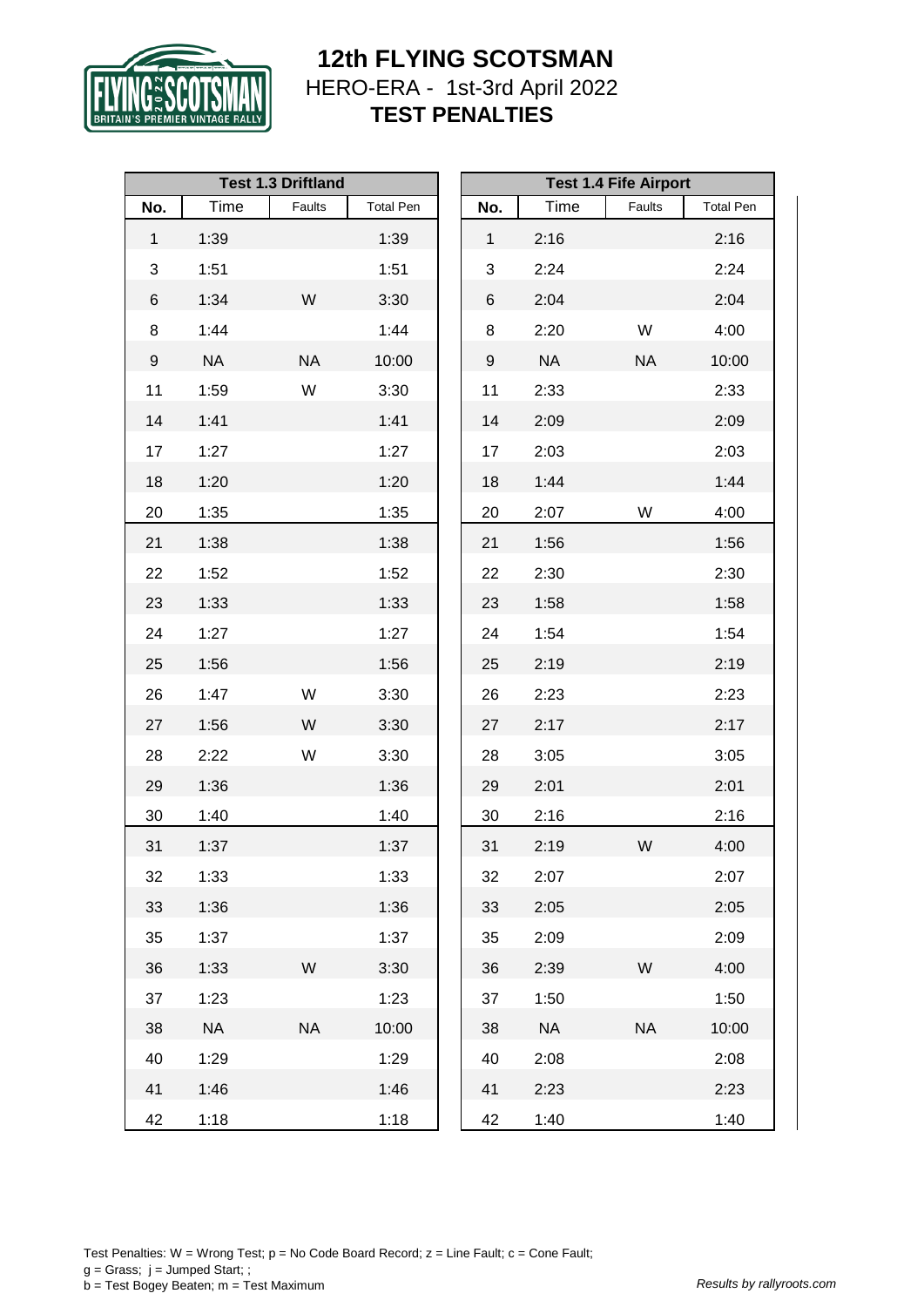

|                  |           | <b>Test 1.3 Driftland</b> |                  |              |           | <b>Test 1.4 Fife Airport</b> |                  |
|------------------|-----------|---------------------------|------------------|--------------|-----------|------------------------------|------------------|
| No.              | Time      | Faults                    | <b>Total Pen</b> | No.          | Time      | Faults                       | <b>Total Pen</b> |
| $\mathbf{1}$     | 1:39      |                           | 1:39             | $\mathbf{1}$ | 2:16      |                              | 2:16             |
| 3                | 1:51      |                           | 1:51             | 3            | 2:24      |                              | 2:24             |
| $\,6$            | 1:34      | W                         | 3:30             | 6            | 2:04      |                              | 2:04             |
| $\bf 8$          | 1:44      |                           | 1:44             | 8            | 2:20      | W                            | 4:00             |
| $\boldsymbol{9}$ | <b>NA</b> | <b>NA</b>                 | 10:00            | 9            | <b>NA</b> | <b>NA</b>                    | 10:00            |
| 11               | 1:59      | W                         | 3:30             | 11           | 2:33      |                              | 2:33             |
| 14               | 1:41      |                           | 1:41             | 14           | 2:09      |                              | 2:09             |
| 17               | 1:27      |                           | 1:27             | 17           | 2:03      |                              | 2:03             |
| 18               | 1:20      |                           | 1:20             | 18           | 1:44      |                              | 1:44             |
| 20               | 1:35      |                           | 1:35             | 20           | 2:07      | W                            | 4:00             |
| 21               | 1:38      |                           | 1:38             | 21           | 1:56      |                              | 1:56             |
| 22               | 1:52      |                           | 1:52             | 22           | 2:30      |                              | 2:30             |
| 23               | 1:33      |                           | 1:33             | 23           | 1:58      |                              | 1:58             |
| 24               | 1:27      |                           | 1:27             | 24           | 1:54      |                              | 1:54             |
| 25               | 1:56      |                           | 1:56             | 25           | 2:19      |                              | 2:19             |
| 26               | 1:47      | W                         | 3:30             | 26           | 2:23      |                              | 2:23             |
| 27               | 1:56      | W                         | 3:30             | 27           | 2:17      |                              | 2:17             |
| 28               | 2:22      | W                         | 3:30             | 28           | 3:05      |                              | 3:05             |
| 29               | 1:36      |                           | 1:36             | 29           | 2:01      |                              | 2:01             |
| 30               | 1:40      |                           | 1:40             | 30           | 2:16      |                              | 2:16             |
| 31               | 1:37      |                           | 1:37             | 31           | 2:19      | W                            | 4:00             |
| 32               | 1:33      |                           | 1:33             | 32           | 2:07      |                              | 2:07             |
| 33               | 1:36      |                           | 1:36             | 33           | 2:05      |                              | 2:05             |
| 35               | 1:37      |                           | 1:37             | 35           | 2:09      |                              | 2:09             |
| 36               | 1:33      | W                         | 3:30             | 36           | 2:39      | W                            | 4:00             |
| 37               | 1:23      |                           | 1:23             | 37           | 1:50      |                              | 1:50             |
| 38               | <b>NA</b> | <b>NA</b>                 | 10:00            | 38           | <b>NA</b> | <b>NA</b>                    | 10:00            |
| 40               | 1:29      |                           | 1:29             | 40           | 2:08      |                              | 2:08             |
| 41               | 1:46      |                           | 1:46             | 41           | 2:23      |                              | 2:23             |
| 42               | 1:18      |                           | 1:18             | 42           | 1:40      |                              | 1:40             |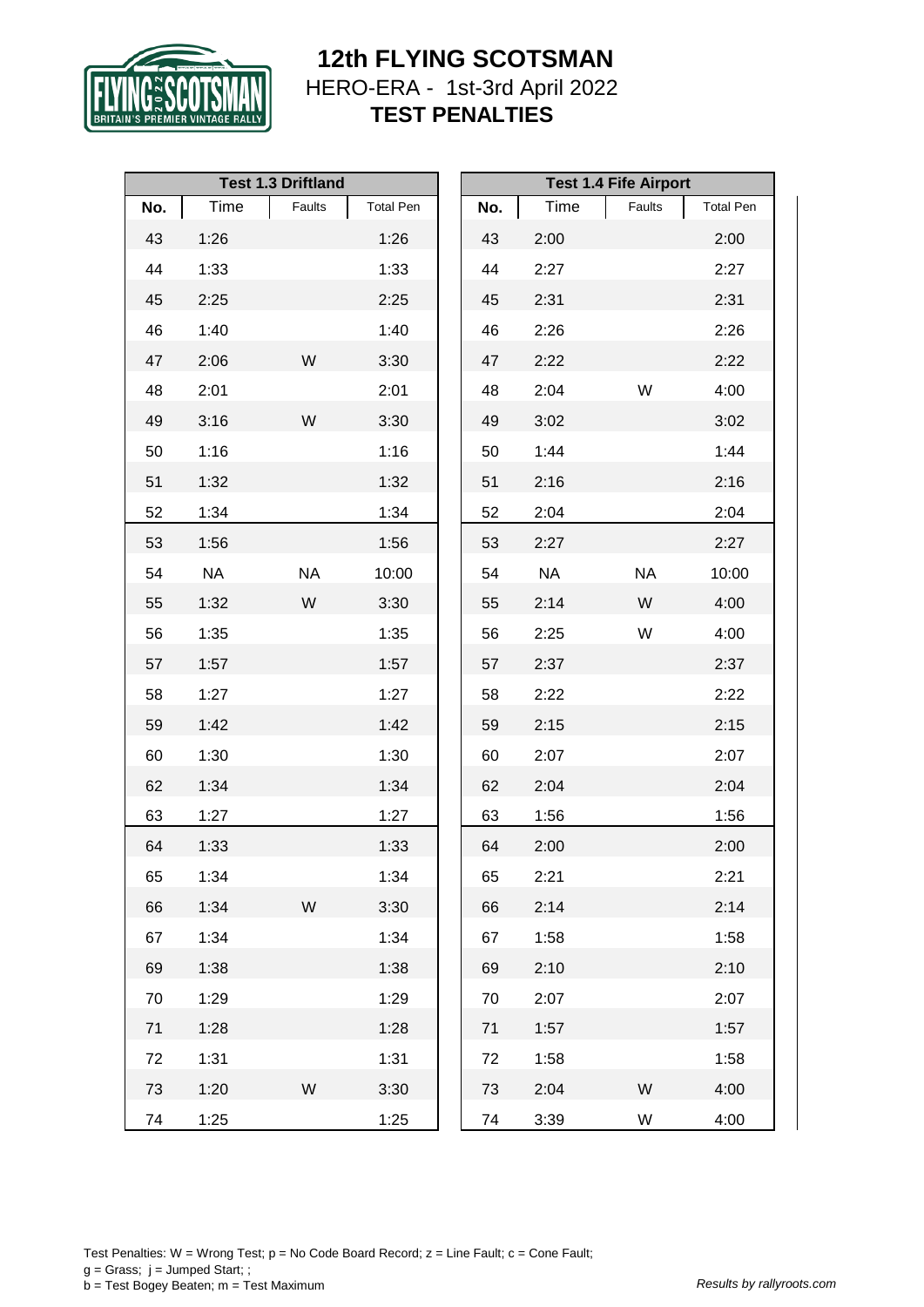

|     |           | <b>Test 1.3 Driftland</b> |                  |     |           | <b>Test 1.4 Fife Airport</b> |                  |
|-----|-----------|---------------------------|------------------|-----|-----------|------------------------------|------------------|
| No. | Time      | Faults                    | <b>Total Pen</b> | No. | Time      | Faults                       | <b>Total Pen</b> |
| 43  | 1:26      |                           | 1:26             | 43  | 2:00      |                              | 2:00             |
| 44  | 1:33      |                           | 1:33             | 44  | 2:27      |                              | 2:27             |
| 45  | 2:25      |                           | 2:25             | 45  | 2:31      |                              | 2:31             |
| 46  | 1:40      |                           | 1:40             | 46  | 2:26      |                              | 2:26             |
| 47  | 2:06      | W                         | 3:30             | 47  | 2:22      |                              | 2:22             |
| 48  | 2:01      |                           | 2:01             | 48  | 2:04      | W                            | 4:00             |
| 49  | 3:16      | W                         | 3:30             | 49  | 3:02      |                              | 3:02             |
| 50  | 1:16      |                           | 1:16             | 50  | 1:44      |                              | 1:44             |
| 51  | 1:32      |                           | 1:32             | 51  | 2:16      |                              | 2:16             |
| 52  | 1:34      |                           | 1:34             | 52  | 2:04      |                              | 2:04             |
| 53  | 1:56      |                           | 1:56             | 53  | 2:27      |                              | 2:27             |
| 54  | <b>NA</b> | <b>NA</b>                 | 10:00            | 54  | <b>NA</b> | <b>NA</b>                    | 10:00            |
| 55  | 1:32      | W                         | 3:30             | 55  | 2:14      | W                            | 4:00             |
| 56  | 1:35      |                           | 1:35             | 56  | 2:25      | W                            | 4:00             |
| 57  | 1:57      |                           | 1:57             | 57  | 2:37      |                              | 2:37             |
| 58  | 1:27      |                           | 1:27             | 58  | 2:22      |                              | 2:22             |
| 59  | 1:42      |                           | 1:42             | 59  | 2:15      |                              | 2:15             |
| 60  | 1:30      |                           | 1:30             | 60  | 2:07      |                              | 2:07             |
| 62  | 1:34      |                           | 1:34             | 62  | 2:04      |                              | 2:04             |
| 63  | 1:27      |                           | 1:27             | 63  | 1:56      |                              | 1:56             |
| 64  | 1:33      |                           | 1:33             | 64  | 2:00      |                              | 2:00             |
| 65  | 1:34      |                           | 1:34             | 65  | 2:21      |                              | 2:21             |
| 66  | 1:34      | W                         | 3:30             | 66  | 2:14      |                              | 2:14             |
| 67  | 1:34      |                           | 1:34             | 67  | 1:58      |                              | 1:58             |
| 69  | 1:38      |                           | 1:38             | 69  | 2:10      |                              | 2:10             |
| 70  | 1:29      |                           | 1:29             | 70  | 2:07      |                              | 2:07             |
| 71  | 1:28      |                           | 1:28             | 71  | 1:57      |                              | 1:57             |
| 72  | 1:31      |                           | 1:31             | 72  | 1:58      |                              | 1:58             |
| 73  | 1:20      | W                         | 3:30             | 73  | 2:04      | W                            | 4:00             |
| 74  | 1:25      |                           | 1:25             | 74  | 3:39      | W                            | 4:00             |

Test Penalties: W = Wrong Test;  $p = No Code Board Record; z = Line Faul; c = Cone Faul;$  $g =$  Grass;  $j =$  Jumped Start; ; b = Test Bogey Beaten; m = Test Maximum *Results by rallyroots.com*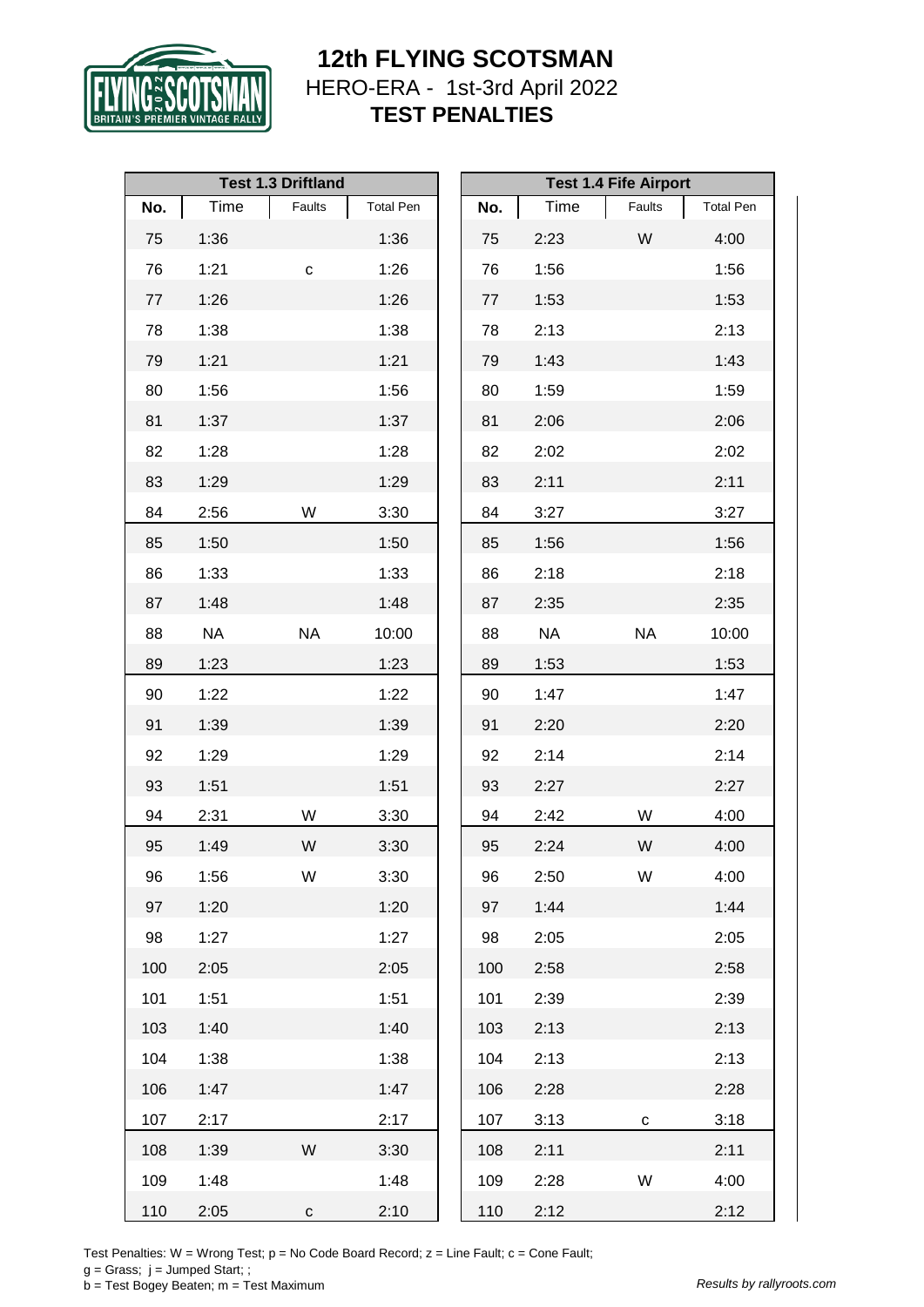

|         |           | <b>Test 1.3 Driftland</b> |                  |     |           | <b>Test 1.4 Fife Airport</b> |                  |
|---------|-----------|---------------------------|------------------|-----|-----------|------------------------------|------------------|
| No.     | Time      | Faults                    | <b>Total Pen</b> | No. | Time      | Faults                       | <b>Total Pen</b> |
| 75      | 1:36      |                           | 1:36             | 75  | 2:23      | W                            | 4:00             |
| 76      | 1:21      | $\mathbf C$               | 1:26             | 76  | 1:56      |                              | 1:56             |
| $77 \,$ | 1:26      |                           | 1:26             | 77  | 1:53      |                              | 1:53             |
| 78      | 1:38      |                           | 1:38             | 78  | 2:13      |                              | 2:13             |
| 79      | 1:21      |                           | 1:21             | 79  | 1:43      |                              | 1:43             |
| 80      | 1:56      |                           | 1:56             | 80  | 1:59      |                              | 1:59             |
| 81      | 1:37      |                           | 1:37             | 81  | 2:06      |                              | 2:06             |
| 82      | 1:28      |                           | 1:28             | 82  | 2:02      |                              | 2:02             |
| 83      | 1:29      |                           | 1:29             | 83  | 2:11      |                              | 2:11             |
| 84      | 2:56      | W                         | 3:30             | 84  | 3:27      |                              | 3:27             |
| 85      | 1:50      |                           | 1:50             | 85  | 1:56      |                              | 1:56             |
| 86      | 1:33      |                           | 1:33             | 86  | 2:18      |                              | 2:18             |
| 87      | 1:48      |                           | 1:48             | 87  | 2:35      |                              | 2:35             |
| 88      | <b>NA</b> | <b>NA</b>                 | 10:00            | 88  | <b>NA</b> | <b>NA</b>                    | 10:00            |
| 89      | 1:23      |                           | 1:23             | 89  | 1:53      |                              | 1:53             |
| 90      | 1:22      |                           | 1:22             | 90  | 1:47      |                              | 1:47             |
| 91      | 1:39      |                           | 1:39             | 91  | 2:20      |                              | 2:20             |
| 92      | 1:29      |                           | 1:29             | 92  | 2:14      |                              | 2:14             |
| 93      | 1:51      |                           | 1:51             | 93  | 2:27      |                              | 2:27             |
| 94      | 2:31      | W                         | 3:30             | 94  | 2:42      | W                            | 4:00             |
| 95      | 1:49      | W                         | 3:30             | 95  | 2:24      | W                            | 4:00             |
| 96      | 1:56      | W                         | 3:30             | 96  | 2:50      | W                            | 4:00             |
| 97      | 1:20      |                           | 1:20             | 97  | 1:44      |                              | 1:44             |
| 98      | 1:27      |                           | 1:27             | 98  | 2:05      |                              | 2:05             |
| 100     | 2:05      |                           | 2:05             | 100 | 2:58      |                              | 2:58             |
| 101     | 1:51      |                           | 1:51             | 101 | 2:39      |                              | 2:39             |
| 103     | 1:40      |                           | 1:40             | 103 | 2:13      |                              | 2:13             |
| 104     | 1:38      |                           | 1:38             | 104 | 2:13      |                              | 2:13             |
| 106     | 1:47      |                           | 1:47             | 106 | 2:28      |                              | 2:28             |
| 107     | 2:17      |                           | 2:17             | 107 | 3:13      | $\mathbf{C}$                 | 3:18             |
| 108     | 1:39      | W                         | 3:30             | 108 | 2:11      |                              | 2:11             |
| 109     | 1:48      |                           | 1:48             | 109 | 2:28      | W                            | 4:00             |
| 110     | 2:05      | $\mathbf{C}$              | 2:10             | 110 | 2:12      |                              | 2:12             |

Test Penalties: W = Wrong Test;  $p = No Code Board Record; z = Line Faul; c = Cone Faul;$ 

 $g =$  Grass;  $j =$  Jumped Start; ;

b = Test Bogey Beaten; m = Test Maximum *Results by rallyroots.com*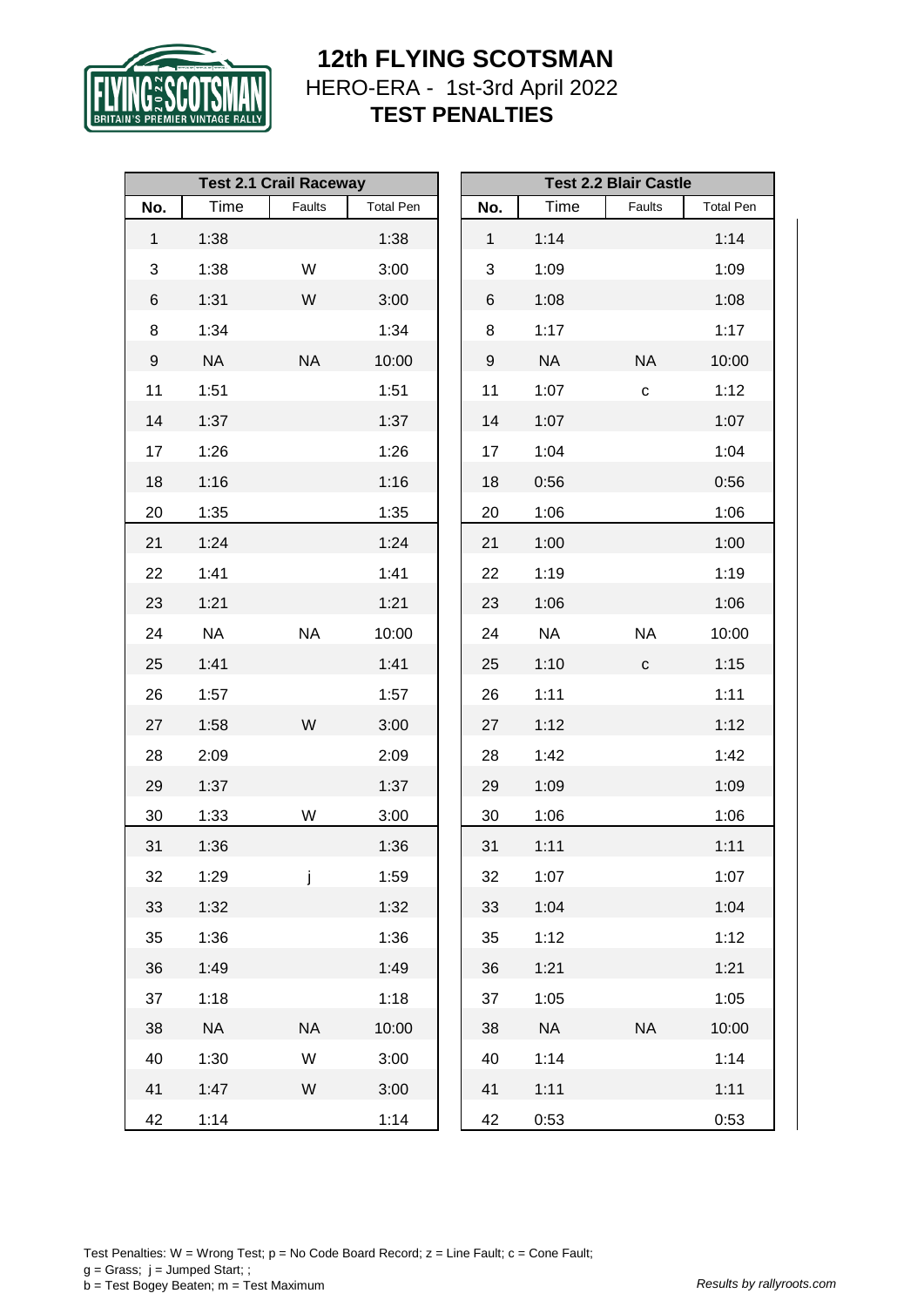

|              |           | <b>Test 2.1 Crail Raceway</b> |                  | <b>Test 2.2 Blair Castle</b> |              |           |              |                  |
|--------------|-----------|-------------------------------|------------------|------------------------------|--------------|-----------|--------------|------------------|
| No.          | Time      | Faults                        | <b>Total Pen</b> |                              | No.          | Time      | Faults       | <b>Total Pen</b> |
| $\mathbf{1}$ | 1:38      |                               | 1:38             |                              | $\mathbf{1}$ | 1:14      |              | 1:14             |
| 3            | 1:38      | W                             | 3:00             |                              | 3            | 1:09      |              | 1:09             |
| 6            | 1:31      | W                             | 3:00             |                              | 6            | 1:08      |              | 1:08             |
| $\bf 8$      | 1:34      |                               | 1:34             |                              | 8            | 1:17      |              | 1:17             |
| 9            | <b>NA</b> | <b>NA</b>                     | 10:00            |                              | 9            | <b>NA</b> | <b>NA</b>    | 10:00            |
| 11           | 1:51      |                               | 1:51             |                              | 11           | 1:07      | $\mathbf{C}$ | 1:12             |
| 14           | 1:37      |                               | 1:37             |                              | 14           | 1:07      |              | 1:07             |
| 17           | 1:26      |                               | 1:26             |                              | 17           | 1:04      |              | 1:04             |
| 18           | 1:16      |                               | 1:16             |                              | 18           | 0:56      |              | 0:56             |
| 20           | 1:35      |                               | 1:35             |                              | 20           | 1:06      |              | 1:06             |
| 21           | 1:24      |                               | 1:24             |                              | 21           | 1:00      |              | 1:00             |
| 22           | 1:41      |                               | 1:41             |                              | 22           | 1:19      |              | 1:19             |
| 23           | 1:21      |                               | 1:21             |                              | 23           | 1:06      |              | 1:06             |
| 24           | <b>NA</b> | <b>NA</b>                     | 10:00            |                              | 24           | <b>NA</b> | <b>NA</b>    | 10:00            |
| 25           | 1:41      |                               | 1:41             |                              | 25           | 1:10      | $\mathbf{C}$ | 1:15             |
| 26           | 1:57      |                               | 1:57             |                              | 26           | 1:11      |              | 1:11             |
| 27           | 1:58      | W                             | 3:00             |                              | 27           | 1:12      |              | 1:12             |
| 28           | 2:09      |                               | 2:09             |                              | 28           | 1:42      |              | 1:42             |
| 29           | 1:37      |                               | 1:37             |                              | 29           | 1:09      |              | 1:09             |
| 30           | 1:33      | W                             | 3:00             |                              | 30           | 1:06      |              | 1:06             |
| 31           | 1:36      |                               | 1:36             |                              | 31           | 1:11      |              | 1:11             |
| 32           | 1:29      | j                             | 1:59             |                              | 32           | 1:07      |              | 1:07             |
| 33           | 1:32      |                               | 1:32             |                              | 33           | 1:04      |              | 1:04             |
| 35           | 1:36      |                               | 1:36             |                              | 35           | 1:12      |              | 1:12             |
| 36           | 1:49      |                               | 1:49             |                              | 36           | 1:21      |              | 1:21             |
| 37           | 1:18      |                               | 1:18             |                              | 37           | 1:05      |              | 1:05             |
| 38           | <b>NA</b> | <b>NA</b>                     | 10:00            |                              | 38           | <b>NA</b> | <b>NA</b>    | 10:00            |
| 40           | 1:30      | W                             | 3:00             |                              | 40           | 1:14      |              | 1:14             |
| 41           | 1:47      | W                             | 3:00             |                              | 41           | 1:11      |              | 1:11             |
| 42           | 1:14      |                               | 1:14             |                              | 42           | 0:53      |              | 0:53             |

Test Penalties: W = Wrong Test;  $p = No Code Board Record; z = Line Faul; c = Cone Faul;$  $g =$  Grass;  $j =$  Jumped Start; ; b = Test Bogey Beaten; m = Test Maximum *Results by rallyroots.com*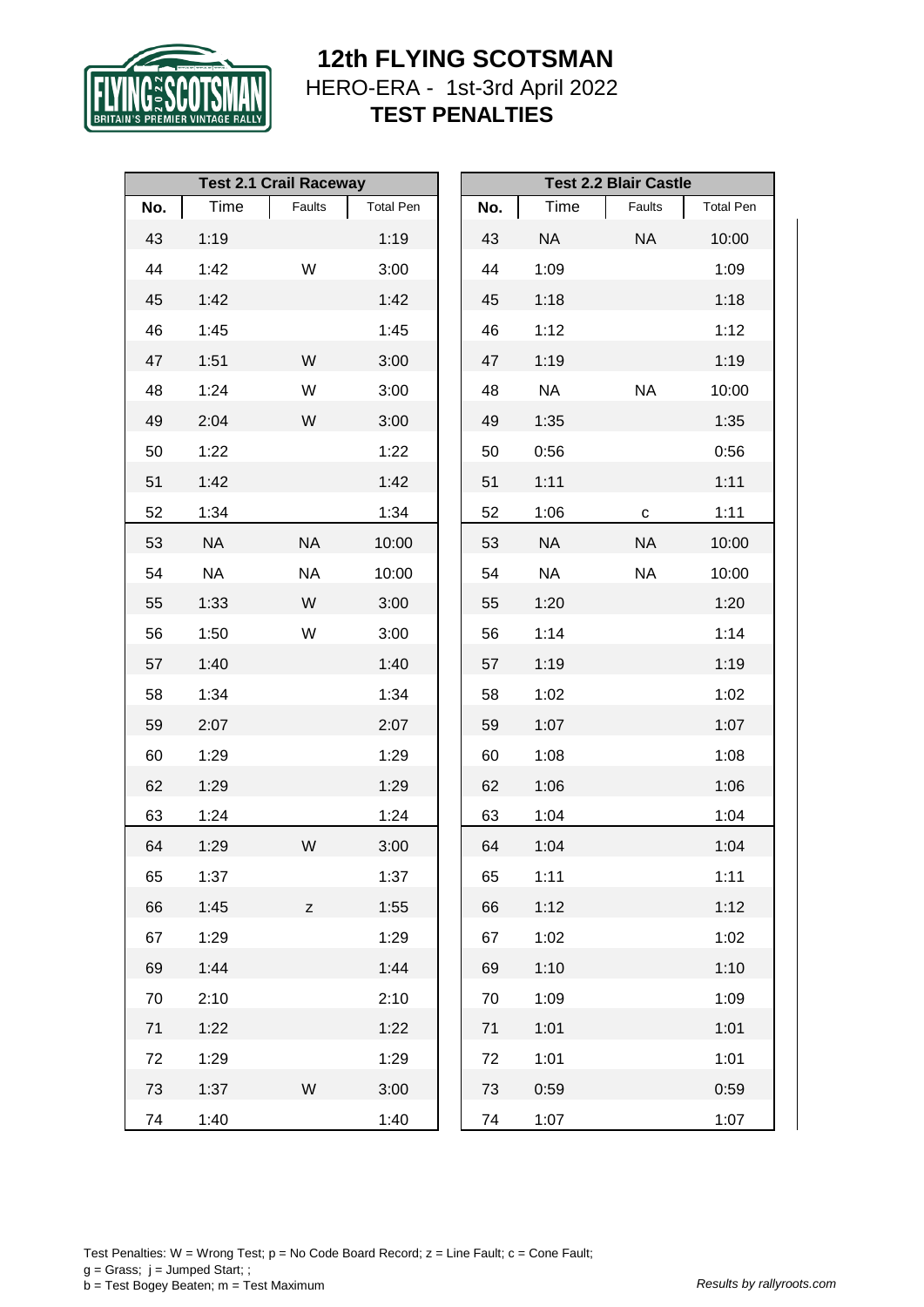

|     |           | <b>Test 2.1 Crail Raceway</b> |                  | <b>Test 2.2 Blair Castle</b> |     |           |             |                  |  |
|-----|-----------|-------------------------------|------------------|------------------------------|-----|-----------|-------------|------------------|--|
| No. | Time      | Faults                        | <b>Total Pen</b> |                              | No. | Time      | Faults      | <b>Total Pen</b> |  |
| 43  | 1:19      |                               | 1:19             |                              | 43  | <b>NA</b> | <b>NA</b>   | 10:00            |  |
| 44  | 1:42      | W                             | 3:00             |                              | 44  | 1:09      |             | 1:09             |  |
| 45  | 1:42      |                               | 1:42             |                              | 45  | 1:18      |             | 1:18             |  |
| 46  | 1:45      |                               | 1:45             |                              | 46  | 1:12      |             | 1:12             |  |
| 47  | 1:51      | W                             | 3:00             |                              | 47  | 1:19      |             | 1:19             |  |
| 48  | 1:24      | W                             | 3:00             |                              | 48  | <b>NA</b> | <b>NA</b>   | 10:00            |  |
| 49  | 2:04      | W                             | 3:00             |                              | 49  | 1:35      |             | 1:35             |  |
| 50  | 1:22      |                               | 1:22             |                              | 50  | 0:56      |             | 0:56             |  |
| 51  | 1:42      |                               | 1:42             |                              | 51  | 1:11      |             | 1:11             |  |
| 52  | 1:34      |                               | 1:34             |                              | 52  | 1:06      | $\mathbf C$ | 1:11             |  |
| 53  | <b>NA</b> | <b>NA</b>                     | 10:00            |                              | 53  | <b>NA</b> | <b>NA</b>   | 10:00            |  |
| 54  | <b>NA</b> | <b>NA</b>                     | 10:00            |                              | 54  | NA        | <b>NA</b>   | 10:00            |  |
| 55  | 1:33      | W                             | 3:00             |                              | 55  | 1:20      |             | 1:20             |  |
| 56  | 1:50      | W                             | 3:00             |                              | 56  | 1:14      |             | 1:14             |  |
| 57  | 1:40      |                               | 1:40             |                              | 57  | 1:19      |             | 1:19             |  |
| 58  | 1:34      |                               | 1:34             |                              | 58  | 1:02      |             | 1:02             |  |
| 59  | 2:07      |                               | 2:07             |                              | 59  | 1:07      |             | 1:07             |  |
| 60  | 1:29      |                               | 1:29             |                              | 60  | 1:08      |             | 1:08             |  |
| 62  | 1:29      |                               | 1:29             |                              | 62  | 1:06      |             | 1:06             |  |
| 63  | 1:24      |                               | 1:24             |                              | 63  | 1:04      |             | 1:04             |  |
| 64  | 1:29      | W                             | 3:00             |                              | 64  | 1:04      |             | 1:04             |  |
| 65  | 1:37      |                               | 1:37             |                              | 65  | 1:11      |             | 1:11             |  |
| 66  | 1:45      | Z                             | 1:55             |                              | 66  | 1:12      |             | 1:12             |  |
| 67  | 1:29      |                               | 1:29             |                              | 67  | 1:02      |             | 1:02             |  |
| 69  | 1:44      |                               | 1:44             |                              | 69  | 1:10      |             | 1:10             |  |
| 70  | 2:10      |                               | 2:10             |                              | 70  | 1:09      |             | 1:09             |  |
| 71  | 1:22      |                               | 1:22             |                              | 71  | 1:01      |             | 1:01             |  |
| 72  | 1:29      |                               | 1:29             |                              | 72  | 1:01      |             | 1:01             |  |
| 73  | 1:37      | W                             | 3:00             |                              | 73  | 0:59      |             | 0:59             |  |
| 74  | 1:40      |                               | 1:40             |                              | 74  | 1:07      |             | 1:07             |  |

Test Penalties: W = Wrong Test;  $p = No Code Board Record; z = Line Faul; c = Cone Faul;$  $g =$  Grass;  $j =$  Jumped Start; ; b = Test Bogey Beaten; m = Test Maximum *Results by rallyroots.com*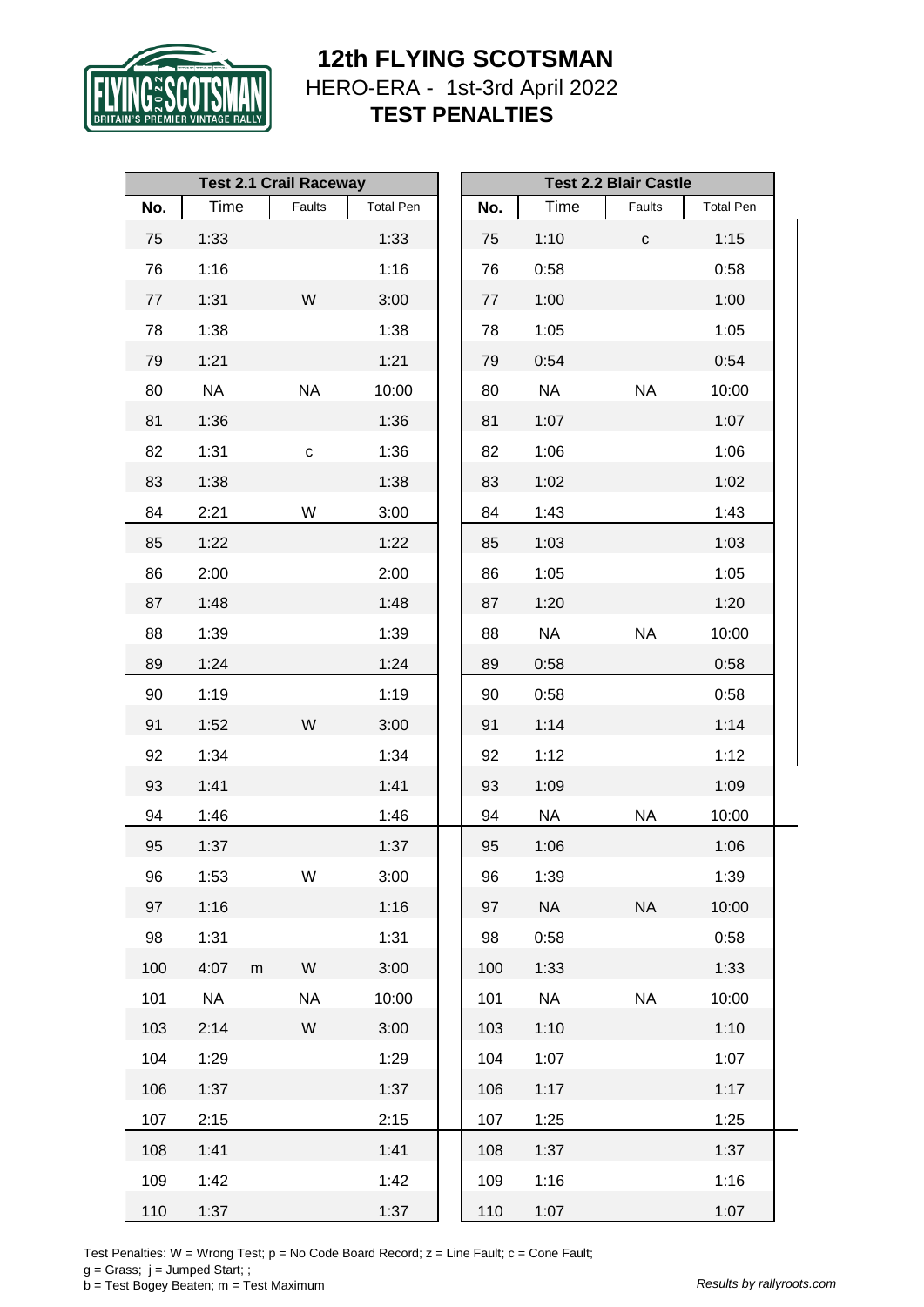

|     |           |           | <b>Test 2.1 Crail Raceway</b> |                  | <b>Test 2.2 Blair Castle</b> |           |           |                  |
|-----|-----------|-----------|-------------------------------|------------------|------------------------------|-----------|-----------|------------------|
| No. | Time      |           | Faults                        | <b>Total Pen</b> | No.                          | Time      | Faults    | <b>Total Pen</b> |
| 75  | 1:33      |           |                               | 1:33             | 75                           | 1:10      | ${\bf C}$ | 1:15             |
| 76  | 1:16      |           |                               | 1:16             | 76                           | 0:58      |           | 0:58             |
| 77  | 1:31      |           | W                             | 3:00             | 77                           | 1:00      |           | 1:00             |
| 78  | 1:38      |           |                               | 1:38             | 78                           | 1:05      |           | 1:05             |
| 79  | 1:21      |           |                               | 1:21             | 79                           | 0:54      |           | 0:54             |
| 80  | <b>NA</b> |           | <b>NA</b>                     | 10:00            | 80                           | <b>NA</b> | <b>NA</b> | 10:00            |
| 81  | 1:36      |           |                               | 1:36             | 81                           | 1:07      |           | 1:07             |
| 82  | 1:31      |           | $\mathtt{C}$                  | 1:36             | 82                           | 1:06      |           | 1:06             |
| 83  | 1:38      |           |                               | 1:38             | 83                           | 1:02      |           | 1:02             |
| 84  | 2:21      |           | W                             | 3:00             | 84                           | 1:43      |           | 1:43             |
| 85  | 1:22      |           |                               | 1:22             | 85                           | 1:03      |           | 1:03             |
| 86  | 2:00      |           |                               | 2:00             | 86                           | 1:05      |           | 1:05             |
| 87  | 1:48      |           |                               | 1:48             | 87                           | 1:20      |           | 1:20             |
| 88  | 1:39      |           |                               | 1:39             | 88                           | <b>NA</b> | <b>NA</b> | 10:00            |
| 89  | 1:24      |           |                               | 1:24             | 89                           | 0:58      |           | 0:58             |
| 90  | 1:19      |           |                               | 1:19             | 90                           | 0:58      |           | 0:58             |
| 91  | 1:52      |           | W                             | 3:00             | 91                           | 1:14      |           | 1:14             |
| 92  | 1:34      |           |                               | 1:34             | 92                           | 1:12      |           | 1:12             |
| 93  | 1:41      |           |                               | 1:41             | 93                           | 1:09      |           | 1:09             |
| 94  | 1:46      |           |                               | 1:46             | 94                           | <b>NA</b> | <b>NA</b> | 10:00            |
| 95  | 1:37      |           |                               | 1:37             | 95                           | 1:06      |           | 1:06             |
| 96  | 1:53      |           | W                             | 3:00             | 96                           | 1:39      |           | 1:39             |
| 97  | 1:16      |           |                               | 1:16             | 97                           | <b>NA</b> | <b>NA</b> | 10:00            |
| 98  | 1:31      |           |                               | 1:31             | 98                           | 0:58      |           | 0:58             |
| 100 | 4:07      | ${\sf m}$ | W                             | 3:00             | 100                          | 1:33      |           | 1:33             |
| 101 | <b>NA</b> |           | <b>NA</b>                     | 10:00            | 101                          | <b>NA</b> | <b>NA</b> | 10:00            |
| 103 | 2:14      |           | W                             | 3:00             | 103                          | 1:10      |           | 1:10             |
| 104 | 1:29      |           |                               | 1:29             | 104                          | 1:07      |           | 1:07             |
| 106 | 1:37      |           |                               | 1:37             | 106                          | 1:17      |           | 1:17             |
| 107 | 2:15      |           |                               | 2:15             | 107                          | 1:25      |           | 1:25             |
| 108 | 1:41      |           |                               | 1:41             | 108                          | 1:37      |           | 1:37             |
| 109 | 1:42      |           |                               | 1:42             | 109                          | 1:16      |           | 1:16             |
| 110 | 1:37      |           |                               | 1:37             | 110                          | 1:07      |           | 1:07             |

Test Penalties: W = Wrong Test;  $p = No Code Board Record; z = Line Faul; c = Cone Faul;$ 

 $g =$  Grass;  $j =$  Jumped Start; ;

b = Test Bogey Beaten; m = Test Maximum *Results by rallyroots.com*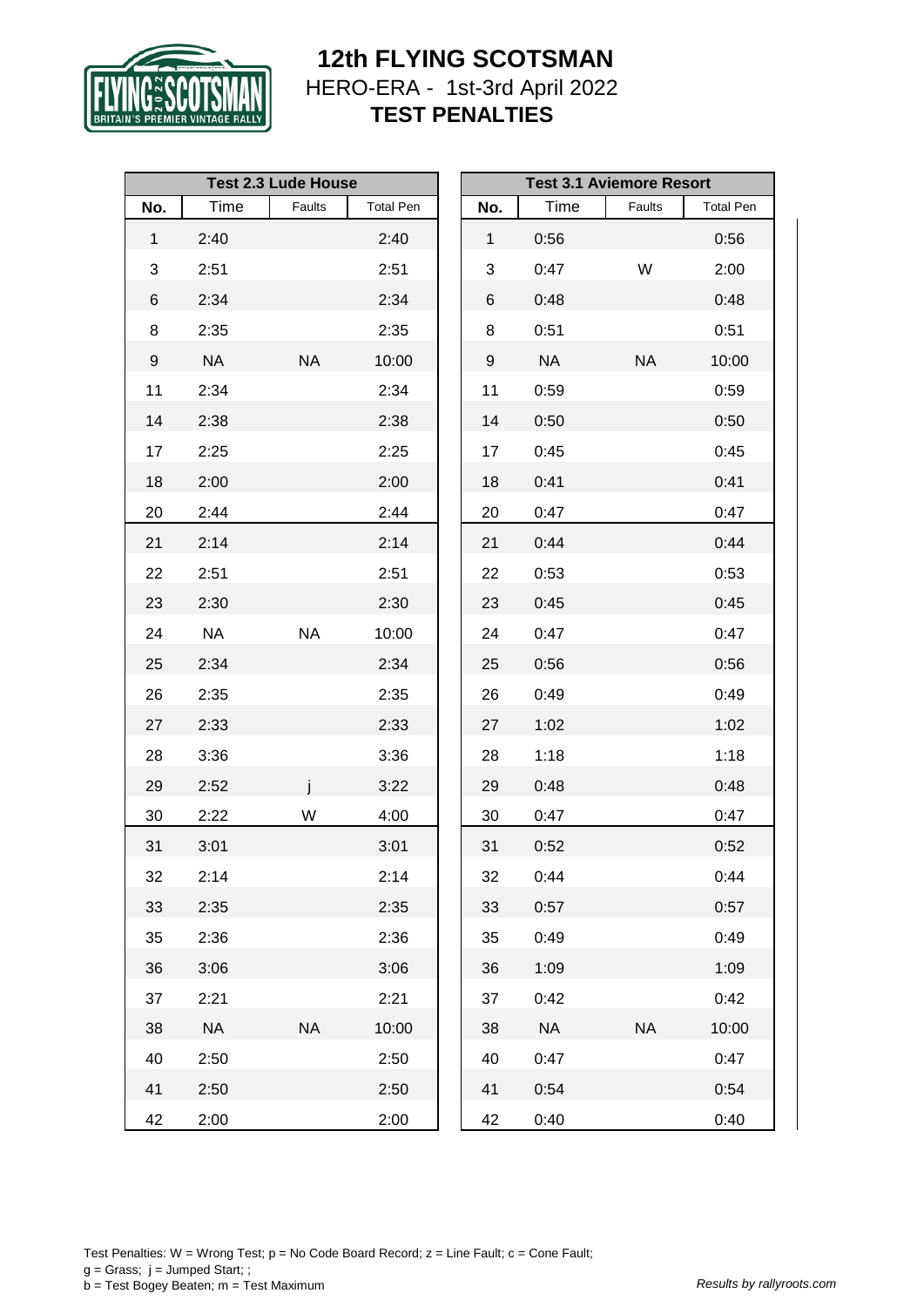

|              |           | <b>Test 2.3 Lude House</b> |                  |              |           | <b>Test 3.1 Aviemore Resort</b> |                  |
|--------------|-----------|----------------------------|------------------|--------------|-----------|---------------------------------|------------------|
| No.          | Time      | Faults                     | <b>Total Pen</b> | No.          | Time      | Faults                          | <b>Total Pen</b> |
| $\mathbf{1}$ | 2:40      |                            | 2:40             | $\mathbf{1}$ | 0:56      |                                 | 0:56             |
| 3            | 2:51      |                            | 2:51             | 3            | 0:47      | W                               | 2:00             |
| 6            | 2:34      |                            | 2:34             | 6            | 0:48      |                                 | 0:48             |
| 8            | 2:35      |                            | 2:35             | 8            | 0:51      |                                 | 0:51             |
| 9            | <b>NA</b> | <b>NA</b>                  | 10:00            | 9            | <b>NA</b> | <b>NA</b>                       | 10:00            |
| 11           | 2:34      |                            | 2:34             | 11           | 0:59      |                                 | 0:59             |
| 14           | 2:38      |                            | 2:38             | 14           | 0:50      |                                 | 0:50             |
| 17           | 2:25      |                            | 2:25             | 17           | 0:45      |                                 | 0:45             |
| 18           | 2:00      |                            | 2:00             | 18           | 0:41      |                                 | 0:41             |
| 20           | 2:44      |                            | 2:44             | 20           | 0:47      |                                 | 0:47             |
| 21           | 2:14      |                            | 2:14             | 21           | 0:44      |                                 | 0:44             |
| 22           | 2:51      |                            | 2:51             | 22           | 0:53      |                                 | 0:53             |
| 23           | 2:30      |                            | 2:30             | 23           | 0:45      |                                 | 0:45             |
| 24           | <b>NA</b> | <b>NA</b>                  | 10:00            | 24           | 0:47      |                                 | 0:47             |
| 25           | 2:34      |                            | 2:34             | 25           | 0:56      |                                 | 0:56             |
| 26           | 2:35      |                            | 2:35             | 26           | 0:49      |                                 | 0:49             |
| 27           | 2:33      |                            | 2:33             | 27           | 1:02      |                                 | 1:02             |
| 28           | 3:36      |                            | 3:36             | 28           | 1:18      |                                 | 1:18             |
| 29           | 2:52      |                            | 3:22             | 29           | 0:48      |                                 | 0:48             |
| 30           | 2:22      | W                          | 4:00             | 30           | 0:47      |                                 | 0:47             |
| 31           | 3:01      |                            | 3:01             | 31           | 0:52      |                                 | 0:52             |
| 32           | 2:14      |                            | 2:14             | 32           | 0:44      |                                 | 0:44             |
| 33           | 2:35      |                            | 2:35             | 33           | 0:57      |                                 | 0:57             |
| 35           | 2:36      |                            | 2:36             | 35           | 0:49      |                                 | 0:49             |
| 36           | 3:06      |                            | 3:06             | 36           | 1:09      |                                 | 1:09             |
| 37           | 2:21      |                            | 2:21             | 37           | 0:42      |                                 | 0:42             |
| 38           | <b>NA</b> | <b>NA</b>                  | 10:00            | 38           | <b>NA</b> | <b>NA</b>                       | 10:00            |
| 40           | 2:50      |                            | 2:50             | 40           | 0:47      |                                 | 0:47             |
| 41           | 2:50      |                            | 2:50             | 41           | 0:54      |                                 | 0:54             |
| 42           | 2:00      |                            | 2:00             | 42           | 0:40      |                                 | 0:40             |

Test Penalties: W = Wrong Test;  $p = No Code Board Record; z = Line Faul; c = Cone Faul;$  $g =$  Grass;  $j =$  Jumped Start; ; b = Test Bogey Beaten; m = Test Maximum *Results by rallyroots.com*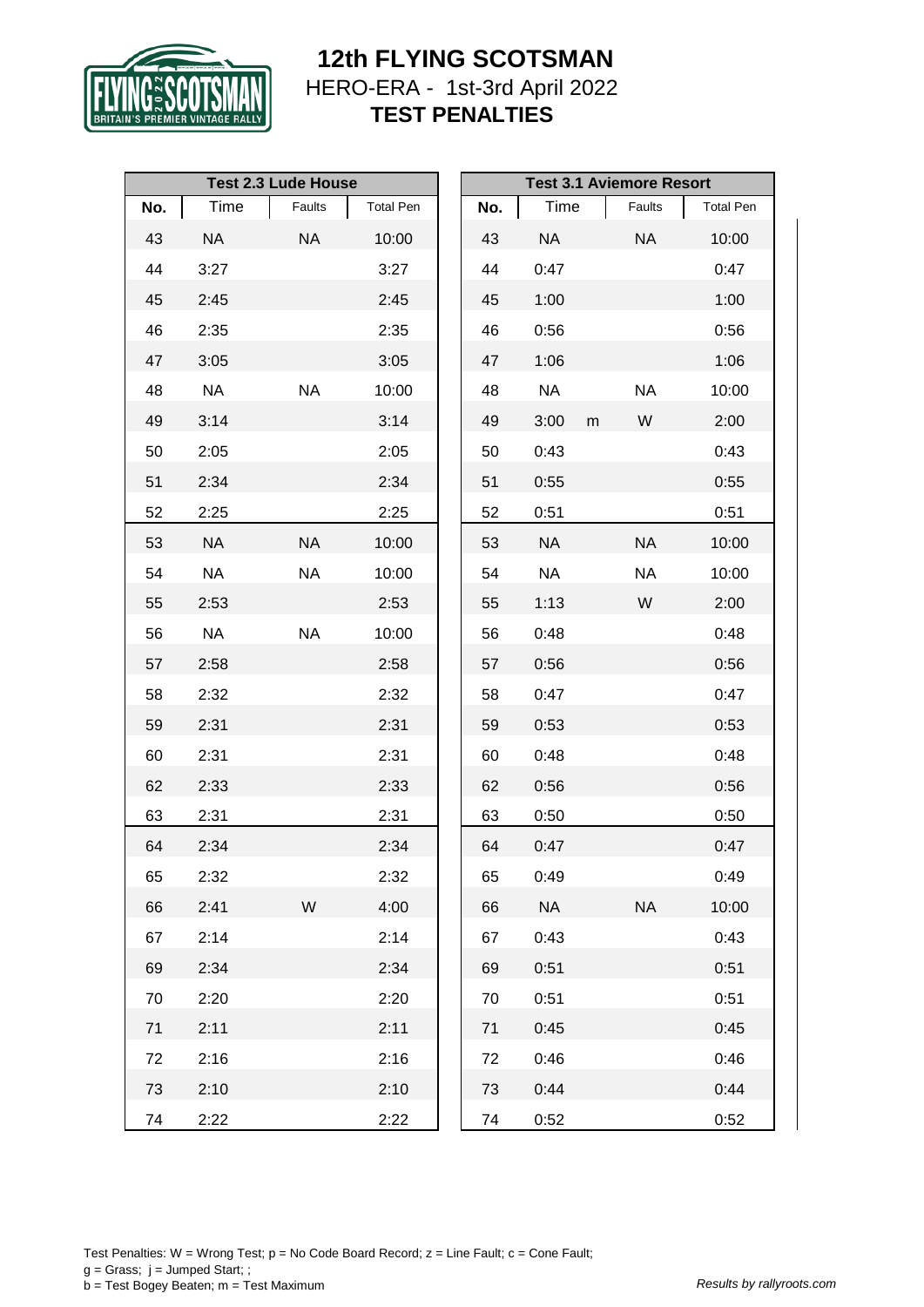

|     |           | <b>Test 2.3 Lude House</b> |                  |     |           |   | <b>Test 3.1 Aviemore Resort</b> |                  |
|-----|-----------|----------------------------|------------------|-----|-----------|---|---------------------------------|------------------|
| No. | Time      | Faults                     | <b>Total Pen</b> | No. | Time      |   | Faults                          | <b>Total Pen</b> |
| 43  | <b>NA</b> | <b>NA</b>                  | 10:00            | 43  | <b>NA</b> |   | <b>NA</b>                       | 10:00            |
| 44  | 3:27      |                            | 3:27             | 44  | 0:47      |   |                                 | 0:47             |
| 45  | 2:45      |                            | 2:45             | 45  | 1:00      |   |                                 | 1:00             |
| 46  | 2:35      |                            | 2:35             | 46  | 0:56      |   |                                 | 0:56             |
| 47  | 3:05      |                            | 3:05             | 47  | 1:06      |   |                                 | 1:06             |
| 48  | <b>NA</b> | <b>NA</b>                  | 10:00            | 48  | <b>NA</b> |   | <b>NA</b>                       | 10:00            |
| 49  | 3:14      |                            | 3:14             | 49  | 3:00      | m | W                               | 2:00             |
| 50  | 2:05      |                            | 2:05             | 50  | 0:43      |   |                                 | 0:43             |
| 51  | 2:34      |                            | 2:34             | 51  | 0:55      |   |                                 | 0:55             |
| 52  | 2:25      |                            | 2:25             | 52  | 0:51      |   |                                 | 0:51             |
| 53  | <b>NA</b> | <b>NA</b>                  | 10:00            | 53  | <b>NA</b> |   | <b>NA</b>                       | 10:00            |
| 54  | <b>NA</b> | <b>NA</b>                  | 10:00            | 54  | <b>NA</b> |   | <b>NA</b>                       | 10:00            |
| 55  | 2:53      |                            | 2:53             | 55  | 1:13      |   | W                               | 2:00             |
| 56  | NA        | <b>NA</b>                  | 10:00            | 56  | 0:48      |   |                                 | 0:48             |
| 57  | 2:58      |                            | 2:58             | 57  | 0:56      |   |                                 | 0:56             |
| 58  | 2:32      |                            | 2:32             | 58  | 0:47      |   |                                 | 0:47             |
| 59  | 2:31      |                            | 2:31             | 59  | 0:53      |   |                                 | 0:53             |
| 60  | 2:31      |                            | 2:31             | 60  | 0:48      |   |                                 | 0:48             |
| 62  | 2:33      |                            | 2:33             | 62  | 0:56      |   |                                 | 0:56             |
| 63  | 2:31      |                            | 2:31             | 63  | 0:50      |   |                                 | 0:50             |
| 64  | 2:34      |                            | 2:34             | 64  | 0:47      |   |                                 | 0:47             |
| 65  | 2:32      |                            | 2:32             | 65  | 0:49      |   |                                 | 0:49             |
| 66  | 2:41      | W                          | 4:00             | 66  | <b>NA</b> |   | <b>NA</b>                       | 10:00            |
| 67  | 2:14      |                            | 2:14             | 67  | 0:43      |   |                                 | 0:43             |
| 69  | 2:34      |                            | 2:34             | 69  | 0:51      |   |                                 | 0:51             |
| 70  | 2:20      |                            | 2:20             | 70  | 0:51      |   |                                 | 0:51             |
| 71  | 2:11      |                            | 2:11             | 71  | 0:45      |   |                                 | 0:45             |
| 72  | 2:16      |                            | 2:16             | 72  | 0:46      |   |                                 | 0:46             |
| 73  | 2:10      |                            | 2:10             | 73  | 0:44      |   |                                 | 0:44             |
| 74  | 2:22      |                            | 2:22             | 74  | 0:52      |   |                                 | 0:52             |

Test Penalties: W = Wrong Test;  $p = No Code Board Record; z = Line Faul; c = Cone Faul;$  $g =$  Grass;  $j =$  Jumped Start; ; b = Test Bogey Beaten; m = Test Maximum *Results by rallyroots.com*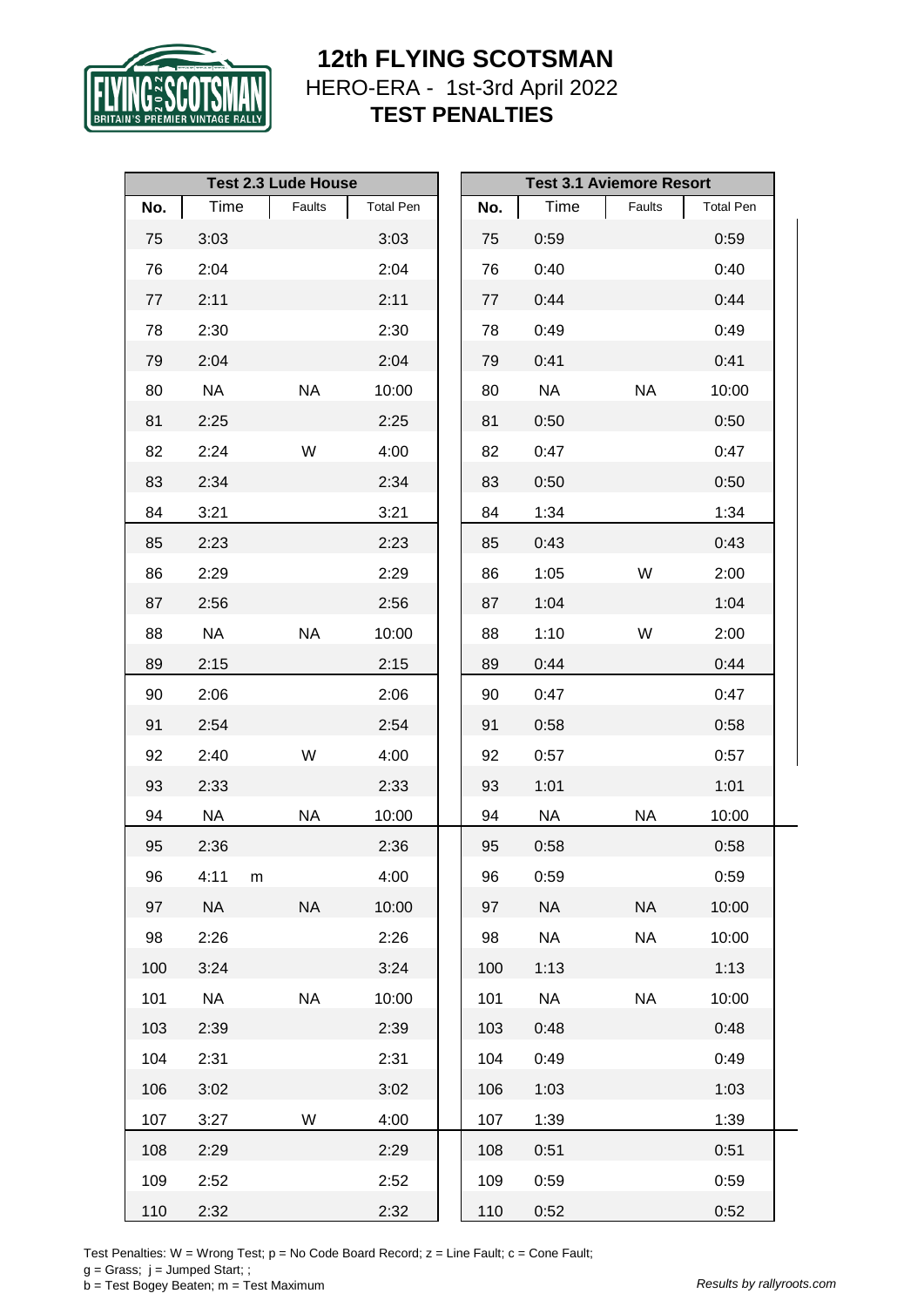

|     |           | <b>Test 2.3 Lude House</b> |                  | <b>Test 3.1 Aviemore Resort</b> |           |           |                  |  |
|-----|-----------|----------------------------|------------------|---------------------------------|-----------|-----------|------------------|--|
| No. | Time      | Faults                     | <b>Total Pen</b> | No.                             | Time      | Faults    | <b>Total Pen</b> |  |
| 75  | 3:03      |                            | 3:03             | 75                              | 0:59      |           | 0:59             |  |
| 76  | 2:04      |                            | 2:04             | 76                              | 0:40      |           | 0:40             |  |
| 77  | 2:11      |                            | 2:11             | 77                              | 0:44      |           | 0:44             |  |
| 78  | 2:30      |                            | 2:30             | 78                              | 0:49      |           | 0:49             |  |
| 79  | 2:04      |                            | 2:04             | 79                              | 0:41      |           | 0:41             |  |
| 80  | <b>NA</b> | <b>NA</b>                  | 10:00            | 80                              | <b>NA</b> | <b>NA</b> | 10:00            |  |
| 81  | 2:25      |                            | 2:25             | 81                              | 0:50      |           | 0:50             |  |
| 82  | 2:24      | W                          | 4:00             | 82                              | 0:47      |           | 0:47             |  |
| 83  | 2:34      |                            | 2:34             | 83                              | 0:50      |           | 0:50             |  |
| 84  | 3:21      |                            | 3:21             | 84                              | 1:34      |           | 1:34             |  |
| 85  | 2:23      |                            | 2:23             | 85                              | 0:43      |           | 0:43             |  |
| 86  | 2:29      |                            | 2:29             | 86                              | 1:05      | W         | 2:00             |  |
| 87  | 2:56      |                            | 2:56             | 87                              | 1:04      |           | 1:04             |  |
| 88  | <b>NA</b> | <b>NA</b>                  | 10:00            | 88                              | 1:10      | W         | 2:00             |  |
| 89  | 2:15      |                            | 2:15             | 89                              | 0:44      |           | 0:44             |  |
| 90  | 2:06      |                            | 2:06             | 90                              | 0:47      |           | 0:47             |  |
| 91  | 2:54      |                            | 2:54             | 91                              | 0:58      |           | 0:58             |  |
| 92  | 2:40      | W                          | 4:00             | 92                              | 0:57      |           | 0:57             |  |
| 93  | 2:33      |                            | 2:33             | 93                              | 1:01      |           | 1:01             |  |
| 94  | NA        | <b>NA</b>                  | 10:00            | 94                              | <b>NA</b> | <b>NA</b> | 10:00            |  |
| 95  | 2:36      |                            | 2:36             | 95                              | 0:58      |           | 0:58             |  |
| 96  | 4:11      | m                          | 4:00             | 96                              | 0:59      |           | 0:59             |  |
| 97  | <b>NA</b> | <b>NA</b>                  | 10:00            | 97                              | <b>NA</b> | <b>NA</b> | 10:00            |  |
| 98  | 2:26      |                            | 2:26             | 98                              | <b>NA</b> | <b>NA</b> | 10:00            |  |
| 100 | 3:24      |                            | 3:24             | 100                             | 1:13      |           | 1:13             |  |
| 101 | <b>NA</b> | <b>NA</b>                  | 10:00            | 101                             | <b>NA</b> | <b>NA</b> | 10:00            |  |
| 103 | 2:39      |                            | 2:39             | 103                             | 0:48      |           | 0:48             |  |
| 104 | 2:31      |                            | 2:31             | 104                             | 0:49      |           | 0:49             |  |
| 106 | 3:02      |                            | 3:02             | 106                             | 1:03      |           | 1:03             |  |
| 107 | 3:27      | W                          | 4:00             | 107                             | 1:39      |           | 1:39             |  |
| 108 | 2:29      |                            | 2:29             | 108                             | 0:51      |           | 0:51             |  |
| 109 | 2:52      |                            | 2:52             | 109                             | 0:59      |           | 0:59             |  |
| 110 | 2:32      |                            | 2:32             | 110                             | 0:52      |           | 0:52             |  |

Test Penalties: W = Wrong Test;  $p = No Code Board Record; z = Line Faul; c = Cone Faul;$ 

 $g =$  Grass;  $j =$  Jumped Start; ;

b = Test Bogey Beaten; m = Test Maximum *Results by rallyroots.com*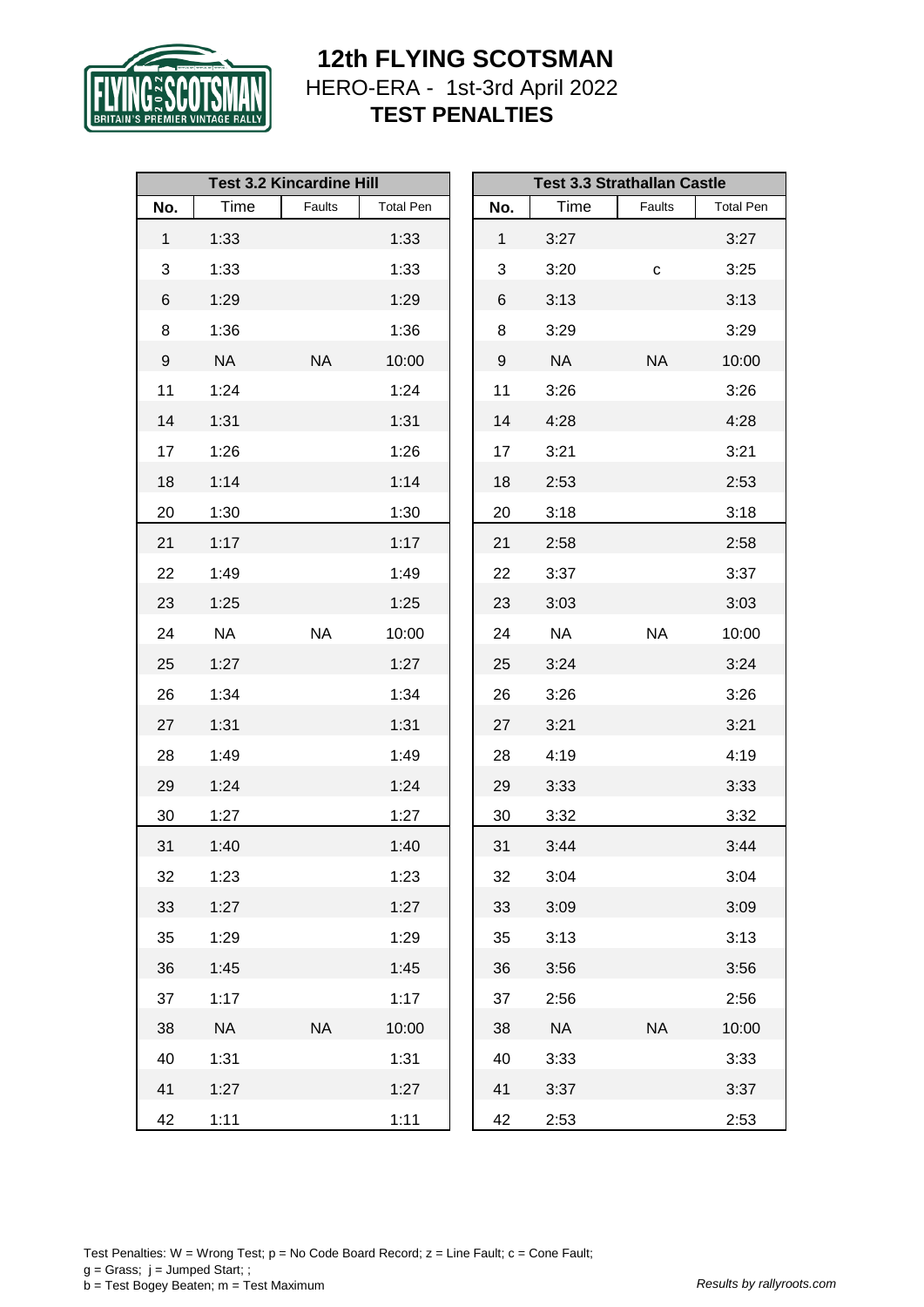

|                  |           | <b>Test 3.2 Kincardine Hill</b> |                  |              |           | <b>Test 3.3 Strathallan Castle</b> |                  |
|------------------|-----------|---------------------------------|------------------|--------------|-----------|------------------------------------|------------------|
| No.              | Time      | Faults                          | <b>Total Pen</b> | No.          | Time      | Faults                             | <b>Total Pen</b> |
| $\mathbf{1}$     | 1:33      |                                 | 1:33             | $\mathbf{1}$ | 3:27      |                                    | 3:27             |
| 3                | 1:33      |                                 | 1:33             | 3            | 3:20      | $\mathbf{C}$                       | 3:25             |
| 6                | 1:29      |                                 | 1:29             | 6            | 3:13      |                                    | 3:13             |
| 8                | 1:36      |                                 | 1:36             | 8            | 3:29      |                                    | 3:29             |
| $\boldsymbol{9}$ | <b>NA</b> | <b>NA</b>                       | 10:00            | 9            | <b>NA</b> | <b>NA</b>                          | 10:00            |
| 11               | 1:24      |                                 | 1:24             | 11           | 3:26      |                                    | 3:26             |
| 14               | 1:31      |                                 | 1:31             | 14           | 4:28      |                                    | 4:28             |
| 17               | 1:26      |                                 | 1:26             | 17           | 3:21      |                                    | 3:21             |
| 18               | 1:14      |                                 | 1:14             | 18           | 2:53      |                                    | 2:53             |
| 20               | 1:30      |                                 | 1:30             | 20           | 3:18      |                                    | 3:18             |
| 21               | 1:17      |                                 | 1:17             | 21           | 2:58      |                                    | 2:58             |
| 22               | 1:49      |                                 | 1:49             | 22           | 3:37      |                                    | 3:37             |
| 23               | 1:25      |                                 | 1:25             | 23           | 3:03      |                                    | 3:03             |
| 24               | <b>NA</b> | <b>NA</b>                       | 10:00            | 24           | <b>NA</b> | <b>NA</b>                          | 10:00            |
| 25               | 1:27      |                                 | 1:27             | 25           | 3:24      |                                    | 3:24             |
| 26               | 1:34      |                                 | 1:34             | 26           | 3:26      |                                    | 3:26             |
| 27               | 1:31      |                                 | 1:31             | 27           | 3:21      |                                    | 3:21             |
| 28               | 1:49      |                                 | 1:49             | 28           | 4:19      |                                    | 4:19             |
| 29               | 1:24      |                                 | 1:24             | 29           | 3:33      |                                    | 3:33             |
| 30               | 1:27      |                                 | 1:27             | 30           | 3:32      |                                    | 3:32             |
| 31               | 1:40      |                                 | 1:40             | 31           | 3:44      |                                    | 3:44             |
| 32               | 1:23      |                                 | 1:23             | 32           | 3:04      |                                    | 3:04             |
| 33               | 1:27      |                                 | 1:27             | 33           | 3:09      |                                    | 3:09             |
| 35               | 1:29      |                                 | 1:29             | 35           | 3:13      |                                    | 3:13             |
| 36               | 1:45      |                                 | 1:45             | 36           | 3:56      |                                    | 3:56             |
| 37               | 1:17      |                                 | 1:17             | 37           | 2:56      |                                    | 2:56             |
| 38               | <b>NA</b> | <b>NA</b>                       | 10:00            | 38           | <b>NA</b> | <b>NA</b>                          | 10:00            |
| 40               | 1:31      |                                 | 1:31             | 40           | 3:33      |                                    | 3:33             |
| 41               | 1:27      |                                 | 1:27             | 41           | 3:37      |                                    | 3:37             |
| 42               | 1:11      |                                 | 1:11             | 42           | 2:53      |                                    | 2:53             |

Test Penalties: W = Wrong Test;  $p = No Code Board Record; z = Line Faul; c = Cone Faul;$  $g =$  Grass;  $j =$  Jumped Start; ; b = Test Bogey Beaten; m = Test Maximum *Results by rallyroots.com*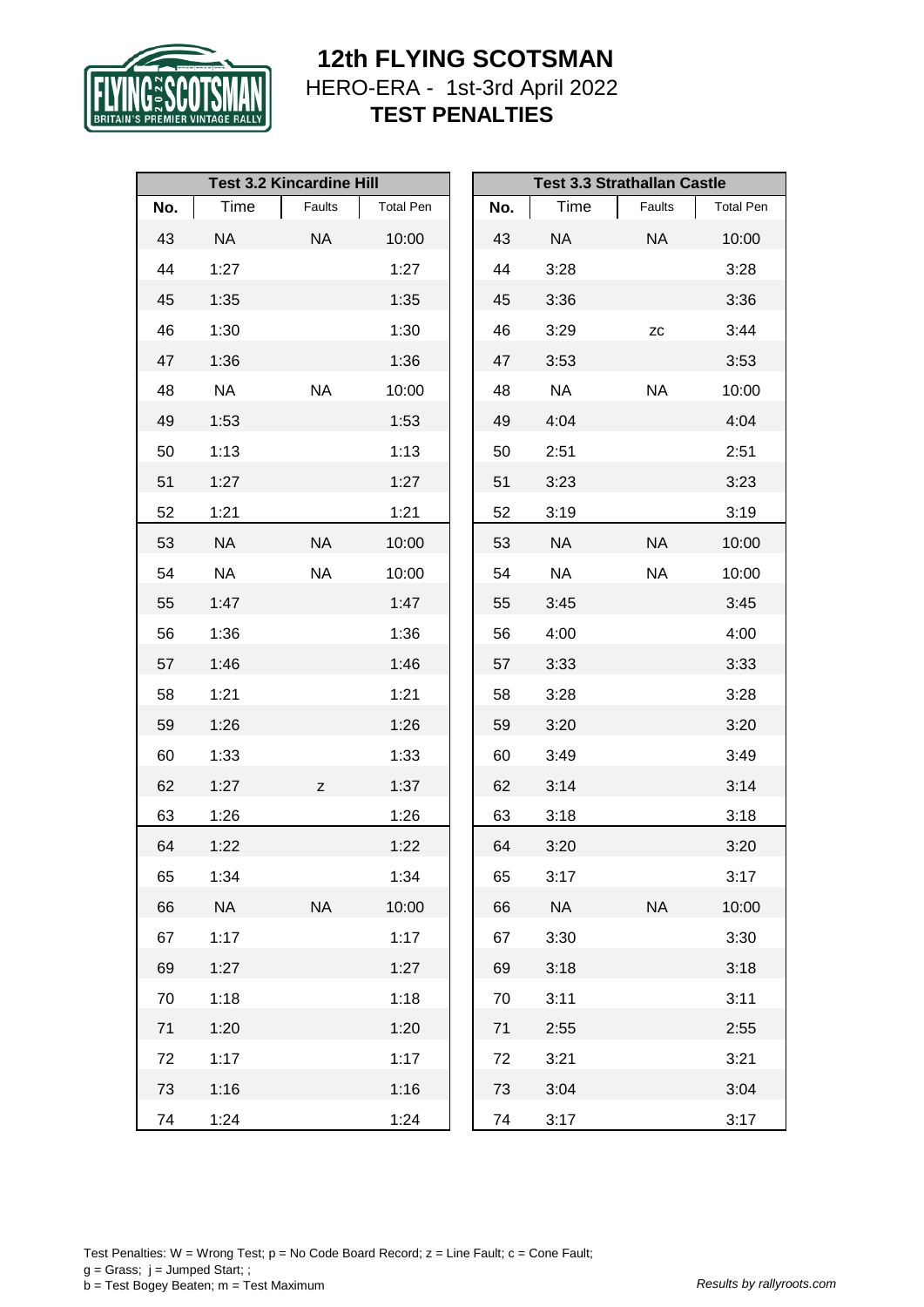

|     |           | <b>Test 3.2 Kincardine Hill</b> |                  | <b>Test 3.3 Strathallan Castle</b> |           |           |                  |  |  |
|-----|-----------|---------------------------------|------------------|------------------------------------|-----------|-----------|------------------|--|--|
| No. | Time      | Faults                          | <b>Total Pen</b> | No.                                | Time      | Faults    | <b>Total Pen</b> |  |  |
| 43  | <b>NA</b> | <b>NA</b>                       | 10:00            | 43                                 | <b>NA</b> | <b>NA</b> | 10:00            |  |  |
| 44  | 1:27      |                                 | 1:27             | 44                                 | 3:28      |           | 3:28             |  |  |
| 45  | 1:35      |                                 | 1:35             | 45                                 | 3:36      |           | 3:36             |  |  |
| 46  | 1:30      |                                 | 1:30             | 46                                 | 3:29      | <b>ZC</b> | 3:44             |  |  |
| 47  | 1:36      |                                 | 1:36             | 47                                 | 3:53      |           | 3:53             |  |  |
| 48  | <b>NA</b> | <b>NA</b>                       | 10:00            | 48                                 | <b>NA</b> | <b>NA</b> | 10:00            |  |  |
| 49  | 1:53      |                                 | 1:53             | 49                                 | 4:04      |           | 4:04             |  |  |
| 50  | 1:13      |                                 | 1:13             | 50                                 | 2:51      |           | 2:51             |  |  |
| 51  | 1:27      |                                 | 1:27             | 51                                 | 3:23      |           | 3:23             |  |  |
| 52  | 1:21      |                                 | 1:21             | 52                                 | 3:19      |           | 3:19             |  |  |
| 53  | <b>NA</b> | <b>NA</b>                       | 10:00            | 53                                 | <b>NA</b> | <b>NA</b> | 10:00            |  |  |
| 54  | <b>NA</b> | <b>NA</b>                       | 10:00            | 54                                 | <b>NA</b> | <b>NA</b> | 10:00            |  |  |
| 55  | 1:47      |                                 | 1:47             | 55                                 | 3:45      |           | 3:45             |  |  |
| 56  | 1:36      |                                 | 1:36             | 56                                 | 4:00      |           | 4:00             |  |  |
| 57  | 1:46      |                                 | 1:46             | 57                                 | 3:33      |           | 3:33             |  |  |
| 58  | 1:21      |                                 | 1:21             | 58                                 | 3:28      |           | 3:28             |  |  |
| 59  | 1:26      |                                 | 1:26             | 59                                 | 3:20      |           | 3:20             |  |  |
| 60  | 1:33      |                                 | 1:33             | 60                                 | 3:49      |           | 3:49             |  |  |
| 62  | 1:27      | Z                               | 1:37             | 62                                 | 3:14      |           | 3:14             |  |  |
| 63  | 1:26      |                                 | 1:26             | 63                                 | 3:18      |           | 3:18             |  |  |
| 64  | 1:22      |                                 | 1:22             | 64                                 | 3:20      |           | 3:20             |  |  |
| 65  | 1:34      |                                 | 1:34             | 65                                 | 3:17      |           | 3:17             |  |  |
| 66  | <b>NA</b> | <b>NA</b>                       | 10:00            | 66                                 | <b>NA</b> | <b>NA</b> | 10:00            |  |  |
| 67  | 1:17      |                                 | 1:17             | 67                                 | 3:30      |           | 3:30             |  |  |
| 69  | 1:27      |                                 | 1:27             | 69                                 | 3:18      |           | 3:18             |  |  |
| 70  | 1:18      |                                 | 1:18             | 70                                 | 3:11      |           | 3:11             |  |  |
| 71  | 1:20      |                                 | 1:20             | 71                                 | 2:55      |           | 2:55             |  |  |
| 72  | 1:17      |                                 | 1:17             | 72                                 | 3:21      |           | 3:21             |  |  |
| 73  | 1:16      |                                 | 1:16             | 73                                 | 3:04      |           | 3:04             |  |  |
| 74  | 1:24      |                                 | 1:24             | 74                                 | 3:17      |           | 3:17             |  |  |

Test Penalties: W = Wrong Test;  $p = No Code Board Record; z = Line Faul; c = Cone Faul;$  $g =$  Grass;  $j =$  Jumped Start; ; b = Test Bogey Beaten; m = Test Maximum *Results by rallyroots.com*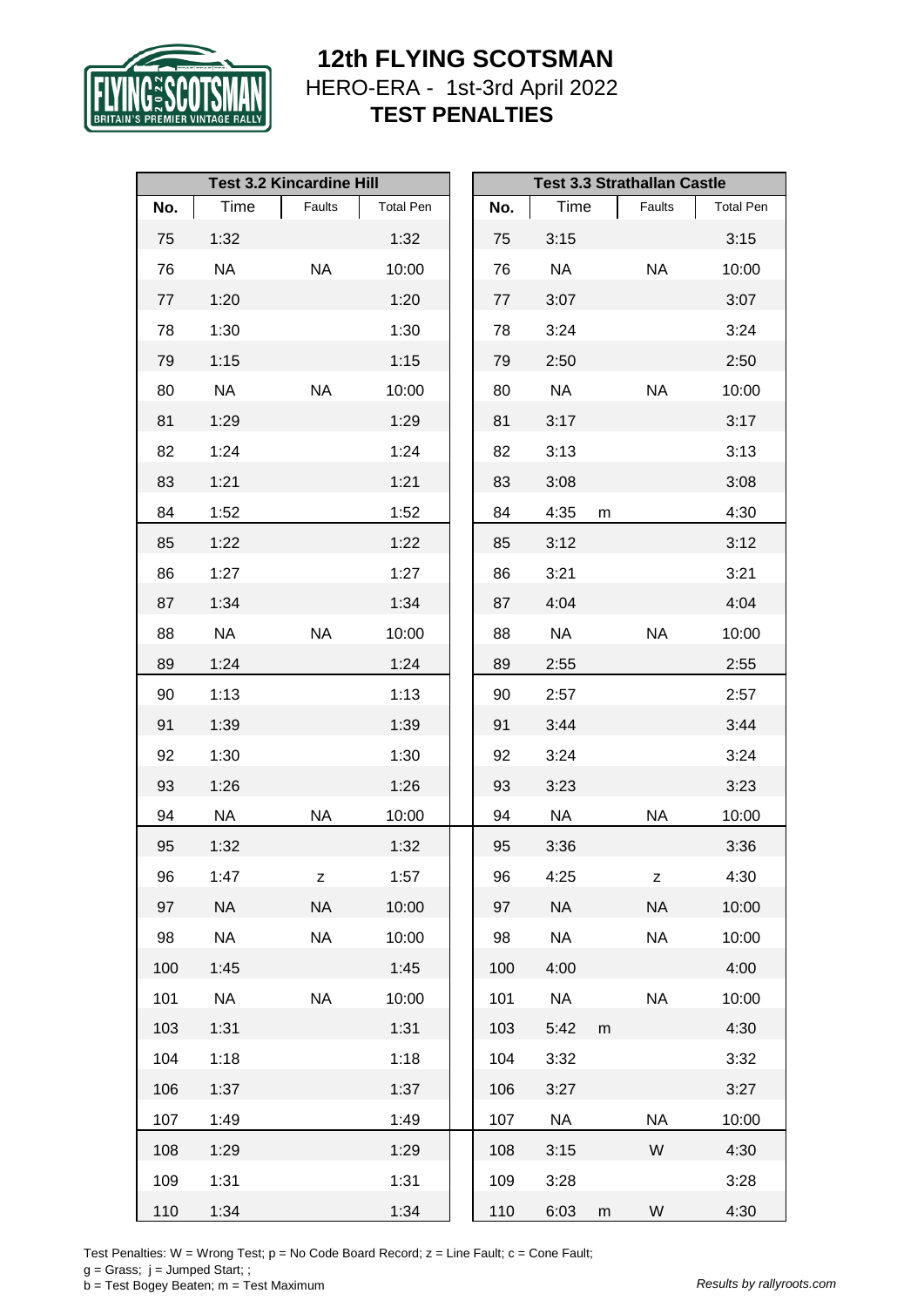

|     |           | <b>Test 3.2 Kincardine Hill</b> |                  |     |           |           | <b>Test 3.3 Strathallan Castle</b> |                  |
|-----|-----------|---------------------------------|------------------|-----|-----------|-----------|------------------------------------|------------------|
| No. | Time      | Faults                          | <b>Total Pen</b> | No. | Time      |           | Faults                             | <b>Total Pen</b> |
| 75  | 1:32      |                                 | 1:32             | 75  | 3:15      |           |                                    | 3:15             |
| 76  | <b>NA</b> | <b>NA</b>                       | 10:00            | 76  | <b>NA</b> |           | <b>NA</b>                          | 10:00            |
| 77  | 1:20      |                                 | 1:20             | 77  | 3:07      |           |                                    | 3:07             |
| 78  | 1:30      |                                 | 1:30             | 78  | 3:24      |           |                                    | 3:24             |
| 79  | 1:15      |                                 | 1:15             | 79  | 2:50      |           |                                    | 2:50             |
| 80  | <b>NA</b> | <b>NA</b>                       | 10:00            | 80  | <b>NA</b> |           | <b>NA</b>                          | 10:00            |
| 81  | 1:29      |                                 | 1:29             | 81  | 3:17      |           |                                    | 3:17             |
| 82  | 1:24      |                                 | 1:24             | 82  | 3:13      |           |                                    | 3:13             |
| 83  | 1:21      |                                 | 1:21             | 83  | 3:08      |           |                                    | 3:08             |
| 84  | 1:52      |                                 | 1:52             | 84  | 4:35      | m         |                                    | 4:30             |
| 85  | 1:22      |                                 | 1:22             | 85  | 3:12      |           |                                    | 3:12             |
| 86  | 1:27      |                                 | 1:27             | 86  | 3:21      |           |                                    | 3:21             |
| 87  | 1:34      |                                 | 1:34             | 87  | 4:04      |           |                                    | 4:04             |
| 88  | NA        | <b>NA</b>                       | 10:00            | 88  | <b>NA</b> |           | <b>NA</b>                          | 10:00            |
| 89  | 1:24      |                                 | 1:24             | 89  | 2:55      |           |                                    | 2:55             |
| 90  | 1:13      |                                 | 1:13             | 90  | 2:57      |           |                                    | 2:57             |
| 91  | 1:39      |                                 | 1:39             | 91  | 3:44      |           |                                    | 3:44             |
| 92  | 1:30      |                                 | 1:30             | 92  | 3:24      |           |                                    | 3:24             |
| 93  | 1:26      |                                 | 1:26             | 93  | 3:23      |           |                                    | 3:23             |
| 94  | NA        | <b>NA</b>                       | 10:00            | 94  | <b>NA</b> |           | NA                                 | 10:00            |
| 95  | 1:32      |                                 | 1:32             | 95  | 3:36      |           |                                    | 3:36             |
| 96  | 1:47      | z                               | 1:57             | 96  | 4:25      |           | $\mathsf{Z}% _{0}$                 | 4:30             |
| 97  | <b>NA</b> | <b>NA</b>                       | 10:00            | 97  | <b>NA</b> |           | <b>NA</b>                          | 10:00            |
| 98  | <b>NA</b> | <b>NA</b>                       | 10:00            | 98  | <b>NA</b> |           | <b>NA</b>                          | 10:00            |
| 100 | 1:45      |                                 | 1:45             | 100 | 4:00      |           |                                    | 4:00             |
| 101 | <b>NA</b> | <b>NA</b>                       | 10:00            | 101 | <b>NA</b> |           | <b>NA</b>                          | 10:00            |
| 103 | 1:31      |                                 | 1:31             | 103 | 5:42      | ${\sf m}$ |                                    | 4:30             |
| 104 | 1:18      |                                 | 1:18             | 104 | 3:32      |           |                                    | 3:32             |
| 106 | 1:37      |                                 | 1:37             | 106 | 3:27      |           |                                    | 3:27             |
| 107 | 1:49      |                                 | 1:49             | 107 | <b>NA</b> |           | <b>NA</b>                          | 10:00            |
| 108 | 1:29      |                                 | 1:29             | 108 | 3:15      |           | W                                  | 4:30             |
| 109 | 1:31      |                                 | 1:31             | 109 | 3:28      |           |                                    | 3:28             |
| 110 | 1:34      |                                 | 1:34             | 110 | 6:03      | m         | W                                  | 4:30             |

Test Penalties: W = Wrong Test; p = No Code Board Record; z = Line Fault; c = Cone Fault;

 $g =$  Grass;  $j =$  Jumped Start; ;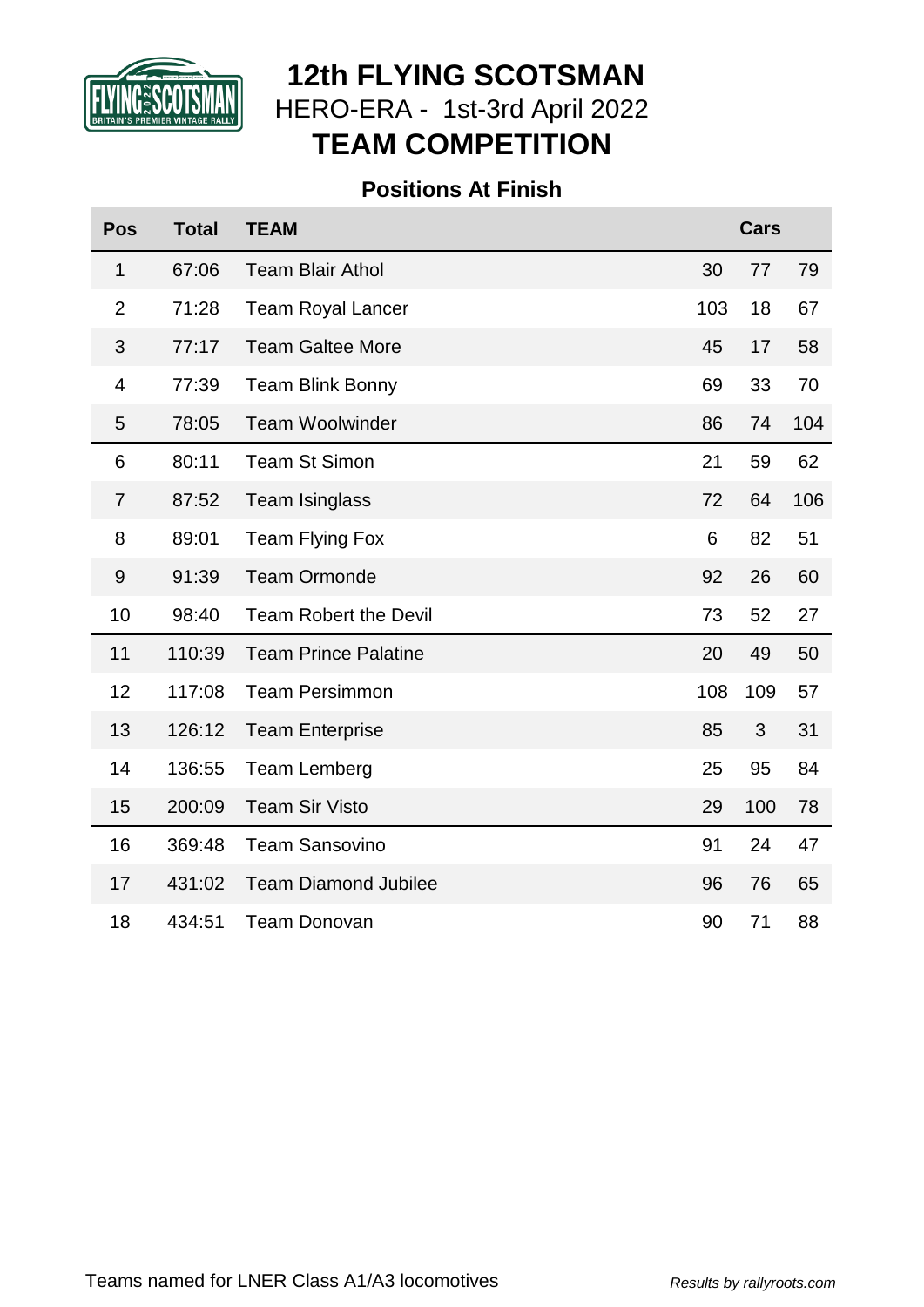

# **12th FLYING SCOTSMAN** HERO-ERA - 1st-3rd April 2022 **TEAM COMPETITION**

## **Positions At Finish**

| <b>Pos</b>     | <b>Total</b> | <b>TEAM</b>                 |                 | <b>Cars</b>    |     |
|----------------|--------------|-----------------------------|-----------------|----------------|-----|
| 1              | 67:06        | <b>Team Blair Athol</b>     | 30              | 77             | 79  |
| $\overline{2}$ | 71:28        | <b>Team Royal Lancer</b>    | 103             | 18             | 67  |
| 3              | 77:17        | <b>Team Galtee More</b>     | 45              | 17             | 58  |
| $\overline{4}$ | 77:39        | <b>Team Blink Bonny</b>     | 69              | 33             | 70  |
| 5              | 78:05        | <b>Team Woolwinder</b>      | 86              | 74             | 104 |
| 6              | 80:11        | <b>Team St Simon</b>        | 21              | 59             | 62  |
| $\overline{7}$ | 87:52        | <b>Team Isinglass</b>       | 72              | 64             | 106 |
| 8              | 89:01        | <b>Team Flying Fox</b>      | $6\phantom{1}6$ | 82             | 51  |
| 9              | 91:39        | <b>Team Ormonde</b>         | 92              | 26             | 60  |
| 10             | 98:40        | Team Robert the Devil       | 73              | 52             | 27  |
| 11             | 110:39       | <b>Team Prince Palatine</b> | 20              | 49             | 50  |
| 12             | 117:08       | <b>Team Persimmon</b>       | 108             | 109            | 57  |
| 13             | 126:12       | <b>Team Enterprise</b>      | 85              | $\mathfrak{S}$ | 31  |
| 14             | 136:55       | <b>Team Lemberg</b>         | 25              | 95             | 84  |
| 15             | 200:09       | <b>Team Sir Visto</b>       | 29              | 100            | 78  |
| 16             | 369:48       | <b>Team Sansovino</b>       | 91              | 24             | 47  |
| 17             | 431:02       | <b>Team Diamond Jubilee</b> | 96              | 76             | 65  |
| 18             | 434:51       | <b>Team Donovan</b>         | 90              | 71             | 88  |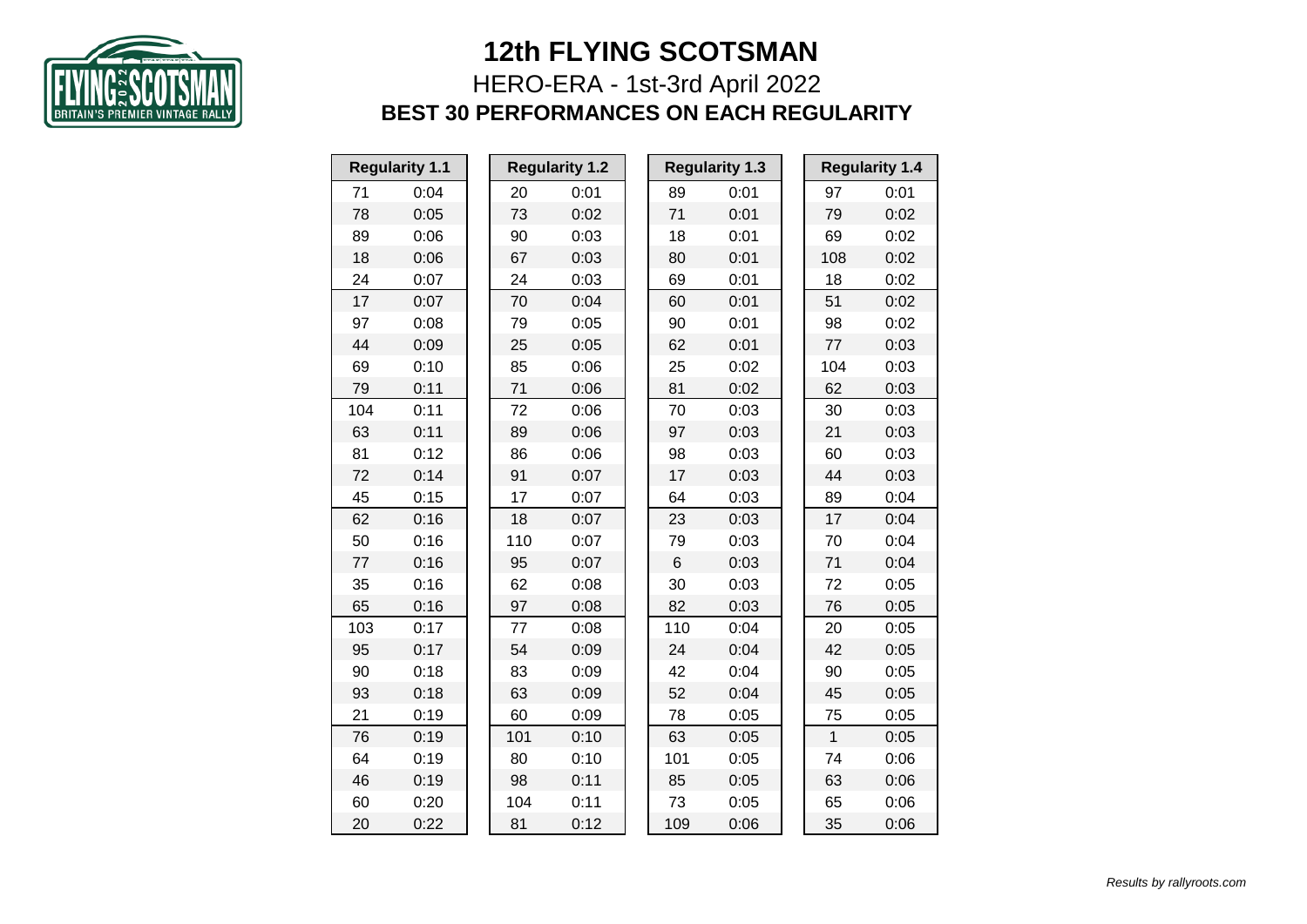

## HERO-ERA - 1st-3rd April 2022 **BEST 30 PERFORMANCES ON EACH REGULARITY**

| <b>Regularity 1.1</b> |      |     | <b>Regularity 1.2</b> |     | <b>Regularity 1.3</b> |              | <b>Regularity 1.4</b> |
|-----------------------|------|-----|-----------------------|-----|-----------------------|--------------|-----------------------|
| 71                    | 0:04 | 20  | 0:01                  | 89  | 0:01                  | 97           | 0:01                  |
| 78                    | 0:05 | 73  | 0:02                  | 71  | 0:01                  | 79           | 0:02                  |
| 89                    | 0:06 | 90  | 0:03                  | 18  | 0:01                  | 69           | 0:02                  |
| 18                    | 0:06 | 67  | 0:03                  | 80  | 0:01                  | 108          | 0:02                  |
| 24                    | 0:07 | 24  | 0:03                  | 69  | 0:01                  | 18           | 0:02                  |
| 17                    | 0:07 | 70  | 0:04                  | 60  | 0:01                  | 51           | 0:02                  |
| 97                    | 0:08 | 79  | 0:05                  | 90  | 0:01                  | 98           | 0:02                  |
| 44                    | 0:09 | 25  | 0:05                  | 62  | 0:01                  | 77           | 0:03                  |
| 69                    | 0:10 | 85  | 0:06                  | 25  | 0:02                  | 104          | 0:03                  |
| 79                    | 0:11 | 71  | 0:06                  | 81  | 0:02                  | 62           | 0:03                  |
| 104                   | 0:11 | 72  | 0:06                  | 70  | 0:03                  | 30           | 0:03                  |
| 63                    | 0:11 | 89  | 0:06                  | 97  | 0:03                  | 21           | 0:03                  |
| 81                    | 0:12 | 86  | 0:06                  | 98  | 0:03                  | 60           | 0:03                  |
| 72                    | 0:14 | 91  | 0:07                  | 17  | 0:03                  | 44           | 0:03                  |
| 45                    | 0:15 | 17  | 0:07                  | 64  | 0:03                  | 89           | 0:04                  |
| 62                    | 0:16 | 18  | 0:07                  | 23  | 0:03                  | 17           | 0:04                  |
| 50                    | 0:16 | 110 | 0:07                  | 79  | 0:03                  | 70           | 0:04                  |
| 77                    | 0:16 | 95  | 0:07                  | 6   | 0:03                  | 71           | 0:04                  |
| 35                    | 0:16 | 62  | 0:08                  | 30  | 0:03                  | 72           | 0:05                  |
| 65                    | 0:16 | 97  | 0:08                  | 82  | 0:03                  | 76           | 0:05                  |
| 103                   | 0:17 | 77  | 0:08                  | 110 | 0:04                  | 20           | 0:05                  |
| 95                    | 0:17 | 54  | 0:09                  | 24  | 0:04                  | 42           | 0:05                  |
| 90                    | 0:18 | 83  | 0:09                  | 42  | 0:04                  | 90           | 0:05                  |
| 93                    | 0:18 | 63  | 0:09                  | 52  | 0:04                  | 45           | 0:05                  |
| 21                    | 0:19 | 60  | 0:09                  | 78  | 0:05                  | 75           | 0:05                  |
| 76                    | 0:19 | 101 | 0:10                  | 63  | 0:05                  | $\mathbf{1}$ | 0:05                  |
| 64                    | 0:19 | 80  | 0:10                  | 101 | 0:05                  | 74           | 0:06                  |
| 46                    | 0:19 | 98  | 0:11                  | 85  | 0:05                  | 63           | 0:06                  |
| 60                    | 0:20 | 104 | 0:11                  | 73  | 0:05                  | 65           | 0:06                  |
| 20                    | 0:22 | 81  | 0:12                  | 109 | 0:06                  | 35           | 0:06                  |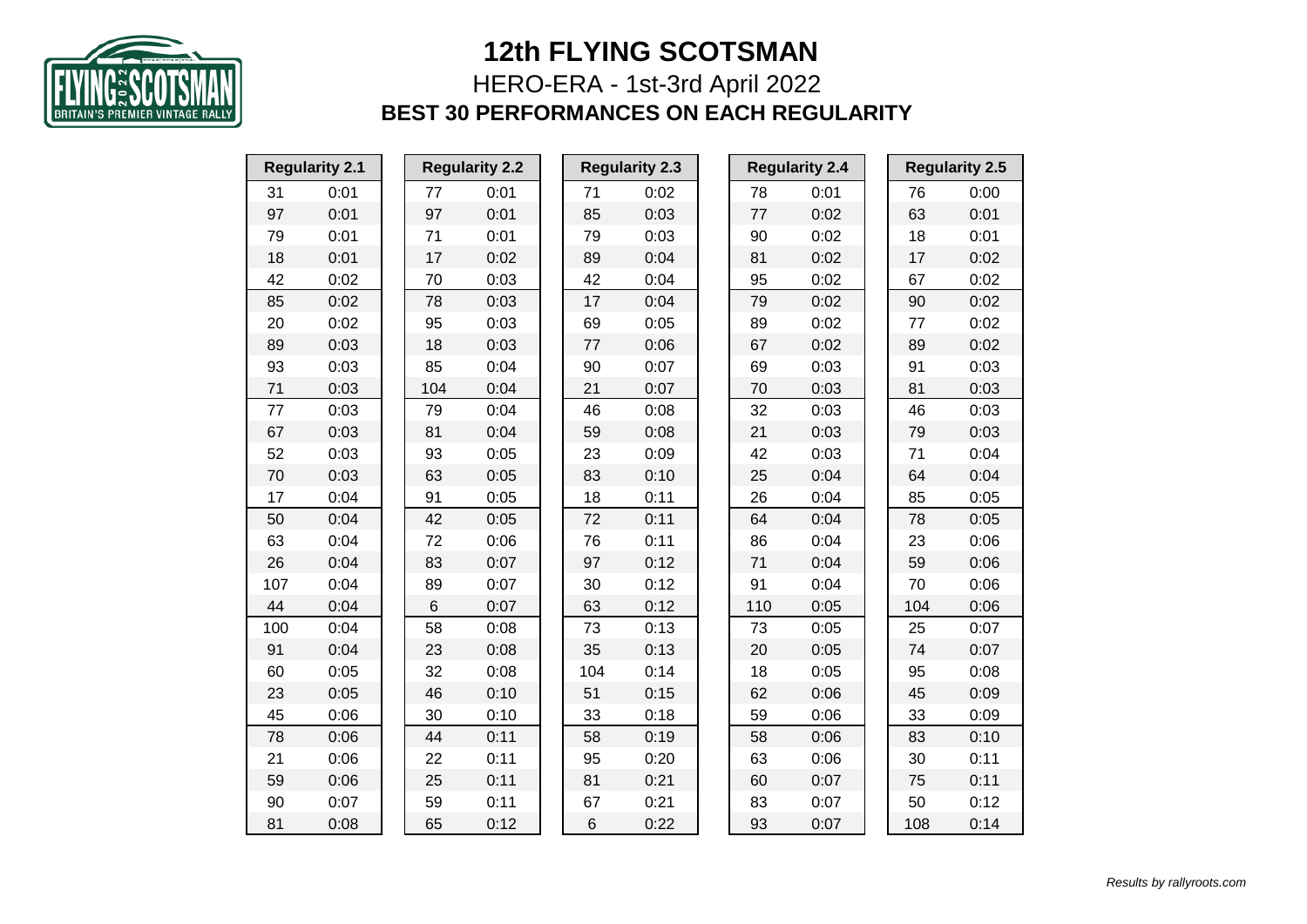

HERO-ERA - 1st-3rd April 2022 **BEST 30 PERFORMANCES ON EACH REGULARITY**

|     | <b>Regularity 2.1</b> | <b>Regularity 2.2</b> |      |     | <b>Regularity 2.3</b> |  |     | <b>Regularity 2.4</b> |     | <b>Regularity 2.5</b> |
|-----|-----------------------|-----------------------|------|-----|-----------------------|--|-----|-----------------------|-----|-----------------------|
| 31  | 0:01                  | 77                    | 0:01 | 71  | 0:02                  |  | 78  | 0:01                  | 76  | 0:00                  |
| 97  | 0:01                  | 97                    | 0:01 | 85  | 0:03                  |  | 77  | 0:02                  | 63  | 0:01                  |
| 79  | 0:01                  | 71                    | 0:01 | 79  | 0:03                  |  | 90  | 0:02                  | 18  | 0:01                  |
| 18  | 0:01                  | 17                    | 0:02 | 89  | 0:04                  |  | 81  | 0:02                  | 17  | 0:02                  |
| 42  | 0:02                  | 70                    | 0:03 | 42  | 0:04                  |  | 95  | 0:02                  | 67  | 0:02                  |
| 85  | 0:02                  | 78                    | 0:03 | 17  | 0:04                  |  | 79  | 0:02                  | 90  | 0:02                  |
| 20  | 0:02                  | 95                    | 0:03 | 69  | 0:05                  |  | 89  | 0:02                  | 77  | 0:02                  |
| 89  | 0:03                  | 18                    | 0:03 | 77  | 0:06                  |  | 67  | 0:02                  | 89  | 0:02                  |
| 93  | 0:03                  | 85                    | 0:04 | 90  | 0:07                  |  | 69  | 0:03                  | 91  | 0:03                  |
| 71  | 0:03                  | 104                   | 0:04 | 21  | 0:07                  |  | 70  | 0:03                  | 81  | 0:03                  |
| 77  | 0:03                  | 79                    | 0:04 | 46  | 0:08                  |  | 32  | 0:03                  | 46  | 0:03                  |
| 67  | 0:03                  | 81                    | 0:04 | 59  | 0:08                  |  | 21  | 0:03                  | 79  | 0:03                  |
| 52  | 0:03                  | 93                    | 0:05 | 23  | 0:09                  |  | 42  | 0:03                  | 71  | 0:04                  |
| 70  | 0:03                  | 63                    | 0:05 | 83  | 0:10                  |  | 25  | 0:04                  | 64  | 0:04                  |
| 17  | 0:04                  | 91                    | 0:05 | 18  | 0:11                  |  | 26  | 0:04                  | 85  | 0:05                  |
| 50  | 0:04                  | 42                    | 0:05 | 72  | 0:11                  |  | 64  | 0:04                  | 78  | 0:05                  |
| 63  | 0:04                  | 72                    | 0:06 | 76  | 0:11                  |  | 86  | 0:04                  | 23  | 0:06                  |
| 26  | 0:04                  | 83                    | 0:07 | 97  | 0:12                  |  | 71  | 0:04                  | 59  | 0:06                  |
| 107 | 0:04                  | 89                    | 0:07 | 30  | 0:12                  |  | 91  | 0:04                  | 70  | 0:06                  |
| 44  | 0:04                  | 6                     | 0:07 | 63  | 0:12                  |  | 110 | 0:05                  | 104 | 0:06                  |
| 100 | 0:04                  | 58                    | 0:08 | 73  | 0:13                  |  | 73  | 0:05                  | 25  | 0:07                  |
| 91  | 0:04                  | 23                    | 0:08 | 35  | 0:13                  |  | 20  | 0:05                  | 74  | 0:07                  |
| 60  | 0:05                  | 32                    | 0:08 | 104 | 0:14                  |  | 18  | 0:05                  | 95  | 0:08                  |
| 23  | 0:05                  | 46                    | 0:10 | 51  | 0:15                  |  | 62  | 0:06                  | 45  | 0:09                  |
| 45  | 0:06                  | 30                    | 0:10 | 33  | 0:18                  |  | 59  | 0:06                  | 33  | 0:09                  |
| 78  | 0:06                  | 44                    | 0:11 | 58  | 0:19                  |  | 58  | 0:06                  | 83  | 0:10                  |
| 21  | 0:06                  | 22                    | 0:11 | 95  | 0:20                  |  | 63  | 0:06                  | 30  | 0:11                  |
| 59  | 0:06                  | 25                    | 0:11 | 81  | 0:21                  |  | 60  | 0:07                  | 75  | 0:11                  |
| 90  | 0:07                  | 59                    | 0:11 | 67  | 0:21                  |  | 83  | 0:07                  | 50  | 0:12                  |
| 81  | 0:08                  | 65                    | 0:12 | 6   | 0:22                  |  | 93  | 0:07                  | 108 | 0:14                  |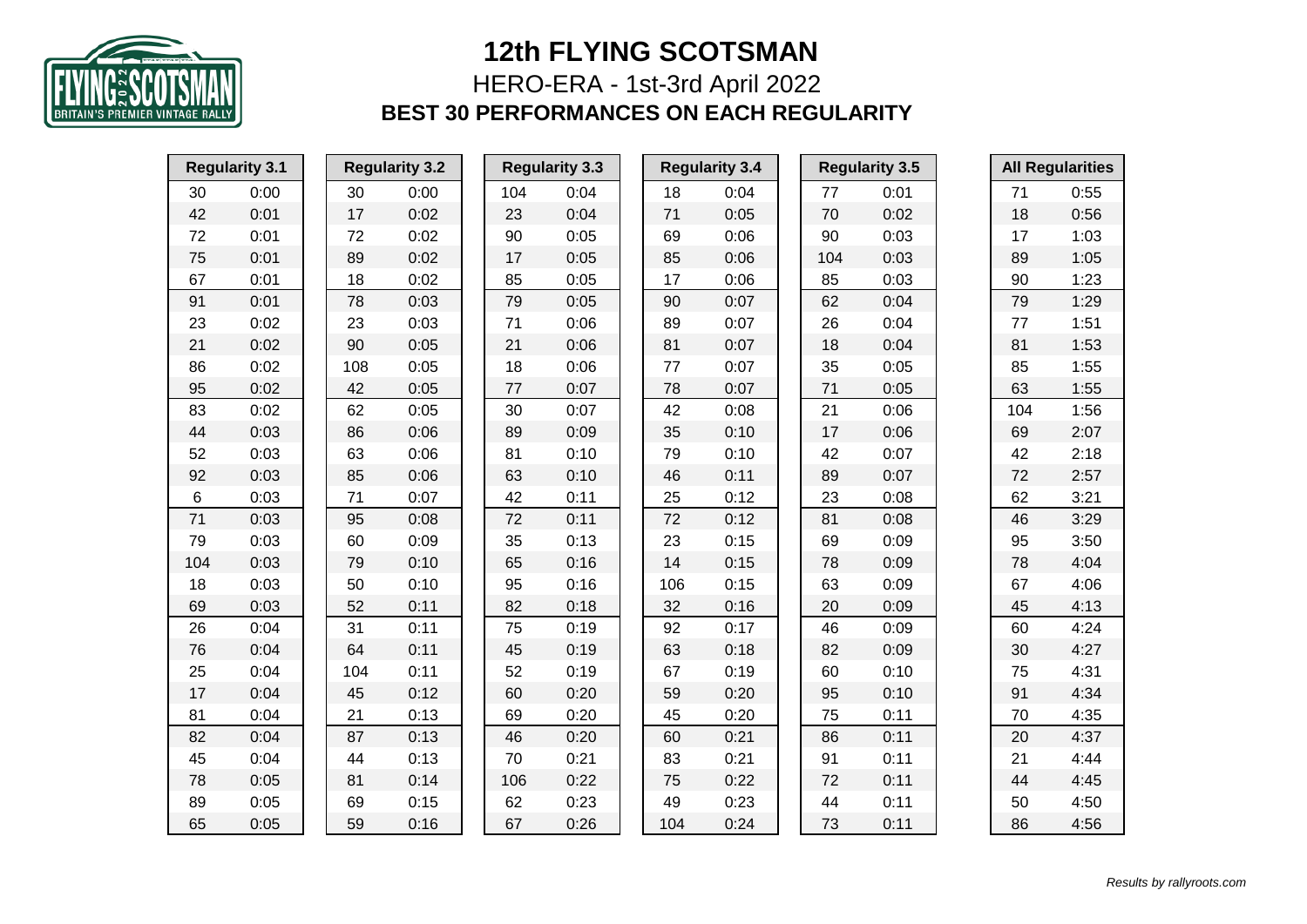

## HERO-ERA - 1st-3rd April 2022 **BEST 30 PERFORMANCES ON EACH REGULARITY**

|     | <b>Regularity 3.1</b> |     | <b>Regularity 3.2</b> |     | <b>Regularity 3.3</b> |         | <b>Regularity 3.4</b> |     | <b>Regularity 3.5</b> |     | <b>All Regularities</b> |
|-----|-----------------------|-----|-----------------------|-----|-----------------------|---------|-----------------------|-----|-----------------------|-----|-------------------------|
| 30  | 0:00                  | 30  | 0:00                  | 104 | 0:04                  | 18      | 0:04                  | 77  | 0:01                  | 71  | 0:55                    |
| 42  | 0:01                  | 17  | 0:02                  | 23  | 0:04                  | 71      | 0:05                  | 70  | 0:02                  | 18  | 0:56                    |
| 72  | 0:01                  | 72  | 0:02                  | 90  | 0:05                  | 69      | 0:06                  | 90  | 0:03                  | 17  | 1:03                    |
| 75  | 0:01                  | 89  | 0:02                  | 17  | 0:05                  | 85      | 0:06                  | 104 | 0:03                  | 89  | 1:05                    |
| 67  | 0:01                  | 18  | 0:02                  | 85  | 0:05                  | 17      | 0:06                  | 85  | 0:03                  | 90  | 1:23                    |
| 91  | 0:01                  | 78  | 0:03                  | 79  | 0:05                  | 90      | 0:07                  | 62  | 0:04                  | 79  | 1:29                    |
| 23  | 0:02                  | 23  | 0:03                  | 71  | 0:06                  | 89      | 0:07                  | 26  | 0:04                  | 77  | 1:51                    |
| 21  | 0:02                  | 90  | 0:05                  | 21  | 0:06                  | 81      | 0:07                  | 18  | 0:04                  | 81  | 1:53                    |
| 86  | 0:02                  | 108 | 0:05                  | 18  | 0:06                  | $77 \,$ | 0:07                  | 35  | 0:05                  | 85  | 1:55                    |
| 95  | 0:02                  | 42  | 0:05                  | 77  | 0:07                  | 78      | 0:07                  | 71  | 0:05                  | 63  | 1:55                    |
| 83  | 0:02                  | 62  | 0:05                  | 30  | 0:07                  | 42      | 0:08                  | 21  | 0:06                  | 104 | 1:56                    |
| 44  | 0:03                  | 86  | 0:06                  | 89  | 0:09                  | 35      | 0:10                  | 17  | 0:06                  | 69  | 2:07                    |
| 52  | 0:03                  | 63  | 0:06                  | 81  | 0:10                  | 79      | 0:10                  | 42  | 0:07                  | 42  | 2:18                    |
| 92  | 0:03                  | 85  | 0:06                  | 63  | 0:10                  | 46      | 0:11                  | 89  | 0:07                  | 72  | 2:57                    |
| 6   | 0:03                  | 71  | 0:07                  | 42  | 0:11                  | 25      | 0:12                  | 23  | 0:08                  | 62  | 3:21                    |
| 71  | 0:03                  | 95  | 0:08                  | 72  | 0:11                  | 72      | 0:12                  | 81  | 0:08                  | 46  | 3:29                    |
| 79  | 0:03                  | 60  | 0:09                  | 35  | 0:13                  | 23      | 0:15                  | 69  | 0:09                  | 95  | 3:50                    |
| 104 | 0:03                  | 79  | 0:10                  | 65  | 0:16                  | 14      | 0:15                  | 78  | 0:09                  | 78  | 4:04                    |
| 18  | 0:03                  | 50  | 0:10                  | 95  | 0:16                  | 106     | 0:15                  | 63  | 0:09                  | 67  | 4:06                    |
| 69  | 0:03                  | 52  | 0:11                  | 82  | 0:18                  | 32      | 0:16                  | 20  | 0:09                  | 45  | 4:13                    |
| 26  | 0:04                  | 31  | 0:11                  | 75  | 0:19                  | 92      | 0:17                  | 46  | 0:09                  | 60  | 4:24                    |
| 76  | 0:04                  | 64  | 0:11                  | 45  | 0:19                  | 63      | 0:18                  | 82  | 0:09                  | 30  | 4:27                    |
| 25  | 0:04                  | 104 | 0:11                  | 52  | 0:19                  | 67      | 0:19                  | 60  | 0:10                  | 75  | 4:31                    |
| 17  | 0:04                  | 45  | 0:12                  | 60  | 0:20                  | 59      | 0:20                  | 95  | 0:10                  | 91  | 4:34                    |
| 81  | 0:04                  | 21  | 0:13                  | 69  | 0:20                  | 45      | 0:20                  | 75  | 0:11                  | 70  | 4:35                    |
| 82  | 0:04                  | 87  | 0:13                  | 46  | 0:20                  | 60      | 0:21                  | 86  | 0:11                  | 20  | 4:37                    |
| 45  | 0:04                  | 44  | 0:13                  | 70  | 0:21                  | 83      | 0:21                  | 91  | 0:11                  | 21  | 4:44                    |
| 78  | 0:05                  | 81  | 0:14                  | 106 | 0:22                  | 75      | 0:22                  | 72  | 0:11                  | 44  | 4:45                    |
| 89  | 0:05                  | 69  | 0:15                  | 62  | 0:23                  | 49      | 0:23                  | 44  | 0:11                  | 50  | 4:50                    |
| 65  | 0:05                  | 59  | 0:16                  | 67  | 0:26                  | 104     | 0:24                  | 73  | 0:11                  | 86  | 4:56                    |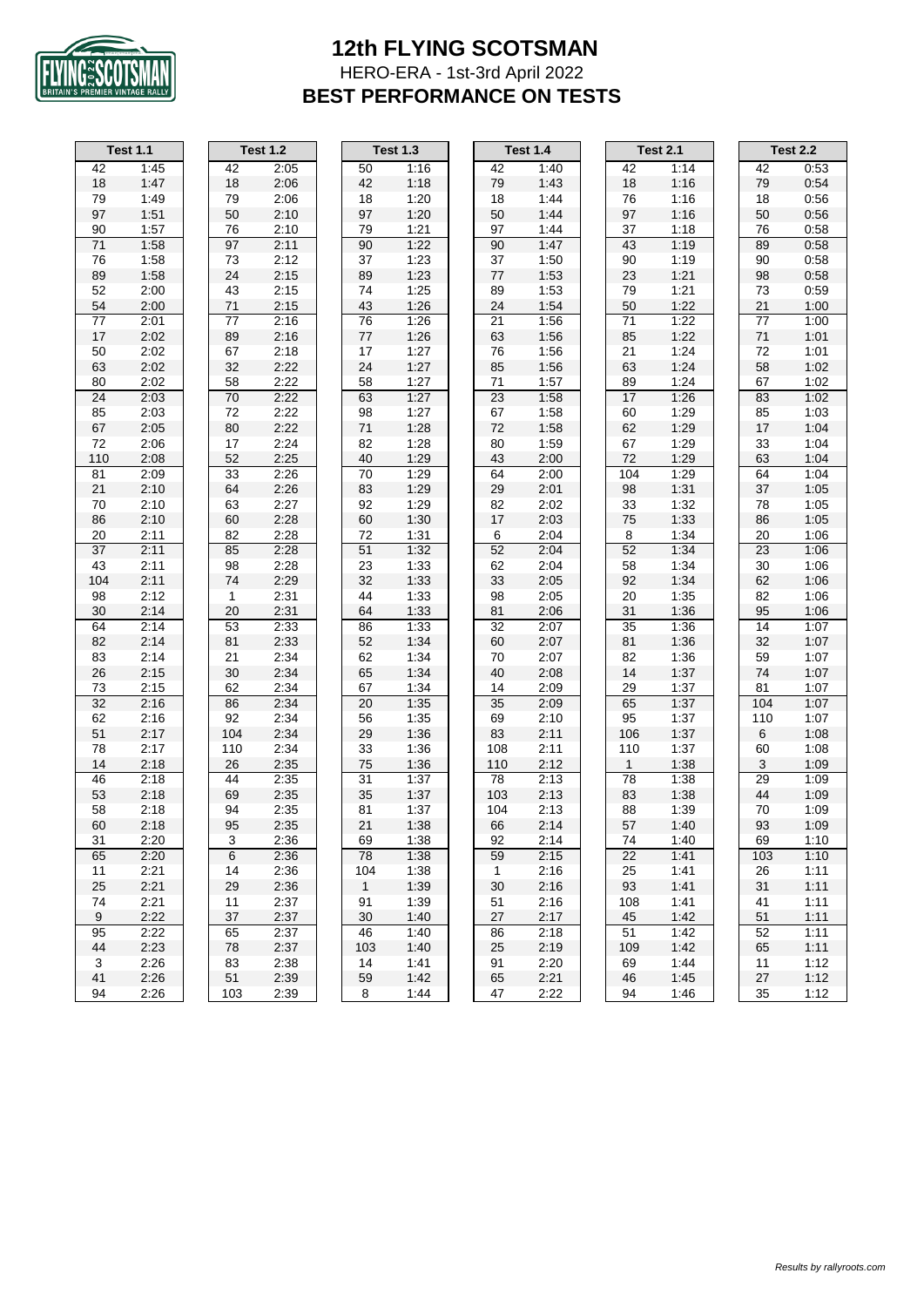

#### **12th FLYING SCOTSMAN** HERO-ERA - 1st-3rd April 2022 **BEST PERFORMANCE ON TESTS**

| Test            | 1.1          |
|-----------------|--------------|
| 42              | 1:45         |
| 18              | 1:47         |
| 79              | 1:49         |
| 97              | 1:51         |
| 90              | 1:57         |
| 71              | 1:58         |
| 76              | 1:58         |
| 89              | 1:58         |
| 52              | 2:00         |
| 54              | 2:00         |
| 77              | 2:01         |
| 17              | 2:02         |
| 50              | 2:02         |
| 63              | 2:02         |
| 80              | 2:02         |
| 24              | 2:03         |
| 85              | 2:03         |
| 67              | 2:05         |
| 72              | 2:06         |
| 110             | 2:08         |
| 81              | 2:09         |
| 21              | 2:10         |
| 70              | 2:10         |
| 86              | 2:10         |
| 20              | 2:11         |
| 37              | 2:11         |
| 43              | 2:11         |
| 104             | 2:11         |
| 98              | 2:12         |
| 30              | 2:14         |
| 64              | 2:14         |
| 82              | 2:14         |
| 83              | 2:14         |
| 26              | 2:15         |
| 73              | 2:15         |
| $\overline{32}$ | 2:16         |
| 62              | 2:16         |
| 51              | 2:17         |
| 78              | 2:17         |
| 14              | 2:18         |
| 46              | 2:18         |
| 53              | 2:18         |
| 58              |              |
| 60              | 2:18<br>2:18 |
|                 |              |
| 31              | 2:20         |
| 65              | 2:20         |
| 11              | 2:21         |
| 25              | 2:21         |
| 74              | 2:21         |
| $\overline{9}$  | 2:22         |
| 95              | 2:22         |
| 44              | 2:23         |
| 3               | 2:26         |
| 41              | 2:26         |
| 94              | 2:26         |

| t 1.2 | 1               |
|-------|-----------------|
| 2:05  | 50              |
| 2:06  | 42              |
| 2:06  | 18              |
| 2:10  | 97              |
| 2.10  | 79              |
| 2:11  | 90              |
| 2:12  | 37              |
| 2:15  | 89              |
| 2:15  | 74              |
| 2:15  | 43              |
| 2:16  | 76              |
| 2:16  | 77              |
| 2:18  | 17              |
| 2:22  | 24              |
| 2:22  | 58              |
| 2:22  | 63              |
| 2:22  | 98              |
| 2:22  | 71              |
| 2:24  | 82              |
| 2:25  | 40              |
| 2.26  | $\overline{70}$ |
| 2.26  | 83              |
| 2:27  | 92              |
| 2.28  | 60              |
| 2:28  | 72              |
| 2:28  | 51              |
| 2:28  | 23              |
| 2:29  | 32              |
| 2:31  | 44              |
| 2:31  | 64              |
| 2:33  | 86              |
| 2:33  | 52              |
| 2:34  | 62              |
| 2:34  | 65              |
| 2.34  | 67              |
| 2:34  | 20              |
| 2:34  | 56              |
| 2:34  | 29              |
| 2:34  | 33              |
| 2:35  | 75              |
| 2:35  | 31              |
| 2:35  | 35              |
| 2.35  | 81              |
| 2:35  | 21              |
|       | iУ              |
| 2:36  | 78              |
| 2:36  | 104             |
| 2:36  | 1               |
| 2:37  | 91              |
| 2:37  | 30              |
| 2:37  | 46              |
| 2:37  | 103             |
| 2:38  | 14              |
| 2:39  | 59              |
|       |                 |

| Test 1.4 |                   |
|----------|-------------------|
| 42       | 1:40              |
| 79       | 1:43              |
| 18       | 1:44              |
| 50       | 1:44              |
| 97       | 1:44              |
| 90       | 1:47              |
| 37       | 1:50              |
| 77       | 1:53              |
| 89       | 1:53              |
| 24       | 1:54              |
| 21       | 1:56              |
| 63       | 1:56              |
| 76       | 1:56              |
| 85       | 1:56              |
|          |                   |
| 71       | 1:57              |
| 23       | 1.58              |
| 67       | 1:58              |
| 72       | 1:58              |
| 80       | 1:59              |
| 43       | 2:00              |
| 64       | 2:00              |
| 29       | 2:01              |
| 82       | 2:02              |
| 17       | 2:03              |
| 6        | 2:04              |
| 52       | 2:04              |
| 62       | 2:04              |
| 33       | 2:05              |
| 98       | 2:05              |
| 81       | 2:06              |
| 32       | 2:07              |
| 60       | 2:07              |
| 70       | 2:07              |
| 40       | 2:08              |
| 14       | 2:09              |
| 35       | 2:09              |
| 69       | 2:10              |
| 83       | 2:11              |
| 108      | 2:11              |
| 110      | 2:12              |
| 78       | 2:13              |
|          | 2:13              |
| 103      |                   |
| 104      | 2:13              |
| 66       | 2:14              |
| 92       | 2:14              |
| 59       | $\overline{2:}15$ |
| 1        | 2:16              |
| 30       | 2:16              |
| 51       | 2:16              |
| 27       | 2:17              |
| 86       | 2:18              |
| 25       | 2:19              |
| 91       | 2:20              |
| GБ       | 2.21              |

|     | <b>Test 1.1</b> |     | <b>Test 1.2</b> |              | <b>Test 1.3</b> |              | <b>Test 1.4</b> |              | <b>Test 2.1</b> |     | <b>Test 2.2</b> |
|-----|-----------------|-----|-----------------|--------------|-----------------|--------------|-----------------|--------------|-----------------|-----|-----------------|
|     | 1:45            | 42  |                 | 50           | 1:16            | 42           | 1:40            | 42           |                 | 42  |                 |
| 42  |                 |     | 2:05            |              |                 |              |                 |              | 1:14            |     | 0:53            |
| 18  | 1:47            | 18  | 2:06            | 42           | 1:18            | 79           | 1:43            | 18           | 1:16            | 79  | 0:54            |
| 79  | 1:49            | 79  | 2:06            | 18           | 1:20            | 18           | 1:44            | 76           | 1:16            | 18  | 0:56            |
| 97  | 1:51            | 50  | 2:10            | 97           | 1:20            | 50           | 1:44            | 97           | 1:16            | 50  | 0:56            |
| 90  | 1:57            | 76  | 2:10            | 79           | 1:21            | 97           | 1:44            | 37           | 1:18            | 76  | 0:58            |
| 71  | 1:58            | 97  | 2:11            | 90           | 1:22            | 90           | 1:47            | 43           | 1:19            | 89  | 0:58            |
| 76  | 1:58            | 73  | 2:12            | 37           | 1:23            | 37           | 1:50            | 90           | 1:19            | 90  | 0:58            |
| 89  | 1:58            | 24  | 2:15            | 89           | 1:23            | 77           | 1:53            | 23           | 1:21            | 98  | 0:58            |
| 52  | 2:00            | 43  | 2:15            | 74           | 1:25            | 89           | 1:53            | 79           | 1:21            | 73  | 0:59            |
| 54  | 2:00            | 71  | 2:15            | 43           | 1:26            | 24           | 1:54            | 50           | 1:22            | 21  | 1:00            |
| 77  | 2:01            | 77  | 2:16            | 76           | 1:26            | 21           | 1:56            | 71           | 1:22            | 77  | 1:00            |
| 17  | 2:02            | 89  | 2:16            | 77           | 1:26            | 63           | 1:56            | 85           | 1:22            | 71  | 1:01            |
| 50  | 2:02            | 67  | 2:18            | 17           | 1:27            | 76           | 1:56            | 21           | 1:24            | 72  | 1:01            |
| 63  | 2:02            | 32  | 2:22            | 24           | 1:27            | 85           | 1:56            | 63           | 1:24            | 58  | 1:02            |
| 80  | 2:02            | 58  | 2:22            | 58           | 1:27            | 71           | 1:57            | 89           | 1:24            | 67  | 1:02            |
| 24  | 2:03            | 70  | 2:22            | 63           | 1:27            | 23           | 1:58            | 17           | 1:26            | 83  | 1:02            |
| 85  | 2:03            | 72  | 2:22            | 98           | 1:27            | 67           | 1:58            | 60           | 1:29            | 85  | 1:03            |
| 67  | 2:05            | 80  | 2:22            | 71           | 1:28            | 72           | 1:58            | 62           | 1:29            | 17  | 1:04            |
| 72  | 2:06            | 17  | 2:24            | 82           | 1:28            | 80           | 1:59            | 67           | 1:29            | 33  | 1:04            |
| 110 | 2:08            | 52  | 2:25            | 40           | 1:29            | 43           | 2:00            | 72           | 1:29            | 63  | 1:04            |
| 81  | 2:09            | 33  | 2:26            | 70           | 1:29            | 64           | 2:00            | 104          | 1:29            | 64  | 1:04            |
| 21  | 2:10            | 64  | 2:26            | 83           | 1:29            | 29           | 2:01            | 98           | 1:31            | 37  | 1:05            |
| 70  | 2:10            | 63  | 2:27            | 92           | 1:29            | 82           | 2:02            | 33           | 1:32            | 78  | 1:05            |
| 86  | 2:10            | 60  | 2:28            | 60           | 1:30            | 17           | 2:03            | 75           | 1:33            | 86  | 1:05            |
| 20  | 2:11            | 82  | 2:28            | 72           | 1:31            | 6            | 2:04            | 8            | 1:34            | 20  | 1:06            |
| 37  | 2:11            | 85  | 2:28            | 51           | 1:32            | 52           | 2:04            | 52           | 1:34            | 23  | 1:06            |
| 43  | 2:11            | 98  | 2:28            | 23           | 1:33            | 62           | 2:04            | 58           | 1:34            | 30  | 1:06            |
| 104 | 2:11            | 74  | 2:29            | 32           | 1:33            | 33           | 2:05            | 92           | 1:34            | 62  | 1:06            |
| 98  | 2:12            | 1   | 2:31            | 44           | 1:33            | 98           | 2:05            | 20           | 1:35            | 82  | 1:06            |
| 30  | 2:14            | 20  | 2:31            | 64           | 1:33            | 81           | 2:06            | 31           | 1:36            | 95  | 1:06            |
| 64  | 2:14            | 53  | 2:33            | 86           | 1:33            | 32           | 2:07            | 35           | 1:36            | 14  | 1:07            |
| 82  | 2:14            | 81  | 2:33            | 52           | 1:34            | 60           | 2:07            | 81           | 1:36            | 32  | 1:07            |
| 83  | 2:14            | 21  | 2:34            | 62           | 1:34            | 70           | 2:07            | 82           | 1:36            | 59  | 1:07            |
| 26  | 2:15            | 30  | 2:34            | 65           | 1:34            | 40           | 2:08            | 14           | 1:37            | 74  | 1:07            |
| 73  | 2:15            | 62  | 2:34            | 67           | 1:34            | 14           | 2:09            | 29           | 1:37            | 81  | 1:07            |
| 32  | 2:16            | 86  | 2:34            | 20           | 1:35            | 35           | 2:09            | 65           | 1:37            | 104 | 1:07            |
| 62  | 2:16            | 92  | 2:34            | 56           | 1:35            | 69           | 2:10            | 95           | 1:37            | 110 | 1:07            |
|     |                 |     | 2:34            | 29           |                 |              |                 |              |                 |     |                 |
| 51  | 2:17            | 104 |                 |              | 1:36            | 83           | 2:11            | 106          | 1:37            | 6   | 1:08            |
| 78  | 2:17            | 110 | 2:34            | 33           | 1:36            | 108          | 2:11            | 110          | 1:37            | 60  | 1:08            |
| 14  | 2:18            | 26  | 2:35            | 75           | 1:36            | 110          | 2:12            | $\mathbf{1}$ | 1:38            | 3   | 1:09            |
| 46  | 2:18            | 44  | 2:35            | 31           | 1:37            | 78           | 2:13            | 78           | 1:38            | 29  | 1:09            |
| 53  | 2:18            | 69  | 2:35            | 35           | 1:37            | 103          | 2:13            | 83           | 1:38            | 44  | 1:09            |
| 58  | 2:18            | 94  | 2:35            | 81           | 1:37            | 104          | 2:13            | 88           | 1:39            | 70  | 1:09            |
| 60  | 2:18            | 95  | 2:35            | 21           | 1:38            | 66           | 2:14            | 57           | 1:40            | 93  | 1:09            |
| 31  | 2:20            | 3   | 2:36            | 69           | 1:38            | 92           | 2:14            | 74           | 1:40            | 69  | 1:10            |
| 65  | 2:20            | 6   | 2:36            | 78           | 1:38            | 59           | 2:15            | 22           | 1:41            | 103 | 1:10            |
| 11  | 2:21            | 14  | 2:36            | 104          | 1:38            | $\mathbf{1}$ | 2:16            | 25           | 1:41            | 26  | 1:11            |
| 25  | 2:21            | 29  | 2:36            | $\mathbf{1}$ | 1:39            | 30           | 2:16            | 93           | 1:41            | 31  | 1:11            |
| 74  | 2:21            | 11  | 2:37            | 91           | 1:39            | 51           | 2:16            | 108          | 1:41            | 41  | 1:11            |
| 9   | 2:22            | 37  | 2:37            | 30           | 1:40            | 27           | 2:17            | 45           | 1:42            | 51  | 1:11            |
| 95  | 2:22            | 65  | 2:37            | 46           | 1:40            | 86           | 2:18            | 51           | 1:42            | 52  | 1:11            |
| 44  | 2:23            | 78  | 2:37            | 103          | 1:40            | 25           | 2:19            | 109          | 1:42            | 65  | 1:11            |
| 3   | 2:26            | 83  | 2:38            | 14           | 1:41            | 91           | 2:20            | 69           | 1:44            | 11  | 1:12            |
| 41  | 2:26            | 51  | 2:39            | 59           | 1:42            | 65           | 2:21            | 46           | 1:45            | 27  | 1:12            |
| 94  | 2:26            | 103 | 2:39            | 8            | 1:44            | 47           | 2:22            | 94           | 1:46            | 35  | 1:12            |
|     |                 |     |                 |              |                 |              |                 |              |                 |     |                 |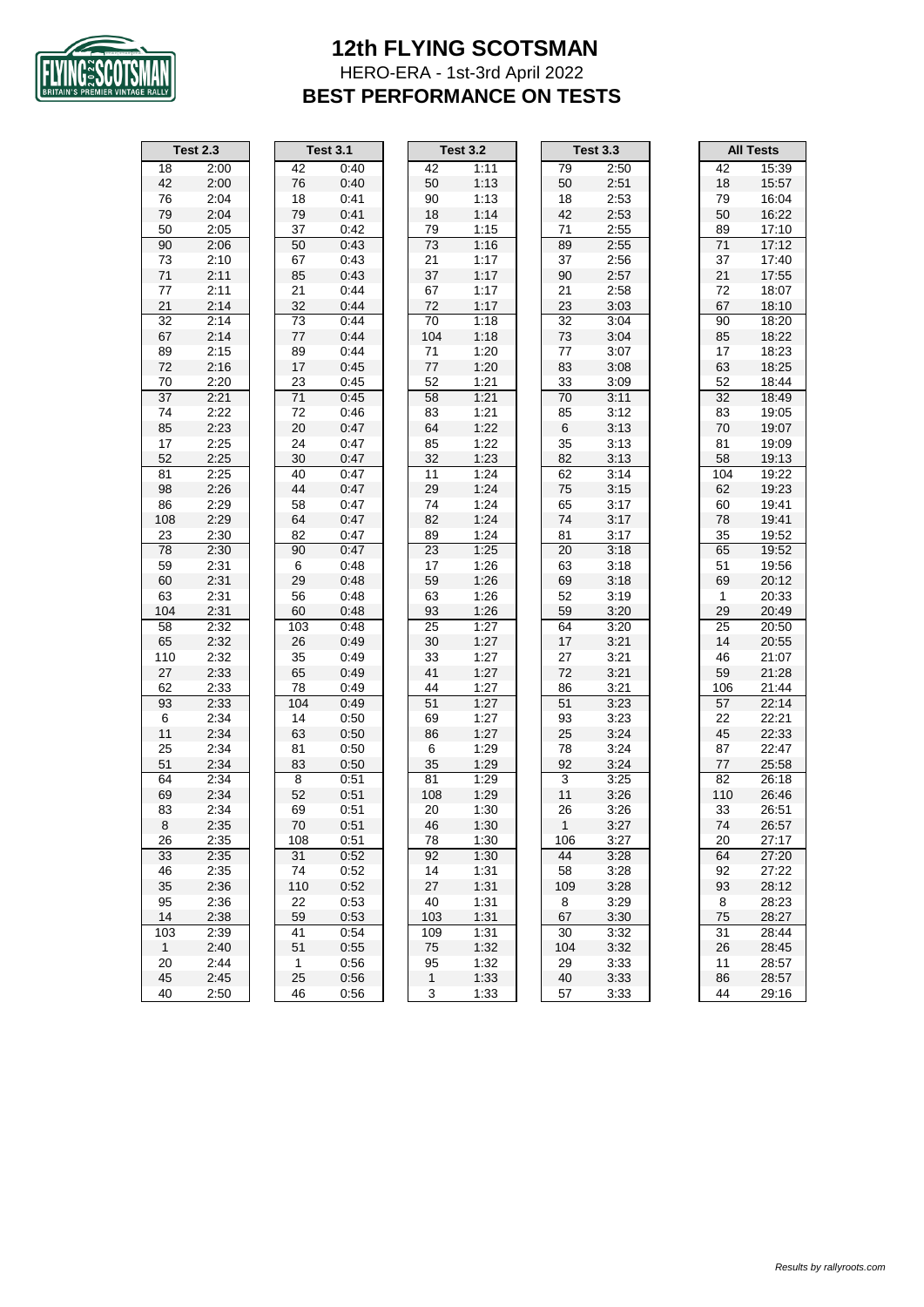

#### **12th FLYING SCOTSMAN** HERO-ERA - 1st-3rd April 2022 **BEST PERFORMANCE ON TESTS**

|                 | <b>Test 2.3</b> |              | <b>Test 3.1</b> |                 | <b>Test 3.2</b> |              | <b>Test 3.3</b> |              | <b>All Tests</b> |
|-----------------|-----------------|--------------|-----------------|-----------------|-----------------|--------------|-----------------|--------------|------------------|
| 18              | 2:00            | 42           | 0:40            | 42              | 1:11            | 79           | 2:50            | 42           | 15:39            |
| 42              | 2:00            | 76           | 0:40            | 50              | 1:13            | 50           | 2:51            | 18           | 15:57            |
| 76              | 2:04            | 18           | 0:41            | 90              | 1:13            | 18           | 2:53            | 79           | 16:04            |
| 79              | 2:04            | 79           | 0:41            | 18              | 1:14            | 42           | 2:53            | 50           | 16:22            |
| 50              | 2:05            | 37           | 0:42            | 79              | 1:15            | 71           | 2:55            | 89           | 17:10            |
| 90              | 2:06            | 50           | 0:43            | 73              | 1:16            | 89           | 2:55            | 71           | 17:12            |
| 73              | 2:10            | 67           | 0:43            | 21              | 1:17            | 37           | 2:56            | 37           | 17:40            |
| 71              | 2:11            | 85           | 0:43            | 37              | 1:17            | 90           | 2:57            | 21           | 17:55            |
| $77 \,$         | 2:11            | 21           | 0:44            | 67              | 1:17            | 21           | 2:58            | $72\,$       | 18:07            |
| 21              | 2:14            | 32           | 0:44            | 72              | 1:17            | 23           | 3:03            | 67           | 18:10            |
| 32              | 2:14            | 73           | 0:44            | $\overline{70}$ | 1:18            | 32           | 3:04            | 90           | 18:20            |
| 67              | 2:14            | $77 \,$      | 0:44            | 104             | 1:18            | 73           | 3:04            | 85           | 18:22            |
| 89              | 2:15            | 89           | 0:44            | 71              | 1:20            | 77           | 3:07            | 17           | 18:23            |
| 72              | 2:16            | 17           | 0:45            | $77 \,$         | 1:20            | 83           | 3:08            | 63           | 18:25            |
| 70              | 2:20            | 23           | 0:45            | 52              | 1:21            | 33           | 3:09            | 52           | 18:44            |
| $\overline{37}$ | 2:21            | 71           | 0:45            | 58              | 1:21            | 70           | 3:11            | 32           | 18:49            |
| 74              | 2:22            | 72           | 0:46            | 83              | 1:21            | 85           | 3:12            | 83           | 19:05            |
| 85              | 2:23            | 20           | 0:47            | 64              | 1:22            | $\,6\,$      | 3:13            | $70\,$       | 19:07            |
| 17              | 2:25            | 24           | 0:47            | 85              | 1:22            | 35           | 3:13            | 81           | 19:09            |
| 52              | 2:25            | 30           | 0:47            | 32              | 1:23            | 82           | 3:13            | 58           | 19:13            |
| 81              | 2:25            | 40           | 0:47            | 11              | 1:24            | 62           | 3:14            | 104          | 19:22            |
| 98              | 2:26            | 44           | 0:47            | 29              | 1:24            | 75           | 3:15            | 62           | 19:23            |
| 86              | 2:29            | 58           | 0:47            | 74              | 1:24            | 65           | 3:17            | 60           | 19:41            |
| 108             | 2:29            | 64           | 0:47            | 82              | 1:24            | 74           | 3:17            | 78           | 19:41            |
| 23              | 2:30            | 82           | 0:47            | 89              | 1:24            | 81           | 3:17            | 35           | 19:52            |
| 78              | 2:30            | 90           | 0:47            | 23              | 1:25            | 20           | 3:18            | 65           | 19:52            |
| 59              | 2:31            | 6            | 0:48            | 17              | 1:26            | 63           | 3:18            | 51           | 19:56            |
| 60              | 2:31            | 29           | 0:48            | 59              | 1:26            | 69           | 3:18            | 69           | 20:12            |
| 63              | 2:31            | 56           | 0:48            | 63              | 1:26            | 52           | 3:19            | $\mathbf{1}$ | 20:33            |
| 104             | 2:31            | 60           | 0:48            | 93              | 1:26            | 59           | 3:20            | 29           | 20:49            |
| 58              | 2:32            | 103          | 0:48            | 25              | 1:27            | 64           | 3:20            | 25           | 20:50            |
| 65              | 2:32            | 26           | 0:49            | 30              | 1:27            | 17           | 3:21            | 14           | 20:55            |
| 110             | 2:32            | 35           | 0:49            | 33              | 1:27            | 27           | 3:21            | 46           | 21:07            |
| 27              | 2:33            | 65           | 0:49            | 41              | 1:27            | 72           | 3:21            | 59           | 21:28            |
| 62              | 2:33            | 78           | 0:49            | 44              | 1:27            | 86           | 3:21            | 106          | 21:44            |
| 93              | 2:33            | 104          | 0:49            | 51              | 1:27            | 51           | 3:23            | 57           | 22:14            |
| 6               | 2:34            | 14           | 0:50            | 69              | 1:27            | 93           | 3:23            | 22           | 22:21            |
| 11              | 2:34            | 63           | 0:50            | 86              | 1:27            | 25           | 3:24            | 45           | 22:33            |
| 25              | 2:34            | 81           | 0:50            | 6               | 1:29            | 78           | 3:24            | 87           | 22:47            |
| 51              | 2:34            | 83           | 0:50            | 35              | 1:29            | 92           | 3:24            | 77           | 25:58            |
| 64              | 2:34            | 8            | 0:51            | 81              | 1:29            | 3            | 3:25            | 82           | 26:18            |
| 69              | 2.34            | 52           | 0:51            | 108             | 1:29            | 11           | 3:26            | 110          | 26:46            |
| 83              | 2:34            | 69           | 0:51            | 20              | 1:30            | 26           | 3:26            | 33           | 26:51            |
| $\bf 8$         | 2:35            | 70           | 0:51            | 46              | 1:30            | $\mathbf{1}$ | 3:27            | 74           | 26:57            |
| 26              | 2:35            | 108          | 0:51            | 78              | 1:30            | 106          | 3:27            | 20           | 27:17            |
| 33              | 2:35            | 31           | 0:52            | 92              | 1:30            | 44           | 3:28            | 64           | 27:20            |
| 46              | 2:35            | 74           | 0:52            | 14              | 1:31            | 58           | 3:28            | 92           | 27:22            |
| 35              | 2:36            | 110          | 0:52            | 27              | 1:31            | 109          | 3:28            | 93           | 28:12            |
| 95              | 2:36            | 22           | 0:53            | 40              | 1:31            | 8            | 3:29            | 8            | 28:23            |
| 14              | 2:38            | 59           | 0:53            | 103             | 1:31            | 67           | 3:30            | 75           | 28:27            |
| 103             | 2:39            | 41           | 0:54            | 109             | 1:31            | 30           | 3:32            | 31           | 28:44            |
| $\mathbf{1}$    | 2:40            | 51           | 0:55            | 75              | 1:32            | 104          | 3:32            | 26           | 28:45            |
| 20              | 2:44            | $\mathbf{1}$ | 0:56            | 95              | 1:32            | 29           | 3:33            | 11           | 28:57            |
| 45              | 2:45            | 25           | 0:56            | $\mathbf{1}$    | 1:33            | 40           | 3:33            | 86           | 28:57            |
| 40              | 2:50            | 46           | 0:56            | 3               | 1:33            | 57           | 3:33            | 44           | 29:16            |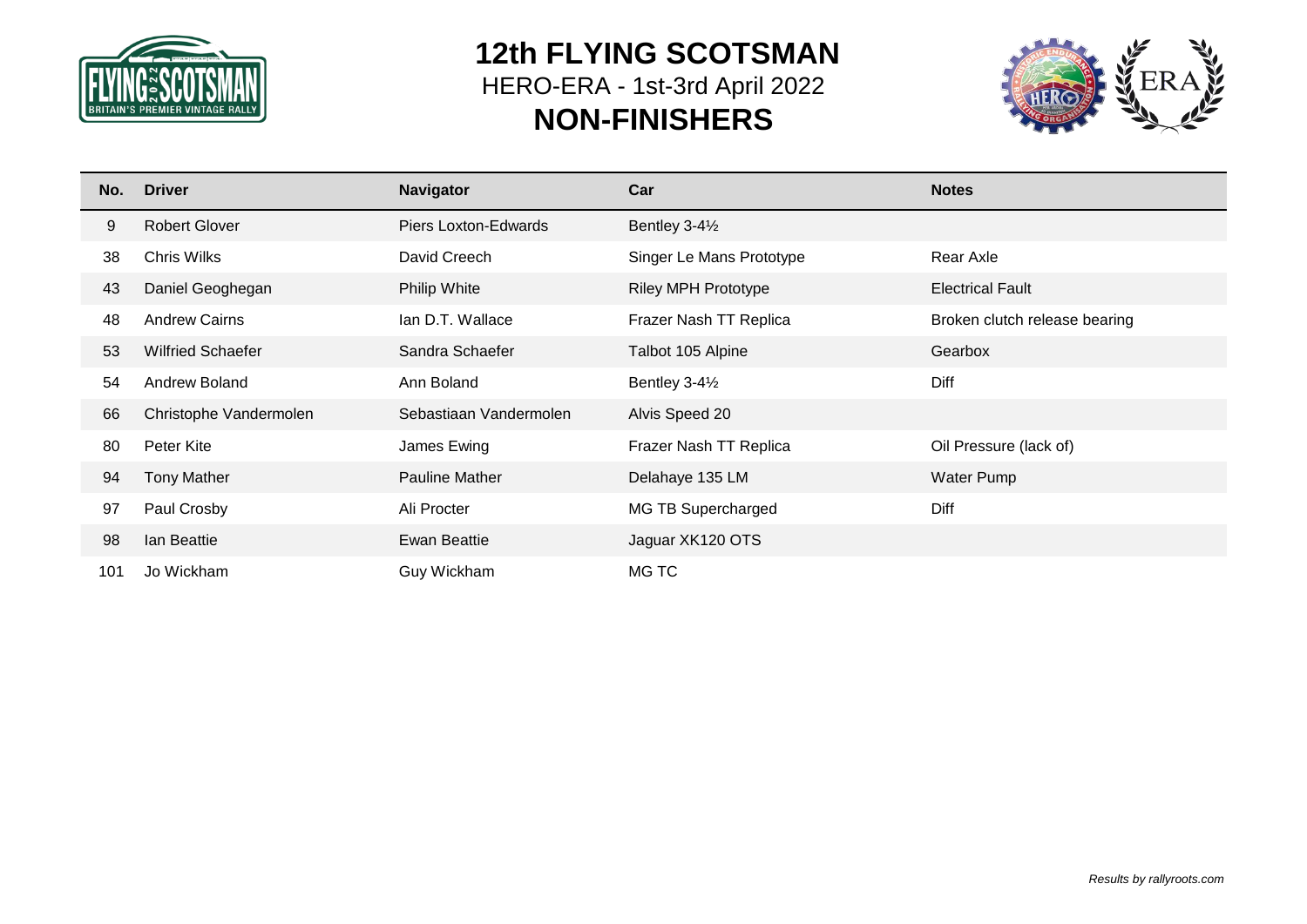

# **12th FLYING SCOTSMAN** HERO-ERA - 1st-3rd April 2022 **NON-FINISHERS**



| No. | <b>Driver</b>            | <b>Navigator</b>       | Car                        | <b>Notes</b>                  |
|-----|--------------------------|------------------------|----------------------------|-------------------------------|
| 9   | <b>Robert Glover</b>     | Piers Loxton-Edwards   | Bentley 3-41/2             |                               |
| 38  | <b>Chris Wilks</b>       | David Creech           | Singer Le Mans Prototype   | Rear Axle                     |
| 43  | Daniel Geoghegan         | <b>Philip White</b>    | <b>Riley MPH Prototype</b> | <b>Electrical Fault</b>       |
| 48  | <b>Andrew Cairns</b>     | Ian D.T. Wallace       | Frazer Nash TT Replica     | Broken clutch release bearing |
| 53  | <b>Wilfried Schaefer</b> | Sandra Schaefer        | Talbot 105 Alpine          | Gearbox                       |
| 54  | Andrew Boland            | Ann Boland             | Bentley 3-41/2             | Diff                          |
| 66  | Christophe Vandermolen   | Sebastiaan Vandermolen | Alvis Speed 20             |                               |
| 80  | Peter Kite               | James Ewing            | Frazer Nash TT Replica     | Oil Pressure (lack of)        |
| 94  | <b>Tony Mather</b>       | <b>Pauline Mather</b>  | Delahaye 135 LM            | Water Pump                    |
| 97  | Paul Crosby              | Ali Procter            | MG TB Supercharged         | Diff                          |
| 98  | lan Beattie              | <b>Ewan Beattie</b>    | Jaguar XK120 OTS           |                               |
| 101 | Jo Wickham               | Guy Wickham            | MG TC                      |                               |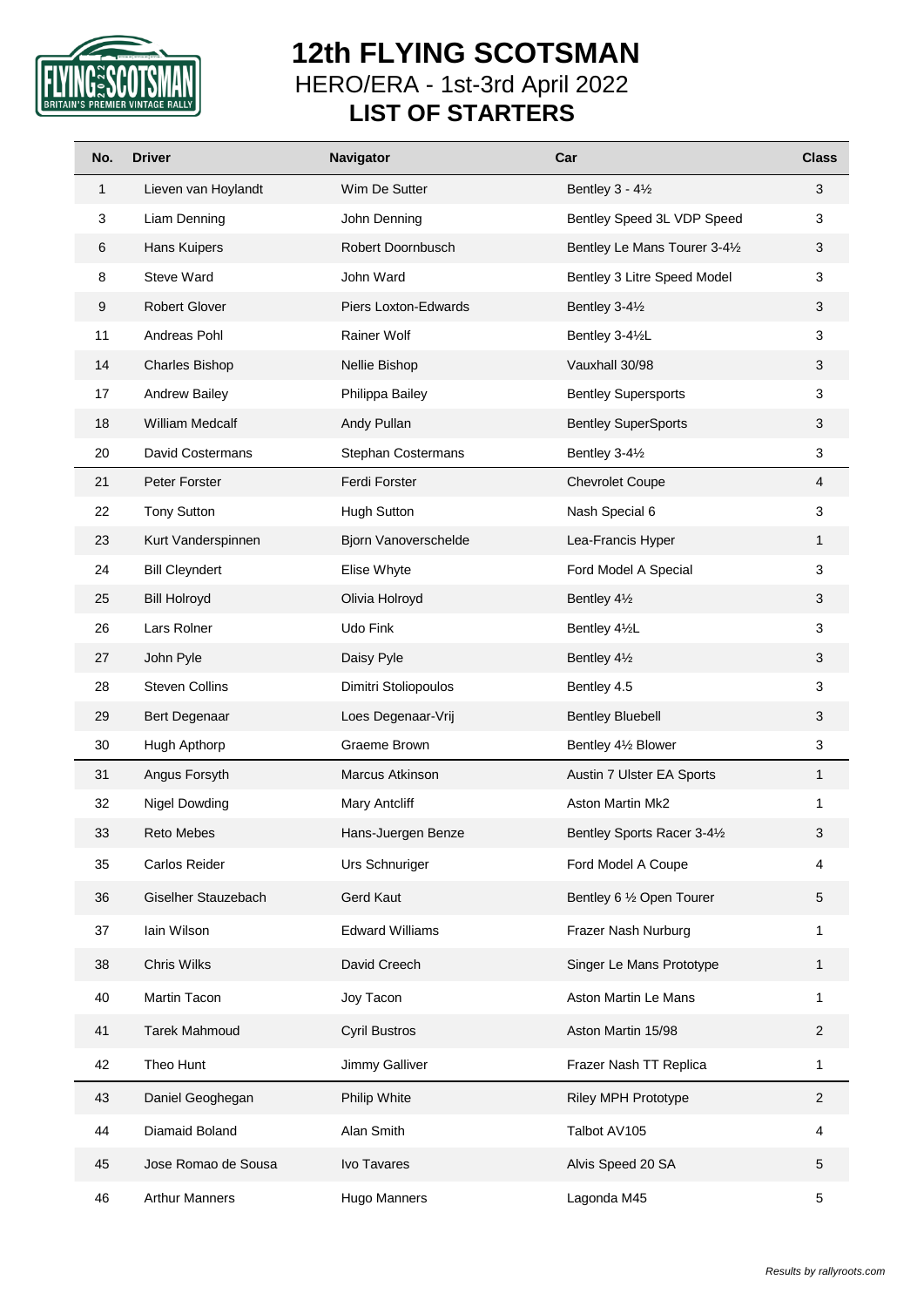

# **12th FLYING SCOTSMAN** HERO/ERA - 1st-3rd April 2022 **LIST OF STARTERS**

| No. | <b>Driver</b>          | Navigator              | Car                           | <b>Class</b>            |
|-----|------------------------|------------------------|-------------------------------|-------------------------|
| 1   | Lieven van Hoylandt    | Wim De Sutter          | Bentley $3 - 4\frac{1}{2}$    | 3                       |
| 3   | Liam Denning           | John Denning           | Bentley Speed 3L VDP Speed    | 3                       |
| 6   | Hans Kuipers           | Robert Doornbusch      | Bentley Le Mans Tourer 3-41/2 | 3                       |
| 8   | Steve Ward             | John Ward              | Bentley 3 Litre Speed Model   | 3                       |
| 9   | <b>Robert Glover</b>   | Piers Loxton-Edwards   | Bentley 3-41/2                | 3                       |
| 11  | Andreas Pohl           | Rainer Wolf            | Bentley 3-41/2L               | 3                       |
| 14  | <b>Charles Bishop</b>  | Nellie Bishop          | Vauxhall 30/98                | 3                       |
| 17  | <b>Andrew Bailey</b>   | Philippa Bailey        | <b>Bentley Supersports</b>    | 3                       |
| 18  | <b>William Medcalf</b> | Andy Pullan            | <b>Bentley SuperSports</b>    | 3                       |
| 20  | David Costermans       | Stephan Costermans     | Bentley 3-41/2                | 3                       |
| 21  | Peter Forster          | Ferdi Forster          | <b>Chevrolet Coupe</b>        | $\overline{4}$          |
| 22  | <b>Tony Sutton</b>     | <b>Hugh Sutton</b>     | Nash Special 6                | 3                       |
| 23  | Kurt Vanderspinnen     | Bjorn Vanoverschelde   | Lea-Francis Hyper             | $\mathbf{1}$            |
| 24  | <b>Bill Cleyndert</b>  | Elise Whyte            | Ford Model A Special          | 3                       |
| 25  | <b>Bill Holroyd</b>    | Olivia Holroyd         | Bentley 41/2                  | 3                       |
| 26  | Lars Rolner            | Udo Fink               | Bentley 41/2L                 | 3                       |
| 27  | John Pyle              | Daisy Pyle             | Bentley 41/2                  | $\mathfrak{S}$          |
| 28  | <b>Steven Collins</b>  | Dimitri Stoliopoulos   | Bentley 4.5                   | 3                       |
| 29  | Bert Degenaar          | Loes Degenaar-Vrij     | <b>Bentley Bluebell</b>       | 3                       |
| 30  | Hugh Apthorp           | Graeme Brown           | Bentley 41/2 Blower           | 3                       |
| 31  | Angus Forsyth          | Marcus Atkinson        | Austin 7 Ulster EA Sports     | $\mathbf{1}$            |
| 32  | <b>Nigel Dowding</b>   | Mary Antcliff          | <b>Aston Martin Mk2</b>       | 1                       |
| 33  | Reto Mebes             | Hans-Juergen Benze     | Bentley Sports Racer 3-41/2   | 3                       |
| 35  | Carlos Reider          | Urs Schnuriger         | Ford Model A Coupe            | 4                       |
| 36  | Giselher Stauzebach    | Gerd Kaut              | Bentley 6 1/2 Open Tourer     | 5                       |
| 37  | Iain Wilson            | <b>Edward Williams</b> | Frazer Nash Nurburg           | 1                       |
| 38  | Chris Wilks            | David Creech           | Singer Le Mans Prototype      | $\mathbf{1}$            |
| 40  | Martin Tacon           | Joy Tacon              | Aston Martin Le Mans          | 1                       |
| 41  | <b>Tarek Mahmoud</b>   | <b>Cyril Bustros</b>   | Aston Martin 15/98            | $\overline{\mathbf{c}}$ |
| 42  | Theo Hunt              | Jimmy Galliver         | Frazer Nash TT Replica        | 1                       |
| 43  | Daniel Geoghegan       | Philip White           | <b>Riley MPH Prototype</b>    | $\overline{c}$          |
| 44  | Diamaid Boland         | Alan Smith             | Talbot AV105                  | 4                       |
| 45  | Jose Romao de Sousa    | Ivo Tavares            | Alvis Speed 20 SA             | 5                       |
| 46  | <b>Arthur Manners</b>  | Hugo Manners           | Lagonda M45                   | 5                       |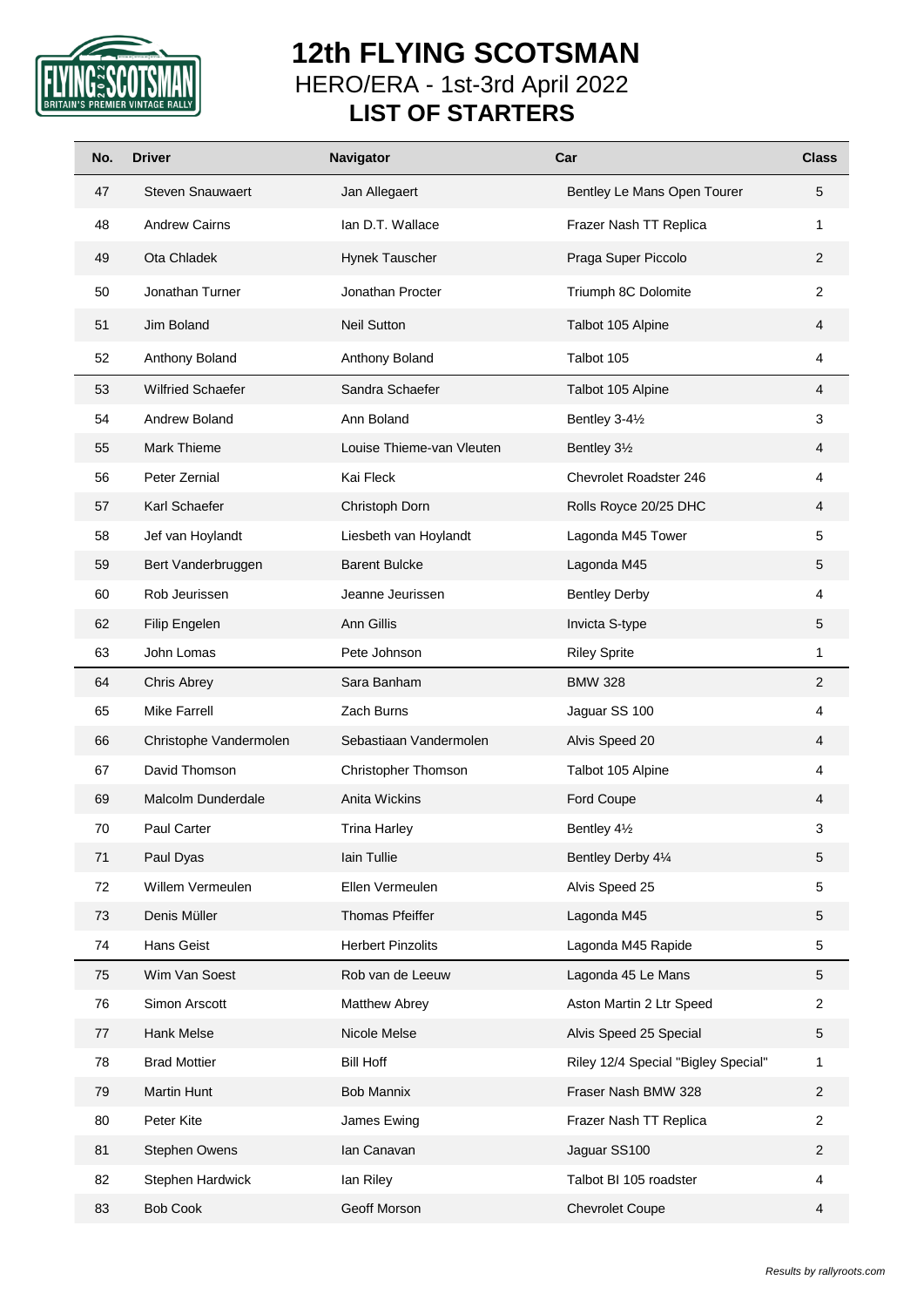

# **12th FLYING SCOTSMAN** HERO/ERA - 1st-3rd April 2022 **LIST OF STARTERS**

| No. | <b>Driver</b>            | <b>Navigator</b>          | Car                                 | <b>Class</b>   |
|-----|--------------------------|---------------------------|-------------------------------------|----------------|
| 47  | <b>Steven Snauwaert</b>  | Jan Allegaert             | Bentley Le Mans Open Tourer         | 5              |
| 48  | <b>Andrew Cairns</b>     | Ian D.T. Wallace          | Frazer Nash TT Replica              | 1              |
| 49  | Ota Chladek              | Hynek Tauscher            | Praga Super Piccolo                 | $\overline{2}$ |
| 50  | Jonathan Turner          | Jonathan Procter          | Triumph 8C Dolomite                 | $\overline{2}$ |
| 51  | Jim Boland               | <b>Neil Sutton</b>        | Talbot 105 Alpine                   | $\overline{4}$ |
| 52  | Anthony Boland           | Anthony Boland            | Talbot 105                          | 4              |
| 53  | <b>Wilfried Schaefer</b> | Sandra Schaefer           | Talbot 105 Alpine                   | $\overline{4}$ |
| 54  | Andrew Boland            | Ann Boland                | Bentley 3-41/2                      | 3              |
| 55  | Mark Thieme              | Louise Thieme-van Vleuten | Bentley 31/2                        | 4              |
| 56  | Peter Zernial            | Kai Fleck                 | Chevrolet Roadster 246              | 4              |
| 57  | Karl Schaefer            | Christoph Dorn            | Rolls Royce 20/25 DHC               | 4              |
| 58  | Jef van Hoylandt         | Liesbeth van Hoylandt     | Lagonda M45 Tower                   | 5              |
| 59  | Bert Vanderbruggen       | <b>Barent Bulcke</b>      | Lagonda M45                         | 5              |
| 60  | Rob Jeurissen            | Jeanne Jeurissen          | <b>Bentley Derby</b>                | 4              |
| 62  | Filip Engelen            | Ann Gillis                | Invicta S-type                      | 5              |
| 63  | John Lomas               | Pete Johnson              | <b>Riley Sprite</b>                 | 1              |
| 64  | <b>Chris Abrey</b>       | Sara Banham               | <b>BMW 328</b>                      | $\overline{2}$ |
| 65  | <b>Mike Farrell</b>      | Zach Burns                | Jaguar SS 100                       | 4              |
| 66  | Christophe Vandermolen   | Sebastiaan Vandermolen    | Alvis Speed 20                      | 4              |
| 67  | David Thomson            | Christopher Thomson       | Talbot 105 Alpine                   | 4              |
| 69  | Malcolm Dunderdale       | <b>Anita Wickins</b>      | Ford Coupe                          | 4              |
| 70  | Paul Carter              | <b>Trina Harley</b>       | Bentley 41/2                        | 3              |
| 71  | Paul Dyas                | Iain Tullie               | Bentley Derby 41⁄4                  | 5              |
| 72  | Willem Vermeulen         | Ellen Vermeulen           | Alvis Speed 25                      | 5              |
| 73  | Denis Müller             | Thomas Pfeiffer           | Lagonda M45                         | 5              |
| 74  | Hans Geist               | <b>Herbert Pinzolits</b>  | Lagonda M45 Rapide                  | 5              |
| 75  | Wim Van Soest            | Rob van de Leeuw          | Lagonda 45 Le Mans                  | 5              |
| 76  | Simon Arscott            | Matthew Abrey             | Aston Martin 2 Ltr Speed            | $\overline{2}$ |
| 77  | Hank Melse               | Nicole Melse              | Alvis Speed 25 Special              | $\,$ 5 $\,$    |
| 78  | <b>Brad Mottier</b>      | <b>Bill Hoff</b>          | Riley 12/4 Special "Bigley Special" | 1              |
| 79  | Martin Hunt              | Bob Mannix                | Fraser Nash BMW 328                 | $\overline{2}$ |
| 80  | Peter Kite               | James Ewing               | Frazer Nash TT Replica              | $\overline{2}$ |
| 81  | Stephen Owens            | lan Canavan               | Jaguar SS100                        | $\sqrt{2}$     |
| 82  | Stephen Hardwick         | lan Riley                 | Talbot BI 105 roadster              | 4              |
| 83  | <b>Bob Cook</b>          | Geoff Morson              | <b>Chevrolet Coupe</b>              | $\overline{4}$ |